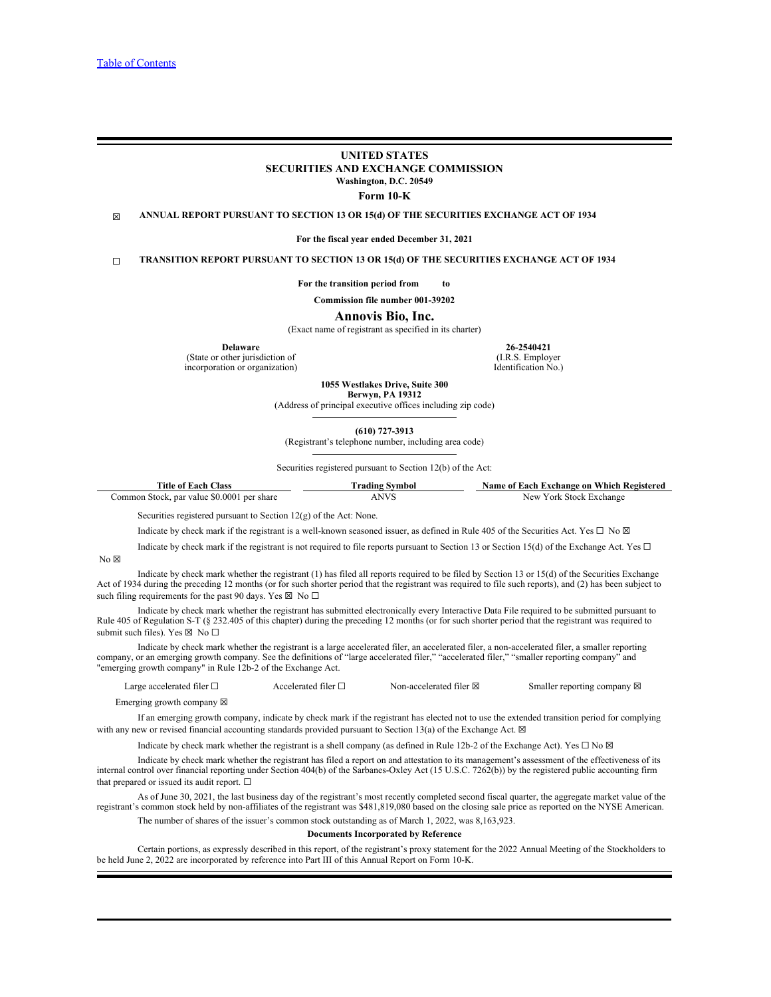## **UNITED STATES SECURITIES AND EXCHANGE COMMISSION Washington, D.C. 20549**

**Form 10-K**

☒ **ANNUAL REPORT PURSUANT TO SECTION 13 OR 15(d) OF THE SECURITIES EXCHANGE ACT OF 1934**

**For the fiscal year ended December 31, 2021**

☐ **TRANSITION REPORT PURSUANT TO SECTION 13 OR 15(d) OF THE SECURITIES EXCHANGE ACT OF 1934**

**For the transition period from to** 

**Commission file number 001-39202**

**Annovis Bio, Inc.**

(Exact name of registrant as specified in its charter)

**Delaware**

(State or other jurisdiction of incorporation or organization)

**26-2540421** (I.R.S. Employer Identification No.)

**1055 Westlakes Drive, Suite 300 Berwyn, PA 19312**

(Address of principal executive offices including zip code)

**(610) 727-3913**

(Registrant's telephone number, including area code)

Securities registered pursuant to Section 12(b) of the Act:

| comme a<br>L'itle<br>e of Each<br><b>Class</b>                                                                         | ' Symbol<br>rading          | - 33<br>Which<br><b>ı Registered</b><br>:hange or<br>Name of<br>$\alpha$<br>. ехс<br>w raw |
|------------------------------------------------------------------------------------------------------------------------|-----------------------------|--------------------------------------------------------------------------------------------|
| $\sim$ $\sim$ $\sim$<br>$^{\circ}50.0001$ .<br>22.02<br>ommon<br>nar value.<br>share<br><b>Stock</b><br>$\sim$<br>JVI. | NIV <sub>1</sub><br>ט ויובד | - Stock<br>$\triangle$ xchange<br>$\Delta$ $\Delta$<br>1 U I<br>$\mathbf{11.11}$           |

Securities registered pursuant to Section 12(g) of the Act: None.

Indicate by check mark if the registrant is a well-known seasoned issuer, as defined in Rule 405 of the Securities Act. Yes  $\Box$  No  $\boxtimes$ 

Indicate by check mark if the registrant is not required to file reports pursuant to Section 13 or Section 15(d) of the Exchange Act. Yes  $\Box$  $N<sub>0</sub> \boxtimes$ 

Indicate by check mark whether the registrant (1) has filed all reports required to be filed by Section 13 or 15(d) of the Securities Exchange Act of 1934 during the preceding 12 months (or for such shorter period that the registrant was required to file such reports), and (2) has been subject to such filing requirements for the past 90 days. Yes  $\boxtimes$  No  $\Box$ 

Indicate by check mark whether the registrant has submitted electronically every Interactive Data File required to be submitted pursuant to Rule 405 of Regulation S-T (§ 232.405 of this chapter) during the preceding 12 months (or for such shorter period that the registrant was required to submit such files). Yes  $\boxtimes$  No  $\square$ 

Indicate by check mark whether the registrant is a large accelerated filer, an accelerated filer, a non-accelerated filer, a smaller reporting company, or an emerging growth company. See the definitions of "large accelerated filer," "accelerated filer," "smaller reporting company" and "emerging growth company" in Rule 12b-2 of the Exchange Act.

| $-$<br>Large accelerated filer $\Box$ | Accelerated filer $\Box$ | Non-accelerated filer $\boxtimes$ | aller reporting<br>∠ company ⊠<br>ппансі |
|---------------------------------------|--------------------------|-----------------------------------|------------------------------------------|
|                                       |                          |                                   |                                          |

Emerging growth company  $\nabla$ 

If an emerging growth company, indicate by check mark if the registrant has elected not to use the extended transition period for complying with any new or revised financial accounting standards provided pursuant to Section 13(a) of the Exchange Act.  $\boxtimes$ 

Indicate by check mark whether the registrant is a shell company (as defined in Rule 12b-2 of the Exchange Act). Yes  $\Box$  No  $\boxtimes$ 

Indicate by check mark whether the registrant has filed a report on and attestation to its management's assessment of the effectiveness of its internal control over financial reporting under Section 404(b) of the Sarbanes-Oxley Act (15 U.S.C. 7262(b)) by the registered public accounting firm that prepared or issued its audit report.  $\square$ 

As of June 30, 2021, the last business day of the registrant's most recently completed second fiscal quarter, the aggregate market value of the registrant's common stock held by non-affiliates of the registrant was \$481,819,080 based on the closing sale price as reported on the NYSE American. The number of shares of the issuer's common stock outstanding as of March 1, 2022, was 8,163,923.

#### **Documents Incorporated by Reference**

Certain portions, as expressly described in this report, of the registrant's proxy statement for the 2022 Annual Meeting of the Stockholders to be held June 2, 2022 are incorporated by reference into Part III of this Annual Report on Form 10-K.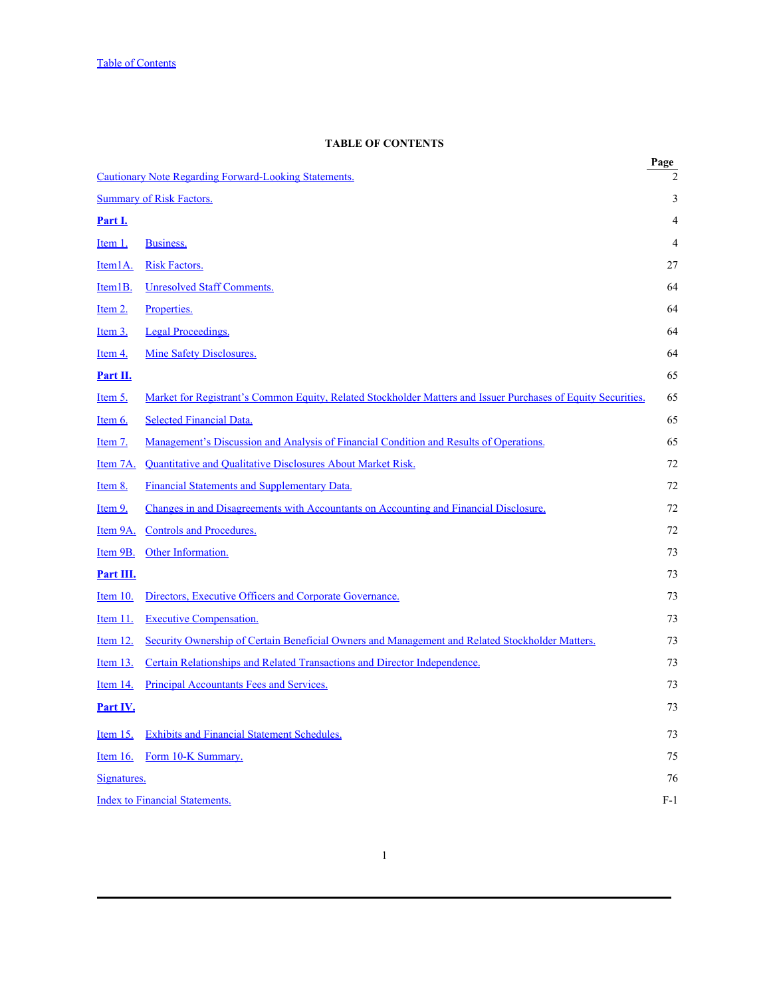# **TABLE OF CONTENTS**

<span id="page-1-0"></span>

|                                       |                                                                                                               | $\frac{Page}{2}$ |  |
|---------------------------------------|---------------------------------------------------------------------------------------------------------------|------------------|--|
|                                       | <b>Cautionary Note Regarding Forward-Looking Statements.</b>                                                  |                  |  |
| <b>Summary of Risk Factors.</b>       |                                                                                                               | 3                |  |
| <u>Part I.</u>                        |                                                                                                               | 4                |  |
| <u>Item 1.</u>                        | Business.                                                                                                     | $\overline{4}$   |  |
| Item <sub>1</sub> A.                  | <b>Risk Factors.</b>                                                                                          | 27               |  |
| Item <sub>1B</sub> .                  | <b>Unresolved Staff Comments.</b>                                                                             | 64               |  |
| <u>Item 2.</u>                        | Properties.                                                                                                   | 64               |  |
| <u>Item 3.</u>                        | <b>Legal Proceedings.</b>                                                                                     | 64               |  |
| <u>Item 4.</u>                        | Mine Safety Disclosures.                                                                                      | 64               |  |
| Part II.                              |                                                                                                               | 65               |  |
| <u>Item 5.</u>                        | Market for Registrant's Common Equity, Related Stockholder Matters and Issuer Purchases of Equity Securities. | 65               |  |
| Item 6.                               | <b>Selected Financial Data.</b>                                                                               | 65               |  |
| <u>Item 7.</u>                        | Management's Discussion and Analysis of Financial Condition and Results of Operations.                        | 65               |  |
| Item 7A.                              | <b>Quantitative and Qualitative Disclosures About Market Risk.</b>                                            | 72               |  |
| <u>Item 8.</u>                        | Financial Statements and Supplementary Data.                                                                  | 72               |  |
| <u>Item 9.</u>                        | Changes in and Disagreements with Accountants on Accounting and Financial Disclosure.                         | 72               |  |
| Item 9A.                              | <b>Controls and Procedures.</b>                                                                               | 72               |  |
| Item 9B.                              | Other Information.                                                                                            | 73               |  |
| Part III.                             |                                                                                                               | 73               |  |
| Item $10$ .                           | Directors, Executive Officers and Corporate Governance.                                                       | 73               |  |
| Item 11.                              | <b>Executive Compensation.</b>                                                                                | 73               |  |
| <u>Item 12.</u>                       | Security Ownership of Certain Beneficial Owners and Management and Related Stockholder Matters.               | 73               |  |
| <u>Item 13.</u>                       | Certain Relationships and Related Transactions and Director Independence.                                     | 73               |  |
| Item 14.                              | <b>Principal Accountants Fees and Services.</b>                                                               | 73               |  |
| <u>Part IV.</u>                       |                                                                                                               | 73               |  |
| Item $15$ .                           | <b>Exhibits and Financial Statement Schedules.</b>                                                            | 73               |  |
| Item $16$ .                           | Form 10-K Summary.                                                                                            | 75               |  |
| Signatures.                           |                                                                                                               | 76               |  |
| <b>Index to Financial Statements.</b> |                                                                                                               | $F-1$            |  |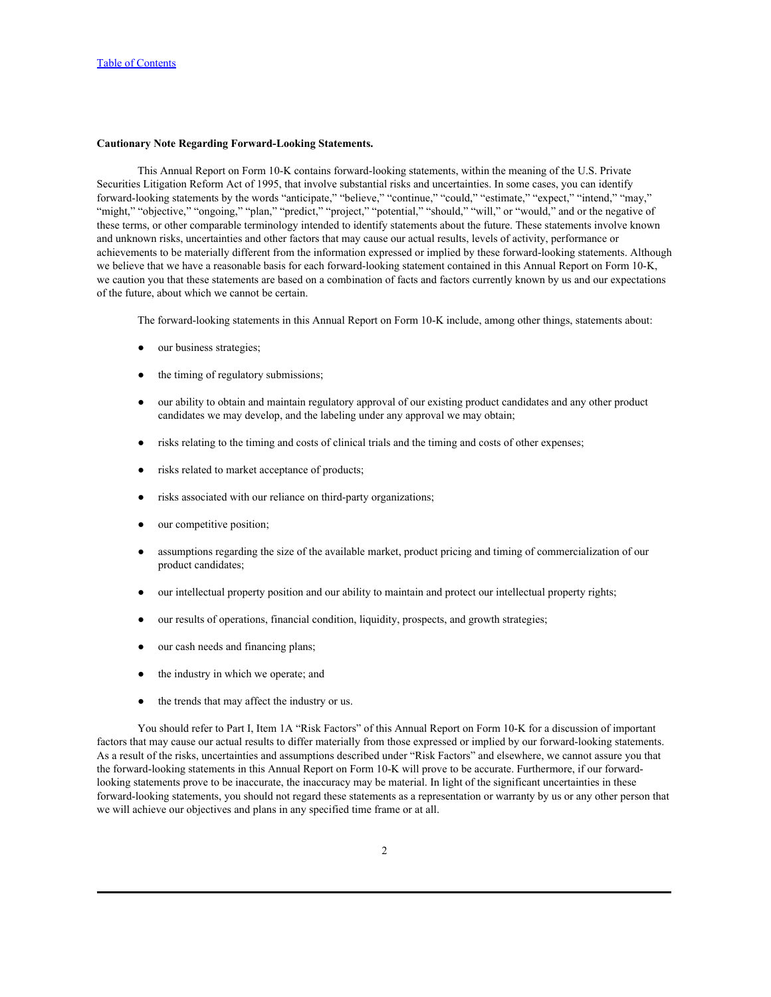## <span id="page-2-0"></span>**Cautionary Note Regarding Forward-Looking Statements.**

This Annual Report on Form 10-K contains forward-looking statements, within the meaning of the U.S. Private Securities Litigation Reform Act of 1995, that involve substantial risks and uncertainties. In some cases, you can identify forward-looking statements by the words "anticipate," "believe," "continue," "could," "estimate," "expect," "intend," "may," "might," "objective," "ongoing," "plan," "predict," "project," "potential," "should," "will," or "would," and or the negative of these terms, or other comparable terminology intended to identify statements about the future. These statements involve known and unknown risks, uncertainties and other factors that may cause our actual results, levels of activity, performance or achievements to be materially different from the information expressed or implied by these forward-looking statements. Although we believe that we have a reasonable basis for each forward-looking statement contained in this Annual Report on Form 10-K, we caution you that these statements are based on a combination of facts and factors currently known by us and our expectations of the future, about which we cannot be certain.

The forward-looking statements in this Annual Report on Form 10-K include, among other things, statements about:

- our business strategies;
- the timing of regulatory submissions;
- our ability to obtain and maintain regulatory approval of our existing product candidates and any other product candidates we may develop, and the labeling under any approval we may obtain;
- risks relating to the timing and costs of clinical trials and the timing and costs of other expenses;
- risks related to market acceptance of products;
- risks associated with our reliance on third-party organizations;
- our competitive position;
- assumptions regarding the size of the available market, product pricing and timing of commercialization of our product candidates;
- our intellectual property position and our ability to maintain and protect our intellectual property rights;
- our results of operations, financial condition, liquidity, prospects, and growth strategies;
- our cash needs and financing plans;
- the industry in which we operate; and
- the trends that may affect the industry or us.

You should refer to Part I, Item 1A "Risk Factors" of this Annual Report on Form 10-K for a discussion of important factors that may cause our actual results to differ materially from those expressed or implied by our forward-looking statements. As a result of the risks, uncertainties and assumptions described under "Risk Factors" and elsewhere, we cannot assure you that the forward-looking statements in this Annual Report on Form 10-K will prove to be accurate. Furthermore, if our forwardlooking statements prove to be inaccurate, the inaccuracy may be material. In light of the significant uncertainties in these forward-looking statements, you should not regard these statements as a representation or warranty by us or any other person that we will achieve our objectives and plans in any specified time frame or at all.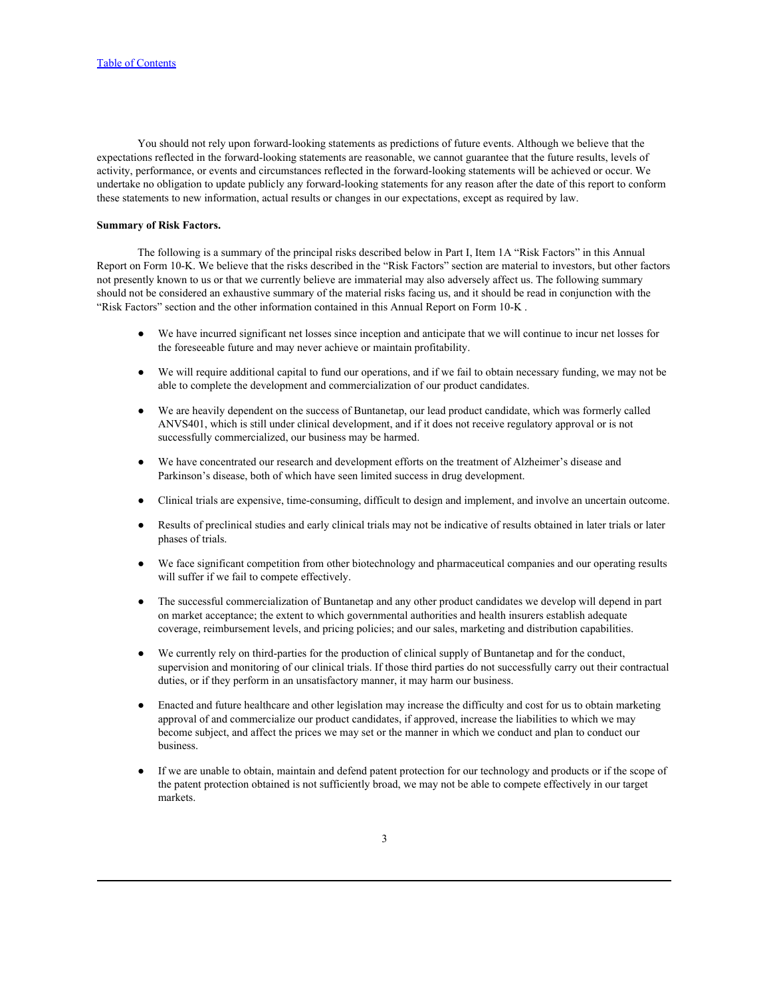You should not rely upon forward-looking statements as predictions of future events. Although we believe that the expectations reflected in the forward-looking statements are reasonable, we cannot guarantee that the future results, levels of activity, performance, or events and circumstances reflected in the forward-looking statements will be achieved or occur. We undertake no obligation to update publicly any forward-looking statements for any reason after the date of this report to conform these statements to new information, actual results or changes in our expectations, except as required by law.

### <span id="page-3-0"></span>**Summary of Risk Factors.**

The following is a summary of the principal risks described below in Part I, Item 1A "Risk Factors" in this Annual Report on Form 10-K. We believe that the risks described in the "Risk Factors" section are material to investors, but other factors not presently known to us or that we currently believe are immaterial may also adversely affect us. The following summary should not be considered an exhaustive summary of the material risks facing us, and it should be read in conjunction with the "Risk Factors" section and the other information contained in this Annual Report on Form 10-K .

- We have incurred significant net losses since inception and anticipate that we will continue to incur net losses for the foreseeable future and may never achieve or maintain profitability.
- We will require additional capital to fund our operations, and if we fail to obtain necessary funding, we may not be able to complete the development and commercialization of our product candidates.
- We are heavily dependent on the success of Buntanetap, our lead product candidate, which was formerly called ANVS401, which is still under clinical development, and if it does not receive regulatory approval or is not successfully commercialized, our business may be harmed.
- We have concentrated our research and development efforts on the treatment of Alzheimer's disease and Parkinson's disease, both of which have seen limited success in drug development.
- Clinical trials are expensive, time-consuming, difficult to design and implement, and involve an uncertain outcome.
- Results of preclinical studies and early clinical trials may not be indicative of results obtained in later trials or later phases of trials.
- We face significant competition from other biotechnology and pharmaceutical companies and our operating results will suffer if we fail to compete effectively.
- The successful commercialization of Buntanetap and any other product candidates we develop will depend in part on market acceptance; the extent to which governmental authorities and health insurers establish adequate coverage, reimbursement levels, and pricing policies; and our sales, marketing and distribution capabilities.
- We currently rely on third-parties for the production of clinical supply of Buntanetap and for the conduct, supervision and monitoring of our clinical trials. If those third parties do not successfully carry out their contractual duties, or if they perform in an unsatisfactory manner, it may harm our business.
- Enacted and future healthcare and other legislation may increase the difficulty and cost for us to obtain marketing approval of and commercialize our product candidates, if approved, increase the liabilities to which we may become subject, and affect the prices we may set or the manner in which we conduct and plan to conduct our business.
- If we are unable to obtain, maintain and defend patent protection for our technology and products or if the scope of the patent protection obtained is not sufficiently broad, we may not be able to compete effectively in our target markets.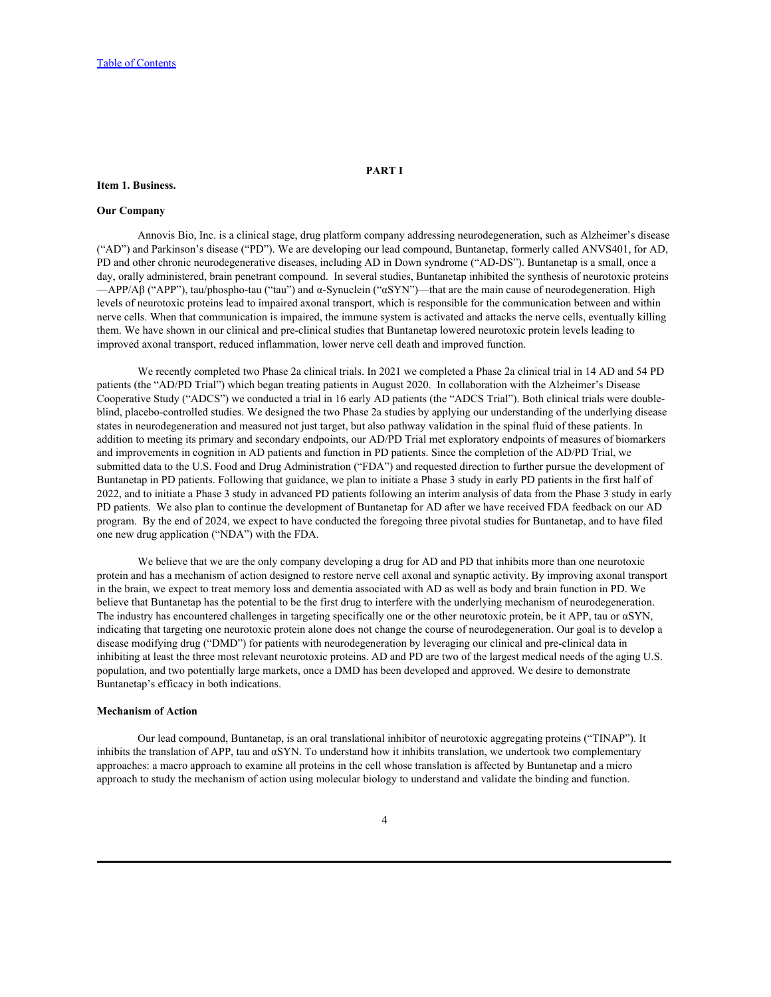#### <span id="page-4-1"></span><span id="page-4-0"></span>**Item 1. Business.**

#### **Our Company**

Annovis Bio, Inc. is a clinical stage, drug platform company addressing neurodegeneration, such as Alzheimer's disease ("AD") and Parkinson's disease ("PD"). We are developing our lead compound, Buntanetap, formerly called ANVS401, for AD, PD and other chronic neurodegenerative diseases, including AD in Down syndrome ("AD-DS"). Buntanetap is a small, once a day, orally administered, brain penetrant compound. In several studies, Buntanetap inhibited the synthesis of neurotoxic proteins —APP/Aβ ("APP"), tau/phospho-tau ("tau") and α-Synuclein ("αSYN")—that are the main cause of neurodegeneration. High levels of neurotoxic proteins lead to impaired axonal transport, which is responsible for the communication between and within nerve cells. When that communication is impaired, the immune system is activated and attacks the nerve cells, eventually killing them. We have shown in our clinical and pre-clinical studies that Buntanetap lowered neurotoxic protein levels leading to improved axonal transport, reduced inflammation, lower nerve cell death and improved function.

We recently completed two Phase 2a clinical trials. In 2021 we completed a Phase 2a clinical trial in 14 AD and 54 PD patients (the "AD/PD Trial") which began treating patients in August 2020. In collaboration with the Alzheimer's Disease Cooperative Study ("ADCS") we conducted a trial in 16 early AD patients (the "ADCS Trial"). Both clinical trials were doubleblind, placebo-controlled studies. We designed the two Phase 2a studies by applying our understanding of the underlying disease states in neurodegeneration and measured not just target, but also pathway validation in the spinal fluid of these patients. In addition to meeting its primary and secondary endpoints, our AD/PD Trial met exploratory endpoints of measures of biomarkers and improvements in cognition in AD patients and function in PD patients. Since the completion of the AD/PD Trial, we submitted data to the U.S. Food and Drug Administration ("FDA") and requested direction to further pursue the development of Buntanetap in PD patients. Following that guidance, we plan to initiate a Phase 3 study in early PD patients in the first half of 2022, and to initiate a Phase 3 study in advanced PD patients following an interim analysis of data from the Phase 3 study in early PD patients. We also plan to continue the development of Buntanetap for AD after we have received FDA feedback on our AD program. By the end of 2024, we expect to have conducted the foregoing three pivotal studies for Buntanetap, and to have filed one new drug application ("NDA") with the FDA.

We believe that we are the only company developing a drug for AD and PD that inhibits more than one neurotoxic protein and has a mechanism of action designed to restore nerve cell axonal and synaptic activity. By improving axonal transport in the brain, we expect to treat memory loss and dementia associated with AD as well as body and brain function in PD. We believe that Buntanetap has the potential to be the first drug to interfere with the underlying mechanism of neurodegeneration. The industry has encountered challenges in targeting specifically one or the other neurotoxic protein, be it APP, tau or αSYN, indicating that targeting one neurotoxic protein alone does not change the course of neurodegeneration. Our goal is to develop a disease modifying drug ("DMD") for patients with neurodegeneration by leveraging our clinical and pre-clinical data in inhibiting at least the three most relevant neurotoxic proteins. AD and PD are two of the largest medical needs of the aging U.S. population, and two potentially large markets, once a DMD has been developed and approved. We desire to demonstrate Buntanetap's efficacy in both indications.

### **Mechanism of Action**

Our lead compound, Buntanetap, is an oral translational inhibitor of neurotoxic aggregating proteins ("TINAP"). It inhibits the translation of APP, tau and  $\alpha$ SYN. To understand how it inhibits translation, we undertook two complementary approaches: a macro approach to examine all proteins in the cell whose translation is affected by Buntanetap and a micro approach to study the mechanism of action using molecular biology to understand and validate the binding and function.

**PART I**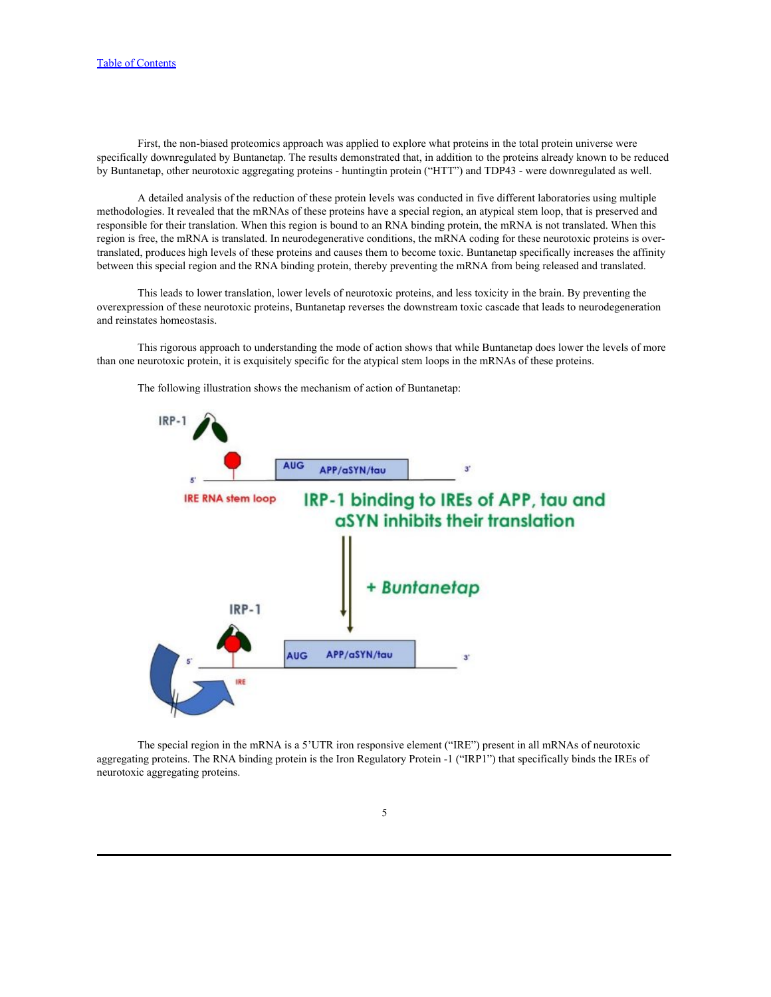First, the non-biased proteomics approach was applied to explore what proteins in the total protein universe were specifically downregulated by Buntanetap. The results demonstrated that, in addition to the proteins already known to be reduced by Buntanetap, other neurotoxic aggregating proteins - huntingtin protein ("HTT") and TDP43 - were downregulated as well.

A detailed analysis of the reduction of these protein levels was conducted in five different laboratories using multiple methodologies. It revealed that the mRNAs of these proteins have a special region, an atypical stem loop, that is preserved and responsible for their translation. When this region is bound to an RNA binding protein, the mRNA is not translated. When this region is free, the mRNA is translated. In neurodegenerative conditions, the mRNA coding for these neurotoxic proteins is overtranslated, produces high levels of these proteins and causes them to become toxic. Buntanetap specifically increases the affinity between this special region and the RNA binding protein, thereby preventing the mRNA from being released and translated.

This leads to lower translation, lower levels of neurotoxic proteins, and less toxicity in the brain. By preventing the overexpression of these neurotoxic proteins, Buntanetap reverses the downstream toxic cascade that leads to neurodegeneration and reinstates homeostasis.

This rigorous approach to understanding the mode of action shows that while Buntanetap does lower the levels of more than one neurotoxic protein, it is exquisitely specific for the atypical stem loops in the mRNAs of these proteins.



The following illustration shows the mechanism of action of Buntanetap:

The special region in the mRNA is a 5'UTR iron responsive element ("IRE") present in all mRNAs of neurotoxic aggregating proteins. The RNA binding protein is the Iron Regulatory Protein -1 ("IRP1") that specifically binds the IREs of neurotoxic aggregating proteins.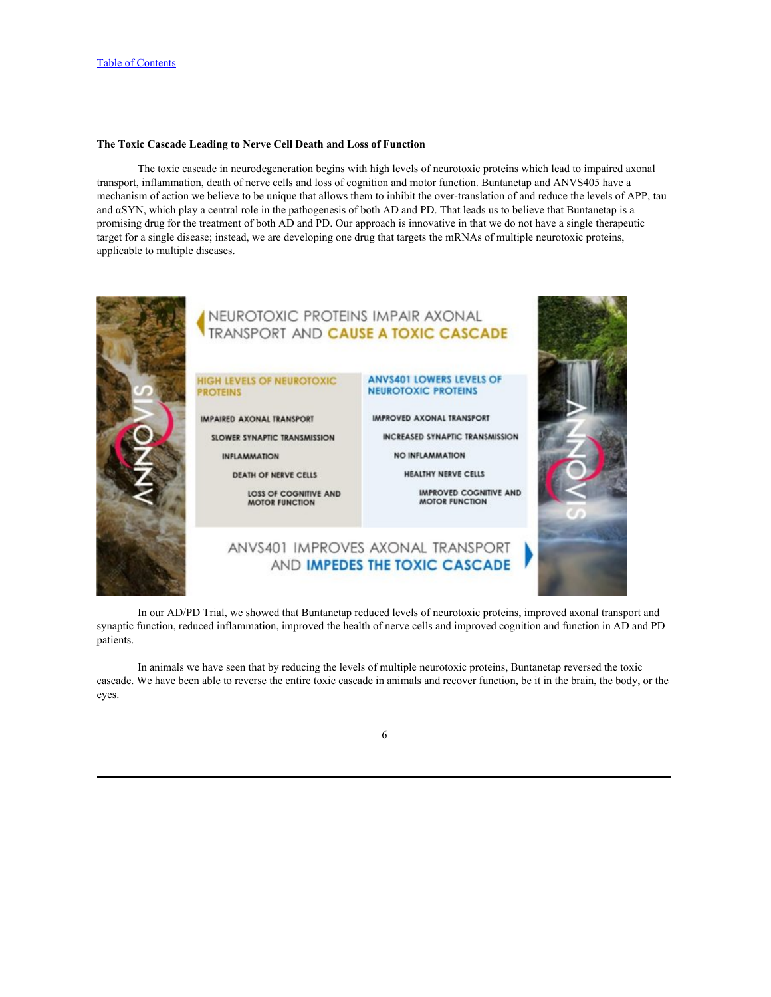## **The Toxic Cascade Leading to Nerve Cell Death and Loss of Function**

The toxic cascade in neurodegeneration begins with high levels of neurotoxic proteins which lead to impaired axonal transport, inflammation, death of nerve cells and loss of cognition and motor function. Buntanetap and ANVS405 have a mechanism of action we believe to be unique that allows them to inhibit the over-translation of and reduce the levels of APP, tau and αSYN, which play a central role in the pathogenesis of both AD and PD. That leads us to believe that Buntanetap is a promising drug for the treatment of both AD and PD. Our approach is innovative in that we do not have a single therapeutic target for a single disease; instead, we are developing one drug that targets the mRNAs of multiple neurotoxic proteins, applicable to multiple diseases.



In our AD/PD Trial, we showed that Buntanetap reduced levels of neurotoxic proteins, improved axonal transport and synaptic function, reduced inflammation, improved the health of nerve cells and improved cognition and function in AD and PD patients.

In animals we have seen that by reducing the levels of multiple neurotoxic proteins, Buntanetap reversed the toxic cascade. We have been able to reverse the entire toxic cascade in animals and recover function, be it in the brain, the body, or the eyes.

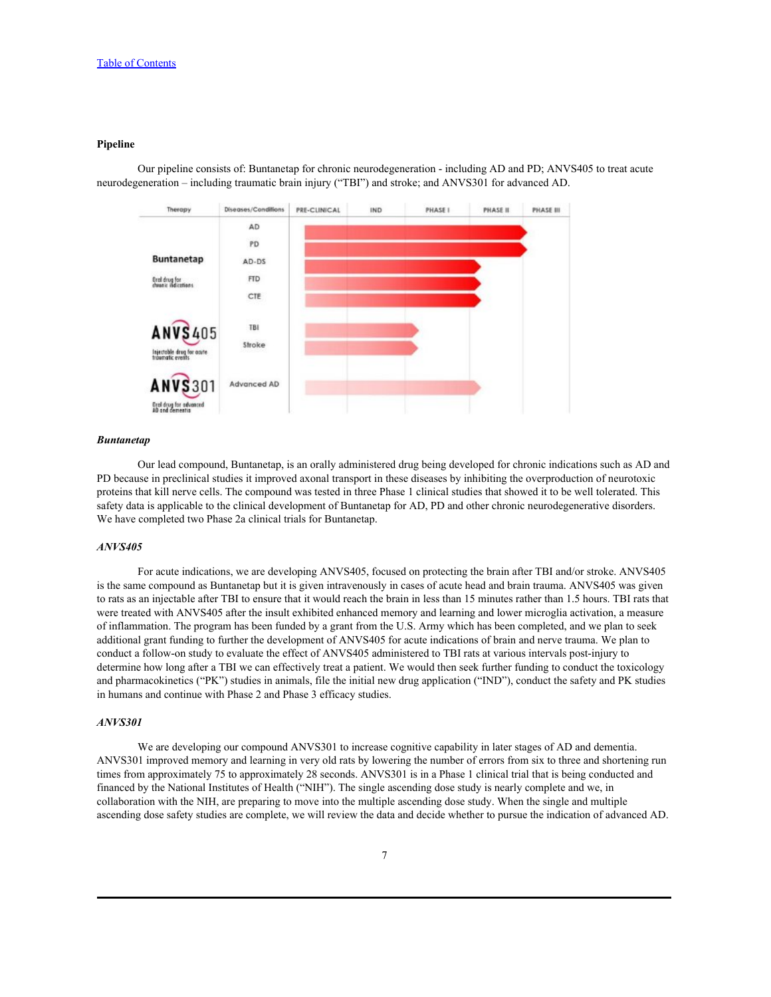## **Pipeline**



Our pipeline consists of: Buntanetap for chronic neurodegeneration - including AD and PD; ANVS405 to treat acute neurodegeneration – including traumatic brain injury ("TBI") and stroke; and ANVS301 for advanced AD.

#### *Buntanetap*

Our lead compound, Buntanetap, is an orally administered drug being developed for chronic indications such as AD and PD because in preclinical studies it improved axonal transport in these diseases by inhibiting the overproduction of neurotoxic proteins that kill nerve cells. The compound was tested in three Phase 1 clinical studies that showed it to be well tolerated. This safety data is applicable to the clinical development of Buntanetap for AD, PD and other chronic neurodegenerative disorders. We have completed two Phase 2a clinical trials for Buntanetap.

## *ANVS405*

For acute indications, we are developing ANVS405, focused on protecting the brain after TBI and/or stroke. ANVS405 is the same compound as Buntanetap but it is given intravenously in cases of acute head and brain trauma. ANVS405 was given to rats as an injectable after TBI to ensure that it would reach the brain in less than 15 minutes rather than 1.5 hours. TBI rats that were treated with ANVS405 after the insult exhibited enhanced memory and learning and lower microglia activation, a measure of inflammation. The program has been funded by a grant from the U.S. Army which has been completed, and we plan to seek additional grant funding to further the development of ANVS405 for acute indications of brain and nerve trauma. We plan to conduct a follow-on study to evaluate the effect of ANVS405 administered to TBI rats at various intervals post-injury to determine how long after a TBI we can effectively treat a patient. We would then seek further funding to conduct the toxicology and pharmacokinetics ("PK") studies in animals, file the initial new drug application ("IND"), conduct the safety and PK studies in humans and continue with Phase 2 and Phase 3 efficacy studies.

## *ANVS301*

We are developing our compound ANVS301 to increase cognitive capability in later stages of AD and dementia. ANVS301 improved memory and learning in very old rats by lowering the number of errors from six to three and shortening run times from approximately 75 to approximately 28 seconds. ANVS301 is in a Phase 1 clinical trial that is being conducted and financed by the National Institutes of Health ("NIH"). The single ascending dose study is nearly complete and we, in collaboration with the NIH, are preparing to move into the multiple ascending dose study. When the single and multiple ascending dose safety studies are complete, we will review the data and decide whether to pursue the indication of advanced AD.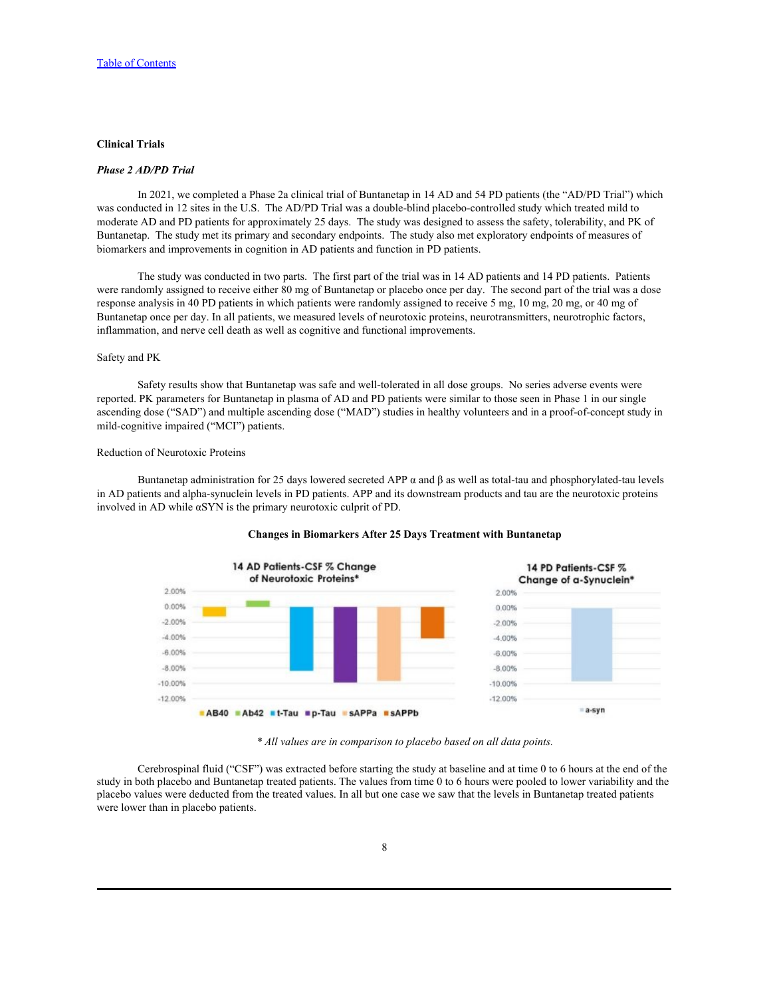# **Clinical Trials**

## *Phase 2 AD/PD Trial*

In 2021, we completed a Phase 2a clinical trial of Buntanetap in 14 AD and 54 PD patients (the "AD/PD Trial") which was conducted in 12 sites in the U.S. The AD/PD Trial was a double-blind placebo-controlled study which treated mild to moderate AD and PD patients for approximately 25 days. The study was designed to assess the safety, tolerability, and PK of Buntanetap. The study met its primary and secondary endpoints. The study also met exploratory endpoints of measures of biomarkers and improvements in cognition in AD patients and function in PD patients.<br>The study was conducted in two parts. The first part of the trial was in 14 AD patients and 14 PD patients. Patients

were randomly assigned to receive either 80 mg of Buntanetap or placebo once per day. The second part of the trial was a dose response analysis in 40 PD patients in which patients were randomly assigned to receive 5 mg, 10 mg, 20 mg, or 40 mg of Buntanetap once per day. In all patients, we measured levels of neurotoxic proteins, neurotransmitters, neurotrophic factors, inflammation, and nerve cell death as well as cognitive and functional improvements. Safety and PK

Safety results show that Buntanetap was safe and well-tolerated in all dose groups. No series adverse events were reported. PK parameters for Buntanetap in plasma of AD and PD patients were similar to those seen in Phase 1 in our single ascending dose ("SAD") and multiple ascending dose ("MAD") studies in healthy volunteers and in a proof-of-concept study in mild-cognitive impaired ("MCI") patients.

## Reduction of Neurotoxic Proteins

Buntanetap administration for 25 days lowered secreted APP  $\alpha$  and β as well as total-tau and phosphorylated-tau levels in AD patients and alpha-synuclein levels in PD patients. APP and its downstream products and tau are the neurotoxic proteins involved in AD while αSYN is the primary neurotoxic culprit of PD.



## **Changes in Biomarkers After 25 Days Treatment with Buntanetap**

*\* All values are in comparison to placebo based on all data points.*

Cerebrospinal fluid ("CSF") was extracted before starting the study at baseline and at time 0 to 6 hours at the end of the study in both placebo and Buntanetap treated patients. The values from time 0 to 6 hours were pooled to lower variability and the placebo values were deducted from the treated values. In all but one case we saw that the levels in Buntanetap treated patients were lower than in placebo patients.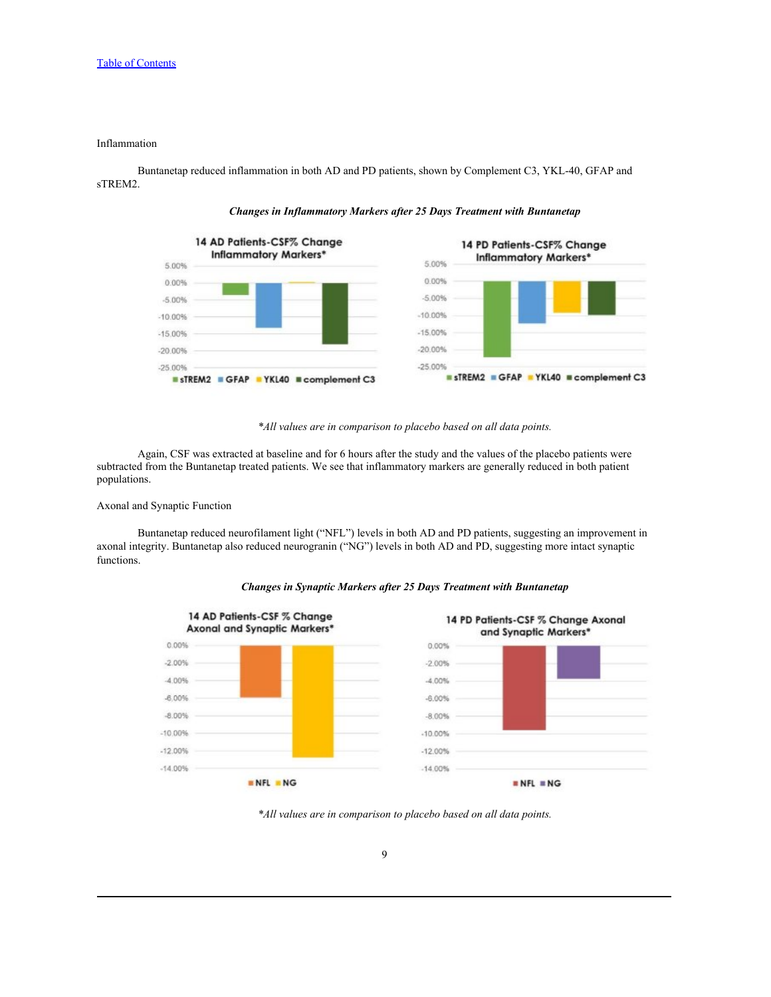## Inflammation

Buntanetap reduced inflammation in both AD and PD patients, shown by Complement C3, YKL-40, GFAP and sTREM2.

14 AD Patients-CSF% Change 14 PD Patients-CSF% Change **Inflammatory Markers\* Inflammatory Markers\*** 5.00% 5.00% 0.00% 0.00%  $-5.00%$  $-5.00%$  $-10.00%$  $-10.00%$  $-15.00%$  $-15.00%$  $-20.00%$  $-20.00%$  $-25.00%$  $-25.00%$ sTREM2 GFAP YKL40 complement C3 ■ sTREM2 GFAP YKL40 ■ complement C3

*Changes in Inflammatory Markers after 25 Days Treatment with Buntanetap*



Again, CSF was extracted at baseline and for 6 hours after the study and the values of the placebo patients were subtracted from the Buntanetap treated patients. We see that inflammatory markers are generally reduced in both patient populations.

# Axonal and Synaptic Function

Buntanetap reduced neurofilament light ("NFL") levels in both AD and PD patients, suggesting an improvement in axonal integrity. Buntanetap also reduced neurogranin ("NG") levels in both AD and PD, suggesting more intact synaptic functions.





*<sup>\*</sup>All values are in comparison to placebo based on all data points.*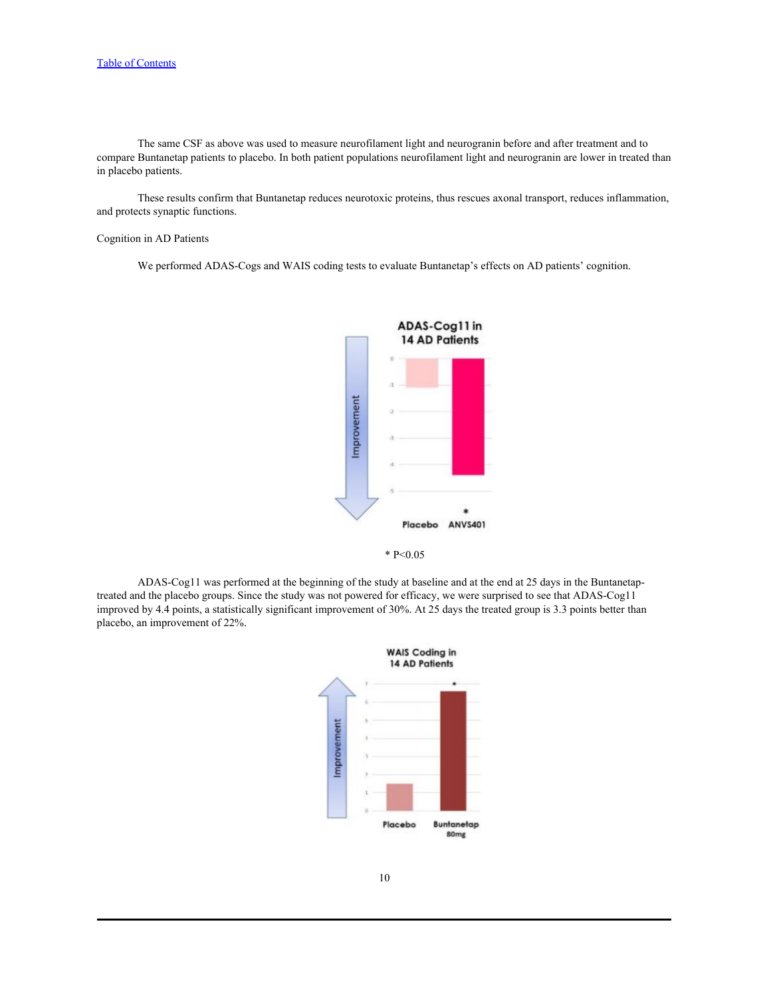The same CSF as above was used to measure neurofilament light and neurogranin before and after treatment and to compare Buntanetap patients to placebo. In both patient populations neurofilament light and neurogranin are lower in treated than in placebo patients.

These results confirm that Buntanetap reduces neurotoxic proteins, thus rescues axonal transport, reduces inflammation, and protects synaptic functions.

## Cognition in AD Patients

We performed ADAS-Cogs and WAIS coding tests to evaluate Buntanetap's effects on AD patients' cognition.





ADAS-Cog11 was performed at the beginning of the study at baseline and at the end at 25 days in the Buntanetaptreated and the placebo groups. Since the study was not powered for efficacy, we were surprised to see that ADAS-Cog11 improved by 4.4 points, a statistically significant improvement of 30%. At 25 days the treated group is 3.3 points better than placebo, an improvement of 22%.

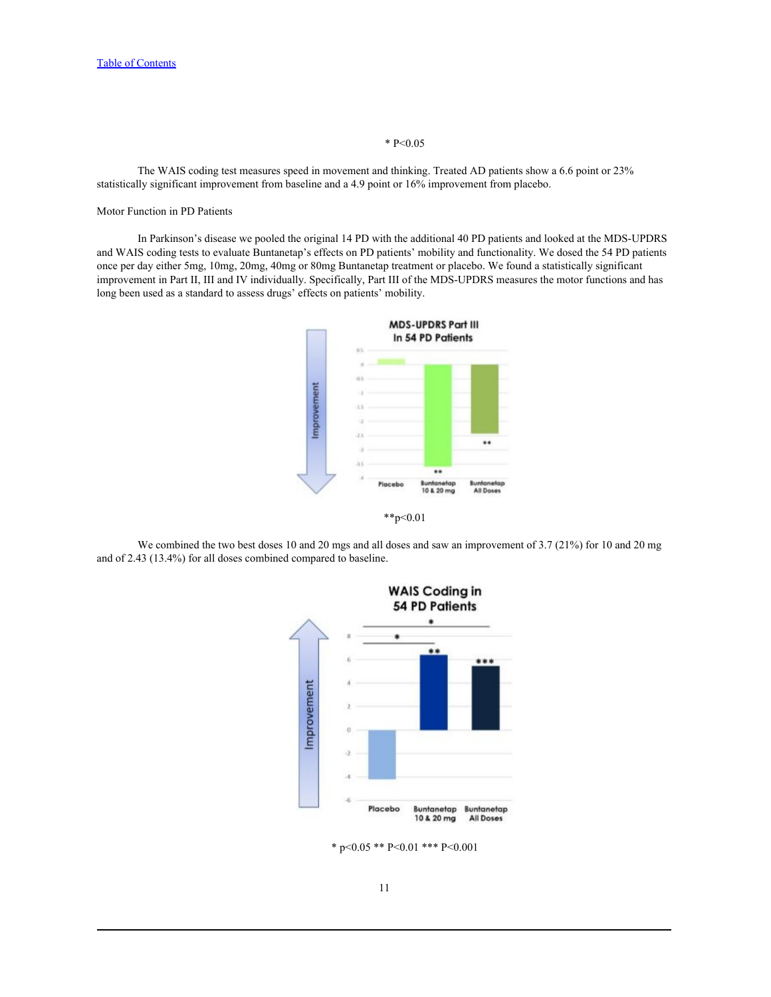### $* P < 0.05$

The WAIS coding test measures speed in movement and thinking. Treated AD patients show a 6.6 point or 23% statistically significant improvement from baseline and a 4.9 point or 16% improvement from placebo.

## Motor Function in PD Patients

In Parkinson's disease we pooled the original 14 PD with the additional 40 PD patients and looked at the MDS-UPDRS and WAIS coding tests to evaluate Buntanetap's effects on PD patients' mobility and functionality. We dosed the 54 PD patients once per day either 5mg, 10mg, 20mg, 40mg or 80mg Buntanetap treatment or placebo. We found a statistically significant improvement in Part II, III and IV individually. Specifically, Part III of the MDS-UPDRS measures the motor functions and has long been used as a standard to assess drugs' effects on patients' mobility.







\* p<0.05 \*\* P<0.01 \*\*\* P<0.001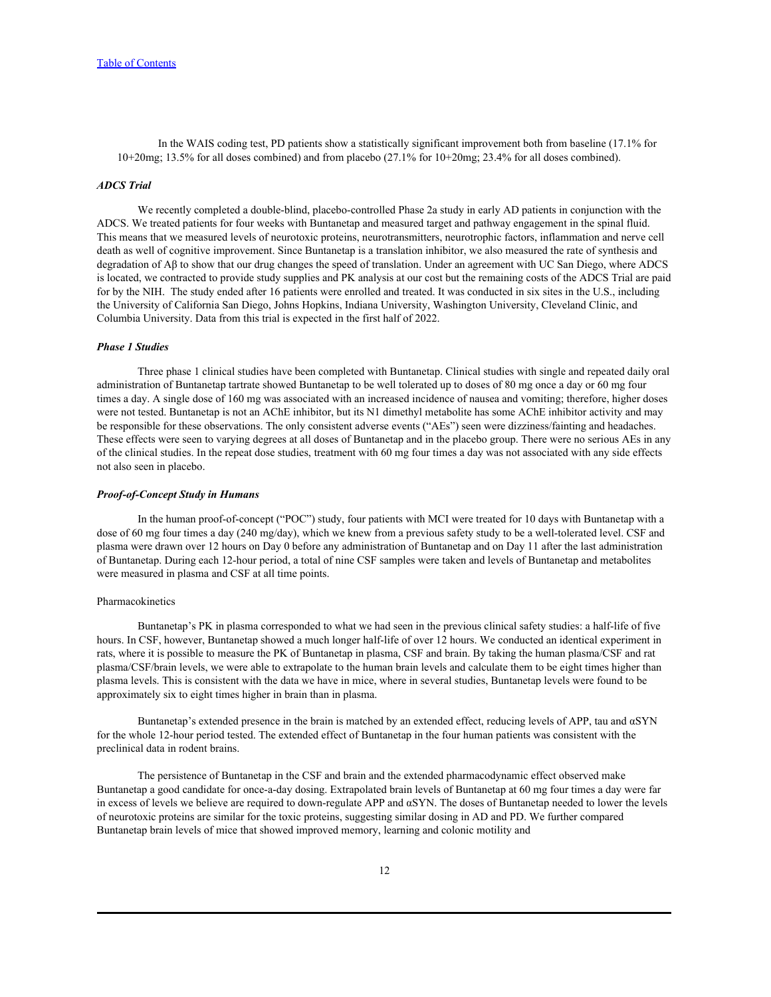In the WAIS coding test, PD patients show a statistically significant improvement both from baseline (17.1% for 10+20mg; 13.5% for all doses combined) and from placebo (27.1% for 10+20mg; 23.4% for all doses combined).

## *ADCS Trial*

We recently completed a double-blind, placebo-controlled Phase 2a study in early AD patients in conjunction with the ADCS. We treated patients for four weeks with Buntanetap and measured target and pathway engagement in the spinal fluid. This means that we measured levels of neurotoxic proteins, neurotransmitters, neurotrophic factors, inflammation and nerve cell death as well of cognitive improvement. Since Buntanetap is a translation inhibitor, we also measured the rate of synthesis and degradation of Aβ to show that our drug changes the speed of translation. Under an agreement with UC San Diego, where ADCS is located, we contracted to provide study supplies and PK analysis at our cost but the remaining costs of the ADCS Trial are paid for by the NIH. The study ended after 16 patients were enrolled and treated. It was conducted in six sites in the U.S., including the University of California San Diego, Johns Hopkins, Indiana University, Washington University, Cleveland Clinic, and Columbia University. Data from this trial is expected in the first half of 2022.

## *Phase 1 Studies*

Three phase 1 clinical studies have been completed with Buntanetap. Clinical studies with single and repeated daily oral administration of Buntanetap tartrate showed Buntanetap to be well tolerated up to doses of 80 mg once a day or 60 mg four times a day. A single dose of 160 mg was associated with an increased incidence of nausea and vomiting; therefore, higher doses were not tested. Buntanetap is not an AChE inhibitor, but its N1 dimethyl metabolite has some AChE inhibitor activity and may be responsible for these observations. The only consistent adverse events ("AEs") seen were dizziness/fainting and headaches. These effects were seen to varying degrees at all doses of Buntanetap and in the placebo group. There were no serious AEs in any of the clinical studies. In the repeat dose studies, treatment with 60 mg four times a day was not associated with any side effects not also seen in placebo.

#### *Proof-of-Concept Study in Humans*

In the human proof-of-concept ("POC") study, four patients with MCI were treated for 10 days with Buntanetap with a dose of 60 mg four times a day (240 mg/day), which we knew from a previous safety study to be a well-tolerated level. CSF and plasma were drawn over 12 hours on Day 0 before any administration of Buntanetap and on Day 11 after the last administration of Buntanetap. During each 12-hour period, a total of nine CSF samples were taken and levels of Buntanetap and metabolites were measured in plasma and CSF at all time points.

## Pharmacokinetics

Buntanetap's PK in plasma corresponded to what we had seen in the previous clinical safety studies: a half-life of five hours. In CSF, however, Buntanetap showed a much longer half-life of over 12 hours. We conducted an identical experiment in rats, where it is possible to measure the PK of Buntanetap in plasma, CSF and brain. By taking the human plasma/CSF and rat plasma/CSF/brain levels, we were able to extrapolate to the human brain levels and calculate them to be eight times higher than plasma levels. This is consistent with the data we have in mice, where in several studies, Buntanetap levels were found to be approximately six to eight times higher in brain than in plasma.

Buntanetap's extended presence in the brain is matched by an extended effect, reducing levels of APP, tau and αSYN for the whole 12-hour period tested. The extended effect of Buntanetap in the four human patients was consistent with the preclinical data in rodent brains.

The persistence of Buntanetap in the CSF and brain and the extended pharmacodynamic effect observed make Buntanetap a good candidate for once-a-day dosing. Extrapolated brain levels of Buntanetap at 60 mg four times a day were far in excess of levels we believe are required to down-regulate APP and αSYN. The doses of Buntanetap needed to lower the levels of neurotoxic proteins are similar for the toxic proteins, suggesting similar dosing in AD and PD. We further compared Buntanetap brain levels of mice that showed improved memory, learning and colonic motility and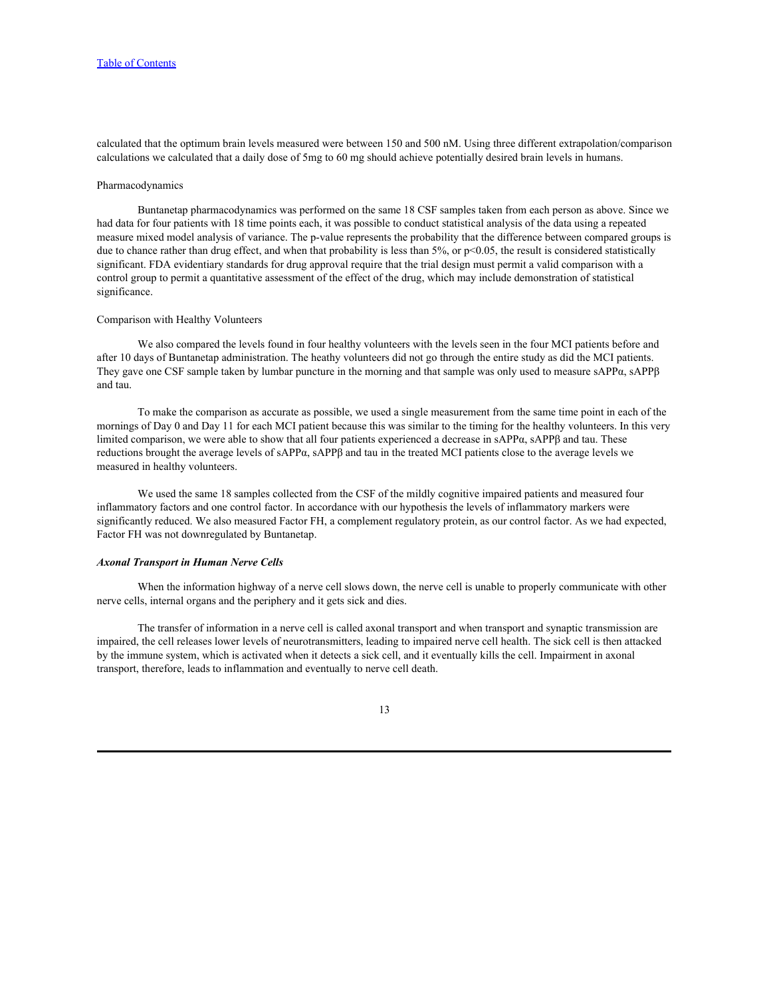calculated that the optimum brain levels measured were between 150 and 500 nM. Using three different extrapolation/comparison calculations we calculated that a daily dose of 5mg to 60 mg should achieve potentially desired brain levels in humans.

#### Pharmacodynamics

Buntanetap pharmacodynamics was performed on the same 18 CSF samples taken from each person as above. Since we had data for four patients with 18 time points each, it was possible to conduct statistical analysis of the data using a repeated measure mixed model analysis of variance. The p-value represents the probability that the difference between compared groups is due to chance rather than drug effect, and when that probability is less than  $5\%$ , or  $p<0.05$ , the result is considered statistically significant. FDA evidentiary standards for drug approval require that the trial design must permit a valid comparison with a control group to permit a quantitative assessment of the effect of the drug, which may include demonstration of statistical significance.

## Comparison with Healthy Volunteers

We also compared the levels found in four healthy volunteers with the levels seen in the four MCI patients before and after 10 days of Buntanetap administration. The heathy volunteers did not go through the entire study as did the MCI patients. They gave one CSF sample taken by lumbar puncture in the morning and that sample was only used to measure sAPPα, sAPPβ and tau.

To make the comparison as accurate as possible, we used a single measurement from the same time point in each of the mornings of Day 0 and Day 11 for each MCI patient because this was similar to the timing for the healthy volunteers. In this very limited comparison, we were able to show that all four patients experienced a decrease in sAPPα, sAPPβ and tau. These reductions brought the average levels of sAPPα, sAPPβ and tau in the treated MCI patients close to the average levels we measured in healthy volunteers.

We used the same 18 samples collected from the CSF of the mildly cognitive impaired patients and measured four inflammatory factors and one control factor. In accordance with our hypothesis the levels of inflammatory markers were significantly reduced. We also measured Factor FH, a complement regulatory protein, as our control factor. As we had expected, Factor FH was not downregulated by Buntanetap.

## *Axonal Transport in Human Nerve Cells*

When the information highway of a nerve cell slows down, the nerve cell is unable to properly communicate with other nerve cells, internal organs and the periphery and it gets sick and dies.

The transfer of information in a nerve cell is called axonal transport and when transport and synaptic transmission are impaired, the cell releases lower levels of neurotransmitters, leading to impaired nerve cell health. The sick cell is then attacked by the immune system, which is activated when it detects a sick cell, and it eventually kills the cell. Impairment in axonal transport, therefore, leads to inflammation and eventually to nerve cell death.

#### 13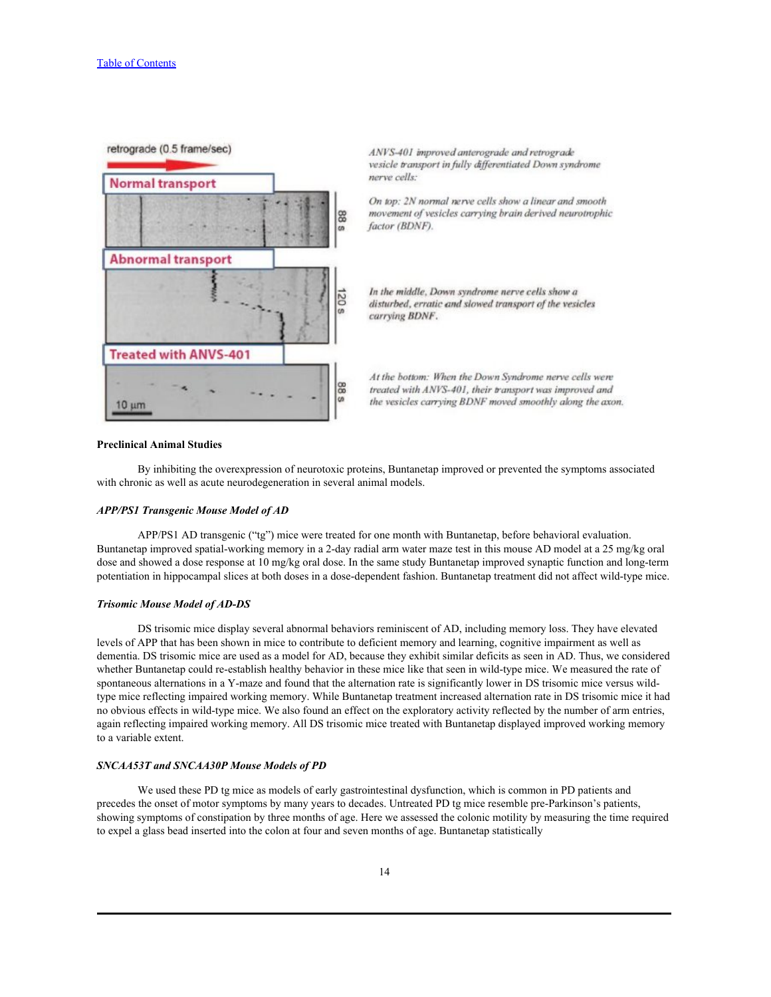

ANVS-401 improved anterograde and retrograde vesicle transport in fully differentiated Down syndrome nerve cells:

On top: 2N normal nerve cells show a linear and smooth movement of vesicles carrying brain derived neurotrophic factor (BDNF).

In the middle, Down syndrome nerve cells show a disturbed, erratic and slowed transport of the vesicles carrying BDNF.

At the bottom: When the Down Syndrome nerve cells were treated with ANVS-401, their transport was improved and the vesicles carrying BDNF moved smoothly along the axon.

#### **Preclinical Animal Studies**

By inhibiting the overexpression of neurotoxic proteins, Buntanetap improved or prevented the symptoms associated with chronic as well as acute neurodegeneration in several animal models.

## *APP/PS1 Transgenic Mouse Model of AD*

APP/PS1 AD transgenic ("tg") mice were treated for one month with Buntanetap, before behavioral evaluation. Buntanetap improved spatial-working memory in a 2-day radial arm water maze test in this mouse AD model at a 25 mg/kg oral dose and showed a dose response at 10 mg/kg oral dose. In the same study Buntanetap improved synaptic function and long-term potentiation in hippocampal slices at both doses in a dose-dependent fashion. Buntanetap treatment did not affect wild-type mice.

## *Trisomic Mouse Model of AD-DS*

DS trisomic mice display several abnormal behaviors reminiscent of AD, including memory loss. They have elevated levels of APP that has been shown in mice to contribute to deficient memory and learning, cognitive impairment as well as dementia. DS trisomic mice are used as a model for AD, because they exhibit similar deficits as seen in AD. Thus, we considered whether Buntanetap could re-establish healthy behavior in these mice like that seen in wild-type mice. We measured the rate of spontaneous alternations in a Y-maze and found that the alternation rate is significantly lower in DS trisomic mice versus wildtype mice reflecting impaired working memory. While Buntanetap treatment increased alternation rate in DS trisomic mice it had no obvious effects in wild-type mice. We also found an effect on the exploratory activity reflected by the number of arm entries, again reflecting impaired working memory. All DS trisomic mice treated with Buntanetap displayed improved working memory to a variable extent.

#### *SNCAA53T and SNCAA30P Mouse Models of PD*

We used these PD tg mice as models of early gastrointestinal dysfunction, which is common in PD patients and precedes the onset of motor symptoms by many years to decades. Untreated PD tg mice resemble pre-Parkinson's patients, showing symptoms of constipation by three months of age. Here we assessed the colonic motility by measuring the time required to expel a glass bead inserted into the colon at four and seven months of age. Buntanetap statistically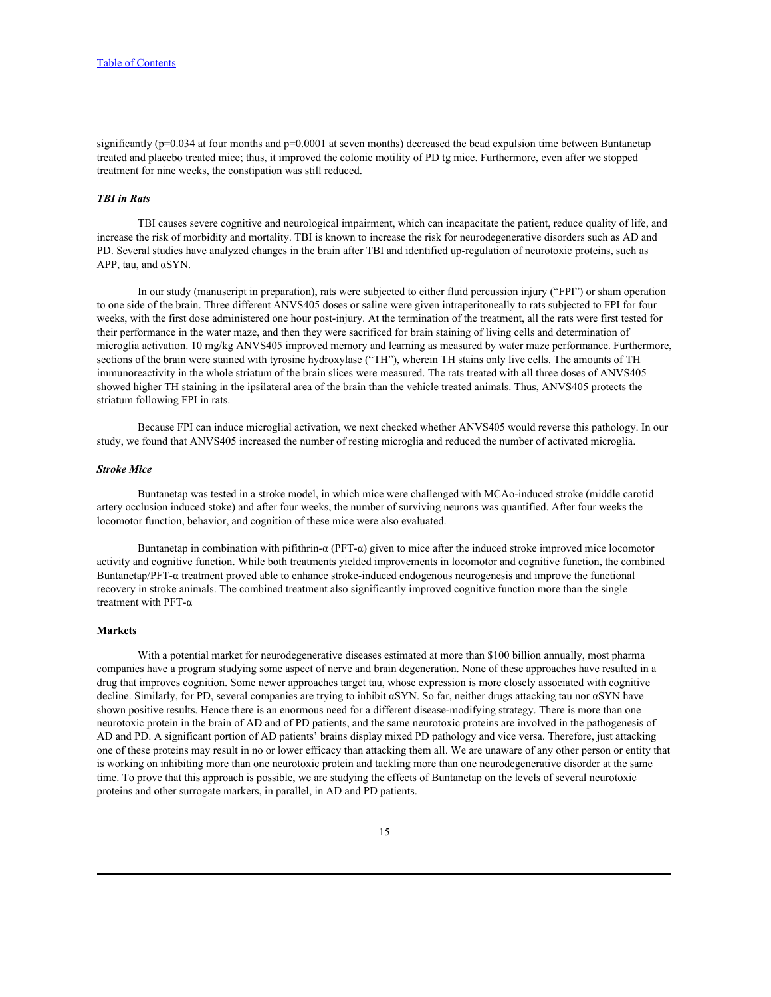significantly ( $p=0.034$  at four months and  $p=0.0001$  at seven months) decreased the bead expulsion time between Buntanetap treated and placebo treated mice; thus, it improved the colonic motility of PD tg mice. Furthermore, even after we stopped treatment for nine weeks, the constipation was still reduced.

## *TBI in Rats*

TBI causes severe cognitive and neurological impairment, which can incapacitate the patient, reduce quality of life, and increase the risk of morbidity and mortality. TBI is known to increase the risk for neurodegenerative disorders such as AD and PD. Several studies have analyzed changes in the brain after TBI and identified up-regulation of neurotoxic proteins, such as APP, tau, and αSYN.

In our study (manuscript in preparation), rats were subjected to either fluid percussion injury ("FPI") or sham operation to one side of the brain. Three different ANVS405 doses or saline were given intraperitoneally to rats subjected to FPI for four weeks, with the first dose administered one hour post-injury. At the termination of the treatment, all the rats were first tested for their performance in the water maze, and then they were sacrificed for brain staining of living cells and determination of microglia activation. 10 mg/kg ANVS405 improved memory and learning as measured by water maze performance. Furthermore, sections of the brain were stained with tyrosine hydroxylase ("TH"), wherein TH stains only live cells. The amounts of TH immunoreactivity in the whole striatum of the brain slices were measured. The rats treated with all three doses of ANVS405 showed higher TH staining in the ipsilateral area of the brain than the vehicle treated animals. Thus, ANVS405 protects the striatum following FPI in rats.

Because FPI can induce microglial activation, we next checked whether ANVS405 would reverse this pathology. In our study, we found that ANVS405 increased the number of resting microglia and reduced the number of activated microglia.

## *Stroke Mice*

Buntanetap was tested in a stroke model, in which mice were challenged with MCAo-induced stroke (middle carotid artery occlusion induced stoke) and after four weeks, the number of surviving neurons was quantified. After four weeks the locomotor function, behavior, and cognition of these mice were also evaluated.

Buntanetap in combination with pifithrin-α (PFT-α) given to mice after the induced stroke improved mice locomotor activity and cognitive function. While both treatments yielded improvements in locomotor and cognitive function, the combined Buntanetap/PFT-α treatment proved able to enhance stroke-induced endogenous neurogenesis and improve the functional recovery in stroke animals. The combined treatment also significantly improved cognitive function more than the single treatment with PFT-α

## **Markets**

With a potential market for neurodegenerative diseases estimated at more than \$100 billion annually, most pharma companies have a program studying some aspect of nerve and brain degeneration. None of these approaches have resulted in a drug that improves cognition. Some newer approaches target tau, whose expression is more closely associated with cognitive decline. Similarly, for PD, several companies are trying to inhibit αSYN. So far, neither drugs attacking tau nor αSYN have shown positive results. Hence there is an enormous need for a different disease-modifying strategy. There is more than one neurotoxic protein in the brain of AD and of PD patients, and the same neurotoxic proteins are involved in the pathogenesis of AD and PD. A significant portion of AD patients' brains display mixed PD pathology and vice versa. Therefore, just attacking one of these proteins may result in no or lower efficacy than attacking them all. We are unaware of any other person or entity that is working on inhibiting more than one neurotoxic protein and tackling more than one neurodegenerative disorder at the same time. To prove that this approach is possible, we are studying the effects of Buntanetap on the levels of several neurotoxic proteins and other surrogate markers, in parallel, in AD and PD patients.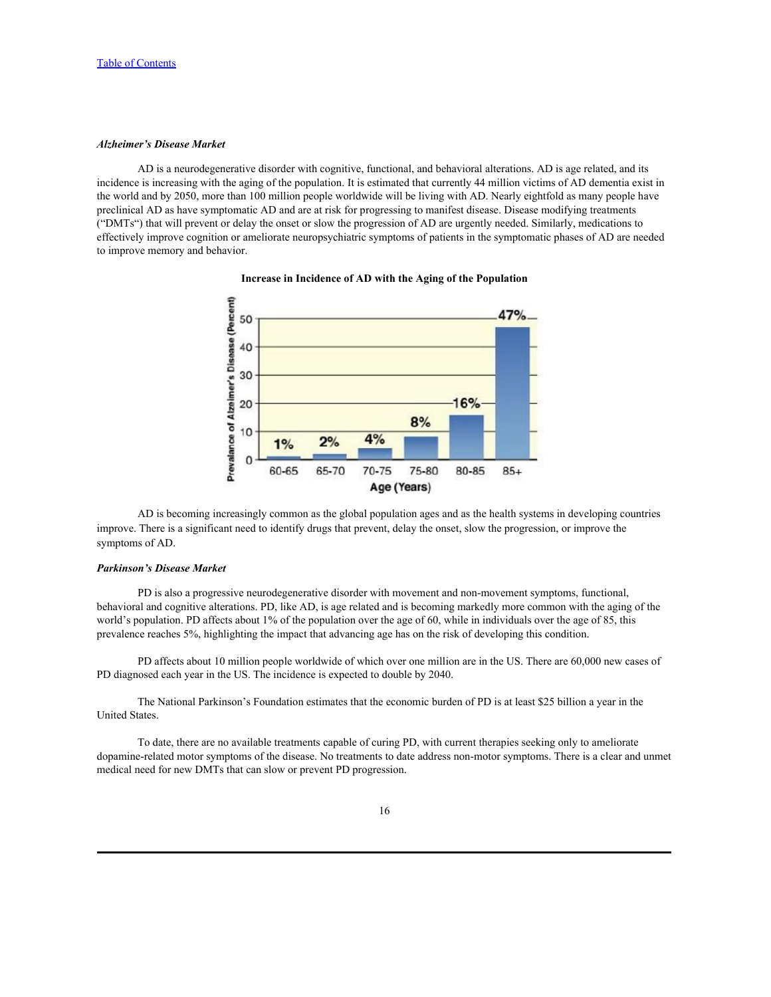# *Alzheimer's Disease Market*

AD is a neurodegenerative disorder with cognitive, functional, and behavioral alterations. AD is age related, and its incidence is increasing with the aging of the population. It is estimated that currently 44 million victims of AD dementia exist in the world and by 2050, more than 100 million people worldwide will be living with AD. Nearly eightfold as many people have preclinical AD as have symptomatic AD and are at risk for progressing to manifest disease. Disease modifying treatments ("DMTs") that will prevent or delay the onset or slow the progression of AD are urgently needed. Similarly, medications to effectively improve cognition or ameliorate neuropsychiatric symptoms of patients in the symptomatic phases of AD are needed to improve memory and behavior.



## **Increase in Incidence of AD with the Aging of the Population**

AD is becoming increasingly common as the global population ages and as the health systems in developing countries improve. There is a significant need to identify drugs that prevent, delay the onset, slow the progression, or improve the symptoms of AD.

## *Parkinson's Disease Market*

PD is also a progressive neurodegenerative disorder with movement and non-movement symptoms, functional, behavioral and cognitive alterations. PD, like AD, is age related and is becoming markedly more common with the aging of the world's population. PD affects about 1% of the population over the age of 60, while in individuals over the age of 85, this prevalence reaches 5%, highlighting the impact that advancing age has on the risk of developing this condition.

PD affects about 10 million people worldwide of which over one million are in the US. There are 60,000 new cases of PD diagnosed each year in the US. The incidence is expected to double by 2040.

The National Parkinson's Foundation estimates that the economic burden of PD is at least \$25 billion a year in the United States.

To date, there are no available treatments capable of curing PD, with current therapies seeking only to ameliorate dopamine-related motor symptoms of the disease. No treatments to date address non-motor symptoms. There is a clear and unmet medical need for new DMTs that can slow or prevent PD progression.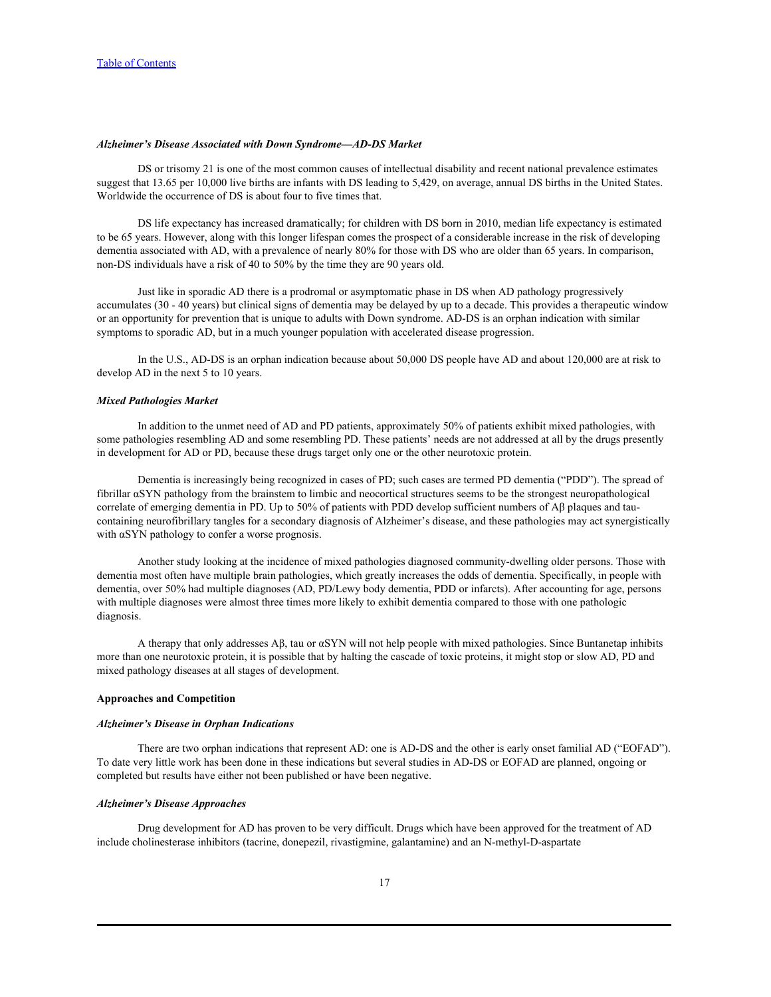#### *Alzheimer's Disease Associated with Down Syndrome—AD-DS Market*

DS or trisomy 21 is one of the most common causes of intellectual disability and recent national prevalence estimates suggest that 13.65 per 10,000 live births are infants with DS leading to 5,429, on average, annual DS births in the United States. Worldwide the occurrence of DS is about four to five times that.

DS life expectancy has increased dramatically; for children with DS born in 2010, median life expectancy is estimated to be 65 years. However, along with this longer lifespan comes the prospect of a considerable increase in the risk of developing dementia associated with AD, with a prevalence of nearly 80% for those with DS who are older than 65 years. In comparison, non-DS individuals have a risk of 40 to 50% by the time they are 90 years old.

Just like in sporadic AD there is a prodromal or asymptomatic phase in DS when AD pathology progressively accumulates (30 - 40 years) but clinical signs of dementia may be delayed by up to a decade. This provides a therapeutic window or an opportunity for prevention that is unique to adults with Down syndrome. AD-DS is an orphan indication with similar symptoms to sporadic AD, but in a much younger population with accelerated disease progression.

In the U.S., AD-DS is an orphan indication because about 50,000 DS people have AD and about 120,000 are at risk to develop AD in the next 5 to 10 years.

#### *Mixed Pathologies Market*

In addition to the unmet need of AD and PD patients, approximately 50% of patients exhibit mixed pathologies, with some pathologies resembling AD and some resembling PD. These patients' needs are not addressed at all by the drugs presently in development for AD or PD, because these drugs target only one or the other neurotoxic protein.

Dementia is increasingly being recognized in cases of PD; such cases are termed PD dementia ("PDD"). The spread of fibrillar αSYN pathology from the brainstem to limbic and neocortical structures seems to be the strongest neuropathological correlate of emerging dementia in PD. Up to 50% of patients with PDD develop sufficient numbers of Aβ plaques and taucontaining neurofibrillary tangles for a secondary diagnosis of Alzheimer's disease, and these pathologies may act synergistically with αSYN pathology to confer a worse prognosis.

Another study looking at the incidence of mixed pathologies diagnosed community-dwelling older persons. Those with dementia most often have multiple brain pathologies, which greatly increases the odds of dementia. Specifically, in people with dementia, over 50% had multiple diagnoses (AD, PD/Lewy body dementia, PDD or infarcts). After accounting for age, persons with multiple diagnoses were almost three times more likely to exhibit dementia compared to those with one pathologic diagnosis.

A therapy that only addresses Aβ, tau or αSYN will not help people with mixed pathologies. Since Buntanetap inhibits more than one neurotoxic protein, it is possible that by halting the cascade of toxic proteins, it might stop or slow AD, PD and mixed pathology diseases at all stages of development.

# **Approaches and Competition**

#### *Alzheimer's Disease in Orphan Indications*

There are two orphan indications that represent AD: one is AD-DS and the other is early onset familial AD ("EOFAD"). To date very little work has been done in these indications but several studies in AD-DS or EOFAD are pla completed but results have either not been published or have been negative.

### *Alzheimer's Disease Approaches*

Drug development for AD has proven to be very difficult. Drugs which have been approved for the treatment of AD include cholinesterase inhibitors (tacrine, donepezil, rivastigmine, galantamine) and an N-methyl-D-aspartate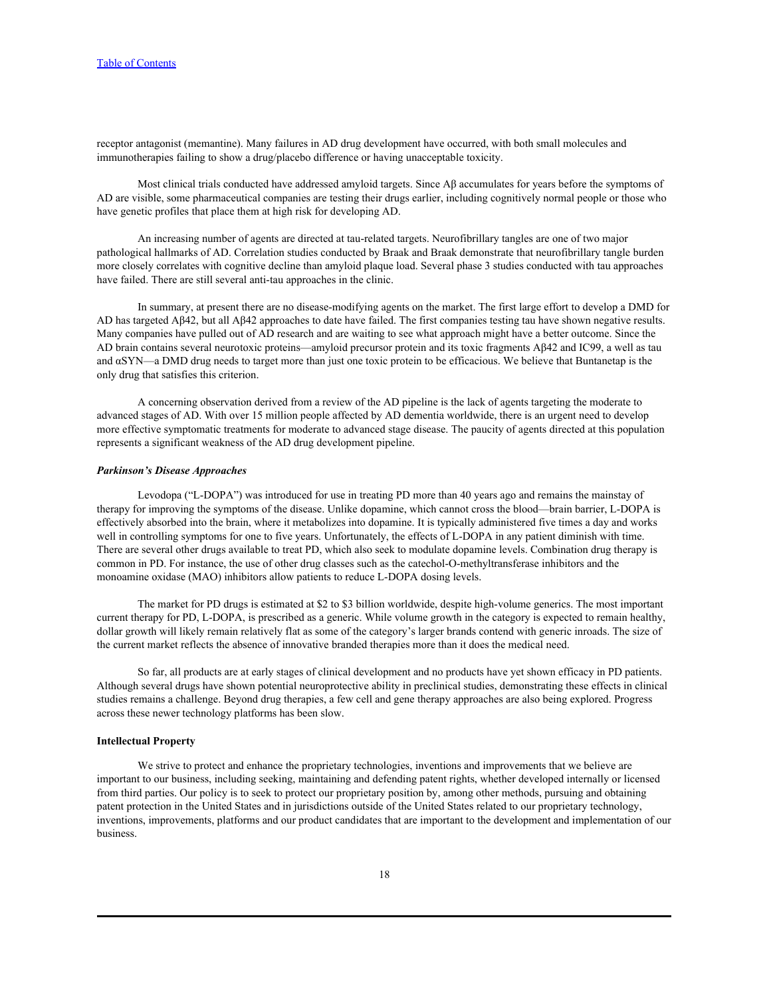receptor antagonist (memantine). Many failures in AD drug development have occurred, with both small molecules and immunotherapies failing to show a drug/placebo difference or having unacceptable toxicity.

Most clinical trials conducted have addressed amyloid targets. Since Aβ accumulates for years before the symptoms of AD are visible, some pharmaceutical companies are testing their drugs earlier, including cognitively normal people or those who have genetic profiles that place them at high risk for developing AD.

An increasing number of agents are directed at tau-related targets. Neurofibrillary tangles are one of two major pathological hallmarks of AD. Correlation studies conducted by Braak and Braak demonstrate that neurofibrillary tangle burden more closely correlates with cognitive decline than amyloid plaque load. Several phase 3 studies conducted with tau approaches have failed. There are still several anti-tau approaches in the clinic.

In summary, at present there are no disease-modifying agents on the market. The first large effort to develop a DMD for AD has targeted Aβ42, but all Aβ42 approaches to date have failed. The first companies testing tau have shown negative results. Many companies have pulled out of AD research and are waiting to see what approach might have a better outcome. Since the AD brain contains several neurotoxic proteins—amyloid precursor protein and its toxic fragments Aβ42 and IC99, a well as tau and αSYN—a DMD drug needs to target more than just one toxic protein to be efficacious. We believe that Buntanetap is the only drug that satisfies this criterion.

A concerning observation derived from a review of the AD pipeline is the lack of agents targeting the moderate to advanced stages of AD. With over 15 million people affected by AD dementia worldwide, there is an urgent need to develop more effective symptomatic treatments for moderate to advanced stage disease. The paucity of agents directed at this population represents a significant weakness of the AD drug development pipeline.

#### *Parkinson's Disease Approaches*

Levodopa ("L-DOPA") was introduced for use in treating PD more than 40 years ago and remains the mainstay of therapy for improving the symptoms of the disease. Unlike dopamine, which cannot cross the blood—brain barrier, L-DOPA is effectively absorbed into the brain, where it metabolizes into dopamine. It is typically administered five times a day and works well in controlling symptoms for one to five years. Unfortunately, the effects of L-DOPA in any patient diminish with time.<br>There are several other drugs available to treat PD, which also seek to modulate dopamine levels. common in PD. For instance, the use of other drug classes such as the catechol-O-methyltransferase inhibitors and the monoamine oxidase (MAO) inhibitors allow patients to reduce L-DOPA dosing levels.

The market for PD drugs is estimated at \$2 to \$3 billion worldwide, despite high-volume generics. The most important current therapy for PD, L-DOPA, is prescribed as a generic. While volume growth in the category is expected to remain healthy, dollar growth will likely remain relatively flat as some of the category's larger brands contend with generic inroads. The size of the current market reflects the absence of innovative branded therapies more than it does the medical need.

So far, all products are at early stages of clinical development and no products have yet shown efficacy in PD patients. Although several drugs have shown potential neuroprotective ability in preclinical studies, demonstrating these effects in clinical studies remains a challenge. Beyond drug therapies, a few cell and gene therapy approaches are also being explored. Progress across these newer technology platforms has been slow.

# **Intellectual Property**

We strive to protect and enhance the proprietary technologies, inventions and improvements that we believe are important to our business, including seeking, maintaining and defending patent rights, whether developed internally or licensed from third parties. Our policy is to seek to protect our proprietary position by, among other methods, pursuing and obtaining patent protection in the United States and in jurisdictions outside of the United States related to our proprietary technology, inventions, improvements, platforms and our product candidates that are important to the development and implementation of our business.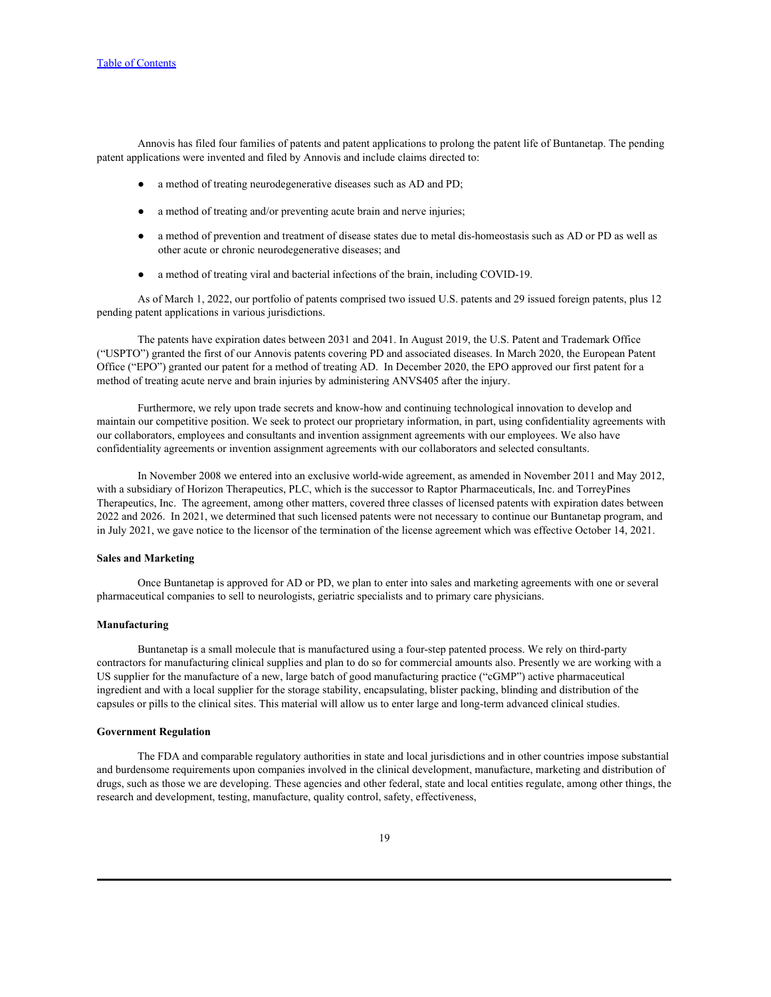Annovis has filed four families of patents and patent applications to prolong the patent life of Buntanetap. The pending patent applications were invented and filed by Annovis and include claims directed to:

- a method of treating neurodegenerative diseases such as AD and PD;
- a method of treating and/or preventing acute brain and nerve injuries;
- a method of prevention and treatment of disease states due to metal dis-homeostasis such as AD or PD as well as other acute or chronic neurodegenerative diseases; and
- a method of treating viral and bacterial infections of the brain, including COVID-19.

As of March 1, 2022, our portfolio of patents comprised two issued U.S. patents and 29 issued foreign patents, plus 12 pending patent applications in various jurisdictions.

The patents have expiration dates between 2031 and 2041. In August 2019, the U.S. Patent and Trademark Office ("USPTO") granted the first of our Annovis patents covering PD and associated diseases. In March 2020, the European Patent Office ("EPO") granted our patent for a method of treating AD. In December 2020, the EPO approved our first patent for a method of treating acute nerve and brain injuries by administering ANVS405 after the injury.

Furthermore, we rely upon trade secrets and know-how and continuing technological innovation to develop and maintain our competitive position. We seek to protect our proprietary information, in part, using confidentiality agreements with our collaborators, employees and consultants and invention assignment agreements with our employees. We also have confidentiality agreements or invention assignment agreements with our collaborators and selected consultants.

In November 2008 we entered into an exclusive world-wide agreement, as amended in November 2011 and May 2012, with a subsidiary of Horizon Therapeutics, PLC, which is the successor to Raptor Pharmaceuticals, Inc. and TorreyPines Therapeutics, Inc. The agreement, among other matters, covered three classes of licensed patents with expiration dates between 2022 and 2026. In 2021, we determined that such licensed patents were not necessary to continue our Buntanetap program, and in July 2021, we gave notice to the licensor of the termination of the license agreement which was effective October 14, 2021.

## **Sales and Marketing**

Once Buntanetap is approved for AD or PD, we plan to enter into sales and marketing agreements with one or several pharmaceutical companies to sell to neurologists, geriatric specialists and to primary care physicians.

#### **Manufacturing**

Buntanetap is a small molecule that is manufactured using a four-step patented process. We rely on third-party contractors for manufacturing clinical supplies and plan to do so for commercial amounts also. Presently we are working with a US supplier for the manufacture of a new, large batch of good manufacturing practice ("cGMP") active pharmaceutical ingredient and with a local supplier for the storage stability, encapsulating, blister packing, blinding and distribution of the capsules or pills to the clinical sites. This material will allow us to enter large and long-term advanced clinical studies.

## **Government Regulation**

The FDA and comparable regulatory authorities in state and local jurisdictions and in other countries impose substantial and burdensome requirements upon companies involved in the clinical development, manufacture, marketing and distribution of drugs, such as those we are developing. These agencies and other federal, state and local entities regulate, among other things, the research and development, testing, manufacture, quality control, safety, effectiveness,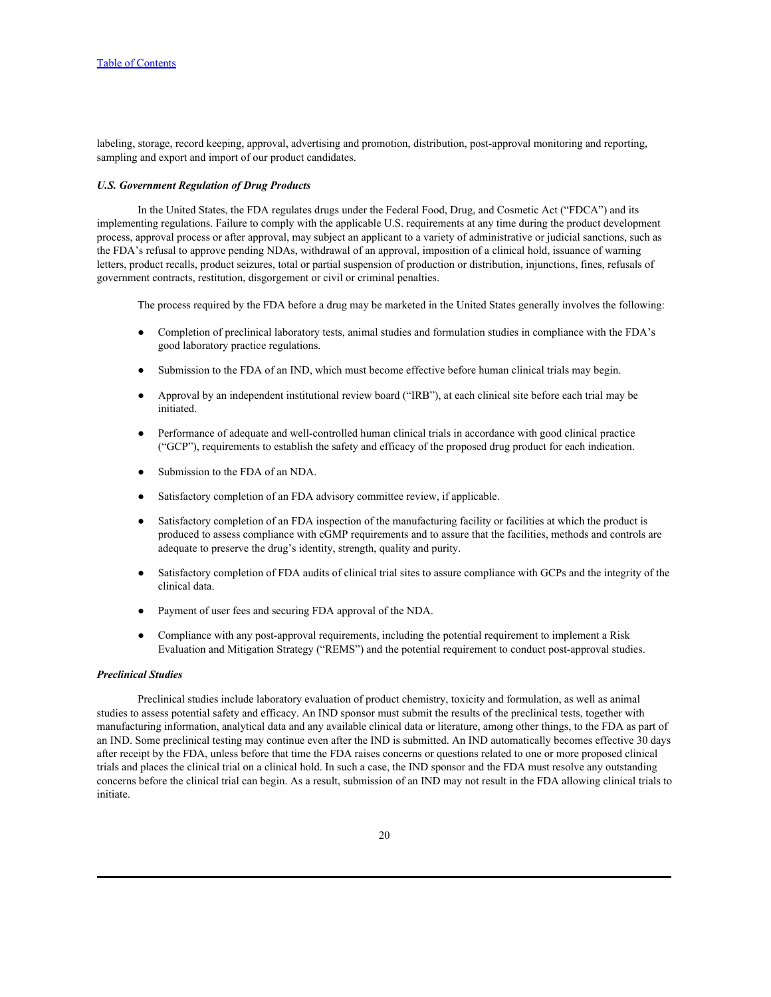labeling, storage, record keeping, approval, advertising and promotion, distribution, post-approval monitoring and reporting, sampling and export and import of our product candidates.

## *U.S. Government Regulation of Drug Products*

In the United States, the FDA regulates drugs under the Federal Food, Drug, and Cosmetic Act ("FDCA") and its implementing regulations. Failure to comply with the applicable U.S. requirements at any time during the product development process, approval process or after approval, may subject an applicant to a variety of administrative or judicial sanctions, such as the FDA's refusal to approve pending NDAs, withdrawal of an approval, imposition of a clinical hold, issuance of warning letters, product recalls, product seizures, total or partial suspension of production or distribution, injunctions, fines, refusals of government contracts, restitution, disgorgement or civil or criminal penalties.

The process required by the FDA before a drug may be marketed in the United States generally involves the following:

- Completion of preclinical laboratory tests, animal studies and formulation studies in compliance with the FDA's good laboratory practice regulations.
- Submission to the FDA of an IND, which must become effective before human clinical trials may begin.
- Approval by an independent institutional review board ("IRB"), at each clinical site before each trial may be initiated.
- Performance of adequate and well-controlled human clinical trials in accordance with good clinical practice ("GCP"), requirements to establish the safety and efficacy of the proposed drug product for each indication.
- Submission to the FDA of an NDA.
- Satisfactory completion of an FDA advisory committee review, if applicable.
- Satisfactory completion of an FDA inspection of the manufacturing facility or facilities at which the product is produced to assess compliance with cGMP requirements and to assure that the facilities, methods and controls are adequate to preserve the drug's identity, strength, quality and purity.
- Satisfactory completion of FDA audits of clinical trial sites to assure compliance with GCPs and the integrity of the clinical data.
- Payment of user fees and securing FDA approval of the NDA.
- Compliance with any post-approval requirements, including the potential requirement to implement a Risk Evaluation and Mitigation Strategy ("REMS") and the potential requirement to conduct post-approval studies.

## *Preclinical Studies*

Preclinical studies include laboratory evaluation of product chemistry, toxicity and formulation, as well as animal studies to assess potential safety and efficacy. An IND sponsor must submit the results of the preclinical tests, together with manufacturing information, analytical data and any available clinical data or literature, among other things, to the FDA as part of an IND. Some preclinical testing may continue even after the IND is submitted. An IND automatically becomes effective 30 days after receipt by the FDA, unless before that time the FDA raises concerns or questions related to one or more proposed clinical trials and places the clinical trial on a clinical hold. In such a case, the IND sponsor and the FDA must resolve any outstanding concerns before the clinical trial can begin. As a result, submission of an IND may not result in the FDA allowing clinical trials to initiate.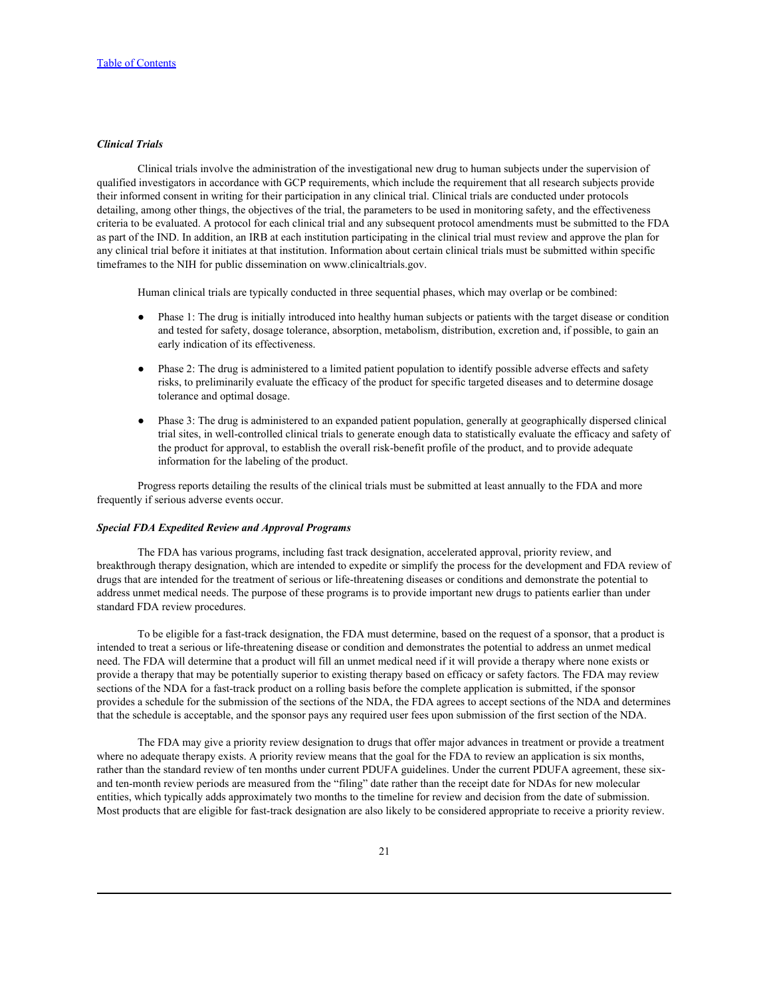# *Clinical Trials*

Clinical trials involve the administration of the investigational new drug to human subjects under the supervision of qualified investigators in accordance with GCP requirements, which include the requirement that all research subjects provide their informed consent in writing for their participation in any clinical trial. Clinical trials are conducted under protocols detailing, among other things, the objectives of the trial, the parameters to be used in monitoring safety, and the effectiveness criteria to be evaluated. A protocol for each clinical trial and any subsequent protocol amendments must be submitted to the FDA as part of the IND. In addition, an IRB at each institution participating in the clinical trial must review and approve the plan for any clinical trial before it initiates at that institution. Information about certain clinical trials must be submitted within specific timeframes to the NIH for public dissemination on www.clinicaltrials.gov.

Human clinical trials are typically conducted in three sequential phases, which may overlap or be combined:

- Phase 1: The drug is initially introduced into healthy human subjects or patients with the target disease or condition and tested for safety, dosage tolerance, absorption, metabolism, distribution, excretion and, if possible, to gain an early indication of its effectiveness.
- Phase 2: The drug is administered to a limited patient population to identify possible adverse effects and safety risks, to preliminarily evaluate the efficacy of the product for specific targeted diseases and to determine dosage tolerance and optimal dosage.
- Phase 3: The drug is administered to an expanded patient population, generally at geographically dispersed clinical trial sites, in well-controlled clinical trials to generate enough data to statistically evaluate the efficacy and safety of the product for approval, to establish the overall risk-benefit profile of the product, and to provide adequate information for the labeling of the product.

Progress reports detailing the results of the clinical trials must be submitted at least annually to the FDA and more frequently if serious adverse events occur.

#### *Special FDA Expedited Review and Approval Programs*

The FDA has various programs, including fast track designation, accelerated approval, priority review, and breakthrough therapy designation, which are intended to expedite or simplify the process for the development and FDA review of drugs that are intended for the treatment of serious or life-threatening diseases or conditions and demonstrate the potential to address unmet medical needs. The purpose of these programs is to provide important new drugs to patients earlier than under standard FDA review procedures.

To be eligible for a fast-track designation, the FDA must determine, based on the request of a sponsor, that a product is intended to treat a serious or life-threatening disease or condition and demonstrates the potential to address an unmet medical need. The FDA will determine that a product will fill an unmet medical need if it will provide a therapy where none exists or provide a therapy that may be potentially superior to existing therapy based on efficacy or safety factors. The FDA may review sections of the NDA for a fast-track product on a rolling basis before the complete application is submitted, if the sponsor provides a schedule for the submission of the sections of the NDA, the FDA agrees to accept sections of the NDA and determines that the schedule is acceptable, and the sponsor pays any required user fees upon submission of the first section of the NDA.

The FDA may give a priority review designation to drugs that offer major advances in treatment or provide a treatment where no adequate therapy exists. A priority review means that the goal for the FDA to review an application is six months, rather than the standard review of ten months under current PDUFA guidelines. Under the current PDUFA agreement, these sixand ten-month review periods are measured from the "filing" date rather than the receipt date for NDAs for new molecular entities, which typically adds approximately two months to the timeline for review and decision from the date of submission. Most products that are eligible for fast-track designation are also likely to be considered appropriate to receive a priority review.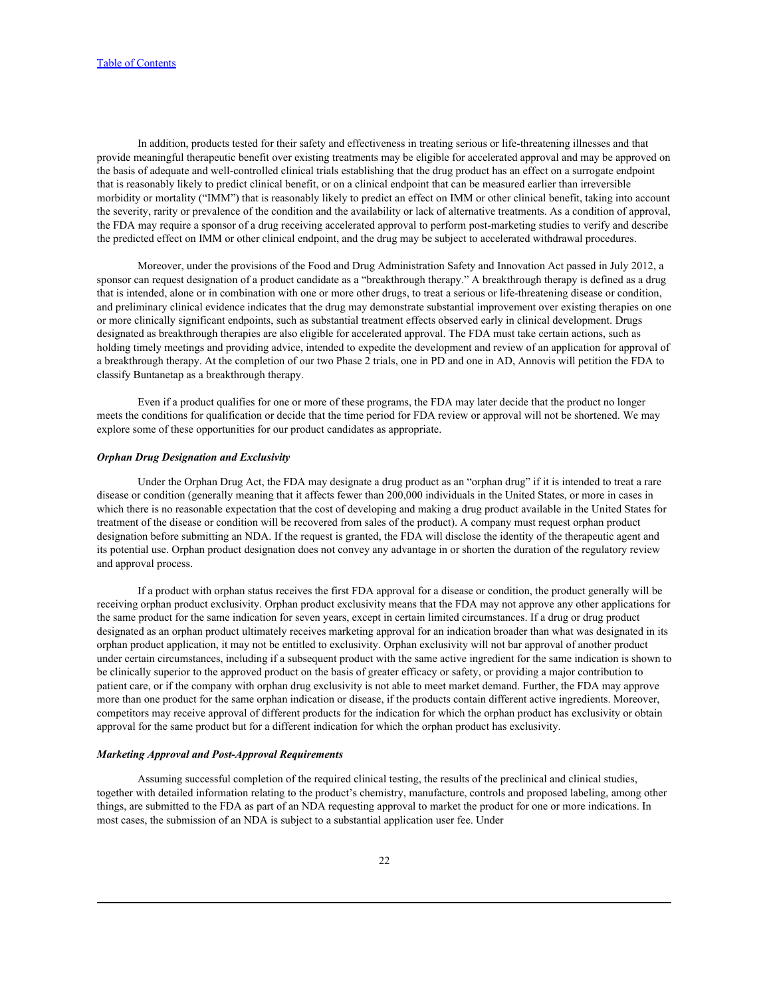In addition, products tested for their safety and effectiveness in treating serious or life-threatening illnesses and that provide meaningful therapeutic benefit over existing treatments may be eligible for accelerated approval and may be approved on the basis of adequate and well-controlled clinical trials establishing that the drug product has an effect on a surrogate endpoint that is reasonably likely to predict clinical benefit, or on a clinical endpoint that can be measured earlier than irreversible morbidity or mortality ("IMM") that is reasonably likely to predict an effect on IMM or other clinical benefit, taking into account the severity, rarity or prevalence of the condition and the availability or lack of alternative treatments. As a condition of approval, the FDA may require a sponsor of a drug receiving accelerated approval to perform post-marketing studies to verify and describe the predicted effect on IMM or other clinical endpoint, and the drug may be subject to accelerated withdrawal procedures.

Moreover, under the provisions of the Food and Drug Administration Safety and Innovation Act passed in July 2012, a sponsor can request designation of a product candidate as a "breakthrough therapy." A breakthrough therapy is defined as a drug that is intended, alone or in combination with one or more other drugs, to treat a serious or life-threatening disease or condition, and preliminary clinical evidence indicates that the drug may demonstrate substantial improvement over existing therapies on one or more clinically significant endpoints, such as substantial treatment effects observed early in clinical development. Drugs designated as breakthrough therapies are also eligible for accelerated approval. The FDA must take certain actions, such as holding timely meetings and providing advice, intended to expedite the development and review of an application for approval of a breakthrough therapy. At the completion of our two Phase 2 trials, one in PD and one in AD, Annovis will petition the FDA to classify Buntanetap as a breakthrough therapy.

Even if a product qualifies for one or more of these programs, the FDA may later decide that the product no longer meets the conditions for qualification or decide that the time period for FDA review or approval will not be shortened. We may explore some of these opportunities for our product candidates as appropriate.

#### *Orphan Drug Designation and Exclusivity*

Under the Orphan Drug Act, the FDA may designate a drug product as an "orphan drug" if it is intended to treat a rare disease or condition (generally meaning that it affects fewer than 200,000 individuals in the United States, or more in cases in which there is no reasonable expectation that the cost of developing and making a drug product available in the United States for treatment of the disease or condition will be recovered from sales of the product). A company must request orphan product designation before submitting an NDA. If the request is granted, the FDA will disclose the identity of the therapeutic agent and its potential use. Orphan product designation does not convey any advantage in or shorten the duration of the regulatory review and approval process.

If a product with orphan status receives the first FDA approval for a disease or condition, the product generally will be receiving orphan product exclusivity. Orphan product exclusivity means that the FDA may not approve any other applications for the same product for the same indication for seven years, except in certain limited circumstances. If a drug or drug product designated as an orphan product ultimately receives marketing approval for an indication broader than what was designated in its orphan product application, it may not be entitled to exclusivity. Orphan exclusivity will not bar approval of another product under certain circumstances, including if a subsequent product with the same active ingredient for the same indication is shown to be clinically superior to the approved product on the basis of greater efficacy or safety, or providing a major contribution to patient care, or if the company with orphan drug exclusivity is not able to meet market demand. Further, the FDA may approve more than one product for the same orphan indication or disease, if the products contain different active ingredients. Moreover, competitors may receive approval of different products for the indication for which the orphan product has exclusivity or obtain approval for the same product but for a different indication for which the orphan product has exclusivity.

## *Marketing Approval and Post-Approval Requirements*

Assuming successful completion of the required clinical testing, the results of the preclinical and clinical studies, together with detailed information relating to the product's chemistry, manufacture, controls and proposed labeling, among other things, are submitted to the FDA as part of an NDA requesting approval to market the product for one or more indications. In most cases, the submission of an NDA is subject to a substantial application user fee. Under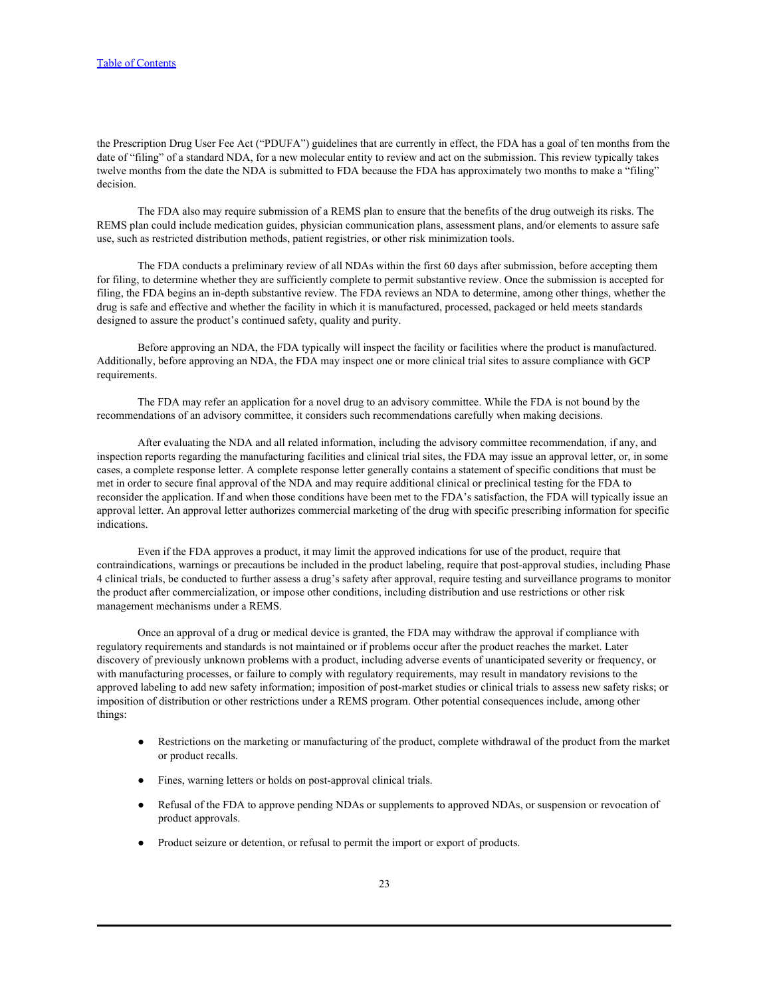the Prescription Drug User Fee Act ("PDUFA") guidelines that are currently in effect, the FDA has a goal of ten months from the date of "filing" of a standard NDA, for a new molecular entity to review and act on the submission. This review typically takes twelve months from the date the NDA is submitted to FDA because the FDA has approximately two months to make a "filing" decision.

The FDA also may require submission of a REMS plan to ensure that the benefits of the drug outweigh its risks. The REMS plan could include medication guides, physician communication plans, assessment plans, and/or elements to assure safe use, such as restricted distribution methods, patient registries, or other risk minimization tools.

The FDA conducts a preliminary review of all NDAs within the first 60 days after submission, before accepting them for filing, to determine whether they are sufficiently complete to permit substantive review. Once the submission is accepted for filing, the FDA begins an in-depth substantive review. The FDA reviews an NDA to determine, among other things, whether the drug is safe and effective and whether the facility in which it is manufactured, processed, packaged or held meets standards designed to assure the product's continued safety, quality and purity.

Before approving an NDA, the FDA typically will inspect the facility or facilities where the product is manufactured. Additionally, before approving an NDA, the FDA may inspect one or more clinical trial sites to assure compliance with GCP requirements.

The FDA may refer an application for a novel drug to an advisory committee. While the FDA is not bound by the recommendations of an advisory committee, it considers such recommendations carefully when making decisions.

After evaluating the NDA and all related information, including the advisory committee recommendation, if any, and inspection reports regarding the manufacturing facilities and clinical trial sites, the FDA may issue an approval letter, or, in some cases, a complete response letter. A complete response letter generally contains a statement of specific conditions that must be met in order to secure final approval of the NDA and may require additional clinical or preclinical testing for the FDA to reconsider the application. If and when those conditions have been met to the FDA's satisfaction, the FDA will typically issue an approval letter. An approval letter authorizes commercial marketing of the drug with specific prescribing information for specific indications.

Even if the FDA approves a product, it may limit the approved indications for use of the product, require that contraindications, warnings or precautions be included in the product labeling, require that post-approval studies, including Phase 4 clinical trials, be conducted to further assess a drug's safety after approval, require testing and surveillance programs to monitor the product after commercialization, or impose other conditions, including distribution and use restrictions or other risk management mechanisms under a REMS.

Once an approval of a drug or medical device is granted, the FDA may withdraw the approval if compliance with regulatory requirements and standards is not maintained or if problems occur after the product reaches the market. Later discovery of previously unknown problems with a product, including adverse events of unanticipated severity or frequency, or with manufacturing processes, or failure to comply with regulatory requirements, may result in mandatory revisions to the approved labeling to add new safety information; imposition of post-market studies or clinical trials to assess new safety risks; or imposition of distribution or other restrictions under a REMS program. Other potential consequences include, among other things:

- Restrictions on the marketing or manufacturing of the product, complete withdrawal of the product from the market or product recalls.
- Fines, warning letters or holds on post-approval clinical trials.
- Refusal of the FDA to approve pending NDAs or supplements to approved NDAs, or suspension or revocation of product approvals.
- Product seizure or detention, or refusal to permit the import or export of products.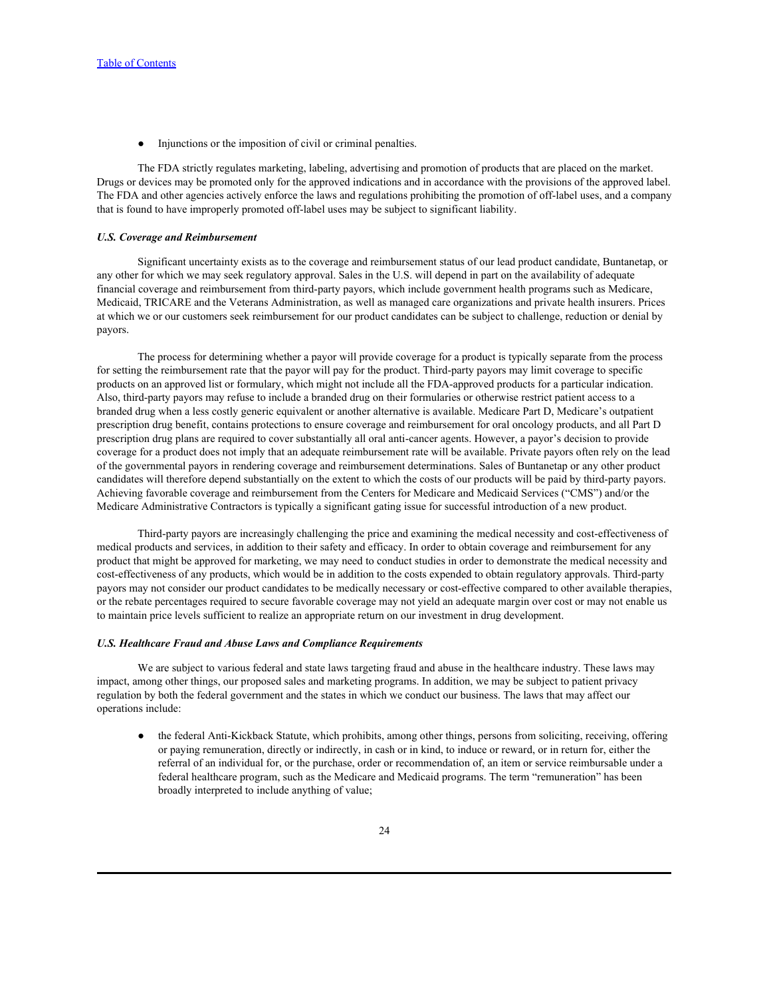Injunctions or the imposition of civil or criminal penalties.

The FDA strictly regulates marketing, labeling, advertising and promotion of products that are placed on the market. Drugs or devices may be promoted only for the approved indications and in accordance with the provisions of the approved label. The FDA and other agencies actively enforce the laws and regulations prohibiting the promotion of off-label uses, and a company that is found to have improperly promoted off-label uses may be subject to significant liability.

#### *U.S. Coverage and Reimbursement*

Significant uncertainty exists as to the coverage and reimbursement status of our lead product candidate, Buntanetap, or any other for which we may seek regulatory approval. Sales in the U.S. will depend in part on the availability of adequate financial coverage and reimbursement from third-party payors, which include government health programs such as Medicare, Medicaid, TRICARE and the Veterans Administration, as well as managed care organizations and private health insurers. Prices at which we or our customers seek reimbursement for our product candidates can be subject to challenge, reduction or denial by payors.

The process for determining whether a payor will provide coverage for a product is typically separate from the process for setting the reimbursement rate that the payor will pay for the product. Third-party payors may limit coverage to specific products on an approved list or formulary, which might not include all the FDA-approved products for a particular indication. Also, third-party payors may refuse to include a branded drug on their formularies or otherwise restrict patient access to a branded drug when a less costly generic equivalent or another alternative is available. Medicare Part D, Medicare's outpatient prescription drug benefit, contains protections to ensure coverage and reimbursement for oral oncology products, and all Part D prescription drug plans are required to cover substantially all oral anti-cancer agents. However, a payor's decision to provide coverage for a product does not imply that an adequate reimbursement rate will be available. Private payors often rely on the lead of the governmental payors in rendering coverage and reimbursement determinations. Sales of Buntanetap or any other product candidates will therefore depend substantially on the extent to which the costs of our products will be paid by third-party payors. Achieving favorable coverage and reimbursement from the Centers for Medicare and Medicaid Services ("CMS") and/or the Medicare Administrative Contractors is typically a significant gating issue for successful introduction of a new product.

Third-party payors are increasingly challenging the price and examining the medical necessity and cost-effectiveness of medical products and services, in addition to their safety and efficacy. In order to obtain coverage and reimbursement for any product that might be approved for marketing, we may need to conduct studies in order to demonstrate the medical necessity and cost-effectiveness of any products, which would be in addition to the costs expended to obtain regulatory approvals. Third-party payors may not consider our product candidates to be medically necessary or cost-effective compared to other available therapies, or the rebate percentages required to secure favorable coverage may not yield an adequate margin over cost or may not enable us to maintain price levels sufficient to realize an appropriate return on our investment in drug development.

#### *U.S. Healthcare Fraud and Abuse Laws and Compliance Requirements*

We are subject to various federal and state laws targeting fraud and abuse in the healthcare industry. These laws may impact, among other things, our proposed sales and marketing programs. In addition, we may be subject to patient privacy regulation by both the federal government and the states in which we conduct our business. The laws that may affect our operations include:

● the federal Anti-Kickback Statute, which prohibits, among other things, persons from soliciting, receiving, offering or paying remuneration, directly or indirectly, in cash or in kind, to induce or reward, or in return for, either the referral of an individual for, or the purchase, order or recommendation of, an item or service reimbursable under a federal healthcare program, such as the Medicare and Medicaid programs. The term "remuneration" has been broadly interpreted to include anything of value;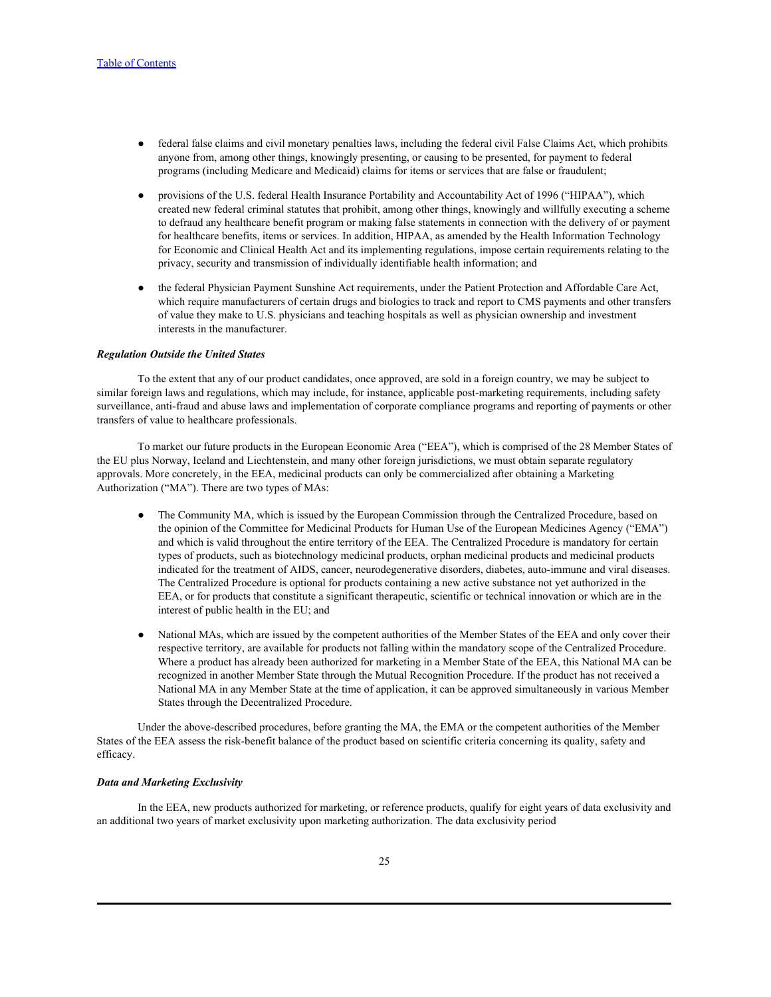- federal false claims and civil monetary penalties laws, including the federal civil False Claims Act, which prohibits anyone from, among other things, knowingly presenting, or causing to be presented, for payment to federal programs (including Medicare and Medicaid) claims for items or services that are false or fraudulent;
- provisions of the U.S. federal Health Insurance Portability and Accountability Act of 1996 ("HIPAA"), which created new federal criminal statutes that prohibit, among other things, knowingly and willfully executing a scheme to defraud any healthcare benefit program or making false statements in connection with the delivery of or payment for healthcare benefits, items or services. In addition, HIPAA, as amended by the Health Information Technology for Economic and Clinical Health Act and its implementing regulations, impose certain requirements relating to the privacy, security and transmission of individually identifiable health information; and
- the federal Physician Payment Sunshine Act requirements, under the Patient Protection and Affordable Care Act, which require manufacturers of certain drugs and biologics to track and report to CMS payments and other transfers of value they make to U.S. physicians and teaching hospitals as well as physician ownership and investment interests in the manufacturer.

#### *Regulation Outside the United States*

To the extent that any of our product candidates, once approved, are sold in a foreign country, we may be subject to similar foreign laws and regulations, which may include, for instance, applicable post-marketing requirements, including safety surveillance, anti-fraud and abuse laws and implementation of corporate compliance programs and reporting of payments or other transfers of value to healthcare professionals.

To market our future products in the European Economic Area ("EEA"), which is comprised of the 28 Member States of the EU plus Norway, Iceland and Liechtenstein, and many other foreign jurisdictions, we must obtain separate regulatory approvals. More concretely, in the EEA, medicinal products can only be commercialized after obtaining a Marketing Authorization ("MA"). There are two types of MAs:

- The Community MA, which is issued by the European Commission through the Centralized Procedure, based on the opinion of the Committee for Medicinal Products for Human Use of the European Medicines Agency ("EMA") and which is valid throughout the entire territory of the EEA. The Centralized Procedure is mandatory for certain types of products, such as biotechnology medicinal products, orphan medicinal products and medicinal products indicated for the treatment of AIDS, cancer, neurodegenerative disorders, diabetes, auto-immune and viral diseases. The Centralized Procedure is optional for products containing a new active substance not yet authorized in the EEA, or for products that constitute a significant therapeutic, scientific or technical innovation or which are in the interest of public health in the EU; and
- National MAs, which are issued by the competent authorities of the Member States of the EEA and only cover their respective territory, are available for products not falling within the mandatory scope of the Centralized Procedure. Where a product has already been authorized for marketing in a Member State of the EEA, this National MA can be recognized in another Member State through the Mutual Recognition Procedure. If the product has not received a National MA in any Member State at the time of application, it can be approved simultaneously in various Member States through the Decentralized Procedure.

Under the above-described procedures, before granting the MA, the EMA or the competent authorities of the Member States of the EEA assess the risk-benefit balance of the product based on scientific criteria concerning its quality, safety and efficacy.

## *Data and Marketing Exclusivity*

In the EEA, new products authorized for marketing, or reference products, qualify for eight years of data exclusivity and an additional two years of market exclusivity upon marketing authorization. The data exclusivity period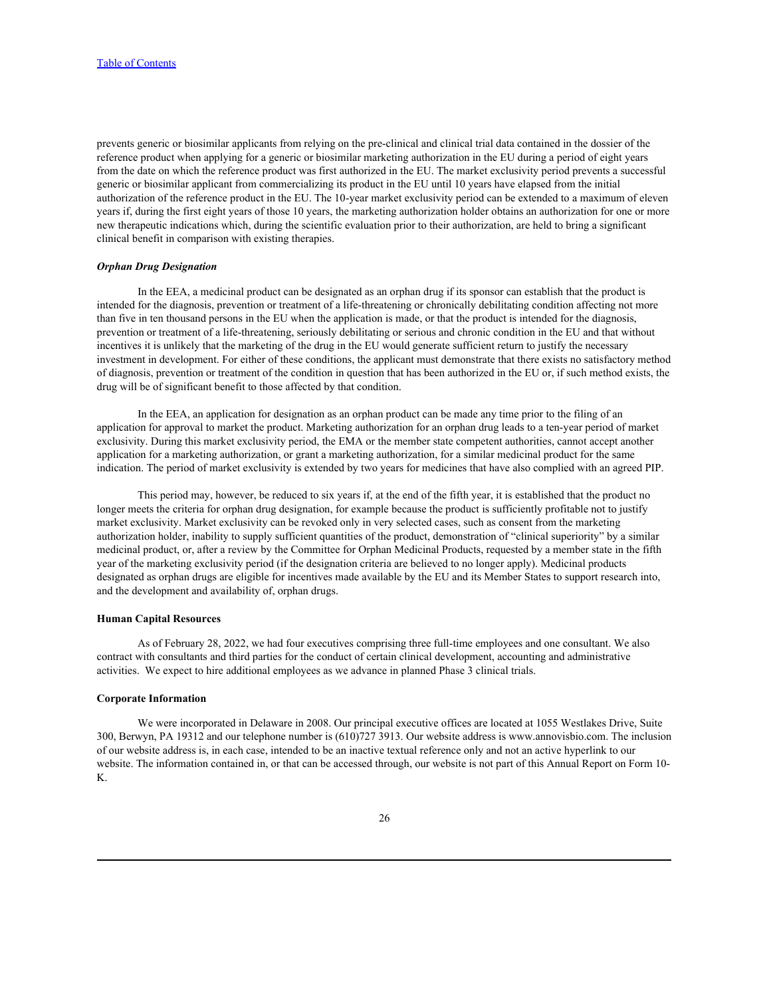prevents generic or biosimilar applicants from relying on the pre-clinical and clinical trial data contained in the dossier of the reference product when applying for a generic or biosimilar marketing authorization in the EU during a period of eight years from the date on which the reference product was first authorized in the EU. The market exclusivity period prevents a successful generic or biosimilar applicant from commercializing its product in the EU until 10 years have elapsed from the initial authorization of the reference product in the EU. The 10-year market exclusivity period can be extended to a maximum of eleven years if, during the first eight years of those 10 years, the marketing authorization holder obtains an authorization for one or more new therapeutic indications which, during the scientific evaluation prior to their authorization, are held to bring a significant clinical benefit in comparison with existing therapies.

### *Orphan Drug Designation*

In the EEA, a medicinal product can be designated as an orphan drug if its sponsor can establish that the product is intended for the diagnosis, prevention or treatment of a life-threatening or chronically debilitating condition affecting not more than five in ten thousand persons in the EU when the application is made, or that the product is intended for the diagnosis, prevention or treatment of a life-threatening, seriously debilitating or serious and chronic condition in the EU and that without incentives it is unlikely that the marketing of the drug in the EU would generate sufficient return to justify the necessary investment in development. For either of these conditions, the applicant must demonstrate that there exists no satisfactory method of diagnosis, prevention or treatment of the condition in question that has been authorized in the EU or, if such method exists, the drug will be of significant benefit to those affected by that condition.

In the EEA, an application for designation as an orphan product can be made any time prior to the filing of an application for approval to market the product. Marketing authorization for an orphan drug leads to a ten-year period of market exclusivity. During this market exclusivity period, the EMA or the member state competent authorities, cannot accept another application for a marketing authorization, or grant a marketing authorization, for a similar medicinal product for the same indication. The period of market exclusivity is extended by two years for medicines that have also complied with an agreed PIP.

This period may, however, be reduced to six years if, at the end of the fifth year, it is established that the product no longer meets the criteria for orphan drug designation, for example because the product is sufficiently profitable not to justify market exclusivity. Market exclusivity can be revoked only in very selected cases, such as consent from the marketing authorization holder, inability to supply sufficient quantities of the product, demonstration of "clinical superiority" by a similar medicinal product, or, after a review by the Committee for Orphan Medicinal Products, requested by a member state in the fifth year of the marketing exclusivity period (if the designation criteria are believed to no longer apply). Medicinal products designated as orphan drugs are eligible for incentives made available by the EU and its Member States to support research into, and the development and availability of, orphan drugs.

## **Human Capital Resources**

As of February 28, 2022, we had four executives comprising three full-time employees and one consultant. We also contract with consultants and third parties for the conduct of certain clinical development, accounting and administrative activities. We expect to hire additional employees as we advance in planned Phase 3 clinical trials.

# **Corporate Information**

We were incorporated in Delaware in 2008. Our principal executive offices are located at 1055 Westlakes Drive, Suite 300, Berwyn, PA 19312 and our telephone number is (610)727 3913. Our website address is www.annovisbio.com. The inclusion of our website address is, in each case, intended to be an inactive textual reference only and not an active hyperlink to our website. The information contained in, or that can be accessed through, our website is not part of this Annual Report on Form 10- K.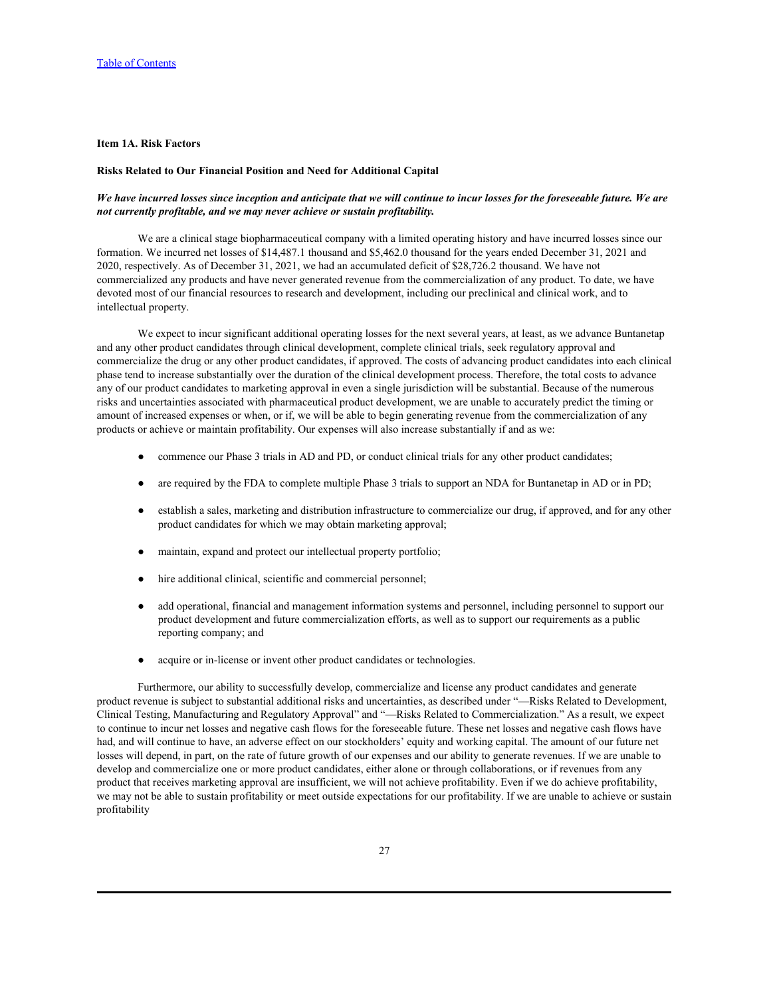## <span id="page-27-0"></span>**Item 1A. Risk Factors**

#### **Risks Related to Our Financial Position and Need for Additional Capital**

## *We have incurred losses since inception and anticipate that we will continue to incur losses for the foreseeable future. We are not currently profitable, and we may never achieve or sustain profitability.*

We are a clinical stage biopharmaceutical company with a limited operating history and have incurred losses since our formation. We incurred net losses of \$14,487.1 thousand and \$5,462.0 thousand for the years ended December 31, 2021 and 2020, respectively. As of December 31, 2021, we had an accumulated deficit of \$28,726.2 thousand. We have not commercialized any products and have never generated revenue from the commercialization of any product. To date, we have devoted most of our financial resources to research and development, including our preclinical and clinical work, and to intellectual property.

We expect to incur significant additional operating losses for the next several years, at least, as we advance Buntanetap and any other product candidates through clinical development, complete clinical trials, seek regulatory approval and commercialize the drug or any other product candidates, if approved. The costs of advancing product candidates into each clinical phase tend to increase substantially over the duration of the clinical development process. Therefore, the total costs to advance any of our product candidates to marketing approval in even a single jurisdiction will be substantial. Because of the numerous risks and uncertainties associated with pharmaceutical product development, we are unable to accurately predict the timing or amount of increased expenses or when, or if, we will be able to begin generating revenue from the commercialization of any products or achieve or maintain profitability. Our expenses will also increase substantially if and as we:

- commence our Phase 3 trials in AD and PD, or conduct clinical trials for any other product candidates;
- are required by the FDA to complete multiple Phase 3 trials to support an NDA for Buntanetap in AD or in PD;
- establish a sales, marketing and distribution infrastructure to commercialize our drug, if approved, and for any other product candidates for which we may obtain marketing approval;
- maintain, expand and protect our intellectual property portfolio;
- hire additional clinical, scientific and commercial personnel;
- add operational, financial and management information systems and personnel, including personnel to support our product development and future commercialization efforts, as well as to support our requirements as a public reporting company; and
- acquire or in-license or invent other product candidates or technologies.

Furthermore, our ability to successfully develop, commercialize and license any product candidates and generate product revenue is subject to substantial additional risks and uncertainties, as described under "—Risks Related to Development, Clinical Testing, Manufacturing and Regulatory Approval" and "—Risks Related to Commercialization." As a result, we expect to continue to incur net losses and negative cash flows for the foreseeable future. These net losses and negative cash flows have had, and will continue to have, an adverse effect on our stockholders' equity and working capital. The amount of our future net losses will depend, in part, on the rate of future growth of our expenses and our ability to generate revenues. If we are unable to develop and commercialize one or more product candidates, either alone or through collaborations, or if revenues from any product that receives marketing approval are insufficient, we will not achieve profitability. Even if we do achieve profitability, we may not be able to sustain profitability or meet outside expectations for our profitability. If we are unable to achieve or sustain profitability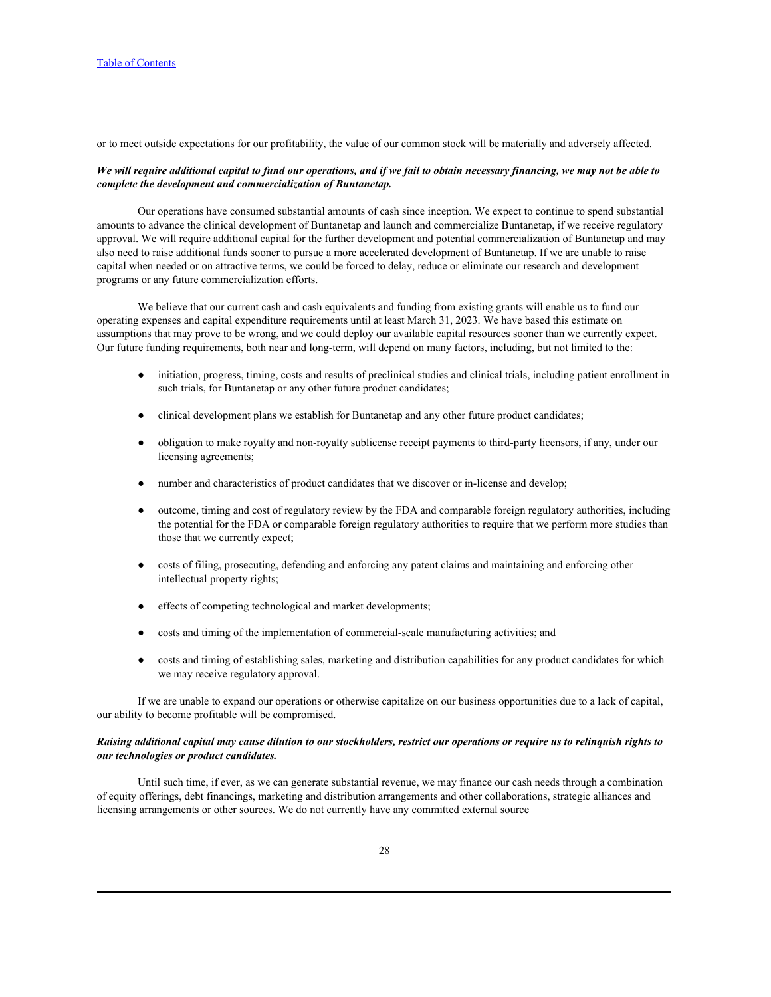or to meet outside expectations for our profitability, the value of our common stock will be materially and adversely affected.

## *We will require additional capital to fund our operations, and if we fail to obtain necessary financing, we may not be able to complete the development and commercialization of Buntanetap.*

Our operations have consumed substantial amounts of cash since inception. We expect to continue to spend substantial amounts to advance the clinical development of Buntanetap and launch and commercialize Buntanetap, if we receive regulatory approval. We will require additional capital for the further development and potential commercialization of Buntanetap and may also need to raise additional funds sooner to pursue a more accelerated development of Buntanetap. If we are unable to raise capital when needed or on attractive terms, we could be forced to delay, reduce or eliminate our research and development programs or any future commercialization efforts.

We believe that our current cash and cash equivalents and funding from existing grants will enable us to fund our operating expenses and capital expenditure requirements until at least March 31, 2023. We have based this estimate on assumptions that may prove to be wrong, and we could deploy our available capital resources sooner than we currently expect. Our future funding requirements, both near and long-term, will depend on many factors, including, but not limited to the:

- initiation, progress, timing, costs and results of preclinical studies and clinical trials, including patient enrollment in such trials, for Buntanetap or any other future product candidates;
- clinical development plans we establish for Buntanetap and any other future product candidates;
- obligation to make royalty and non-royalty sublicense receipt payments to third-party licensors, if any, under our licensing agreements;
- number and characteristics of product candidates that we discover or in-license and develop;
- outcome, timing and cost of regulatory review by the FDA and comparable foreign regulatory authorities, including the potential for the FDA or comparable foreign regulatory authorities to require that we perform more studies than those that we currently expect;
- costs of filing, prosecuting, defending and enforcing any patent claims and maintaining and enforcing other intellectual property rights;
- effects of competing technological and market developments;
- costs and timing of the implementation of commercial-scale manufacturing activities; and
- costs and timing of establishing sales, marketing and distribution capabilities for any product candidates for which we may receive regulatory approval.

If we are unable to expand our operations or otherwise capitalize on our business opportunities due to a lack of capital, our ability to become profitable will be compromised.

# *Raising additional capital may cause dilution to our stockholders, restrict our operations or require us to relinquish rights to our technologies or product candidates.*

Until such time, if ever, as we can generate substantial revenue, we may finance our cash needs through a combination of equity offerings, debt financings, marketing and distribution arrangements and other collaborations, strategic alliances and licensing arrangements or other sources. We do not currently have any committed external source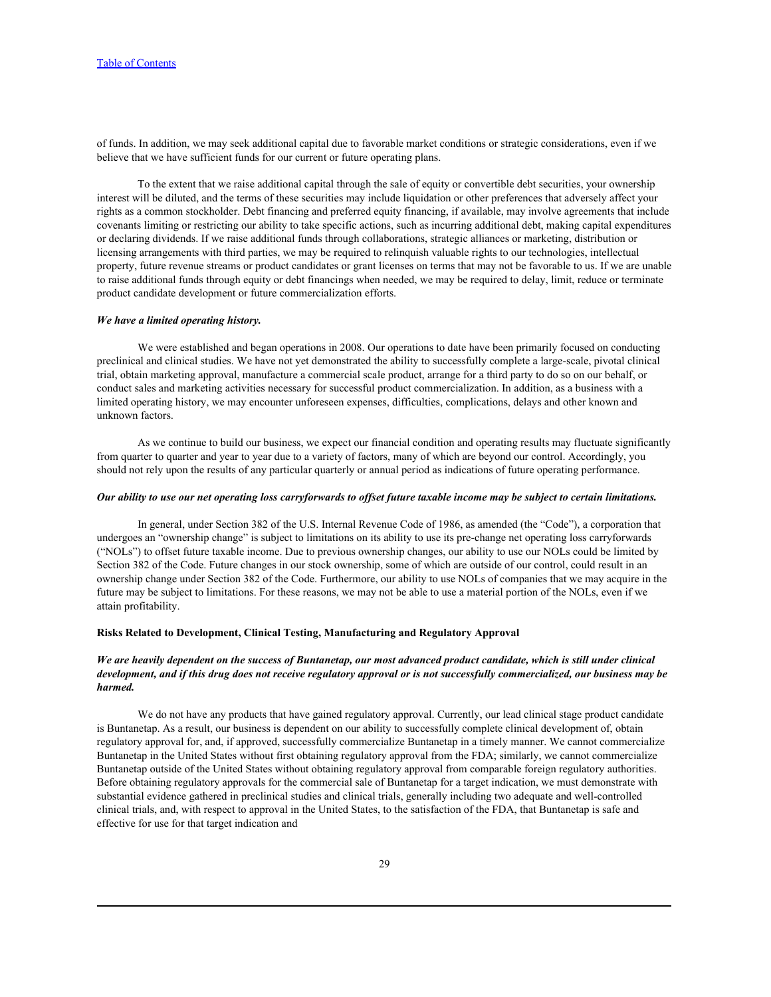of funds. In addition, we may seek additional capital due to favorable market conditions or strategic considerations, even if we believe that we have sufficient funds for our current or future operating plans.

To the extent that we raise additional capital through the sale of equity or convertible debt securities, your ownership interest will be diluted, and the terms of these securities may include liquidation or other preferences that adversely affect your rights as a common stockholder. Debt financing and preferred equity financing, if available, may involve agreements that include covenants limiting or restricting our ability to take specific actions, such as incurring additional debt, making capital expenditures or declaring dividends. If we raise additional funds through collaborations, strategic alliances or marketing, distribution or licensing arrangements with third parties, we may be required to relinquish valuable rights to our technologies, intellectual property, future revenue streams or product candidates or grant licenses on terms that may not be favorable to us. If we are unable to raise additional funds through equity or debt financings when needed, we may be required to delay, limit, reduce or terminate product candidate development or future commercialization efforts.

#### *We have a limited operating history.*

We were established and began operations in 2008. Our operations to date have been primarily focused on conducting preclinical and clinical studies. We have not yet demonstrated the ability to successfully complete a large-scale, pivotal clinical trial, obtain marketing approval, manufacture a commercial scale product, arrange for a third party to do so on our behalf, or conduct sales and marketing activities necessary for successful product commercialization. In addition, as a business with a limited operating history, we may encounter unforeseen expenses, difficulties, complications, delays and other known and unknown factors.

As we continue to build our business, we expect our financial condition and operating results may fluctuate significantly from quarter to quarter and year to year due to a variety of factors, many of which are beyond our control. Accordingly, you should not rely upon the results of any particular quarterly or annual period as indications of future operating performance.

# *Our ability to use our net operating loss carryforwards to offset future taxable income may be subject to certain limitations.*

In general, under Section 382 of the U.S. Internal Revenue Code of 1986, as amended (the "Code"), a corporation that undergoes an "ownership change" is subject to limitations on its ability to use its pre-change net operating loss carryforwards ("NOLs") to offset future taxable income. Due to previous ownership changes, our ability to use our NOLs could be limited by Section 382 of the Code. Future changes in our stock ownership, some of which are outside of our control, could result in an ownership change under Section 382 of the Code. Furthermore, our ability to use NOLs of companies that we may acquire in the future may be subject to limitations. For these reasons, we may not be able to use a material portion of the NOLs, even if we attain profitability.

### **Risks Related to Development, Clinical Testing, Manufacturing and Regulatory Approval**

# *We are heavily dependent on the success of Buntanetap, our most advanced product candidate, which is still under clinical development, and if this drug does not receive regulatory approval or is not successfully commercialized, our business may be harmed.*

We do not have any products that have gained regulatory approval. Currently, our lead clinical stage product candidate is Buntanetap. As a result, our business is dependent on our ability to successfully complete clinical development of, obtain regulatory approval for, and, if approved, successfully commercialize Buntanetap in a timely manner. We cannot commercialize Buntanetap in the United States without first obtaining regulatory approval from the FDA; similarly, we cannot commercialize Buntanetap outside of the United States without obtaining regulatory approval from comparable foreign regulatory authorities. Before obtaining regulatory approvals for the commercial sale of Buntanetap for a target indication, we must demonstrate with substantial evidence gathered in preclinical studies and clinical trials, generally including two adequate and well-controlled clinical trials, and, with respect to approval in the United States, to the satisfaction of the FDA, that Buntanetap is safe and effective for use for that target indication and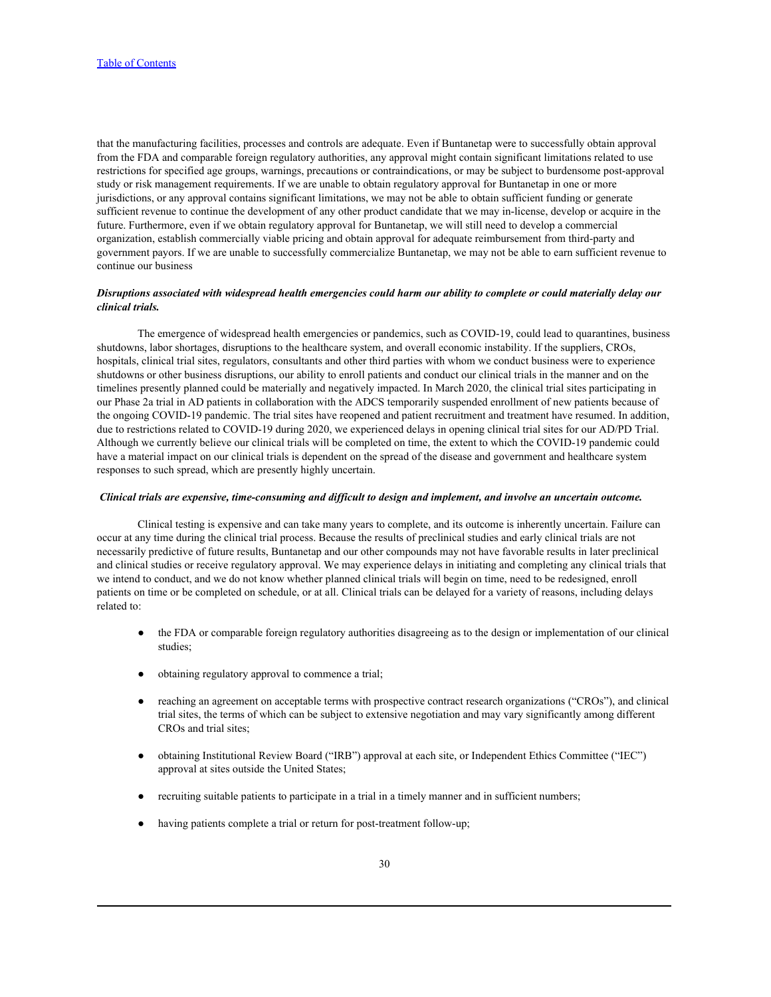that the manufacturing facilities, processes and controls are adequate. Even if Buntanetap were to successfully obtain approval from the FDA and comparable foreign regulatory authorities, any approval might contain significant limitations related to use restrictions for specified age groups, warnings, precautions or contraindications, or may be subject to burdensome post-approval study or risk management requirements. If we are unable to obtain regulatory approval for Buntanetap in one or more jurisdictions, or any approval contains significant limitations, we may not be able to obtain sufficient funding or generate sufficient revenue to continue the development of any other product candidate that we may in-license, develop or acquire in the future. Furthermore, even if we obtain regulatory approval for Buntanetap, we will still need to develop a commercial organization, establish commercially viable pricing and obtain approval for adequate reimbursement from third-party and government payors. If we are unable to successfully commercialize Buntanetap, we may not be able to earn sufficient revenue to continue our business

## *Disruptions associated with widespread health emergencies could harm our ability to complete or could materially delay our clinical trials.*

The emergence of widespread health emergencies or pandemics, such as COVID-19, could lead to quarantines, business shutdowns, labor shortages, disruptions to the healthcare system, and overall economic instability. If the suppliers, CROs, hospitals, clinical trial sites, regulators, consultants and other third parties with whom we conduct business were to experience shutdowns or other business disruptions, our ability to enroll patients and conduct our clinical trials in the manner and on the timelines presently planned could be materially and negatively impacted. In March 2020, the clinical trial sites participating in our Phase 2a trial in AD patients in collaboration with the ADCS temporarily suspended enrollment of new patients because of the ongoing COVID-19 pandemic. The trial sites have reopened and patient recruitment and treatment have resumed. In addition, due to restrictions related to COVID-19 during 2020, we experienced delays in opening clinical trial sites for our AD/PD Trial.<br>Although we currently believe our clinical trials will be completed on time, the extent to whi have a material impact on our clinical trials is dependent on the spread of the disease and government and healthcare system responses to such spread, which are presently highly uncertain.

#### *Clinical trials are expensive, time-consuming and difficult to design and implement, and involve an uncertain outcome.*

Clinical testing is expensive and can take many years to complete, and its outcome is inherently uncertain. Failure can occur at any time during the clinical trial process. Because the results of preclinical studies and early clinical trials are not necessarily predictive of future results, Buntanetap and our other compounds may not have favorable results in later preclinical and clinical studies or receive regulatory approval. We may experience delays in initiating and completing any clinical trials that we intend to conduct, and we do not know whether planned clinical trials will begin on time, need to be redesigned, enroll patients on time or be completed on schedule, or at all. Clinical trials can be delayed for a variety of reasons, including delays related to:<br>● the FDA or comparable foreign regulatory authorities disagreeing as to the design or implementation of our clinical

- studies;
- obtaining regulatory approval to commence a trial;
- reaching an agreement on acceptable terms with prospective contract research organizations ("CROs"), and clinical trial sites, the terms of which can be subject to extensive negotiation and may vary significantly among different CROs and trial sites;
- obtaining Institutional Review Board ("IRB") approval at each site, or Independent Ethics Committee ("IEC") approval at sites outside the United States;
- recruiting suitable patients to participate in a trial in a timely manner and in sufficient numbers;
- having patients complete a trial or return for post-treatment follow-up;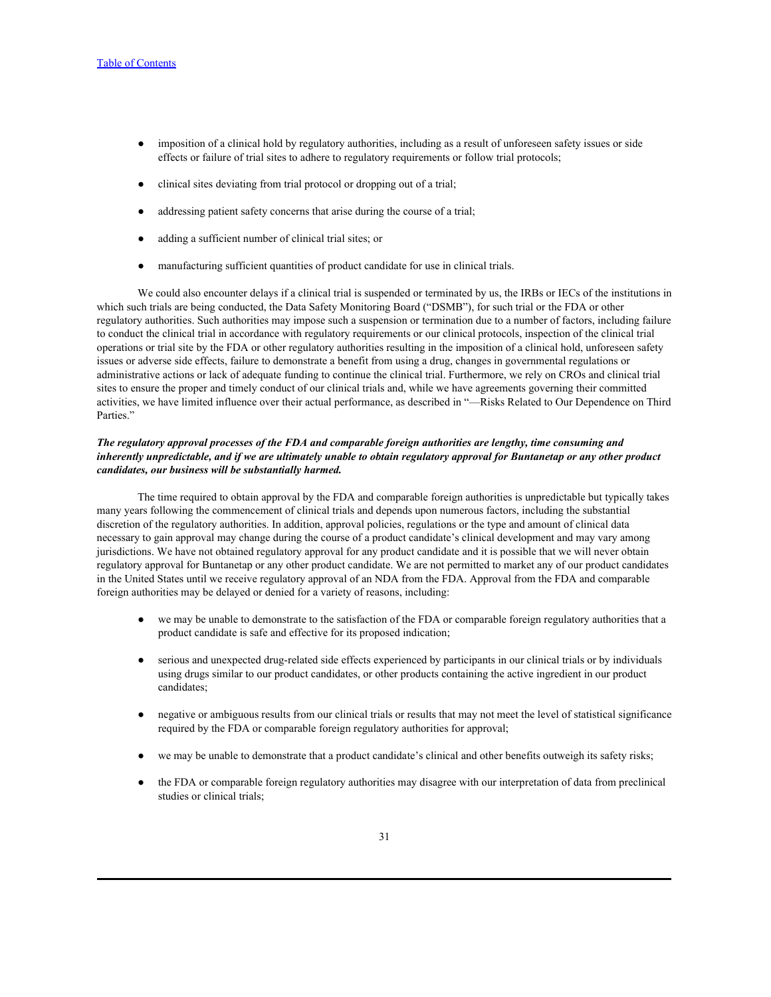- imposition of a clinical hold by regulatory authorities, including as a result of unforeseen safety issues or side effects or failure of trial sites to adhere to regulatory requirements or follow trial protocols;
- clinical sites deviating from trial protocol or dropping out of a trial;
- addressing patient safety concerns that arise during the course of a trial;
- adding a sufficient number of clinical trial sites; or
- manufacturing sufficient quantities of product candidate for use in clinical trials.

We could also encounter delays if a clinical trial is suspended or terminated by us, the IRBs or IECs of the institutions in which such trials are being conducted, the Data Safety Monitoring Board ("DSMB"), for such trial or the FDA or other regulatory authorities. Such authorities may impose such a suspension or termination due to a number of factors, including failure to conduct the clinical trial in accordance with regulatory requirements or our clinical protocols, inspection of the clinical trial operations or trial site by the FDA or other regulatory authorities resulting in the imposition of a clinical hold, unforeseen safety issues or adverse side effects, failure to demonstrate a benefit from using a drug, changes in governmental regulations or administrative actions or lack of adequate funding to continue the clinical trial. Furthermore, we rely on CROs and clinical trial sites to ensure the proper and timely conduct of our clinical trials and, while we have agreements governing their committed activities, we have limited influence over their actual performance, as described in "—Risks Related to Our Dependence on Third Parties."

# *The regulatory approval processes of the FDA and comparable foreign authorities are lengthy, time consuming and inherently unpredictable, and if we are ultimately unable to obtain regulatory approval for Buntanetap or any other product candidates, our business will be substantially harmed.*

The time required to obtain approval by the FDA and comparable foreign authorities is unpredictable but typically takes many years following the commencement of clinical trials and depends upon numerous factors, including the substantial discretion of the regulatory authorities. In addition, approval policies, regulations or the type and amount of clinical data necessary to gain approval may change during the course of a product candidate's clinical development and may vary among jurisdictions. We have not obtained regulatory approval for any product candidate and it is possible that we will never obtain regulatory approval for Buntanetap or any other product candidate. We are not permitted to market any of our product candidates in the United States until we receive regulatory approval of an NDA from the FDA. Approval from the FDA and comparable foreign authorities may be delayed or denied for a variety of reasons, including:

- we may be unable to demonstrate to the satisfaction of the FDA or comparable foreign regulatory authorities that a product candidate is safe and effective for its proposed indication;
- serious and unexpected drug-related side effects experienced by participants in our clinical trials or by individuals using drugs similar to our product candidates, or other products containing the active ingredient in our product candidates;
- negative or ambiguous results from our clinical trials or results that may not meet the level of statistical significance required by the FDA or comparable foreign regulatory authorities for approval;
- we may be unable to demonstrate that a product candidate's clinical and other benefits outweigh its safety risks;
- the FDA or comparable foreign regulatory authorities may disagree with our interpretation of data from preclinical studies or clinical trials;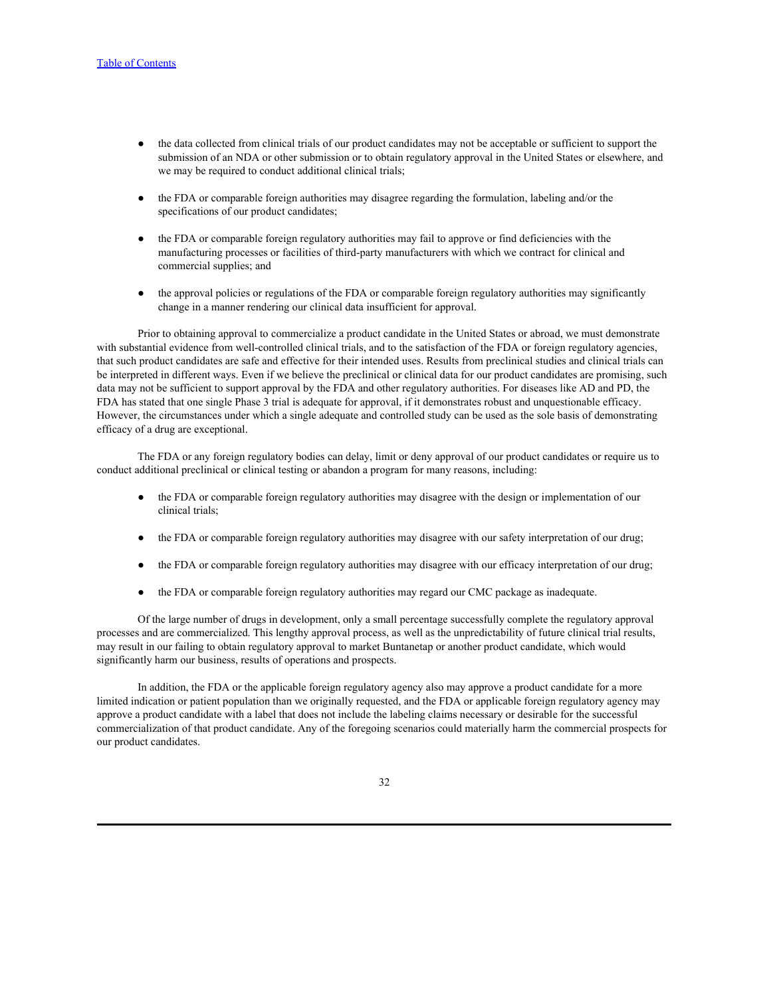- the data collected from clinical trials of our product candidates may not be acceptable or sufficient to support the submission of an NDA or other submission or to obtain regulatory approval in the United States or elsewhere, and we may be required to conduct additional clinical trials;
- the FDA or comparable foreign authorities may disagree regarding the formulation, labeling and/or the specifications of our product candidates;
- the FDA or comparable foreign regulatory authorities may fail to approve or find deficiencies with the manufacturing processes or facilities of third-party manufacturers with which we contract for clinical and commercial supplies; and
- the approval policies or regulations of the FDA or comparable foreign regulatory authorities may significantly change in a manner rendering our clinical data insufficient for approval.

Prior to obtaining approval to commercialize a product candidate in the United States or abroad, we must demonstrate with substantial evidence from well-controlled clinical trials, and to the satisfaction of the FDA or foreign regulatory agencies, that such product candidates are safe and effective for their intended uses. Results from preclinical studies and clinical trials can be interpreted in different ways. Even if we believe the preclinical or clinical data for our product candidates are promising, such data may not be sufficient to support approval by the FDA and other regulatory authorities. For diseases like AD and PD, the FDA has stated that one single Phase 3 trial is adequate for approval, if it demonstrates robust and unquestionable efficacy. However, the circumstances under which a single adequate and controlled study can be used as the sole basis of demonstrating efficacy of a drug are exceptional.

The FDA or any foreign regulatory bodies can delay, limit or deny approval of our product candidates or require us to conduct additional preclinical or clinical testing or abandon a program for many reasons, including:

- the FDA or comparable foreign regulatory authorities may disagree with the design or implementation of our clinical trials;
- the FDA or comparable foreign regulatory authorities may disagree with our safety interpretation of our drug;
- the FDA or comparable foreign regulatory authorities may disagree with our efficacy interpretation of our drug;
- the FDA or comparable foreign regulatory authorities may regard our CMC package as inadequate.

Of the large number of drugs in development, only a small percentage successfully complete the regulatory approval processes and are commercialized. This lengthy approval process, as well as the unpredictability of future clinical trial results, may result in our failing to obtain regulatory approval to market Buntanetap or another product candidate, which would significantly harm our business, results of operations and prospects.

In addition, the FDA or the applicable foreign regulatory agency also may approve a product candidate for a more limited indication or patient population than we originally requested, and the FDA or applicable foreign regulatory agency may approve a product candidate with a label that does not include the labeling claims necessary or desirable for the successful commercialization of that product candidate. Any of the foregoing scenarios could materially harm the commercial prospects for our product candidates.

32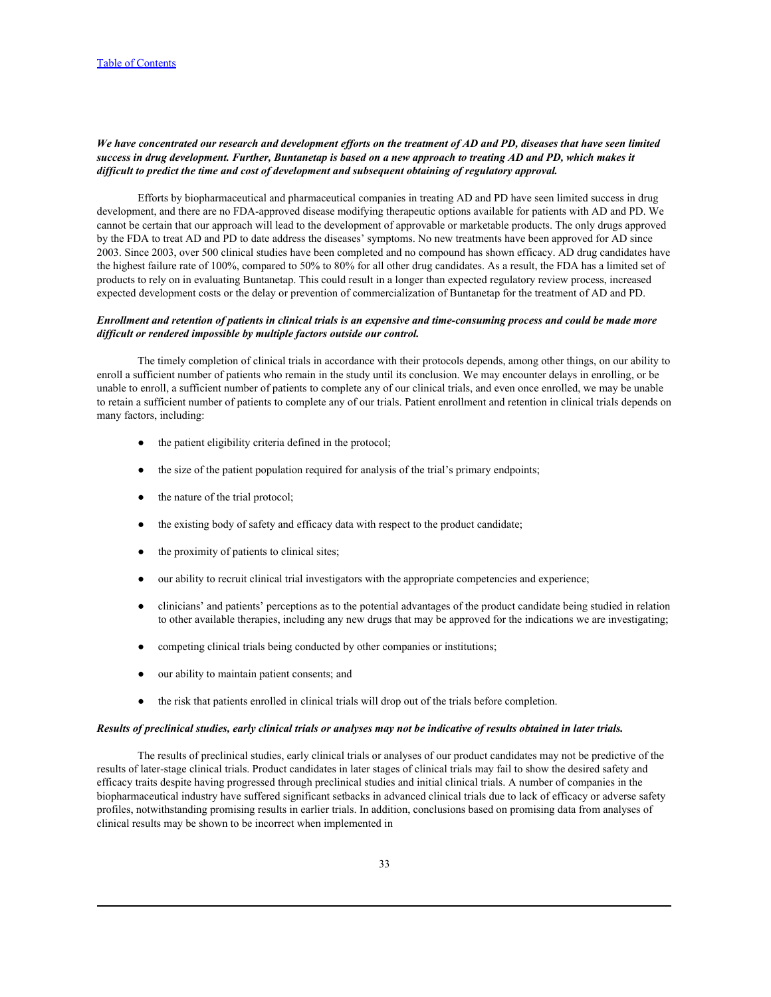# *We have concentrated our research and development efforts on the treatment of AD and PD, diseases that have seen limited success in drug development. Further, Buntanetap is based on a new approach to treating AD and PD, which makes it difficult to predict the time and cost of development and subsequent obtaining of regulatory approval.*

Efforts by biopharmaceutical and pharmaceutical companies in treating AD and PD have seen limited success in drug development, and there are no FDA-approved disease modifying therapeutic options available for patients with AD and PD. We cannot be certain that our approach will lead to the development of approvable or marketable products. The only drugs approved by the FDA to treat AD and PD to date address the diseases' symptoms. No new treatments have been approved for AD since 2003. Since 2003, over 500 clinical studies have been completed and no compound has shown efficacy. AD drug candidates have the highest failure rate of 100%, compared to 50% to 80% for all other drug candidates. As a result, the FDA has a limited set of products to rely on in evaluating Buntanetap. This could result in a longer than expected regulatory review process, increased expected development costs or the delay or prevention of commercialization of Buntanetap for the treatment of AD and PD.

# *Enrollment and retention of patients in clinical trials is an expensive and time-consuming process and could be made more difficult or rendered impossible by multiple factors outside our control.*

The timely completion of clinical trials in accordance with their protocols depends, among other things, on our ability to enroll a sufficient number of patients who remain in the study until its conclusion. We may encounter delays in enrolling, or be unable to enroll, a sufficient number of patients to complete any of our clinical trials, and even once enrolled, we may be unable to retain a sufficient number of patients to complete any of our trials. Patient enrollment and retention in clinical trials depends on many factors, including:

- the patient eligibility criteria defined in the protocol;
- the size of the patient population required for analysis of the trial's primary endpoints;
- the nature of the trial protocol;
- the existing body of safety and efficacy data with respect to the product candidate;
- the proximity of patients to clinical sites;
- our ability to recruit clinical trial investigators with the appropriate competencies and experience;
- clinicians' and patients' perceptions as to the potential advantages of the product candidate being studied in relation to other available therapies, including any new drugs that may be approved for the indications we are investigating;
- competing clinical trials being conducted by other companies or institutions;
- our ability to maintain patient consents; and
- the risk that patients enrolled in clinical trials will drop out of the trials before completion.

## *Results of preclinical studies, early clinical trials or analyses may not be indicative of results obtained in later trials.*

The results of preclinical studies, early clinical trials or analyses of our product candidates may not be predictive of the results of later-stage clinical trials. Product candidates in later stages of clinical trials may fail to show the desired safety and efficacy traits despite having progressed through preclinical studies and initial clinical trials. A number of companies in the biopharmaceutical industry have suffered significant setbacks in advanced clinical trials due to lack of efficacy or adverse safety profiles, notwithstanding promising results in earlier trials. In addition, conclusions based on promising data from analyses of clinical results may be shown to be incorrect when implemented in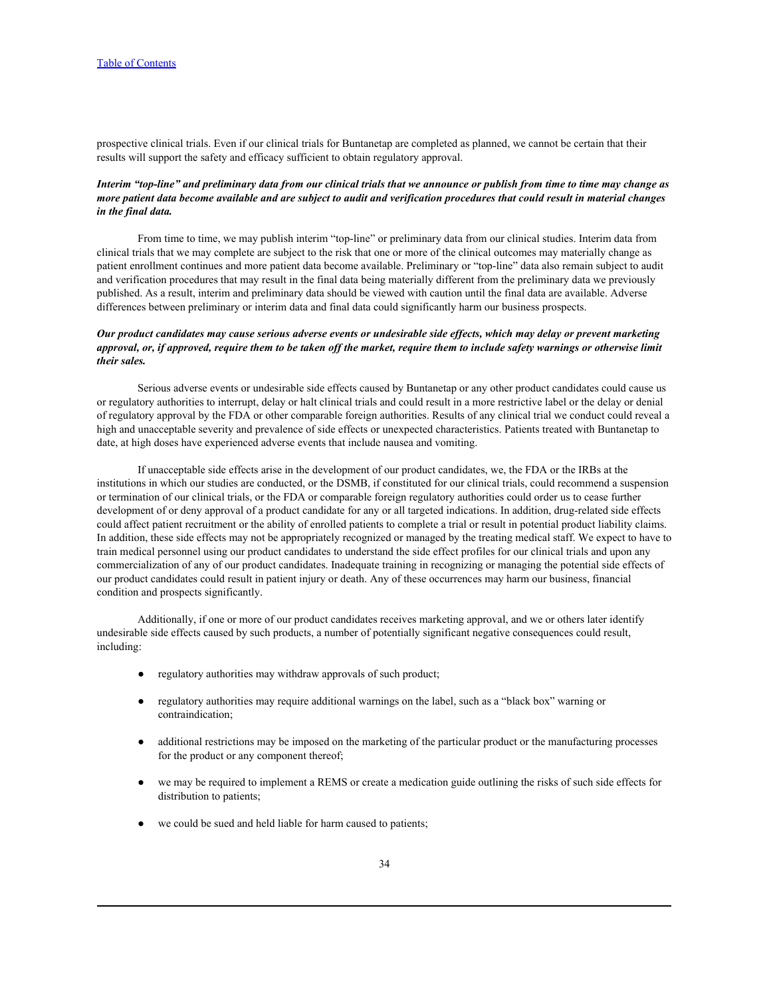prospective clinical trials. Even if our clinical trials for Buntanetap are completed as planned, we cannot be certain that their results will support the safety and efficacy sufficient to obtain regulatory approval.

# *Interim "top-line" and preliminary data from our clinical trials that we announce or publish from time to time may change as more patient data become available and are subject to audit and verification procedures that could result in material changes in the final data.*

From time to time, we may publish interim "top-line" or preliminary data from our clinical studies. Interim data from clinical trials that we may complete are subject to the risk that one or more of the clinical outcomes may materially change as patient enrollment continues and more patient data become available. Preliminary or "top-line" data also remain subject to audit and verification procedures that may result in the final data being materially different from the preliminary data we previously published. As a result, interim and preliminary data should be viewed with caution until the final data are available. Adverse differences between preliminary or interim data and final data could significantly harm our business prospects.

## *Our product candidates may cause serious adverse events or undesirable side effects, which may delay or prevent marketing approval, or, if approved, require them to be taken off the market, require them to include safety warnings or otherwise limit their sales.*

Serious adverse events or undesirable side effects caused by Buntanetap or any other product candidates could cause us or regulatory authorities to interrupt, delay or halt clinical trials and could result in a more restrictive label or the delay or denial of regulatory approval by the FDA or other comparable foreign authorities. Results of any clinical trial we conduct could reveal a high and unacceptable severity and prevalence of side effects or unexpected characteristics. Patients treated with Buntanetap to date, at high doses have experienced adverse events that include nausea and vomiting.

If unacceptable side effects arise in the development of our product candidates, we, the FDA or the IRBs at the institutions in which our studies are conducted, or the DSMB, if constituted for our clinical trials, could recommend a suspension or termination of our clinical trials, or the FDA or comparable foreign regulatory authorities could order us to cease further development of or deny approval of a product candidate for any or all targeted indications. In addition, drug-related side effects could affect patient recruitment or the ability of enrolled patients to complete a trial or result in potential product liability claims. In addition, these side effects may not be appropriately recognized or managed by the treating medical staff. We expect to have to train medical personnel using our product candidates to understand the side effect profiles for our clinical trials and upon any commercialization of any of our product candidates. Inadequate training in recognizing or managing the potential side effects of our product candidates could result in patient injury or death. Any of these occurrences may harm our business, financial condition and prospects significantly.

Additionally, if one or more of our product candidates receives marketing approval, and we or others later identify undesirable side effects caused by such products, a number of potentially significant negative consequences could result, including:<br>● regulatory authorities may withdraw approvals of such product;

- 
- regulatory authorities may require additional warnings on the label, such as a "black box" warning or contraindication;
- additional restrictions may be imposed on the marketing of the particular product or the manufacturing processes for the product or any component thereof;
- we may be required to implement a REMS or create a medication guide outlining the risks of such side effects for distribution to patients;
- we could be sued and held liable for harm caused to patients;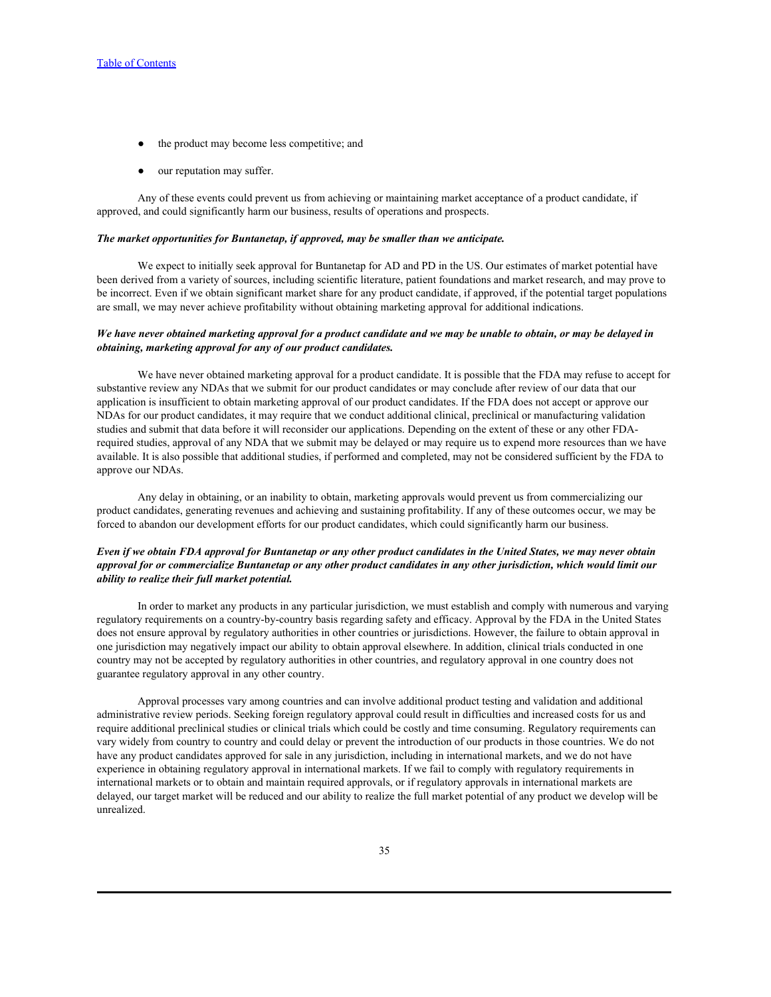- the product may become less competitive; and
- our reputation may suffer.

Any of these events could prevent us from achieving or maintaining market acceptance of a product candidate, if approved, and could significantly harm our business, results of operations and prospects.

#### *The market opportunities for Buntanetap, if approved, may be smaller than we anticipate.*

We expect to initially seek approval for Buntanetap for AD and PD in the US. Our estimates of market potential have been derived from a variety of sources, including scientific literature, patient foundations and market research, and may prove to be incorrect. Even if we obtain significant market share for any product candidate, if approved, if the potential target populations are small, we may never achieve profitability without obtaining marketing approval for additional indications.

## *We have never obtained marketing approval for a product candidate and we may be unable to obtain, or may be delayed in obtaining, marketing approval for any of our product candidates.*

We have never obtained marketing approval for a product candidate. It is possible that the FDA may refuse to accept for substantive review any NDAs that we submit for our product candidates or may conclude after review of our data that our application is insufficient to obtain marketing approval of our product candidates. If the FDA does not accept or approve our NDAs for our product candidates, it may require that we conduct additional clinical, preclinical or manufacturing validation studies and submit that data before it will reconsider our applications. Depending on the extent of these or any other FDArequired studies, approval of any NDA that we submit may be delayed or may require us to expend more resources than we have available. It is also possible that additional studies, if performed and completed, may not be considered sufficient by the FDA to approve our NDAs.

Any delay in obtaining, or an inability to obtain, marketing approvals would prevent us from commercializing our product candidates, generating revenues and achieving and sustaining profitability. If any of these outcomes occur, we may be forced to abandon our development efforts for our product candidates, which could significantly harm our business.

# *Even if we obtain FDA approval for Buntanetap or any other product candidates in the United States, we may never obtain approval for or commercialize Buntanetap or any other product candidates in any other jurisdiction, which would limit our ability to realize their full market potential.*

In order to market any products in any particular jurisdiction, we must establish and comply with numerous and varying regulatory requirements on a country-by-country basis regarding safety and efficacy. Approval by the FDA in the United States does not ensure approval by regulatory authorities in other countries or jurisdictions. However, the failure to obtain approval in one jurisdiction may negatively impact our ability to obtain approval elsewhere. In addition, clinical trials conducted in one country may not be accepted by regulatory authorities in other countries, and regulatory approval in one country does not guarantee regulatory approval in any other country.

Approval processes vary among countries and can involve additional product testing and validation and additional administrative review periods. Seeking foreign regulatory approval could result in difficulties and increased costs for us and require additional preclinical studies or clinical trials which could be costly and time consuming. Regulatory requirements can vary widely from country to country and could delay or prevent the introduction of our products in those countries. We do not have any product candidates approved for sale in any jurisdiction, including in international markets, and we do not have experience in obtaining regulatory approval in international markets. If we fail to comply with regulatory requirements in international markets or to obtain and maintain required approvals, or if regulatory approvals in international markets are delayed, our target market will be reduced and our ability to realize the full market potential of any product we develop will be unrealized.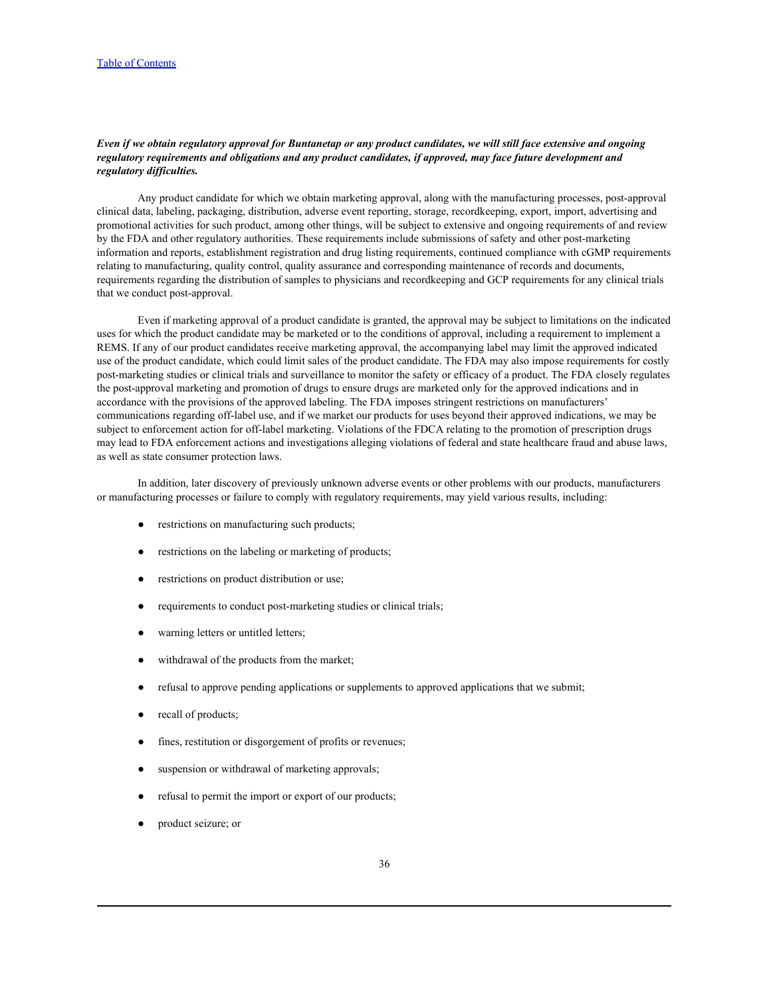# *Even if we obtain regulatory approval for Buntanetap or any product candidates, we will still face extensive and ongoing regulatory requirements and obligations and any product candidates, if approved, may face future development and regulatory difficulties.*

Any product candidate for which we obtain marketing approval, along with the manufacturing processes, post-approval clinical data, labeling, packaging, distribution, adverse event reporting, storage, recordkeeping, export, import, advertising and promotional activities for such product, among other things, will be subject to extensive and ongoing requirements of and review by the FDA and other regulatory authorities. These requirements include submissions of safety and other post-marketing information and reports, establishment registration and drug listing requirements, continued compliance with cGMP requirements relating to manufacturing, quality control, quality assurance and corresponding maintenance of records and documents, requirements regarding the distribution of samples to physicians and recordkeeping and GCP requirements for any clinical trials that we conduct post-approval.

Even if marketing approval of a product candidate is granted, the approval may be subject to limitations on the indicated uses for which the product candidate may be marketed or to the conditions of approval, including a requirement to implement a REMS. If any of our product candidates receive marketing approval, the accompanying label may limit the approved indicated use of the product candidate, which could limit sales of the product candidate. The FDA may also impose requirements for costly post-marketing studies or clinical trials and surveillance to monitor the safety or efficacy of a product. The FDA closely regulates the post-approval marketing and promotion of drugs to ensure drugs are marketed only for the approved indications and in accordance with the provisions of the approved labeling. The FDA imposes stringent restrictions on manufacturers' communications regarding off-label use, and if we market our products for uses beyond their approved indications, we may be subject to enforcement action for off-label marketing. Violations of the FDCA relating to the promotion of prescription drugs may lead to FDA enforcement actions and investigations alleging violations of federal and state healthcare fraud and abuse laws, as well as state consumer protection laws.

In addition, later discovery of previously unknown adverse events or other problems with our products, manufacturers or manufacturing processes or failure to comply with regulatory requirements, may yield various results, including:

- restrictions on manufacturing such products;
- restrictions on the labeling or marketing of products;
- restrictions on product distribution or use;
- requirements to conduct post-marketing studies or clinical trials;
- warning letters or untitled letters;
- withdrawal of the products from the market;
- refusal to approve pending applications or supplements to approved applications that we submit;
- recall of products;
- fines, restitution or disgorgement of profits or revenues;
- suspension or withdrawal of marketing approvals;
- refusal to permit the import or export of our products;
- product seizure; or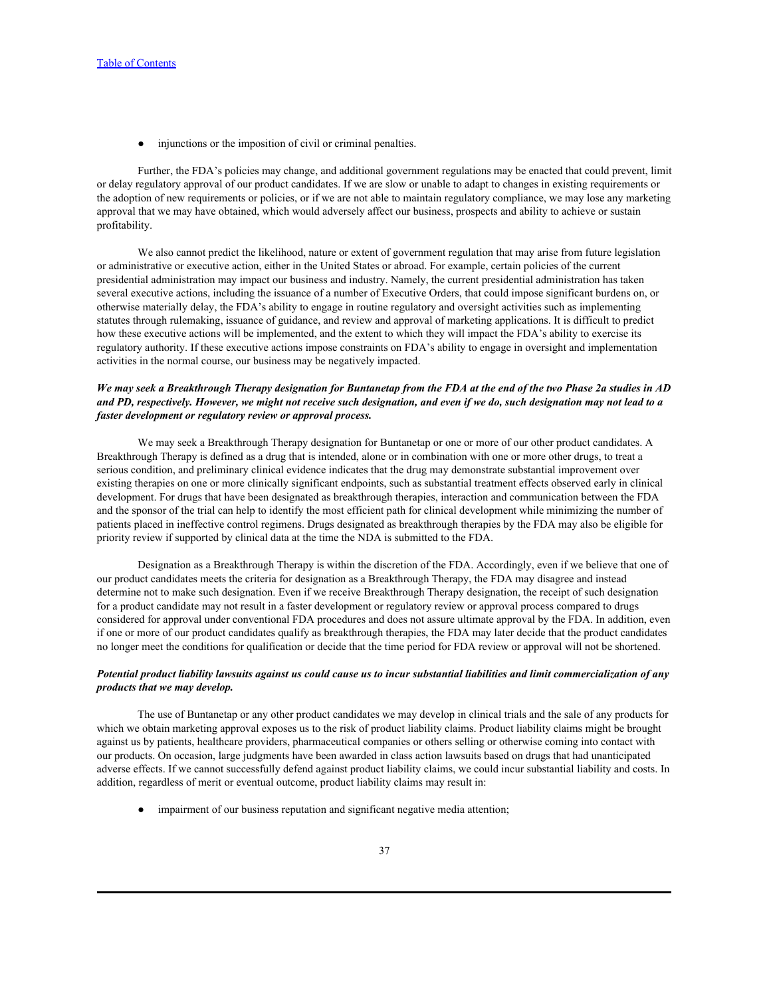● injunctions or the imposition of civil or criminal penalties.

Further, the FDA's policies may change, and additional government regulations may be enacted that could prevent, limit or delay regulatory approval of our product candidates. If we are slow or unable to adapt to changes in existing requirements or the adoption of new requirements or policies, or if we are not able to maintain regulatory compliance, we may lose any marketing approval that we may have obtained, which would adversely affect our business, prospects and ability to achieve or sustain profitability.

We also cannot predict the likelihood, nature or extent of government regulation that may arise from future legislation or administrative or executive action, either in the United States or abroad. For example, certain policies of the current presidential administration may impact our business and industry. Namely, the current presidential administration has taken several executive actions, including the issuance of a number of Executive Orders, that could impose significant burdens on, or otherwise materially delay, the FDA's ability to engage in routine regulatory and oversight activities such as implementing statutes through rulemaking, issuance of guidance, and review and approval of marketing applications. It is difficult to predict how these executive actions will be implemented, and the extent to which they will impact the FDA's ability to exercise its regulatory authority. If these executive actions impose constraints on FDA's ability to engage in oversight and implementation activities in the normal course, our business may be negatively impacted.

# *We may seek a Breakthrough Therapy designation for Buntanetap from the FDA at the end of the two Phase 2a studies in AD and PD, respectively. However, we might not receive such designation, and even if we do, such designation may not lead to a faster development or regulatory review or approval process.*

We may seek a Breakthrough Therapy designation for Buntanetap or one or more of our other product candidates. A Breakthrough Therapy is defined as a drug that is intended, alone or in combination with one or more other drugs, to treat a serious condition, and preliminary clinical evidence indicates that the drug may demonstrate substantial improvement over existing therapies on one or more clinically significant endpoints, such as substantial treatment effects observed early in clinical development. For drugs that have been designated as breakthrough therapies, interaction and communication between the FDA and the sponsor of the trial can help to identify the most efficient path for clinical development while minimizing the number of patients placed in ineffective control regimens. Drugs designated as breakthrough therapies by the FDA may also be eligible for priority review if supported by clinical data at the time the NDA is submitted to the FDA.

Designation as a Breakthrough Therapy is within the discretion of the FDA. Accordingly, even if we believe that one of our product candidates meets the criteria for designation as a Breakthrough Therapy, the FDA may disagree and instead determine not to make such designation. Even if we receive Breakthrough Therapy designation, the receipt of such designation for a product candidate may not result in a faster development or regulatory review or approval process compared to drugs considered for approval under conventional FDA procedures and does not assure ultimate approval by the FDA. In addition, even if one or more of our product candidates qualify as breakthrough therapies, the FDA may later decide that the product candidates no longer meet the conditions for qualification or decide that the time period for FDA review or approval will not be shortened.

## *Potential product liability lawsuits against us could cause us to incur substantial liabilities and limit commercialization of any products that we may develop.*

The use of Buntanetap or any other product candidates we may develop in clinical trials and the sale of any products for which we obtain marketing approval exposes us to the risk of product liability claims. Product liability claims might be brought against us by patients, healthcare providers, pharmaceutical companies or others selling or otherwise coming into contact with our products. On occasion, large judgments have been awarded in class action lawsuits based on drugs that had unanticipated adverse effects. If we cannot successfully defend against product liability claims, we could incur substantial liability and costs. In addition, regardless of merit or eventual outcome, product liability claims may result in:

● impairment of our business reputation and significant negative media attention;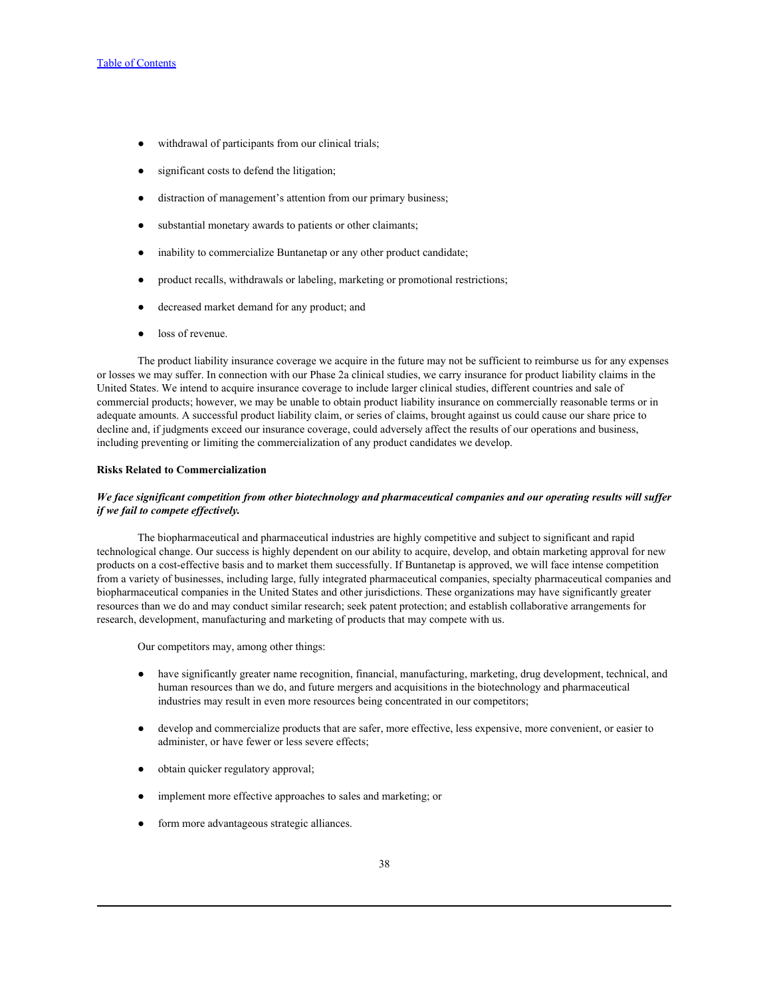- withdrawal of participants from our clinical trials;
- significant costs to defend the litigation;
- distraction of management's attention from our primary business;
- substantial monetary awards to patients or other claimants;
- inability to commercialize Buntanetap or any other product candidate;
- product recalls, withdrawals or labeling, marketing or promotional restrictions;
- decreased market demand for any product; and
- loss of revenue.

The product liability insurance coverage we acquire in the future may not be sufficient to reimburse us for any expenses or losses we may suffer. In connection with our Phase 2a clinical studies, we carry insurance for product liability claims in the United States. We intend to acquire insurance coverage to include larger clinical studies, different countries and sale of commercial products; however, we may be unable to obtain product liability insurance on commercially reasonable terms or in adequate amounts. A successful product liability claim, or series of claims, brought against us could cause our share price to decline and, if judgments exceed our insurance coverage, could adversely affect the results of our operations and business, including preventing or limiting the commercialization of any product candidates we develop.

## **Risks Related to Commercialization**

# *We face significant competition from other biotechnology and pharmaceutical companies and our operating results will suffer if we fail to compete effectively.*

The biopharmaceutical and pharmaceutical industries are highly competitive and subject to significant and rapid technological change. Our success is highly dependent on our ability to acquire, develop, and obtain marketing approval for new products on a cost-effective basis and to market them successfully. If Buntanetap is approved, we will face intense competition from a variety of businesses, including large, fully integrated pharmaceutical companies, specialty pharmaceutical companies and biopharmaceutical companies in the United States and other jurisdictions. These organizations may have significantly greater resources than we do and may conduct similar research; seek patent protection; and establish collaborative arrangements for research, development, manufacturing and marketing of products that may compete with us.

Our competitors may, among other things:

- have significantly greater name recognition, financial, manufacturing, marketing, drug development, technical, and human resources than we do, and future mergers and acquisitions in the biotechnology and pharmaceutical industries may result in even more resources being concentrated in our competitors;
- develop and commercialize products that are safer, more effective, less expensive, more convenient, or easier to administer, or have fewer or less severe effects;
- obtain quicker regulatory approval;
- implement more effective approaches to sales and marketing; or
- form more advantageous strategic alliances.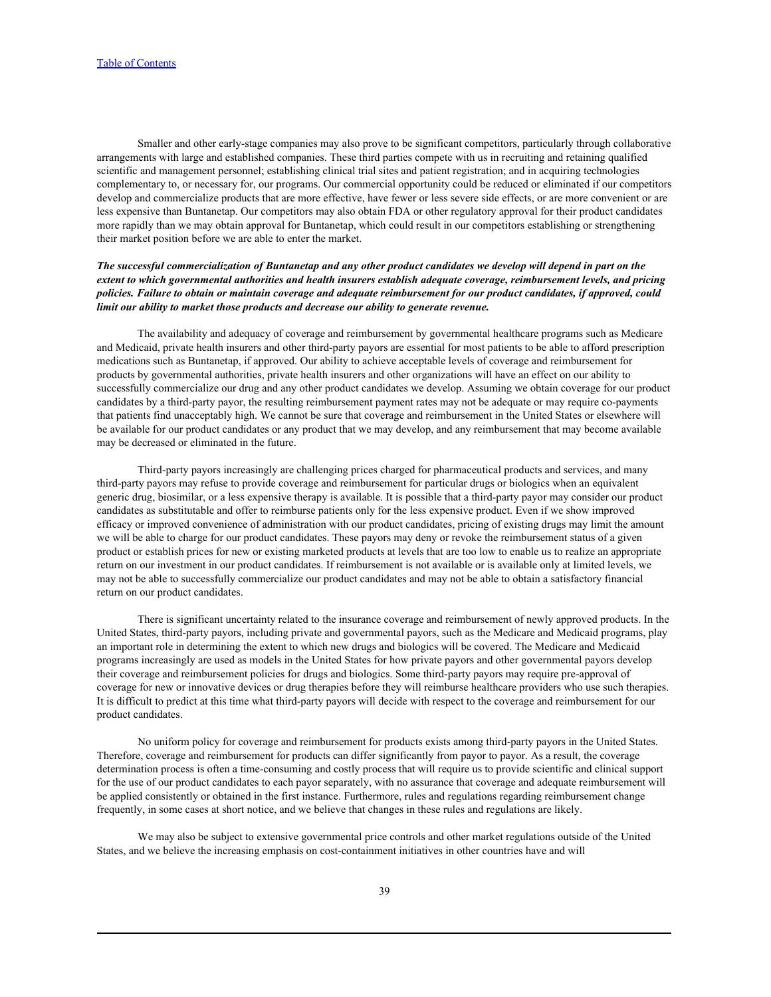Smaller and other early-stage companies may also prove to be significant competitors, particularly through collaborative arrangements with large and established companies. These third parties compete with us in recruiting and retaining qualified scientific and management personnel; establishing clinical trial sites and patient registration; and in acquiring technologies complementary to, or necessary for, our programs. Our commercial opportunity could be reduced or eliminated if our competitors develop and commercialize products that are more effective, have fewer or less severe side effects, or are more convenient or are less expensive than Buntanetap. Our competitors may also obtain FDA or other regulatory approval for their product candidates more rapidly than we may obtain approval for Buntanetap, which could result in our competitors establishing or strengthening their market position before we are able to enter the market.

# *The successful commercialization of Buntanetap and any other product candidates we develop will depend in part on the extent to which governmental authorities and health insurers establish adequate coverage, reimbursement levels, and pricing policies. Failure to obtain or maintain coverage and adequate reimbursement for our product candidates, if approved, could limit our ability to market those products and decrease our ability to generate revenue.*

The availability and adequacy of coverage and reimbursement by governmental healthcare programs such as Medicare and Medicaid, private health insurers and other third-party payors are essential for most patients to be able to afford prescription medications such as Buntanetap, if approved. Our ability to achieve acceptable levels of coverage and reimbursement for products by governmental authorities, private health insurers and other organizations will have an effect on our ability to successfully commercialize our drug and any other product candidates we develop. Assuming we obtain coverage for our product candidates by a third-party payor, the resulting reimbursement payment rates may not be adequate or may require co-payments that patients find unacceptably high. We cannot be sure that coverage and reimbursement in the United States or elsewhere will be available for our product candidates or any product that we may develop, and any reimbursement that may become available may be decreased or eliminated in the future.

Third-party payors increasingly are challenging prices charged for pharmaceutical products and services, and many third-party payors may refuse to provide coverage and reimbursement for particular drugs or biologics when an equivalent generic drug, biosimilar, or a less expensive therapy is available. It is possible that a third-party payor may consider our product candidates as substitutable and offer to reimburse patients only for the less expensive product. Even if we show improved efficacy or improved convenience of administration with our product candidates, pricing of existing drugs may limit the amount we will be able to charge for our product candidates. These payors may deny or revoke the reimbursement status of a given product or establish prices for new or existing marketed products at levels that are too low to enable us to realize an appropriate return on our investment in our product candidates. If reimbursement is not available or is available only at limited levels, we may not be able to successfully commercialize our product candidates and may not be able to obtain a satisfactory financial return on our product candidates.

There is significant uncertainty related to the insurance coverage and reimbursement of newly approved products. In the United States, third-party payors, including private and governmental payors, such as the Medicare and Medicaid programs, play an important role in determining the extent to which new drugs and biologics will be covered. The Medicare and Medicaid programs increasingly are used as models in the United States for how private payors and other governmental payors develop their coverage and reimbursement policies for drugs and biologics. Some third-party payors may require pre-approval of coverage for new or innovative devices or drug therapies before they will reimburse healthcare providers who use such therapies. It is difficult to predict at this time what third-party payors will decide with respect to the coverage and reimbursement for our product candidates.

No uniform policy for coverage and reimbursement for products exists among third-party payors in the United States. Therefore, coverage and reimbursement for products can differ significantly from payor to payor. As a result, the coverage determination process is often a time-consuming and costly process that will require us to provide scientific and clinical support for the use of our product candidates to each payor separately, with no assurance that coverage and adequate reimbursement will be applied consistently or obtained in the first instance. Furthermore, rules and regulations regarding reimbursement change frequently, in some cases at short notice, and we believe that changes in these rules and regulations are likely.

We may also be subject to extensive governmental price controls and other market regulations outside of the United States, and we believe the increasing emphasis on cost-containment initiatives in other countries have and will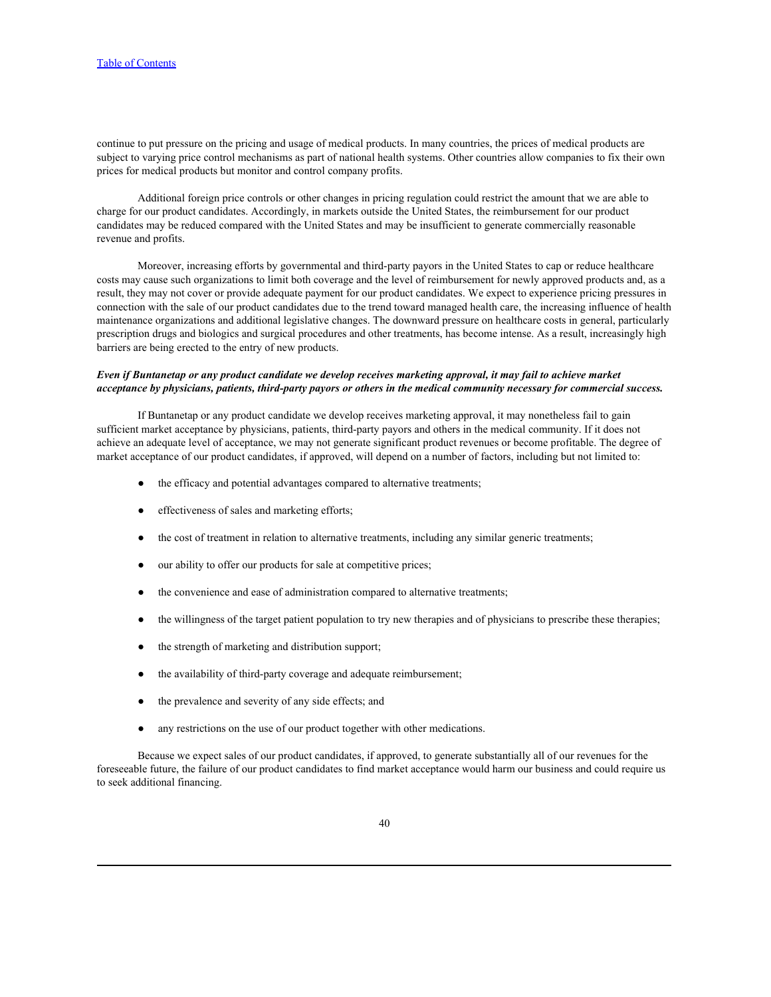continue to put pressure on the pricing and usage of medical products. In many countries, the prices of medical products are subject to varying price control mechanisms as part of national health systems. Other countries allow companies to fix their own prices for medical products but monitor and control company profits.

Additional foreign price controls or other changes in pricing regulation could restrict the amount that we are able to charge for our product candidates. Accordingly, in markets outside the United States, the reimbursement for our product candidates may be reduced compared with the United States and may be insufficient to generate commercially reasonable revenue and profits.

Moreover, increasing efforts by governmental and third-party payors in the United States to cap or reduce healthcare costs may cause such organizations to limit both coverage and the level of reimbursement for newly approved products and, as a result, they may not cover or provide adequate payment for our product candidates. We expect to experience pricing pressures in connection with the sale of our product candidates due to the trend toward managed health care, the increasing influence of health maintenance organizations and additional legislative changes. The downward pressure on healthcare costs in general, particularly prescription drugs and biologics and surgical procedures and other treatments, has become intense. As a result, increasingly high barriers are being erected to the entry of new products.

## *Even if Buntanetap or any product candidate we develop receives marketing approval, it may fail to achieve market acceptance by physicians, patients, third-party payors or others in the medical community necessary for commercial success.*

If Buntanetap or any product candidate we develop receives marketing approval, it may nonetheless fail to gain sufficient market acceptance by physicians, patients, third-party payors and others in the medical community. If it does not achieve an adequate level of acceptance, we may not generate significant product revenues or become profitable. The degree of market acceptance of our product candidates, if approved, will depend on a number of factors, including but not limited to:

- the efficacy and potential advantages compared to alternative treatments;
- effectiveness of sales and marketing efforts;
- the cost of treatment in relation to alternative treatments, including any similar generic treatments;
- our ability to offer our products for sale at competitive prices;
- the convenience and ease of administration compared to alternative treatments;
- the willingness of the target patient population to try new therapies and of physicians to prescribe these therapies;
- the strength of marketing and distribution support;
- the availability of third-party coverage and adequate reimbursement;
- the prevalence and severity of any side effects; and
- any restrictions on the use of our product together with other medications.

Because we expect sales of our product candidates, if approved, to generate substantially all of our revenues for the foreseeable future, the failure of our product candidates to find market acceptance would harm our business and could require us to seek additional financing.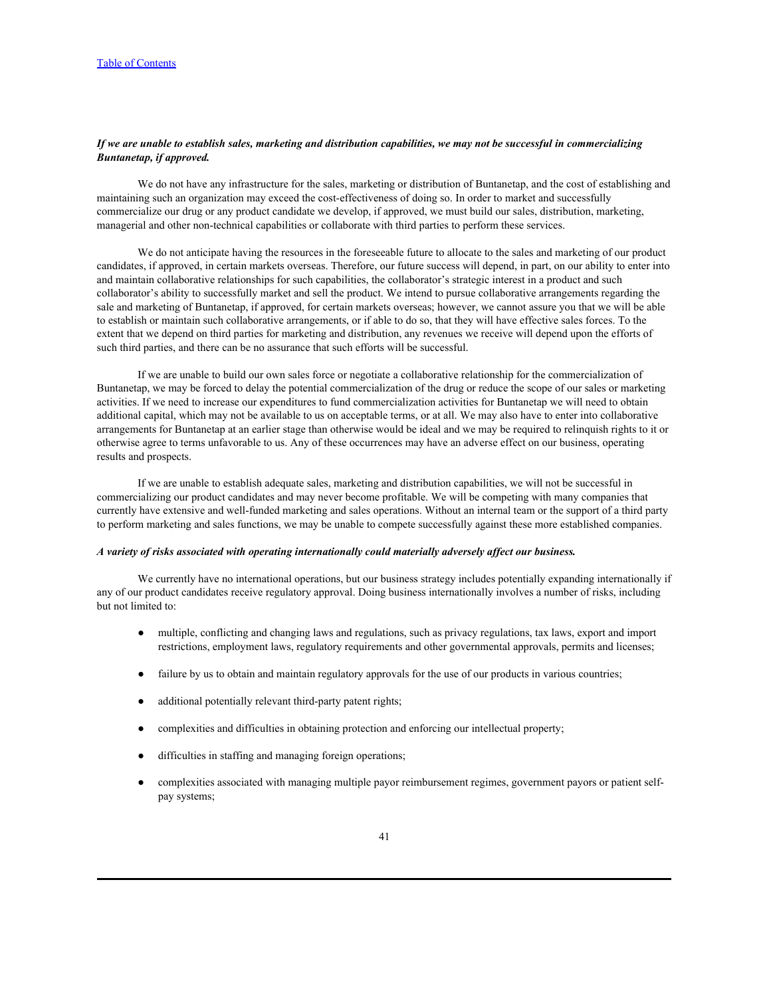# *If we are unable to establish sales, marketing and distribution capabilities, we may not be successful in commercializing Buntanetap, if approved.*

We do not have any infrastructure for the sales, marketing or distribution of Buntanetap, and the cost of establishing and maintaining such an organization may exceed the cost-effectiveness of doing so. In order to market and successfully commercialize our drug or any product candidate we develop, if approved, we must build our sales, distribution, marketing, managerial and other non-technical capabilities or collaborate with third parties to perform these services.

We do not anticipate having the resources in the foreseeable future to allocate to the sales and marketing of our product candidates, if approved, in certain markets overseas. Therefore, our future success will depend, in part, on our ability to enter into and maintain collaborative relationships for such capabilities, the collaborator's strategic interest in a product and such collaborator's ability to successfully market and sell the product. We intend to pursue collaborative arrangements regarding the sale and marketing of Buntanetap, if approved, for certain markets overseas; however, we cannot assure you that we will be able to establish or maintain such collaborative arrangements, or if able to do so, that they will have effective sales forces. To the extent that we depend on third parties for marketing and distribution, any revenues we receive will depend upon the efforts of such third parties, and there can be no assurance that such efforts will be successful.

If we are unable to build our own sales force or negotiate a collaborative relationship for the commercialization of Buntanetap, we may be forced to delay the potential commercialization of the drug or reduce the scope of our sales or marketing activities. If we need to increase our expenditures to fund commercialization activities for Buntanetap we will need to obtain additional capital, which may not be available to us on acceptable terms, or at all. We may also have to enter into collaborative arrangements for Buntanetap at an earlier stage than otherwise would be ideal and we may be required to relinquish rights to it or otherwise agree to terms unfavorable to us. Any of these occurrences may have an adverse effect on our business, operating results and prospects.

If we are unable to establish adequate sales, marketing and distribution capabilities, we will not be successful in commercializing our product candidates and may never become profitable. We will be competing with many companies that currently have extensive and well-funded marketing and sales operations. Without an internal team or the support of a third party to perform marketing and sales functions, we may be unable to compete successfully against these more established companies.

### *A variety of risks associated with operating internationally could materially adversely affect our business.*

We currently have no international operations, but our business strategy includes potentially expanding internationally if any of our product candidates receive regulatory approval. Doing business internationally involves a number of risks, including but not limited to:

- multiple, conflicting and changing laws and regulations, such as privacy regulations, tax laws, export and import restrictions, employment laws, regulatory requirements and other governmental approvals, permits and licenses;
- failure by us to obtain and maintain regulatory approvals for the use of our products in various countries;
- additional potentially relevant third-party patent rights;
- complexities and difficulties in obtaining protection and enforcing our intellectual property;
- difficulties in staffing and managing foreign operations;
- complexities associated with managing multiple payor reimbursement regimes, government payors or patient selfpay systems;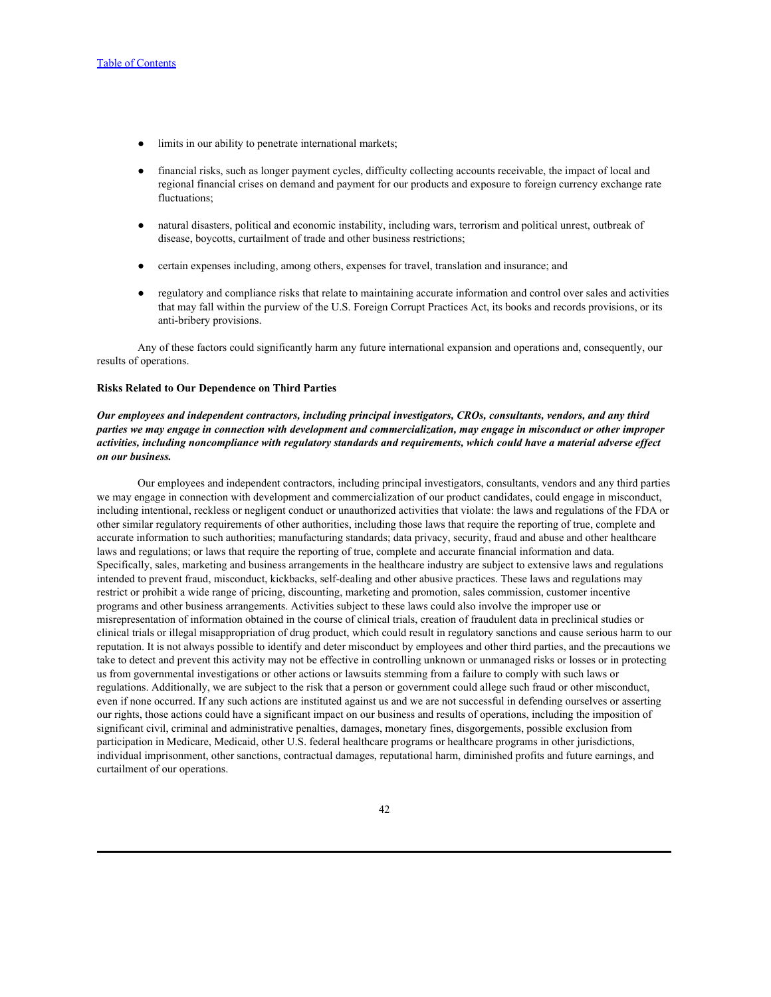- limits in our ability to penetrate international markets;
- financial risks, such as longer payment cycles, difficulty collecting accounts receivable, the impact of local and regional financial crises on demand and payment for our products and exposure to foreign currency exchange rate fluctuations;
- natural disasters, political and economic instability, including wars, terrorism and political unrest, outbreak of disease, boycotts, curtailment of trade and other business restrictions;
- certain expenses including, among others, expenses for travel, translation and insurance; and
- regulatory and compliance risks that relate to maintaining accurate information and control over sales and activities that may fall within the purview of the U.S. Foreign Corrupt Practices Act, its books and records provisions, or its anti-bribery provisions.

Any of these factors could significantly harm any future international expansion and operations and, consequently, our results of operations.

### **Risks Related to Our Dependence on Third Parties**

# *Our employees and independent contractors, including principal investigators, CROs, consultants, vendors, and any third parties we may engage in connection with development and commercialization, may engage in misconduct or other improper activities, including noncompliance with regulatory standards and requirements, which could have a material adverse effect on our business.*

Our employees and independent contractors, including principal investigators, consultants, vendors and any third parties we may engage in connection with development and commercialization of our product candidates, could engage in misconduct, including intentional, reckless or negligent conduct or unauthorized activities that violate: the laws and regulations of the FDA or other similar regulatory requirements of other authorities, including those laws that require the reporting of true, complete and accurate information to such authorities; manufacturing standards; data privacy, security, fraud and abuse and other healthcare laws and regulations; or laws that require the reporting of true, complete and accurate financial information and data. Specifically, sales, marketing and business arrangements in the healthcare industry are subject to extensive laws and regulations intended to prevent fraud, misconduct, kickbacks, self-dealing and other abusive practices. These laws and regulations may restrict or prohibit a wide range of pricing, discounting, marketing and promotion, sales commission, customer incentive programs and other business arrangements. Activities subject to these laws could also involve the improper use or misrepresentation of information obtained in the course of clinical trials, creation of fraudulent data in preclinical studies or clinical trials or illegal misappropriation of drug product, which could result in regulatory sanctions and cause serious harm to our reputation. It is not always possible to identify and deter misconduct by employees and other third parties, and the precautions we take to detect and prevent this activity may not be effective in controlling unknown or unmanaged risks or losses or in protecting us from governmental investigations or other actions or lawsuits stemming from a failure to comply with such laws or regulations. Additionally, we are subject to the risk that a person or government could allege such fraud or other misconduct, even if none occurred. If any such actions are instituted against us and we are not successful in defending ourselves or asserting our rights, those actions could have a significant impact on our business and results of operations, including the imposition of significant civil, criminal and administrative penalties, damages, monetary fines, disgorgements, possible exclusion from participation in Medicare, Medicaid, other U.S. federal healthcare programs or healthcare programs in other jurisdictions, individual imprisonment, other sanctions, contractual damages, reputational harm, diminished profits and future earnings, and curtailment of our operations.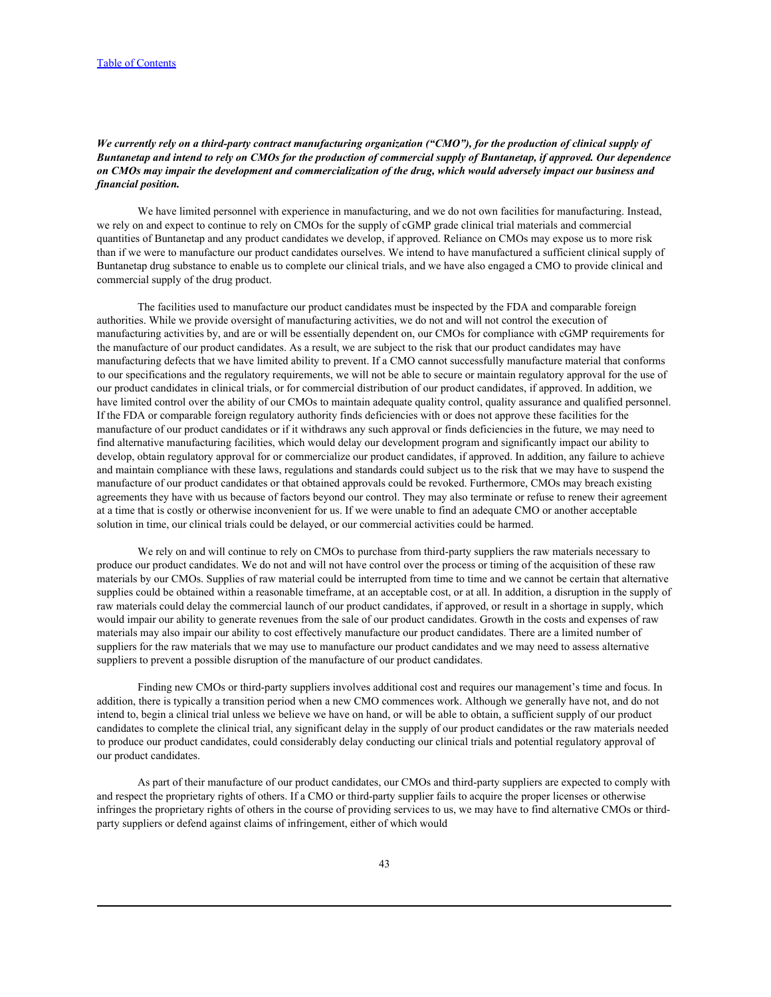# *We currently rely on a third-party contract manufacturing organization ("CMO"), for the production of clinical supply of Buntanetap and intend to rely on CMOs for the production of commercial supply of Buntanetap, if approved. Our dependence on CMOs may impair the development and commercialization of the drug, which would adversely impact our business and financial position.*

We have limited personnel with experience in manufacturing, and we do not own facilities for manufacturing. Instead, we rely on and expect to continue to rely on CMOs for the supply of cGMP grade clinical trial materials and commercial quantities of Buntanetap and any product candidates we develop, if approved. Reliance on CMOs may expose us to more risk than if we were to manufacture our product candidates ourselves. We intend to have manufactured a sufficient clinical supply of Buntanetap drug substance to enable us to complete our clinical trials, and we have also engaged a CMO to provide clinical and commercial supply of the drug product.

The facilities used to manufacture our product candidates must be inspected by the FDA and comparable foreign authorities. While we provide oversight of manufacturing activities, we do not and will not control the execution of manufacturing activities by, and are or will be essentially dependent on, our CMOs for compliance with cGMP requirements for the manufacture of our product candidates. As a result, we are subject to the risk that our product candidates may have manufacturing defects that we have limited ability to prevent. If a CMO cannot successfully manufacture material that conforms to our specifications and the regulatory requirements, we will not be able to secure or maintain regulatory approval for the use of our product candidates in clinical trials, or for commercial distribution of our product candidates, if approved. In addition, we have limited control over the ability of our CMOs to maintain adequate quality control, quality assurance and qualified personnel. If the FDA or comparable foreign regulatory authority finds deficiencies with or does not approve these facilities for the manufacture of our product candidates or if it withdraws any such approval or finds deficiencies in the future, we may need to find alternative manufacturing facilities, which would delay our development program and significantly impact our ability to develop, obtain regulatory approval for or commercialize our product candidates, if approved. In addition, any failure to achieve and maintain compliance with these laws, regulations and standards could subject us to the risk that we may have to suspend the manufacture of our product candidates or that obtained approvals could be revoked. Furthermore, CMOs may breach existing agreements they have with us because of factors beyond our control. They may also terminate or refuse to renew their agreement at a time that is costly or otherwise inconvenient for us. If we were unable to find an adequate CMO or another acceptable solution in time, our clinical trials could be delayed, or our commercial activities could be harmed.

We rely on and will continue to rely on CMOs to purchase from third-party suppliers the raw materials necessary to produce our product candidates. We do not and will not have control over the process or timing of the acquisition of these raw materials by our CMOs. Supplies of raw material could be interrupted from time to time and we cannot be certain that alternative supplies could be obtained within a reasonable timeframe, at an acceptable cost, or at all. In addition, a disruption in the supply of raw materials could delay the commercial launch of our product candidates, if approved, or result in a shortage in supply, which would impair our ability to generate revenues from the sale of our product candidates. Growth in the costs and expenses of raw materials may also impair our ability to cost effectively manufacture our product candidates. There are a limited number of suppliers for the raw materials that we may use to manufacture our product candidates and we may need to assess alternative suppliers to prevent a possible disruption of the manufacture of our product candidates.

Finding new CMOs or third-party suppliers involves additional cost and requires our management's time and focus. In addition, there is typically a transition period when a new CMO commences work. Although we generally have not, and do not intend to, begin a clinical trial unless we believe we have on hand, or will be able to obtain, a sufficient supply of our product candidates to complete the clinical trial, any significant delay in the supply of our product candidates or the raw materials needed to produce our product candidates, could considerably delay conducting our clinical trials and potential regulatory approval of our product candidates.

As part of their manufacture of our product candidates, our CMOs and third-party suppliers are expected to comply with and respect the proprietary rights of others. If a CMO or third-party supplier fails to acquire the proper licenses or otherwise infringes the proprietary rights of others in the course of providing services to us, we may have to find alternative CMOs or thirdparty suppliers or defend against claims of infringement, either of which would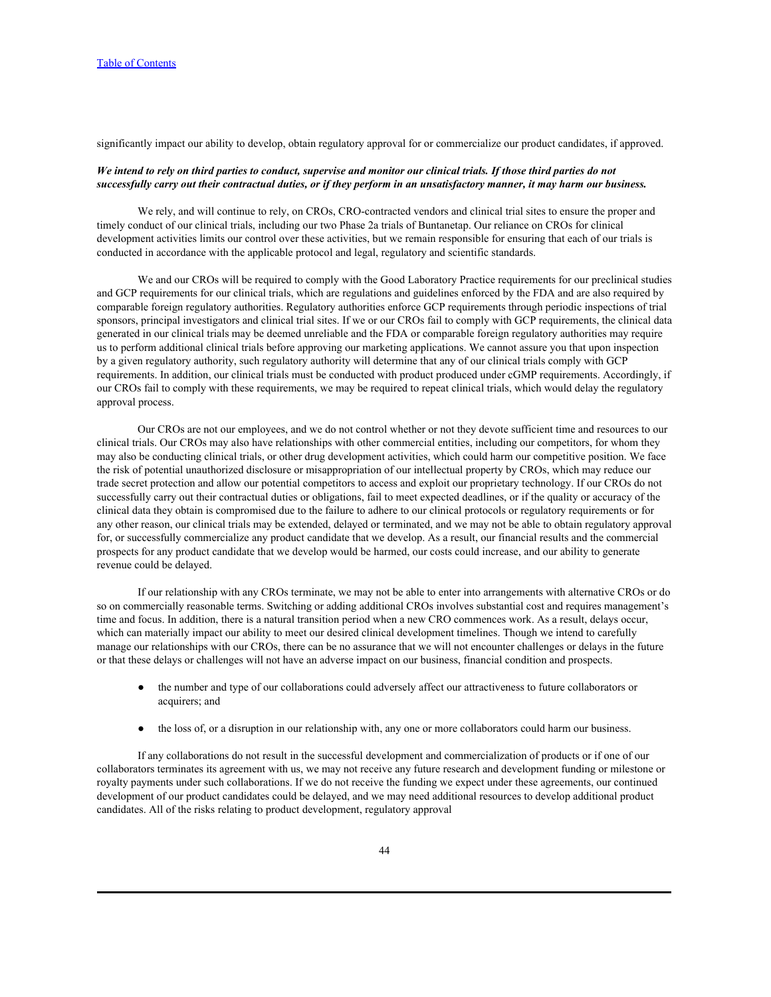significantly impact our ability to develop, obtain regulatory approval for or commercialize our product candidates, if approved.

### *We intend to rely on third parties to conduct, supervise and monitor our clinical trials. If those third parties do not successfully carry out their contractual duties, or if they perform in an unsatisfactory manner, it may harm our business.*

We rely, and will continue to rely, on CROs, CRO-contracted vendors and clinical trial sites to ensure the proper and timely conduct of our clinical trials, including our two Phase 2a trials of Buntanetap. Our reliance on CROs for clinical development activities limits our control over these activities, but we remain responsible for ensuring that each of our trials is conducted in accordance with the applicable protocol and legal, regulatory and scientific standards.

We and our CROs will be required to comply with the Good Laboratory Practice requirements for our preclinical studies and GCP requirements for our clinical trials, which are regulations and guidelines enforced by the FDA and are also required by comparable foreign regulatory authorities. Regulatory authorities enforce GCP requirements through periodic inspections of trial sponsors, principal investigators and clinical trial sites. If we or our CROs fail to comply with GCP requirements, the clinical data generated in our clinical trials may be deemed unreliable and the FDA or comparable foreign regulatory authorities may require us to perform additional clinical trials before approving our marketing applications. We cannot assure you that upon inspection by a given regulatory authority, such regulatory authority will determine that any of our clinical trials comply with GCP requirements. In addition, our clinical trials must be conducted with product produced under cGMP requirements. Accordingly, if our CROs fail to comply with these requirements, we may be required to repeat clinical trials, which would delay the regulatory approval process.

Our CROs are not our employees, and we do not control whether or not they devote sufficient time and resources to our clinical trials. Our CROs may also have relationships with other commercial entities, including our competitors, for whom they may also be conducting clinical trials, or other drug development activities, which could harm our competitive position. We face the risk of potential unauthorized disclosure or misappropriation of our intellectual property by CROs, which may reduce our trade secret protection and allow our potential competitors to access and exploit our proprietary technology. If our CROs do not successfully carry out their contractual duties or obligations, fail to meet expected deadlines, or if the quality or accuracy of the clinical data they obtain is compromised due to the failure to adhere to our clinical protocols or regulatory requirements or for any other reason, our clinical trials may be extended, delayed or terminated, and we may not be able to obtain regulatory approval for, or successfully commercialize any product candidate that we develop. As a result, our financial results and the commercial prospects for any product candidate that we develop would be harmed, our costs could increase, and our ability to generate revenue could be delayed.

If our relationship with any CROs terminate, we may not be able to enter into arrangements with alternative CROs or do so on commercially reasonable terms. Switching or adding additional CROs involves substantial cost and requires management's time and focus. In addition, there is a natural transition period when a new CRO commences work. As a result, delays occur, which can materially impact our ability to meet our desired clinical development timelines. Though we intend to carefully manage our relationships with our CROs, there can be no assurance that we will not encounter challenges or delays in the future or that these delays or challenges will not have an adverse impact on our business, financial condition and prospects.

- the number and type of our collaborations could adversely affect our attractiveness to future collaborators or acquirers; and
- the loss of, or a disruption in our relationship with, any one or more collaborators could harm our business.

If any collaborations do not result in the successful development and commercialization of products or if one of our collaborators terminates its agreement with us, we may not receive any future research and development funding or milestone or royalty payments under such collaborations. If we do not receive the funding we expect under these agreements, our continued development of our product candidates could be delayed, and we may need additional resources to develop additional product candidates. All of the risks relating to product development, regulatory approval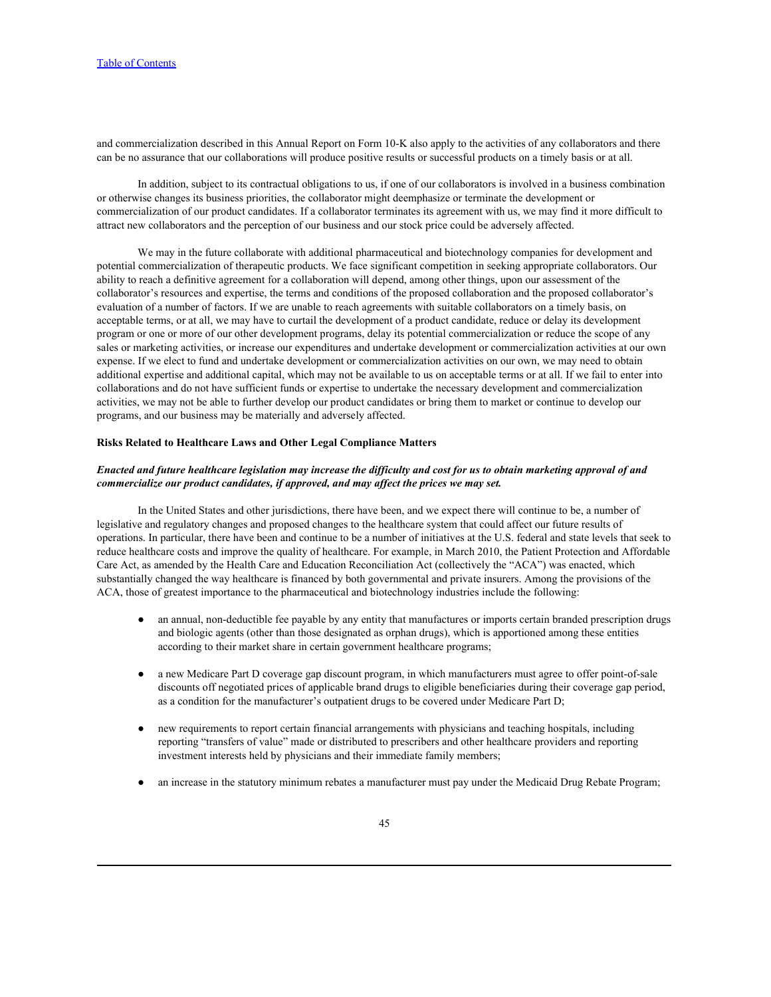and commercialization described in this Annual Report on Form 10-K also apply to the activities of any collaborators and there can be no assurance that our collaborations will produce positive results or successful products on a timely basis or at all.

In addition, subject to its contractual obligations to us, if one of our collaborators is involved in a business combination or otherwise changes its business priorities, the collaborator might deemphasize or terminate the development or commercialization of our product candidates. If a collaborator terminates its agreement with us, we may find it more difficult to attract new collaborators and the perception of our business and our stock price could be adversely affected.

We may in the future collaborate with additional pharmaceutical and biotechnology companies for development and potential commercialization of therapeutic products. We face significant competition in seeking appropriate collaborators. Our ability to reach a definitive agreement for a collaboration will depend, among other things, upon our assessment of the collaborator's resources and expertise, the terms and conditions of the proposed collaboration and the proposed collaborator's evaluation of a number of factors. If we are unable to reach agreements with suitable collaborators on a timely basis, on acceptable terms, or at all, we may have to curtail the development of a product candidate, reduce or delay its development program or one or more of our other development programs, delay its potential commercialization or reduce the scope of any sales or marketing activities, or increase our expenditures and undertake development or commercialization activities at our own expense. If we elect to fund and undertake development or commercialization activities on our own, we may need to obtain additional expertise and additional capital, which may not be available to us on acceptable terms or at all. If we fail to enter into collaborations and do not have sufficient funds or expertise to undertake the necessary development and commercialization activities, we may not be able to further develop our product candidates or bring them to market or continue to develop our programs, and our business may be materially and adversely affected.

## **Risks Related to Healthcare Laws and Other Legal Compliance Matters**

# *Enacted and future healthcare legislation may increase the difficulty and cost for us to obtain marketing approval of and commercialize our product candidates, if approved, and may affect the prices we may set.*

In the United States and other jurisdictions, there have been, and we expect there will continue to be, a number of legislative and regulatory changes and proposed changes to the healthcare system that could affect our future results of operations. In particular, there have been and continue to be a number of initiatives at the U.S. federal and state levels that seek to reduce healthcare costs and improve the quality of healthcare. For example, in March 2010, the Patient Protection and Affordable Care Act, as amended by the Health Care and Education Reconciliation Act (collectively the "ACA") was enacted, which substantially changed the way healthcare is financed by both governmental and private insurers. Among the provisions of the ACA, those of greatest importance to the pharmaceutical and biotechnology industries include the following:

- an annual, non-deductible fee payable by any entity that manufactures or imports certain branded prescription drugs and biologic agents (other than those designated as orphan drugs), which is apportioned among these entities according to their market share in certain government healthcare programs;
- a new Medicare Part D coverage gap discount program, in which manufacturers must agree to offer point-of-sale discounts off negotiated prices of applicable brand drugs to eligible beneficiaries during their coverage gap period, as a condition for the manufacturer's outpatient drugs to be covered under Medicare Part D;
- new requirements to report certain financial arrangements with physicians and teaching hospitals, including reporting "transfers of value" made or distributed to prescribers and other healthcare providers and reporting investment interests held by physicians and their immediate family members;
- an increase in the statutory minimum rebates a manufacturer must pay under the Medicaid Drug Rebate Program;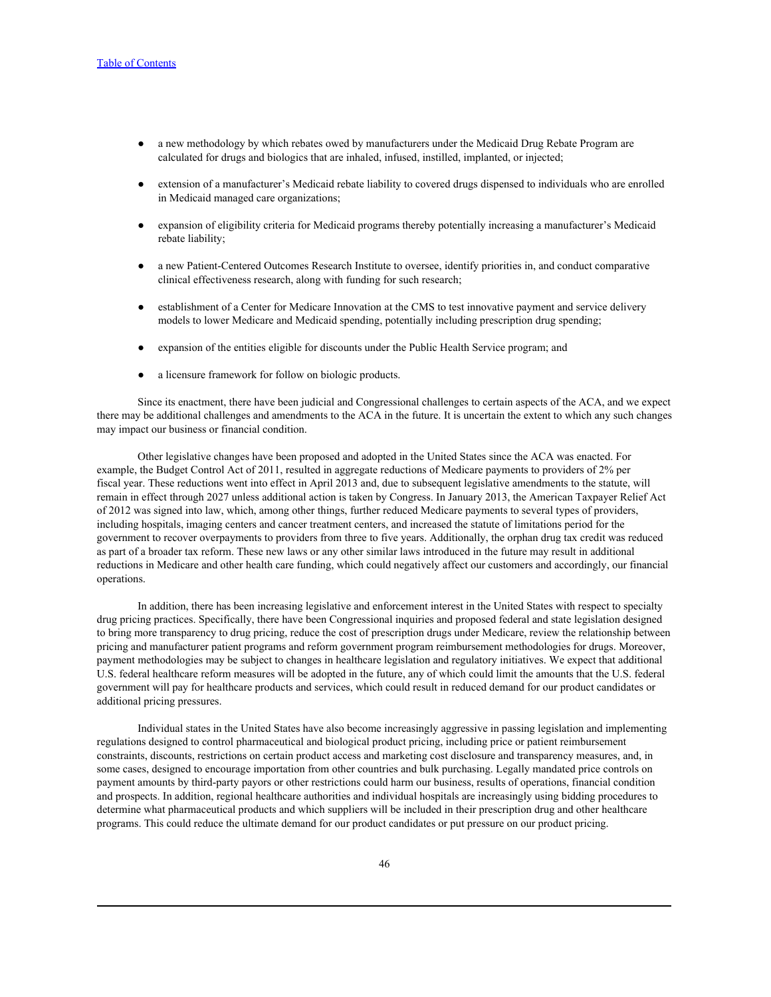- a new methodology by which rebates owed by manufacturers under the Medicaid Drug Rebate Program are calculated for drugs and biologics that are inhaled, infused, instilled, implanted, or injected;
- extension of a manufacturer's Medicaid rebate liability to covered drugs dispensed to individuals who are enrolled in Medicaid managed care organizations;
- expansion of eligibility criteria for Medicaid programs thereby potentially increasing a manufacturer's Medicaid rebate liability;
- a new Patient-Centered Outcomes Research Institute to oversee, identify priorities in, and conduct comparative clinical effectiveness research, along with funding for such research;
- establishment of a Center for Medicare Innovation at the CMS to test innovative payment and service delivery models to lower Medicare and Medicaid spending, potentially including prescription drug spending;
- expansion of the entities eligible for discounts under the Public Health Service program; and
- a licensure framework for follow on biologic products.

Since its enactment, there have been judicial and Congressional challenges to certain aspects of the ACA, and we expect there may be additional challenges and amendments to the ACA in the future. It is uncertain the extent to which any such changes may impact our business or financial condition.

Other legislative changes have been proposed and adopted in the United States since the ACA was enacted. For example, the Budget Control Act of 2011, resulted in aggregate reductions of Medicare payments to providers of 2% per fiscal year. These reductions went into effect in April 2013 and, due to subsequent legislative amendments to the statute, will remain in effect through 2027 unless additional action is taken by Congress. In January 2013, the American Taxpayer Relief Act of 2012 was signed into law, which, among other things, further reduced Medicare payments to several types of providers, including hospitals, imaging centers and cancer treatment centers, and increased the statute of limitations period for the government to recover overpayments to providers from three to five years. Additionally, the orphan drug tax credit was reduced as part of a broader tax reform. These new laws or any other similar laws introduced in the future may result in additional reductions in Medicare and other health care funding, which could negatively affect our customers and accordingly, our financial operations.

In addition, there has been increasing legislative and enforcement interest in the United States with respect to specialty drug pricing practices. Specifically, there have been Congressional inquiries and proposed federal and state legislation designed to bring more transparency to drug pricing, reduce the cost of prescription drugs under Medicare, review the relationship between pricing and manufacturer patient programs and reform government program reimbursement methodologies for drugs. Moreover, payment methodologies may be subject to changes in healthcare legislation and regulatory initiatives. We expect that additional U.S. federal healthcare reform measures will be adopted in the future, any of which could limit the amounts that the U.S. federal government will pay for healthcare products and services, which could result in reduced demand for our product candidates or additional pricing pressures.

Individual states in the United States have also become increasingly aggressive in passing legislation and implementing regulations designed to control pharmaceutical and biological product pricing, including price or patient reimbursement constraints, discounts, restrictions on certain product access and marketing cost disclosure and transparency measures, and, in some cases, designed to encourage importation from other countries and bulk purchasing. Legally mandated price controls on payment amounts by third-party payors or other restrictions could harm our business, results of operations, financial condition and prospects. In addition, regional healthcare authorities and individual hospitals are increasingly using bidding procedures to determine what pharmaceutical products and which suppliers will be included in their prescription drug and other healthcare programs. This could reduce the ultimate demand for our product candidates or put pressure on our product pricing.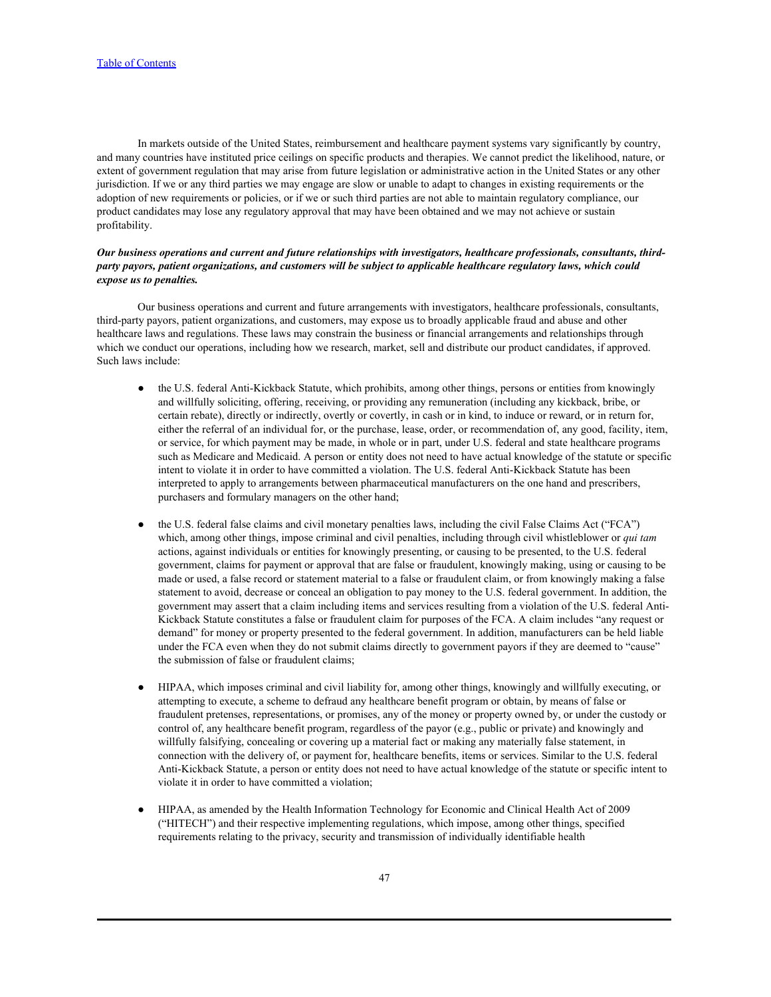In markets outside of the United States, reimbursement and healthcare payment systems vary significantly by country, and many countries have instituted price ceilings on specific products and therapies. We cannot predict the likelihood, nature, or extent of government regulation that may arise from future legislation or administrative action in the United States or any other jurisdiction. If we or any third parties we may engage are slow or unable to adapt to changes in existing requirements or the adoption of new requirements or policies, or if we or such third parties are not able to maintain regulatory compliance, our product candidates may lose any regulatory approval that may have been obtained and we may not achieve or sustain profitability.

# *Our business operations and current and future relationships with investigators, healthcare professionals, consultants, thirdparty payors, patient organizations, and customers will be subject to applicable healthcare regulatory laws, which could expose us to penalties.*

Our business operations and current and future arrangements with investigators, healthcare professionals, consultants, third-party payors, patient organizations, and customers, may expose us to broadly applicable fraud and abuse and other healthcare laws and regulations. These laws may constrain the business or financial arrangements and relationships through which we conduct our operations, including how we research, market, sell and distribute our product candidates, if approved. Such laws include:

- the U.S. federal Anti-Kickback Statute, which prohibits, among other things, persons or entities from knowingly and willfully soliciting, offering, receiving, or providing any remuneration (including any kickback, bribe, or certain rebate), directly or indirectly, overtly or covertly, in cash or in kind, to induce or reward, or in return for, either the referral of an individual for, or the purchase, lease, order, or recommendation of, any good, facility, item, or service, for which payment may be made, in whole or in part, under U.S. federal and state healthcare programs such as Medicare and Medicaid. A person or entity does not need to have actual knowledge of the statute or specific intent to violate it in order to have committed a violation. The U.S. federal Anti-Kickback Statute has been interpreted to apply to arrangements between pharmaceutical manufacturers on the one hand and prescribers, purchasers and formulary managers on the other hand;
- the U.S. federal false claims and civil monetary penalties laws, including the civil False Claims Act ("FCA") which, among other things, impose criminal and civil penalties, including through civil whistleblower or *qui tam* actions, against individuals or entities for knowingly presenting, or causing to be presented, to the U.S. federal government, claims for payment or approval that are false or fraudulent, knowingly making, using or causing to be made or used, a false record or statement material to a false or fraudulent claim, or from knowingly making a false statement to avoid, decrease or conceal an obligation to pay money to the U.S. federal government. In addition, the government may assert that a claim including items and services resulting from a violation of the U.S. federal Anti-Kickback Statute constitutes a false or fraudulent claim for purposes of the FCA. A claim includes "any request or demand" for money or property presented to the federal government. In addition, manufacturers can be held liable under the FCA even when they do not submit claims directly to government payors if they are deemed to "cause" the submission of false or fraudulent claims;
- HIPAA, which imposes criminal and civil liability for, among other things, knowingly and willfully executing, or attempting to execute, a scheme to defraud any healthcare benefit program or obtain, by means of false or fraudulent pretenses, representations, or promises, any of the money or property owned by, or under the custody or control of, any healthcare benefit program, regardless of the payor (e.g., public or private) and knowingly and willfully falsifying, concealing or covering up a material fact or making any materially false statement, in connection with the delivery of, or payment for, healthcare benefits, items or services. Similar to the U.S. federal Anti-Kickback Statute, a person or entity does not need to have actual knowledge of the statute or specific intent to violate it in order to have committed a violation;
- HIPAA, as amended by the Health Information Technology for Economic and Clinical Health Act of 2009 ("HITECH") and their respective implementing regulations, which impose, among other things, specified requirements relating to the privacy, security and transmission of individually identifiable health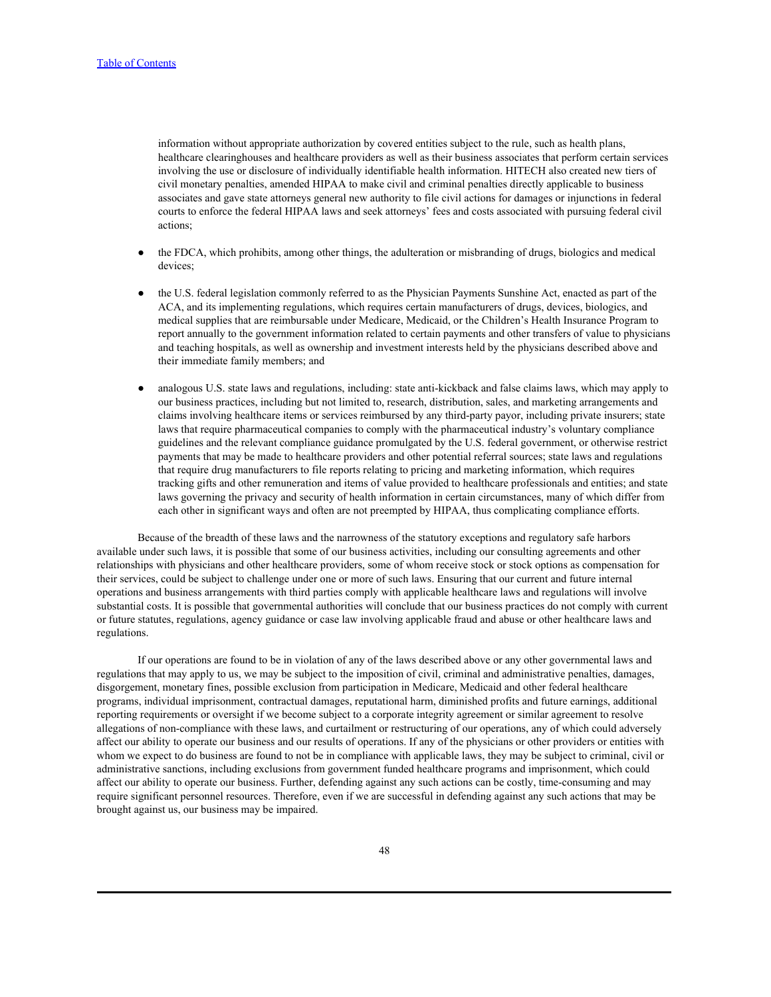information without appropriate authorization by covered entities subject to the rule, such as health plans, healthcare clearinghouses and healthcare providers as well as their business associates that perform certain services involving the use or disclosure of individually identifiable health information. HITECH also created new tiers of civil monetary penalties, amended HIPAA to make civil and criminal penalties directly applicable to business associates and gave state attorneys general new authority to file civil actions for damages or injunctions in federal courts to enforce the federal HIPAA laws and seek attorneys' fees and costs associated with pursuing federal civil actions;

- the FDCA, which prohibits, among other things, the adulteration or misbranding of drugs, biologics and medical devices;
- the U.S. federal legislation commonly referred to as the Physician Payments Sunshine Act, enacted as part of the ACA, and its implementing regulations, which requires certain manufacturers of drugs, devices, biologics, and medical supplies that are reimbursable under Medicare, Medicaid, or the Children's Health Insurance Program to report annually to the government information related to certain payments and other transfers of value to physicians and teaching hospitals, as well as ownership and investment interests held by the physicians described above and their immediate family members; and
- analogous U.S. state laws and regulations, including: state anti-kickback and false claims laws, which may apply to our business practices, including but not limited to, research, distribution, sales, and marketing arrangements and claims involving healthcare items or services reimbursed by any third-party payor, including private insurers; state laws that require pharmaceutical companies to comply with the pharmaceutical industry's voluntary compliance guidelines and the relevant compliance guidance promulgated by the U.S. federal government, or otherwise restrict payments that may be made to healthcare providers and other potential referral sources; state laws and regulations that require drug manufacturers to file reports relating to pricing and marketing information, which requires tracking gifts and other remuneration and items of value provided to healthcare professionals and entities; and state laws governing the privacy and security of health information in certain circumstances, many of which differ from each other in significant ways and often are not preempted by HIPAA, thus complicating compliance efforts.

Because of the breadth of these laws and the narrowness of the statutory exceptions and regulatory safe harbors available under such laws, it is possible that some of our business activities, including our consulting agreements and other relationships with physicians and other healthcare providers, some of whom receive stock or stock options as compensation for their services, could be subject to challenge under one or more of such laws. Ensuring that our current and future internal operations and business arrangements with third parties comply with applicable healthcare laws and regulations will involve substantial costs. It is possible that governmental authorities will conclude that our business practices do not comply with current or future statutes, regulations, agency guidance or case law involving applicable fraud and abuse or other healthcare laws and regulations.

If our operations are found to be in violation of any of the laws described above or any other governmental laws and regulations that may apply to us, we may be subject to the imposition of civil, criminal and administrative penalties, damages, disgorgement, monetary fines, possible exclusion from participation in Medicare, Medicaid and other federal healthcare programs, individual imprisonment, contractual damages, reputational harm, diminished profits and future earnings, additional reporting requirements or oversight if we become subject to a corporate integrity agreement or similar agreement to resolve allegations of non-compliance with these laws, and curtailment or restructuring of our operations, any of which could adversely affect our ability to operate our business and our results of operations. If any of the physicians or other providers or entities with whom we expect to do business are found to not be in compliance with applicable laws, they may be subject to criminal, civil or administrative sanctions, including exclusions from government funded healthcare programs and imprisonment, which could affect our ability to operate our business. Further, defending against any such actions can be costly, time-consuming and may require significant personnel resources. Therefore, even if we are successful in defending against any such actions that may be brought against us, our business may be impaired.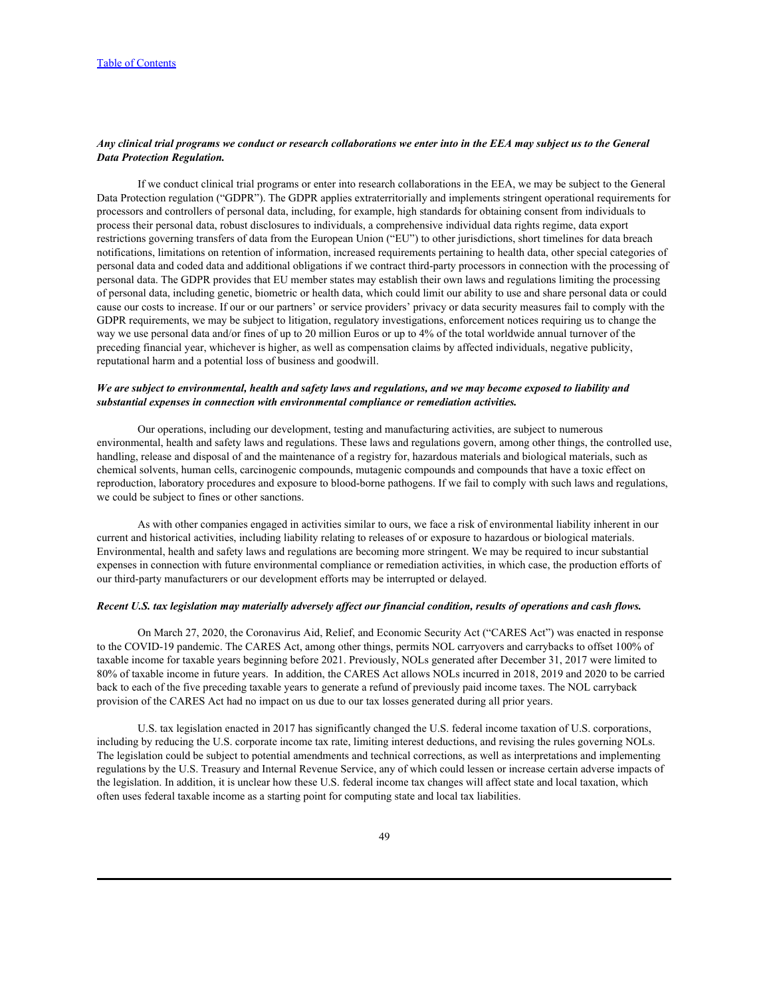# *Any clinical trial programs we conduct or research collaborations we enter into in the EEA may subject us to the General Data Protection Regulation.*

If we conduct clinical trial programs or enter into research collaborations in the EEA, we may be subject to the General Data Protection regulation ("GDPR"). The GDPR applies extraterritorially and implements stringent operational requirements for processors and controllers of personal data, including, for example, high standards for obtaining consent from individuals to process their personal data, robust disclosures to individuals, a comprehensive individual data rights regime, data export restrictions governing transfers of data from the European Union ("EU") to other jurisdictions, short timelines for data breach notifications, limitations on retention of information, increased requirements pertaining to health data, other special categories of personal data and coded data and additional obligations if we contract third-party processors in connection with the processing of personal data. The GDPR provides that EU member states may establish their own laws and regulations limiting the processing of personal data, including genetic, biometric or health data, which could limit our ability to use and share personal data or could cause our costs to increase. If our or our partners' or service providers' privacy or data security measures fail to comply with the GDPR requirements, we may be subject to litigation, regulatory investigations, enforcement notices requiring us to change the way we use personal data and/or fines of up to 20 million Euros or up to 4% of the total worldwide annual turnover of the preceding financial year, whichever is higher, as well as compensation claims by affected individuals, negative publicity, reputational harm and a potential loss of business and goodwill.

# *We are subject to environmental, health and safety laws and regulations, and we may become exposed to liability and substantial expenses in connection with environmental compliance or remediation activities.*

Our operations, including our development, testing and manufacturing activities, are subject to numerous environmental, health and safety laws and regulations. These laws and regulations govern, among other things, the controlled use, handling, release and disposal of and the maintenance of a registry for, hazardous materials and biological materials, such as chemical solvents, human cells, carcinogenic compounds, mutagenic compounds and compounds that have a toxic effect on reproduction, laboratory procedures and exposure to blood-borne pathogens. If we fail to comply with such laws and regulations, we could be subject to fines or other sanctions.

As with other companies engaged in activities similar to ours, we face a risk of environmental liability inherent in our current and historical activities, including liability relating to releases of or exposure to hazardous or biological materials. Environmental, health and safety laws and regulations are becoming more stringent. We may be required to incur substantial expenses in connection with future environmental compliance or remediation activities, in which case, the production efforts of our third-party manufacturers or our development efforts may be interrupted or delayed.

#### *Recent U.S. tax legislation may materially adversely affect our financial condition, results of operations and cash flows.*

On March 27, 2020, the Coronavirus Aid, Relief, and Economic Security Act ("CARES Act") was enacted in response to the COVID-19 pandemic. The CARES Act, among other things, permits NOL carryovers and carrybacks to offset 100% of taxable income for taxable years beginning before 2021. Previously, NOLs generated after December 31, 2017 were limited to 80% of taxable income in future years. In addition, the CARES Act allows NOLs incurred in 2018, 2019 and 2020 to be carried back to each of the five preceding taxable years to generate a refund of previously paid income taxes. The NOL carryback provision of the CARES Act had no impact on us due to our tax losses generated during all prior years.

U.S. tax legislation enacted in 2017 has significantly changed the U.S. federal income taxation of U.S. corporations, including by reducing the U.S. corporate income tax rate, limiting interest deductions, and revising the rules governing NOLs. The legislation could be subject to potential amendments and technical corrections, as well as interpretations and implementing regulations by the U.S. Treasury and Internal Revenue Service, any of which could lessen or increase certain adverse impacts of the legislation. In addition, it is unclear how these U.S. federal income tax changes will affect state and local taxation, which often uses federal taxable income as a starting point for computing state and local tax liabilities.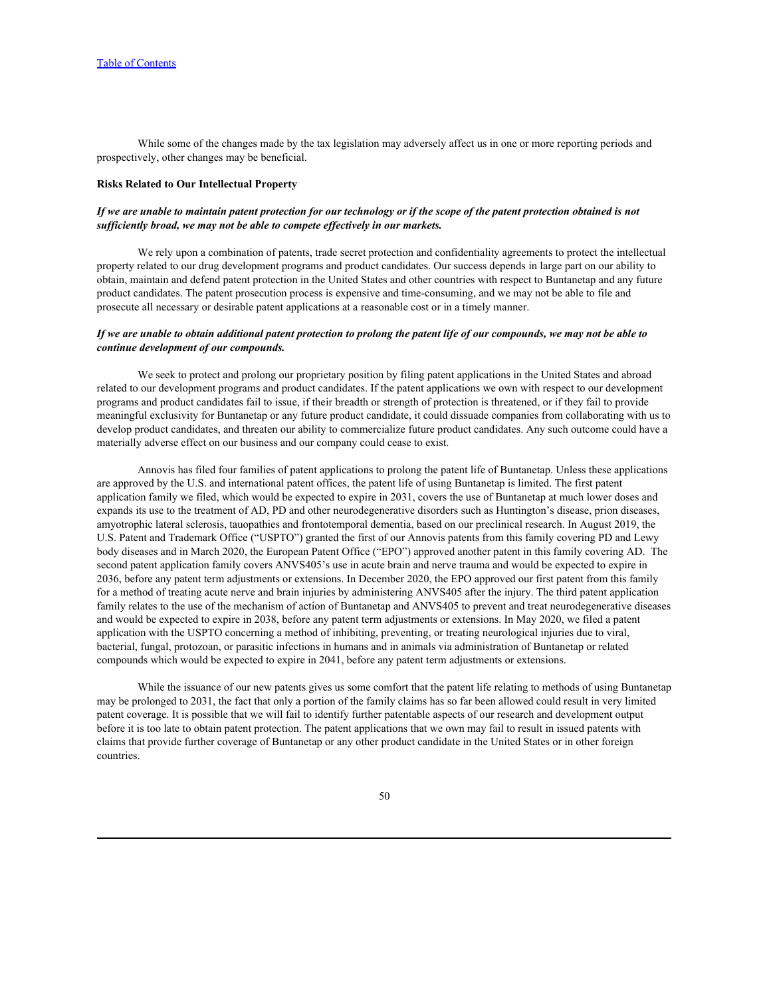While some of the changes made by the tax legislation may adversely affect us in one or more reporting periods and prospectively, other changes may be beneficial.

### **Risks Related to Our Intellectual Property**

## *If we are unable to maintain patent protection for our technology or if the scope of the patent protection obtained is not sufficiently broad, we may not be able to compete effectively in our markets.*

We rely upon a combination of patents, trade secret protection and confidentiality agreements to protect the intellectual property related to our drug development programs and product candidates. Our success depends in large part on our ability to obtain, maintain and defend patent protection in the United States and other countries with respect to Buntanetap and any future product candidates. The patent prosecution process is expensive and time-consuming, and we may not be able to file and prosecute all necessary or desirable patent applications at a reasonable cost or in a timely manner.

### *If we are unable to obtain additional patent protection to prolong the patent life of our compounds, we may not be able to continue development of our compounds.*

We seek to protect and prolong our proprietary position by filing patent applications in the United States and abroad related to our development programs and product candidates. If the patent applications we own with respect to our development programs and product candidates fail to issue, if their breadth or strength of protection is threatened, or if they fail to provide meaningful exclusivity for Buntanetap or any future product candidate, it could dissuade companies from collaborating with us to develop product candidates, and threaten our ability to commercialize future product candidates. Any such outcome could have a materially adverse effect on our business and our company could cease to exist.

Annovis has filed four families of patent applications to prolong the patent life of Buntanetap. Unless these applications are approved by the U.S. and international patent offices, the patent life of using Buntanetap is limited. The first patent application family we filed, which would be expected to expire in 2031, covers the use of Buntanetap at much lower doses and expands its use to the treatment of AD, PD and other neurodegenerative disorders such as Huntington's disease, prion diseases, amyotrophic lateral sclerosis, tauopathies and frontotemporal dementia, based on our preclinical research. In August 2019, the U.S. Patent and Trademark Office ("USPTO") granted the first of our Annovis patents from this family covering PD and Lewy body diseases and in March 2020, the European Patent Office ("EPO") approved another patent in this family covering AD. The second patent application family covers ANVS405's use in acute brain and nerve trauma and would be expected to expire in 2036, before any patent term adjustments or extensions. In December 2020, the EPO approved our first patent from this family for a method of treating acute nerve and brain injuries by administering ANVS405 after the injury. The third patent application family relates to the use of the mechanism of action of Buntanetap and ANVS405 to prevent and treat neurodegenerative diseases and would be expected to expire in 2038, before any patent term adjustments or extensions. In May 2020, we filed a patent application with the USPTO concerning a method of inhibiting, preventing, or treating neurological injuries due to viral, bacterial, fungal, protozoan, or parasitic infections in humans and in animals via administration of Buntanetap or related compounds which would be expected to expire in 2041, before any patent term adjustments or extensions.

While the issuance of our new patents gives us some comfort that the patent life relating to methods of using Buntanetap may be prolonged to 2031, the fact that only a portion of the family claims has so far been allowed could result in very limited patent coverage. It is possible that we will fail to identify further patentable aspects of our research and development output before it is too late to obtain patent protection. The patent applications that we own may fail to result in issued patents with claims that provide further coverage of Buntanetap or any other product candidate in the United States or in other foreign countries.

50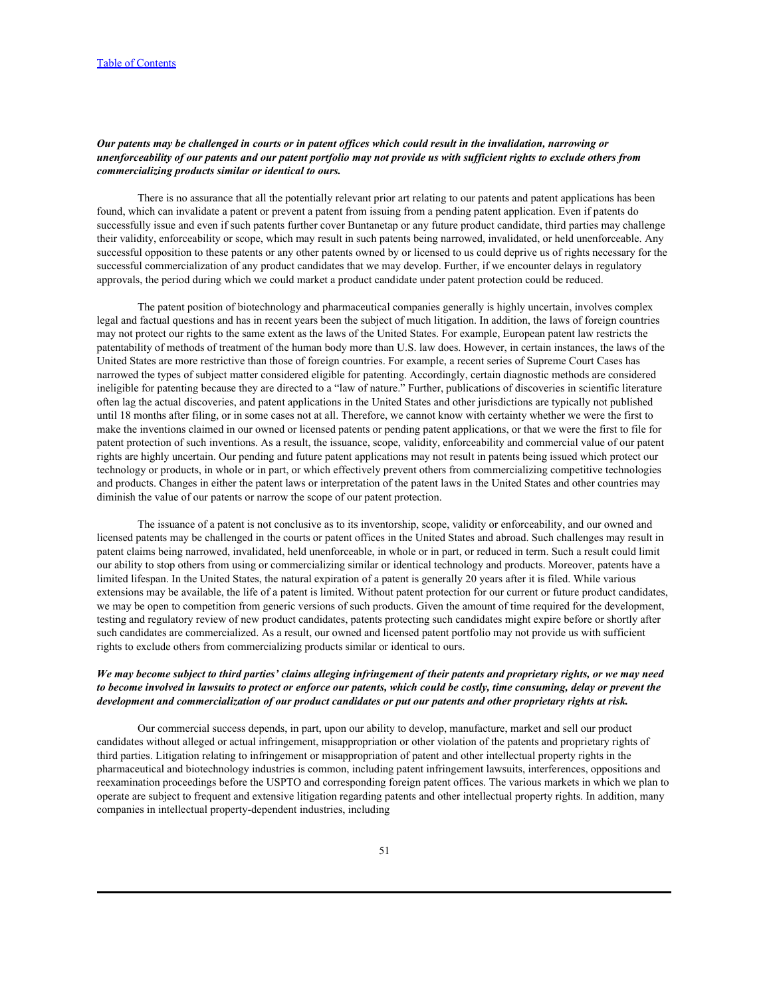# *Our patents may be challenged in courts or in patent offices which could result in the invalidation, narrowing or unenforceability of our patents and our patent portfolio may not provide us with sufficient rights to exclude others from commercializing products similar or identical to ours.*

There is no assurance that all the potentially relevant prior art relating to our patents and patent applications has been found, which can invalidate a patent or prevent a patent from issuing from a pending patent application. Even if patents do successfully issue and even if such patents further cover Buntanetap or any future product candidate, third parties may challenge their validity, enforceability or scope, which may result in such patents being narrowed, invalidated, or held unenforceable. Any successful opposition to these patents or any other patents owned by or licensed to us could deprive us of rights necessary for the successful commercialization of any product candidates that we may develop. Further, if we encounter delays in regulatory approvals, the period during which we could market a product candidate under patent protection could be reduced.

The patent position of biotechnology and pharmaceutical companies generally is highly uncertain, involves complex legal and factual questions and has in recent years been the subject of much litigation. In addition, the laws of foreign countries may not protect our rights to the same extent as the laws of the United States. For example, European patent law restricts the patentability of methods of treatment of the human body more than U.S. law does. However, in certain instances, the laws of the United States are more restrictive than those of foreign countries. For example, a recent series of Supreme Court Cases has narrowed the types of subject matter considered eligible for patenting. Accordingly, certain diagnostic methods are considered ineligible for patenting because they are directed to a "law of nature." Further, publications of discoveries in scientific literature often lag the actual discoveries, and patent applications in the United States and other jurisdictions are typically not published until 18 months after filing, or in some cases not at all. Therefore, we cannot know with certainty whether we were the first to make the inventions claimed in our owned or licensed patents or pending patent applications, or that we were the first to file for patent protection of such inventions. As a result, the issuance, scope, validity, enforceability and commercial value of our patent rights are highly uncertain. Our pending and future patent applications may not result in patents being issued which protect our technology or products, in whole or in part, or which effectively prevent others from commercializing competitive technologies and products. Changes in either the patent laws or interpretation of the patent laws in the United States and other countries may diminish the value of our patents or narrow the scope of our patent protection.

The issuance of a patent is not conclusive as to its inventorship, scope, validity or enforceability, and our owned and licensed patents may be challenged in the courts or patent offices in the United States and abroad. Such challenges may result in patent claims being narrowed, invalidated, held unenforceable, in whole or in part, or reduced in term. Such a result could limit our ability to stop others from using or commercializing similar or identical technology and products. Moreover, patents have a limited lifespan. In the United States, the natural expiration of a patent is generally 20 years after it is filed. While various extensions may be available, the life of a patent is limited. Without patent protection for our current or future product candidates, we may be open to competition from generic versions of such products. Given the amount of time required for the development, testing and regulatory review of new product candidates, patents protecting such candidates might expire before or shortly after such candidates are commercialized. As a result, our owned and licensed patent portfolio may not provide us with sufficient rights to exclude others from commercializing products similar or identical to ours.

# *We may become subject to third parties' claims alleging infringement of their patents and proprietary rights, or we may need to become involved in lawsuits to protect or enforce our patents, which could be costly, time consuming, delay or prevent the development and commercialization of our product candidates or put our patents and other proprietary rights at risk.*

Our commercial success depends, in part, upon our ability to develop, manufacture, market and sell our product candidates without alleged or actual infringement, misappropriation or other violation of the patents and proprietary rights of third parties. Litigation relating to infringement or misappropriation of patent and other intellectual property rights in the pharmaceutical and biotechnology industries is common, including patent infringement lawsuits, interferences, oppositions and reexamination proceedings before the USPTO and corresponding foreign patent offices. The various markets in which we plan to operate are subject to frequent and extensive litigation regarding patents and other intellectual property rights. In addition, many companies in intellectual property-dependent industries, including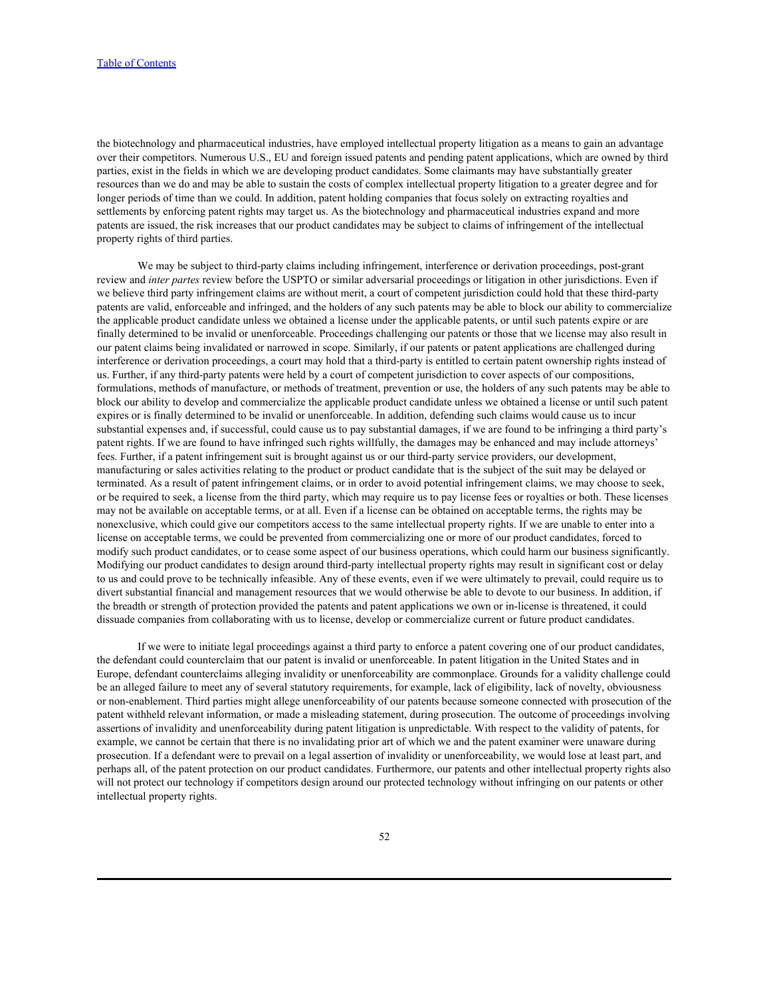the biotechnology and pharmaceutical industries, have employed intellectual property litigation as a means to gain an advantage over their competitors. Numerous U.S., EU and foreign issued patents and pending patent applications, which are owned by third parties, exist in the fields in which we are developing product candidates. Some claimants may have substantially greater resources than we do and may be able to sustain the costs of complex intellectual property litigation to a greater degree and for longer periods of time than we could. In addition, patent holding companies that focus solely on extracting royalties and settlements by enforcing patent rights may target us. As the biotechnology and pharmaceutical industries expand and more patents are issued, the risk increases that our product candidates may be subject to claims of infringement of the intellectual property rights of third parties.

We may be subject to third-party claims including infringement, interference or derivation proceedings, post-grant review and *inter partes* review before the USPTO or similar adversarial proceedings or litigation in other jurisdictions. Even if we believe third party infringement claims are without merit, a court of competent jurisdiction could hold that these third-party patents are valid, enforceable and infringed, and the holders of any such patents may be able to block our ability to commercialize the applicable product candidate unless we obtained a license under the applicable patents, or until such patents expire or are finally determined to be invalid or unenforceable. Proceedings challenging our patents or those that we license may also result in our patent claims being invalidated or narrowed in scope. Similarly, if our patents or patent applications are challenged during interference or derivation proceedings, a court may hold that a third-party is entitled to certain patent ownership rights instead of us. Further, if any third-party patents were held by a court of competent jurisdiction to cover aspects of our compositions, formulations, methods of manufacture, or methods of treatment, prevention or use, the holders of any such patents may be able to block our ability to develop and commercialize the applicable product candidate unless we obtained a license or until such patent expires or is finally determined to be invalid or unenforceable. In addition, defending such claims would cause us to incur substantial expenses and, if successful, could cause us to pay substantial damages, if we are found to be infringing a third party's patent rights. If we are found to have infringed such rights willfully, the damages may be enhanced and may include attorneys' fees. Further, if a patent infringement suit is brought against us or our third-party service providers, our development, manufacturing or sales activities relating to the product or product candidate that is the subject of the suit may be delayed or terminated. As a result of patent infringement claims, or in order to avoid potential infringement claims, we may choose to seek, or be required to seek, a license from the third party, which may require us to pay license fees or royalties or both. These licenses may not be available on acceptable terms, or at all. Even if a license can be obtained on acceptable terms, the rights may be nonexclusive, which could give our competitors access to the same intellectual property rights. If we are unable to enter into a license on acceptable terms, we could be prevented from commercializing one or more of our product candidates, forced to modify such product candidates, or to cease some aspect of our business operations, which could harm our business significantly. Modifying our product candidates to design around third-party intellectual property rights may result in significant cost or delay to us and could prove to be technically infeasible. Any of these events, even if we were ultimately to prevail, could require us to divert substantial financial and management resources that we would otherwise be able to devote to our business. In addition, if the breadth or strength of protection provided the patents and patent applications we own or in-license is threatened, it could dissuade companies from collaborating with us to license, develop or commercialize current or future product candidates.

If we were to initiate legal proceedings against a third party to enforce a patent covering one of our product candidates, the defendant could counterclaim that our patent is invalid or unenforceable. In patent litigation in the United States and in Europe, defendant counterclaims alleging invalidity or unenforceability are commonplace. Grounds for a validity challenge could be an alleged failure to meet any of several statutory requirements, for example, lack of eligibility, lack of novelty, obviousness or non-enablement. Third parties might allege unenforceability of our patents because someone connected with prosecution of the patent withheld relevant information, or made a misleading statement, during prosecution. The outcome of proceedings involving assertions of invalidity and unenforceability during patent litigation is unpredictable. With respect to the validity of patents, for example, we cannot be certain that there is no invalidating prior art of which we and the patent examiner were unaware during prosecution. If a defendant were to prevail on a legal assertion of invalidity or unenforceability, we would lose at least part, and perhaps all, of the patent protection on our product candidates. Furthermore, our patents and other intellectual property rights also will not protect our technology if competitors design around our protected technology without infringing on our patents or other intellectual property rights.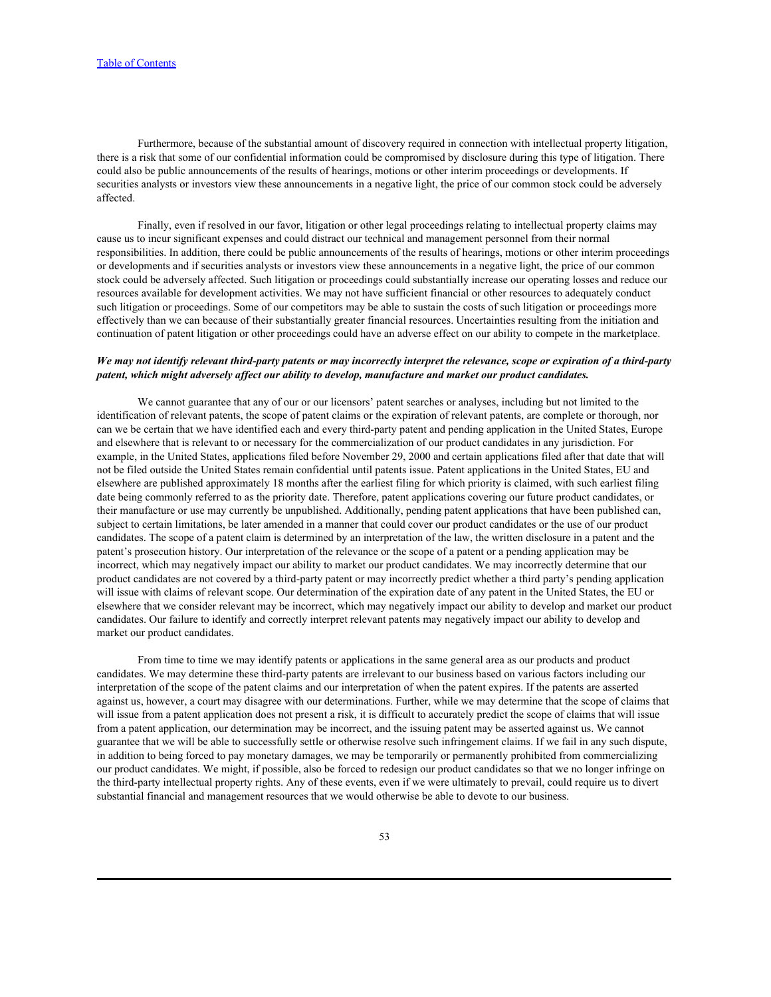Furthermore, because of the substantial amount of discovery required in connection with intellectual property litigation, there is a risk that some of our confidential information could be compromised by disclosure during this type of litigation. There could also be public announcements of the results of hearings, motions or other interim proceedings or developments. If securities analysts or investors view these announcements in a negative light, the price of our common stock could be adversely affected.

Finally, even if resolved in our favor, litigation or other legal proceedings relating to intellectual property claims may cause us to incur significant expenses and could distract our technical and management personnel from their normal responsibilities. In addition, there could be public announcements of the results of hearings, motions or other interim proceedings or developments and if securities analysts or investors view these announcements in a negative light, the price of our common stock could be adversely affected. Such litigation or proceedings could substantially increase our operating losses and reduce our resources available for development activities. We may not have sufficient financial or other resources to adequately conduct such litigation or proceedings. Some of our competitors may be able to sustain the costs of such litigation or proceedings more effectively than we can because of their substantially greater financial resources. Uncertainties resulting from the initiation and continuation of patent litigation or other proceedings could have an adverse effect on our ability to compete in the marketplace.

# *We may not identify relevant third-party patents or may incorrectly interpret the relevance, scope or expiration of a third-party patent, which might adversely affect our ability to develop, manufacture and market our product candidates.*

We cannot guarantee that any of our or our licensors' patent searches or analyses, including but not limited to the identification of relevant patents, the scope of patent claims or the expiration of relevant patents, are complete or thorough, nor can we be certain that we have identified each and every third-party patent and pending application in the United States, Europe and elsewhere that is relevant to or necessary for the commercialization of our product candidates in any jurisdiction. For example, in the United States, applications filed before November 29, 2000 and certain applications filed after that date that will not be filed outside the United States remain confidential until patents issue. Patent applications in the United States, EU and elsewhere are published approximately 18 months after the earliest filing for which priority is claimed, with such earliest filing date being commonly referred to as the priority date. Therefore, patent applications covering our future product candidates, or their manufacture or use may currently be unpublished. Additionally, pending patent applications that have been published can, subject to certain limitations, be later amended in a manner that could cover our product candidates or the use of our product candidates. The scope of a patent claim is determined by an interpretation of the law, the written disclosure in a patent and the patent's prosecution history. Our interpretation of the relevance or the scope of a patent or a pending application may be incorrect, which may negatively impact our ability to market our product candidates. We may incorrectly determine that our product candidates are not covered by a third-party patent or may incorrectly predict whether a third party's pending application will issue with claims of relevant scope. Our determination of the expiration date of any patent in the United States, the EU or elsewhere that we consider relevant may be incorrect, which may negatively impact our ability to develop and market our product candidates. Our failure to identify and correctly interpret relevant patents may negatively impact our ability to develop and market our product candidates.

From time to time we may identify patents or applications in the same general area as our products and product candidates. We may determine these third-party patents are irrelevant to our business based on various factors including our interpretation of the scope of the patent claims and our interpretation of when the patent expires. If the patents are asserted against us, however, a court may disagree with our determinations. Further, while we may determine that the scope of claims that will issue from a patent application does not present a risk, it is difficult to accurately predict the scope of claims that will issue from a patent application, our determination may be incorrect, and the issuing patent may be asserted against us. We cannot guarantee that we will be able to successfully settle or otherwise resolve such infringement claims. If we fail in any such dispute, in addition to being forced to pay monetary damages, we may be temporarily or permanently prohibited from commercializing our product candidates. We might, if possible, also be forced to redesign our product candidates so that we no longer infringe on the third-party intellectual property rights. Any of these events, even if we were ultimately to prevail, could require us to divert substantial financial and management resources that we would otherwise be able to devote to our business.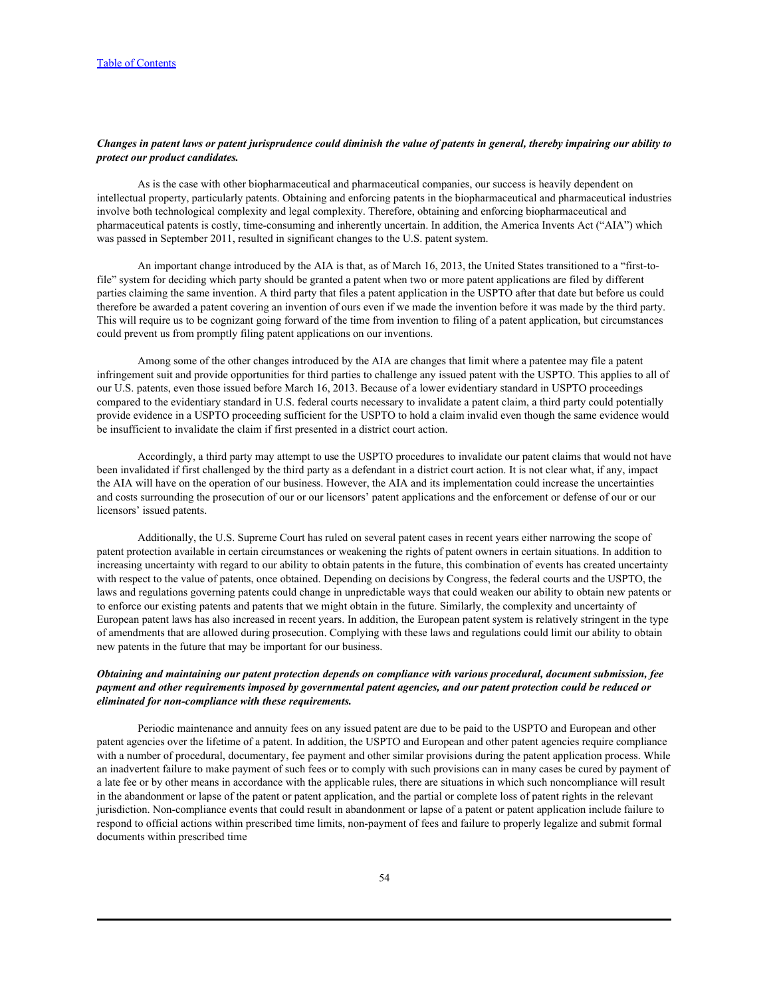# *Changes in patent laws or patent jurisprudence could diminish the value of patents in general, thereby impairing our ability to protect our product candidates.*

As is the case with other biopharmaceutical and pharmaceutical companies, our success is heavily dependent on intellectual property, particularly patents. Obtaining and enforcing patents in the biopharmaceutical and pharmaceutical industries involve both technological complexity and legal complexity. Therefore, obtaining and enforcing biopharmaceutical and pharmaceutical patents is costly, time-consuming and inherently uncertain. In addition, the America Invents Act ("AIA") which was passed in September 2011, resulted in significant changes to the U.S. patent system.

An important change introduced by the AIA is that, as of March 16, 2013, the United States transitioned to a "first-tofile" system for deciding which party should be granted a patent when two or more patent applications are filed by different parties claiming the same invention. A third party that files a patent application in the USPTO after that date but before us could therefore be awarded a patent covering an invention of ours even if we made the invention before it was made by the third party. This will require us to be cognizant going forward of the time from invention to filing of a patent application, but circumstances could prevent us from promptly filing patent applications on our inventions.

Among some of the other changes introduced by the AIA are changes that limit where a patentee may file a patent infringement suit and provide opportunities for third parties to challenge any issued patent with the USPTO. This applies to all of our U.S. patents, even those issued before March 16, 2013. Because of a lower evidentiary standard in USPTO proceedings compared to the evidentiary standard in U.S. federal courts necessary to invalidate a patent claim, a third party could potentially provide evidence in a USPTO proceeding sufficient for the USPTO to hold a claim invalid even though the same evidence would be insufficient to invalidate the claim if first presented in a district court action.

Accordingly, a third party may attempt to use the USPTO procedures to invalidate our patent claims that would not have been invalidated if first challenged by the third party as a defendant in a district court action. It is not clear what, if any, impact the AIA will have on the operation of our business. However, the AIA and its implementation could increase the uncertainties and costs surrounding the prosecution of our or our licensors' patent applications and the enforcement or defense of our or our licensors' issued patents.

Additionally, the U.S. Supreme Court has ruled on several patent cases in recent years either narrowing the scope of patent protection available in certain circumstances or weakening the rights of patent owners in certain situations. In addition to increasing uncertainty with regard to our ability to obtain patents in the future, this combination of events has created uncertainty with respect to the value of patents, once obtained. Depending on decisions by Congress, the federal courts and the USPTO, the laws and regulations governing patents could change in unpredictable ways that could weaken our ability to obtain new patents or to enforce our existing patents and patents that we might obtain in the future. Similarly, the complexity and uncertainty of European patent laws has also increased in recent years. In addition, the European patent system is relatively stringent in the type of amendments that are allowed during prosecution. Complying with these laws and regulations could limit our ability to obtain new patents in the future that may be important for our business.

# *Obtaining and maintaining our patent protection depends on compliance with various procedural, document submission, fee payment and other requirements imposed by governmental patent agencies, and our patent protection could be reduced or eliminated for non-compliance with these requirements.*

Periodic maintenance and annuity fees on any issued patent are due to be paid to the USPTO and European and other patent agencies over the lifetime of a patent. In addition, the USPTO and European and other patent agencies require compliance with a number of procedural, documentary, fee payment and other similar provisions during the patent application process. While an inadvertent failure to make payment of such fees or to comply with such provisions can in many cases be cured by payment of a late fee or by other means in accordance with the applicable rules, there are situations in which such noncompliance will result in the abandonment or lapse of the patent or patent application, and the partial or complete loss of patent rights in the relevant jurisdiction. Non-compliance events that could result in abandonment or lapse of a patent or patent application include failure to respond to official actions within prescribed time limits, non-payment of fees and failure to properly legalize and submit formal documents within prescribed time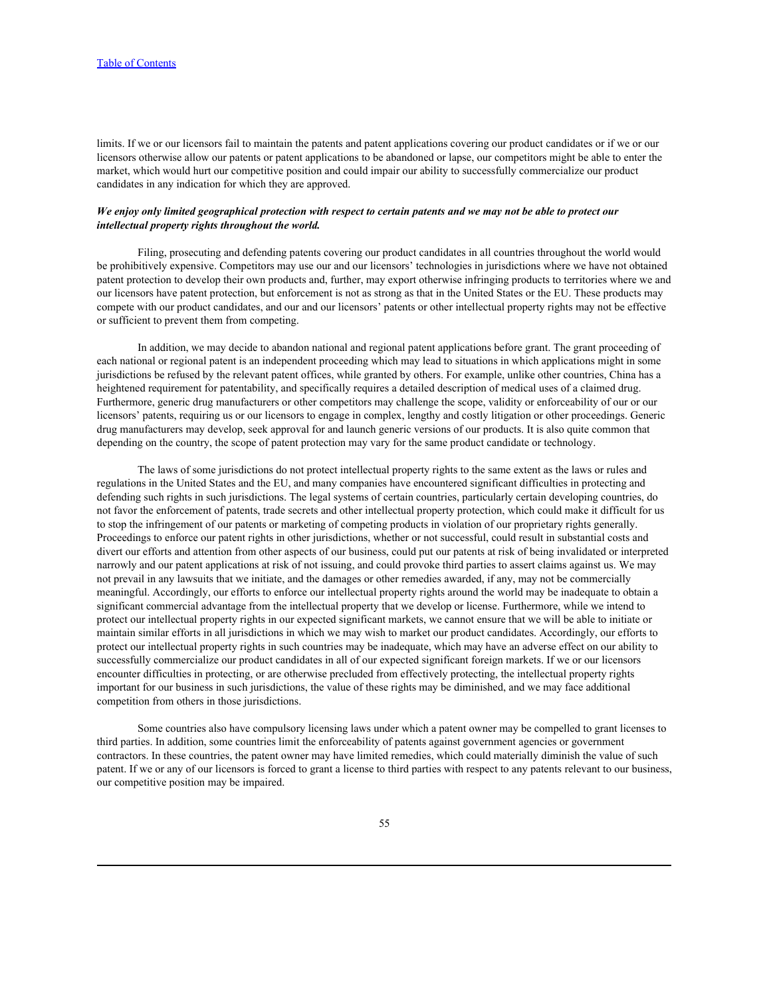limits. If we or our licensors fail to maintain the patents and patent applications covering our product candidates or if we or our licensors otherwise allow our patents or patent applications to be abandoned or lapse, our competitors might be able to enter the market, which would hurt our competitive position and could impair our ability to successfully commercialize our product candidates in any indication for which they are approved.

## *We enjoy only limited geographical protection with respect to certain patents and we may not be able to protect our intellectual property rights throughout the world.*

Filing, prosecuting and defending patents covering our product candidates in all countries throughout the world would be prohibitively expensive. Competitors may use our and our licensors' technologies in jurisdictions where we have not obtained patent protection to develop their own products and, further, may export otherwise infringing products to territories where we and our licensors have patent protection, but enforcement is not as strong as that in the United States or the EU. These products may compete with our product candidates, and our and our licensors' patents or other intellectual property rights may not be effective or sufficient to prevent them from competing.

In addition, we may decide to abandon national and regional patent applications before grant. The grant proceeding of each national or regional patent is an independent proceeding which may lead to situations in which applications might in some jurisdictions be refused by the relevant patent offices, while granted by others. For example, unlike other countries, China has a heightened requirement for patentability, and specifically requires a detailed description of medical uses of a claimed drug. Furthermore, generic drug manufacturers or other competitors may challenge the scope, validity or enforceability of our or our licensors' patents, requiring us or our licensors to engage in complex, lengthy and costly litigation or other proceedings. Generic drug manufacturers may develop, seek approval for and launch generic versions of our products. It is also quite common that depending on the country, the scope of patent protection may vary for the same product candidate or technology.

The laws of some jurisdictions do not protect intellectual property rights to the same extent as the laws or rules and regulations in the United States and the EU, and many companies have encountered significant difficulties in protecting and defending such rights in such jurisdictions. The legal systems of certain countries, particularly certain developing countries, do not favor the enforcement of patents, trade secrets and other intellectual property protection, which could make it difficult for us to stop the infringement of our patents or marketing of competing products in violation of our proprietary rights generally. Proceedings to enforce our patent rights in other jurisdictions, whether or not successful, could result in substantial costs and divert our efforts and attention from other aspects of our business, could put our patents at risk of being invalidated or interpreted narrowly and our patent applications at risk of not issuing, and could provoke third parties to assert claims against us. We may not prevail in any lawsuits that we initiate, and the damages or other remedies awarded, if any, may not be commercially meaningful. Accordingly, our efforts to enforce our intellectual property rights around the world may be inadequate to obtain a significant commercial advantage from the intellectual property that we develop or license. Furthermore, while we intend to protect our intellectual property rights in our expected significant markets, we cannot ensure that we will be able to initiate or maintain similar efforts in all jurisdictions in which we may wish to market our product candidates. Accordingly, our efforts to protect our intellectual property rights in such countries may be inadequate, which may have an adverse effect on our ability to successfully commercialize our product candidates in all of our expected significant foreign markets. If we or our licensors encounter difficulties in protecting, or are otherwise precluded from effectively protecting, the intellectual property rights important for our business in such jurisdictions, the value of these rights may be diminished, and we may face additional competition from others in those jurisdictions.

Some countries also have compulsory licensing laws under which a patent owner may be compelled to grant licenses to third parties. In addition, some countries limit the enforceability of patents against government agencies or government contractors. In these countries, the patent owner may have limited remedies, which could materially diminish the value of such patent. If we or any of our licensors is forced to grant a license to third parties with respect to any patents relevant to our business, our competitive position may be impaired.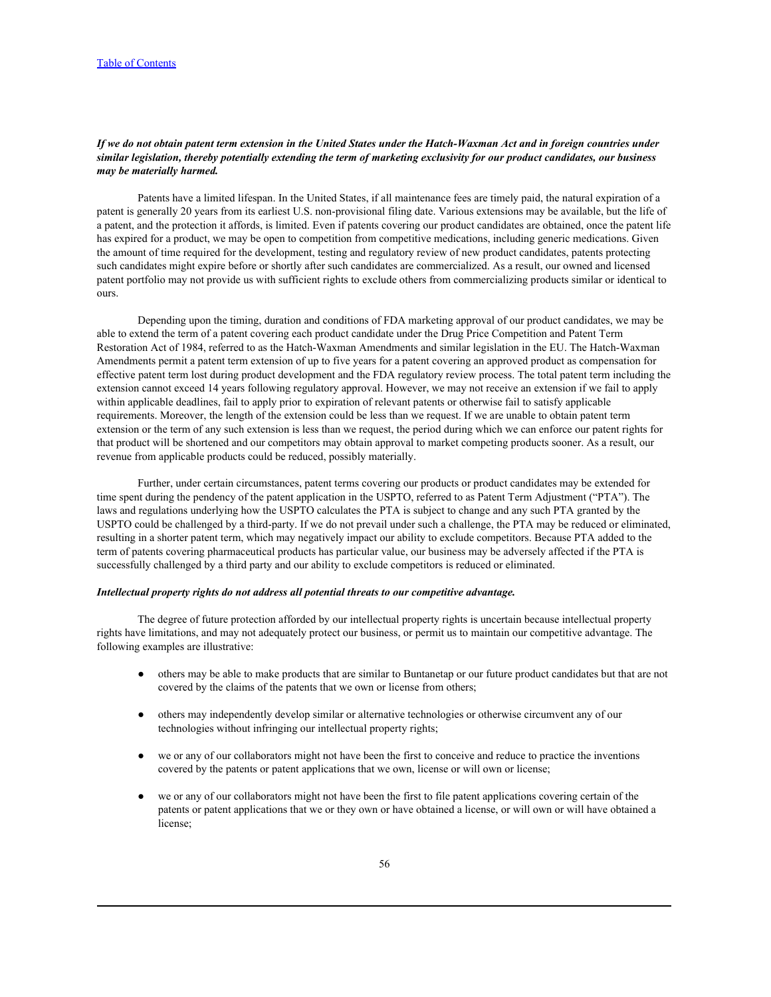# *If we do not obtain patent term extension in the United States under the Hatch-Waxman Act and in foreign countries under similar legislation, thereby potentially extending the term of marketing exclusivity for our product candidates, our business may be materially harmed.*

Patents have a limited lifespan. In the United States, if all maintenance fees are timely paid, the natural expiration of a patent is generally 20 years from its earliest U.S. non-provisional filing date. Various extensions may be available, but the life of a patent, and the protection it affords, is limited. Even if patents covering our product candidates are obtained, once the patent life has expired for a product, we may be open to competition from competitive medications, including generic medications. Given the amount of time required for the development, testing and regulatory review of new product candidates, patents protecting such candidates might expire before or shortly after such candidates are commercialized. As a result, our owned and licensed patent portfolio may not provide us with sufficient rights to exclude others from commercializing products similar or identical to ours.

Depending upon the timing, duration and conditions of FDA marketing approval of our product candidates, we may be able to extend the term of a patent covering each product candidate under the Drug Price Competition and Patent Term Restoration Act of 1984, referred to as the Hatch-Waxman Amendments and similar legislation in the EU. The Hatch-Waxman Amendments permit a patent term extension of up to five years for a patent covering an approved product as compensation for effective patent term lost during product development and the FDA regulatory review process. The total patent term including the extension cannot exceed 14 years following regulatory approval. However, we may not receive an extension if we fail to apply within applicable deadlines, fail to apply prior to expiration of relevant patents or otherwise fail to satisfy applicable requirements. Moreover, the length of the extension could be less than we request. If we are unable to obtain patent term extension or the term of any such extension is less than we request, the period during which we can enforce our patent rights for that product will be shortened and our competitors may obtain approval to market competing products sooner. As a result, our revenue from applicable products could be reduced, possibly materially.

Further, under certain circumstances, patent terms covering our products or product candidates may be extended for time spent during the pendency of the patent application in the USPTO, referred to as Patent Term Adjustment ("PTA"). The laws and regulations underlying how the USPTO calculates the PTA is subject to change and any such PTA granted by the USPTO could be challenged by a third-party. If we do not prevail under such a challenge, the PTA may be reduced or eliminated, resulting in a shorter patent term, which may negatively impact our ability to exclude competitors. Because PTA added to the term of patents covering pharmaceutical products has particular value, our business may be adversely affected if the PTA is successfully challenged by a third party and our ability to exclude competitors is reduced or eliminated.

#### *Intellectual property rights do not address all potential threats to our competitive advantage.*

The degree of future protection afforded by our intellectual property rights is uncertain because intellectual property rights have limitations, and may not adequately protect our business, or permit us to maintain our competitive advantage. The following examples are illustrative:

- others may be able to make products that are similar to Buntanetap or our future product candidates but that are not covered by the claims of the patents that we own or license from others;
- others may independently develop similar or alternative technologies or otherwise circumvent any of our technologies without infringing our intellectual property rights;
- we or any of our collaborators might not have been the first to conceive and reduce to practice the inventions covered by the patents or patent applications that we own, license or will own or license;
- we or any of our collaborators might not have been the first to file patent applications covering certain of the patents or patent applications that we or they own or have obtained a license, or will own or will have obtained a license;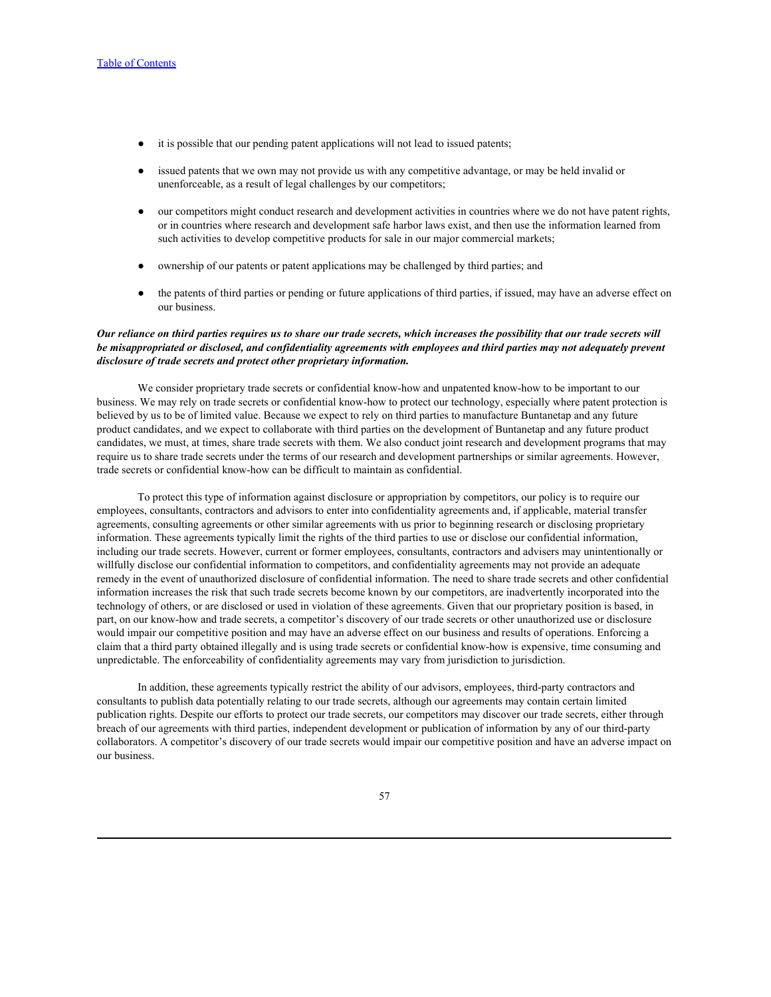- it is possible that our pending patent applications will not lead to issued patents;
- issued patents that we own may not provide us with any competitive advantage, or may be held invalid or unenforceable, as a result of legal challenges by our competitors;
- our competitors might conduct research and development activities in countries where we do not have patent rights, or in countries where research and development safe harbor laws exist, and then use the information learned from such activities to develop competitive products for sale in our major commercial markets;
- ownership of our patents or patent applications may be challenged by third parties; and
- the patents of third parties or pending or future applications of third parties, if issued, may have an adverse effect on our business.

# *Our reliance on third parties requires us to share our trade secrets, which increases the possibility that our trade secrets will be misappropriated or disclosed, and confidentiality agreements with employees and third parties may not adequately prevent disclosure of trade secrets and protect other proprietary information.*

We consider proprietary trade secrets or confidential know-how and unpatented know-how to be important to our business. We may rely on trade secrets or confidential know-how to protect our technology, especially where patent protection is believed by us to be of limited value. Because we expect to rely on third parties to manufacture Buntanetap and any future product candidates, and we expect to collaborate with third parties on the development of Buntanetap and any future product candidates, we must, at times, share trade secrets with them. We also conduct joint research and development programs that may require us to share trade secrets under the terms of our research and development partnerships or similar agreements. However, trade secrets or confidential know-how can be difficult to maintain as confidential.

To protect this type of information against disclosure or appropriation by competitors, our policy is to require our employees, consultants, contractors and advisors to enter into confidentiality agreements and, if applicable, material transfer agreements, consulting agreements or other similar agreements with us prior to beginning research or disclosing proprietary information. These agreements typically limit the rights of the third parties to use or disclose our confidential information, including our trade secrets. However, current or former employees, consultants, contractors and advisers may unintentionally or willfully disclose our confidential information to competitors, and confidentiality agreements may not provide an adequate remedy in the event of unauthorized disclosure of confidential information. The need to share trade secrets and other confidential information increases the risk that such trade secrets become known by our competitors, are inadvertently incorporated into the technology of others, or are disclosed or used in violation of these agreements. Given that our proprietary position is based, in part, on our know-how and trade secrets, a competitor's discovery of our trade secrets or other unauthorized use or disclosure would impair our competitive position and may have an adverse effect on our business and results of operations. Enforcing a claim that a third party obtained illegally and is using trade secrets or confidential know-how is expensive, time consuming and unpredictable. The enforceability of confidentiality agreements may vary from jurisdiction to jurisdiction.

In addition, these agreements typically restrict the ability of our advisors, employees, third-party contractors and consultants to publish data potentially relating to our trade secrets, although our agreements may contain certain limited publication rights. Despite our efforts to protect our trade secrets, our competitors may discover our trade secrets, either through breach of our agreements with third parties, independent development or publication of information by any of our third-party collaborators. A competitor's discovery of our trade secrets would impair our competitive position and have an adverse impact on our business.

#### 57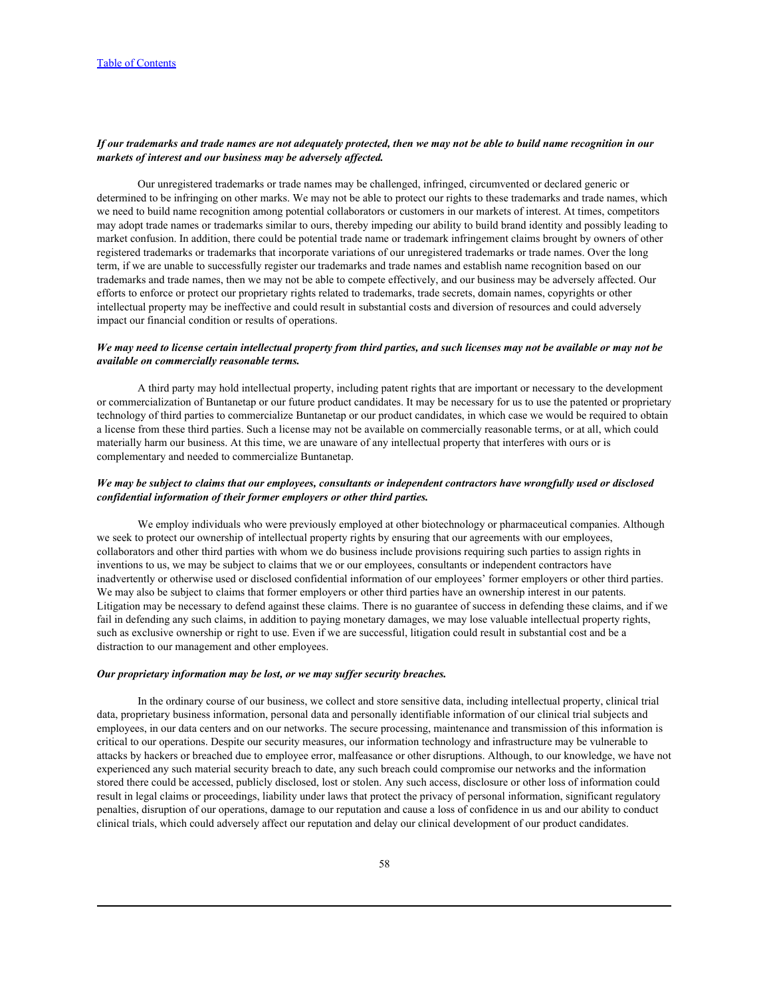# *If our trademarks and trade names are not adequately protected, then we may not be able to build name recognition in our markets of interest and our business may be adversely affected.*

Our unregistered trademarks or trade names may be challenged, infringed, circumvented or declared generic or determined to be infringing on other marks. We may not be able to protect our rights to these trademarks and trade names, which we need to build name recognition among potential collaborators or customers in our markets of interest. At times, competitors may adopt trade names or trademarks similar to ours, thereby impeding our ability to build brand identity and possibly leading to market confusion. In addition, there could be potential trade name or trademark infringement claims brought by owners of other registered trademarks or trademarks that incorporate variations of our unregistered trademarks or trade names. Over the long term, if we are unable to successfully register our trademarks and trade names and establish name recognition based on our trademarks and trade names, then we may not be able to compete effectively, and our business may be adversely affected. Our efforts to enforce or protect our proprietary rights related to trademarks, trade secrets, domain names, copyrights or other intellectual property may be ineffective and could result in substantial costs and diversion of resources and could adversely impact our financial condition or results of operations.

## *We may need to license certain intellectual property from third parties, and such licenses may not be available or may not be available on commercially reasonable terms.*

A third party may hold intellectual property, including patent rights that are important or necessary to the development or commercialization of Buntanetap or our future product candidates. It may be necessary for us to use the patented or proprietary technology of third parties to commercialize Buntanetap or our product candidates, in which case we would be required to obtain a license from these third parties. Such a license may not be available on commercially reasonable terms, or at all, which could materially harm our business. At this time, we are unaware of any intellectual property that interferes with ours or is complementary and needed to commercialize Buntanetap.

## *We may be subject to claims that our employees, consultants or independent contractors have wrongfully used or disclosed confidential information of their former employers or other third parties.*

We employ individuals who were previously employed at other biotechnology or pharmaceutical companies. Although we seek to protect our ownership of intellectual property rights by ensuring that our agreements with our employees, collaborators and other third parties with whom we do business include provisions requiring such parties to assign rights in inventions to us, we may be subject to claims that we or our employees, consultants or independent contractors have inadvertently or otherwise used or disclosed confidential information of our employees' former employers or other third parties. We may also be subject to claims that former employers or other third parties have an ownership interest in our patents. Litigation may be necessary to defend against these claims. There is no guarantee of success in defending these claims, and if we fail in defending any such claims, in addition to paying monetary damages, we may lose valuable intellectual property rights, such as exclusive ownership or right to use. Even if we are successful, litigation could result in substantial cost and be a distraction to our management and other employees.

#### *Our proprietary information may be lost, or we may suffer security breaches.*

In the ordinary course of our business, we collect and store sensitive data, including intellectual property, clinical trial data, proprietary business information, personal data and personally identifiable information of our clinical trial subjects and employees, in our data centers and on our networks. The secure processing, maintenance and transmission of this information is critical to our operations. Despite our security measures, our information technology and infrastructure may be vulnerable to attacks by hackers or breached due to employee error, malfeasance or other disruptions. Although, to our knowledge, we have not experienced any such material security breach to date, any such breach could compromise our networks and the information stored there could be accessed, publicly disclosed, lost or stolen. Any such access, disclosure or other loss of information could result in legal claims or proceedings, liability under laws that protect the privacy of personal information, significant regulatory penalties, disruption of our operations, damage to our reputation and cause a loss of confidence in us and our ability to conduct clinical trials, which could adversely affect our reputation and delay our clinical development of our product candidates.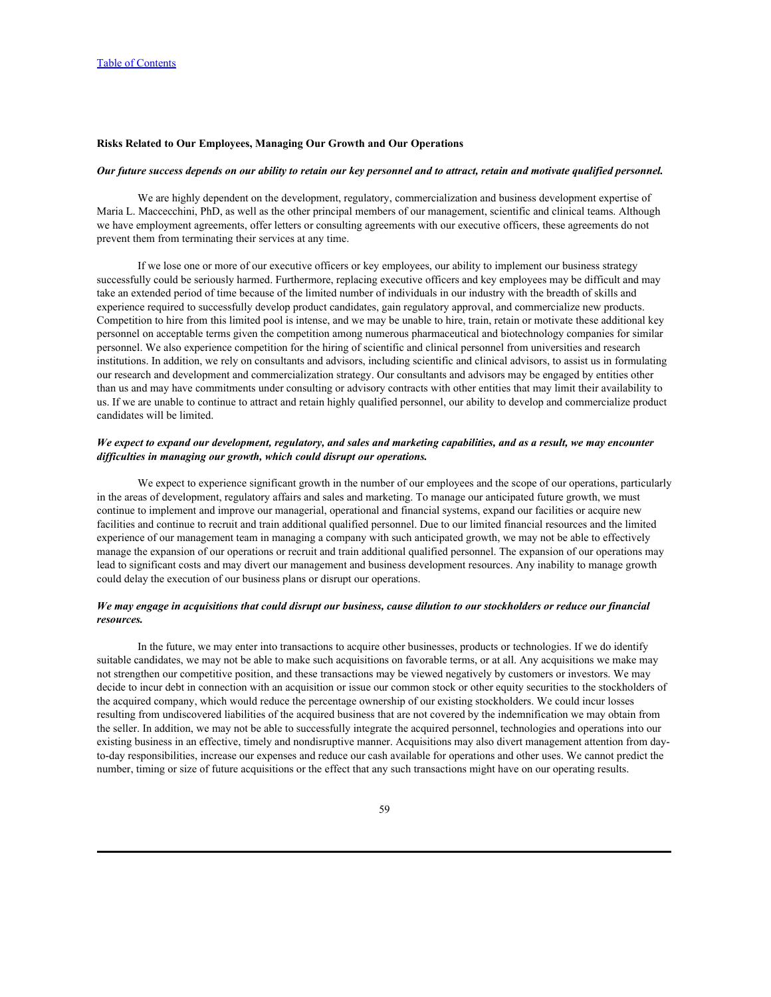### **Risks Related to Our Employees, Managing Our Growth and Our Operations**

#### *Our future success depends on our ability to retain our key personnel and to attract, retain and motivate qualified personnel.*

We are highly dependent on the development, regulatory, commercialization and business development expertise of Maria L. Maccecchini, PhD, as well as the other principal members of our management, scientific and clinical teams. Although we have employment agreements, offer letters or consulting agreements with our executive officers, these agreements do not prevent them from terminating their services at any time.

If we lose one or more of our executive officers or key employees, our ability to implement our business strategy successfully could be seriously harmed. Furthermore, replacing executive officers and key employees may be difficult and may take an extended period of time because of the limited number of individuals in our industry with the breadth of skills and experience required to successfully develop product candidates, gain regulatory approval, and commercialize new products. Competition to hire from this limited pool is intense, and we may be unable to hire, train, retain or motivate these additional key personnel on acceptable terms given the competition among numerous pharmaceutical and biotechnology companies for similar personnel. We also experience competition for the hiring of scientific and clinical personnel from universities and research institutions. In addition, we rely on consultants and advisors, including scientific and clinical advisors, to assist us in formulating our research and development and commercialization strategy. Our consultants and advisors may be engaged by entities other than us and may have commitments under consulting or advisory contracts with other entities that may limit their availability to us. If we are unable to continue to attract and retain highly qualified personnel, our ability to develop and commercialize product candidates will be limited.

## *We expect to expand our development, regulatory, and sales and marketing capabilities, and as a result, we may encounter difficulties in managing our growth, which could disrupt our operations.*

We expect to experience significant growth in the number of our employees and the scope of our operations, particularly in the areas of development, regulatory affairs and sales and marketing. To manage our anticipated future growth, we must continue to implement and improve our managerial, operational and financial systems, expand our facilities or acquire new facilities and continue to recruit and train additional qualified personnel. Due to our limited financial resources and the limited experience of our management team in managing a company with such anticipated growth, we may not be able to effectively manage the expansion of our operations or recruit and train additional qualified personnel. The expansion of our operations may lead to significant costs and may divert our management and business development resources. Any inability to manage growth could delay the execution of our business plans or disrupt our operations.

## *We may engage in acquisitions that could disrupt our business, cause dilution to our stockholders or reduce our financial resources.*

In the future, we may enter into transactions to acquire other businesses, products or technologies. If we do identify suitable candidates, we may not be able to make such acquisitions on favorable terms, or at all. Any acquisitions we make may not strengthen our competitive position, and these transactions may be viewed negatively by customers or investors. We may decide to incur debt in connection with an acquisition or issue our common stock or other equity securities to the stockholders of the acquired company, which would reduce the percentage ownership of our existing stockholders. We could incur losses resulting from undiscovered liabilities of the acquired business that are not covered by the indemnification we may obtain from the seller. In addition, we may not be able to successfully integrate the acquired personnel, technologies and operations into our existing business in an effective, timely and nondisruptive manner. Acquisitions may also divert management attention from dayto-day responsibilities, increase our expenses and reduce our cash available for operations and other uses. We cannot predict the number, timing or size of future acquisitions or the effect that any such transactions might have on our operating results.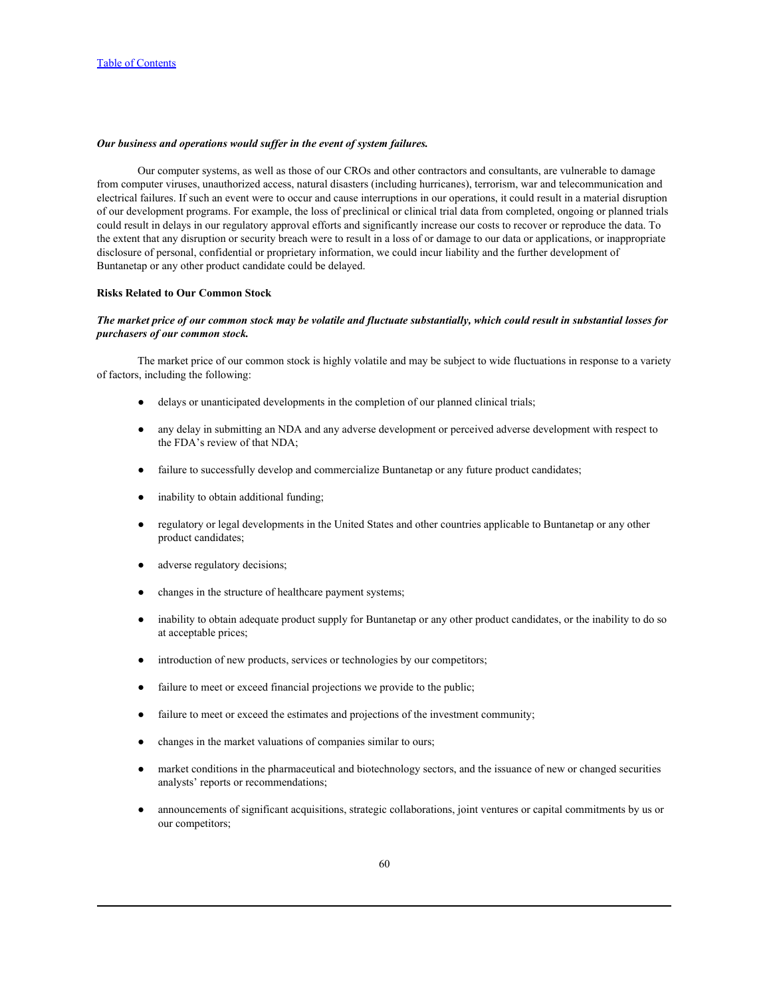## *Our business and operations would suffer in the event of system failures.*

Our computer systems, as well as those of our CROs and other contractors and consultants, are vulnerable to damage from computer viruses, unauthorized access, natural disasters (including hurricanes), terrorism, war and telecommunication and electrical failures. If such an event were to occur and cause interruptions in our operations, it could result in a material disruption of our development programs. For example, the loss of preclinical or clinical trial data from completed, ongoing or planned trials could result in delays in our regulatory approval efforts and significantly increase our costs to recover or reproduce the data. To the extent that any disruption or security breach were to result in a loss of or damage to our data or applications, or inappropriate disclosure of personal, confidential or proprietary information, we could incur liability and the further development of Buntanetap or any other product candidate could be delayed.

### **Risks Related to Our Common Stock**

# *The market price of our common stock may be volatile and fluctuate substantially, which could result in substantial losses for purchasers of our common stock.*

The market price of our common stock is highly volatile and may be subject to wide fluctuations in response to a variety of factors, including the following:

- delays or unanticipated developments in the completion of our planned clinical trials;
- any delay in submitting an NDA and any adverse development or perceived adverse development with respect to the FDA's review of that NDA;
- failure to successfully develop and commercialize Buntanetap or any future product candidates;
- inability to obtain additional funding;
- regulatory or legal developments in the United States and other countries applicable to Buntanetap or any other product candidates;
- adverse regulatory decisions;
- changes in the structure of healthcare payment systems;
- inability to obtain adequate product supply for Buntanetap or any other product candidates, or the inability to do so at acceptable prices;
- introduction of new products, services or technologies by our competitors;
- failure to meet or exceed financial projections we provide to the public;
- failure to meet or exceed the estimates and projections of the investment community;
- changes in the market valuations of companies similar to ours;
- market conditions in the pharmaceutical and biotechnology sectors, and the issuance of new or changed securities analysts' reports or recommendations;
- announcements of significant acquisitions, strategic collaborations, joint ventures or capital commitments by us or our competitors;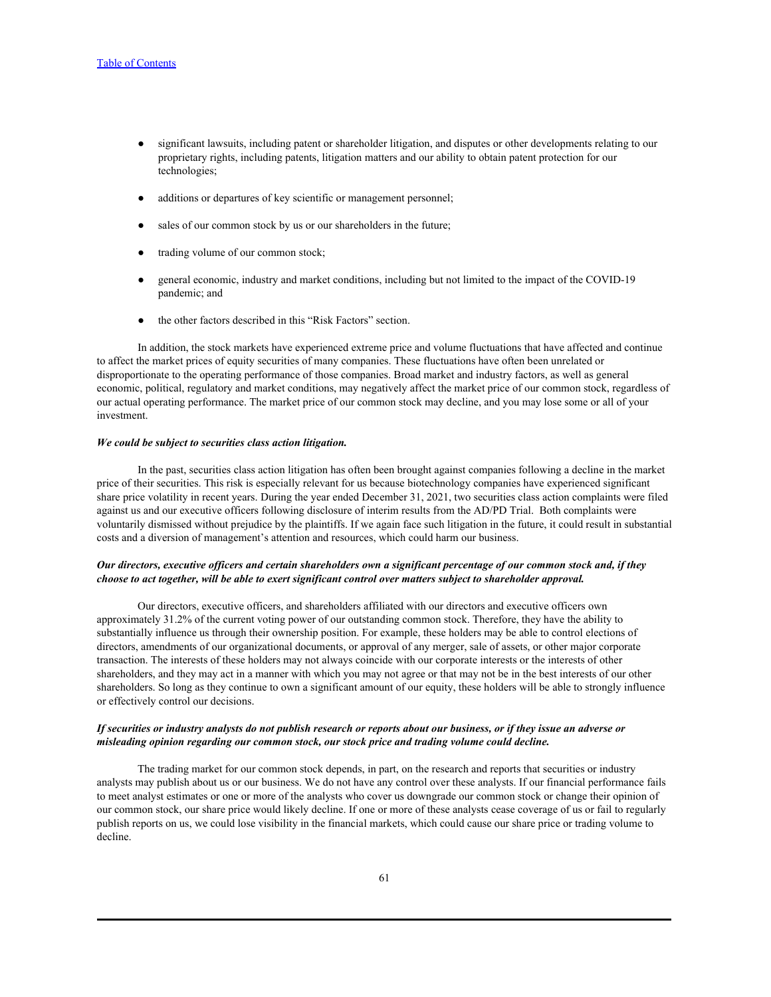- significant lawsuits, including patent or shareholder litigation, and disputes or other developments relating to our proprietary rights, including patents, litigation matters and our ability to obtain patent protection for our technologies;
- additions or departures of key scientific or management personnel;
- sales of our common stock by us or our shareholders in the future;
- trading volume of our common stock;
- general economic, industry and market conditions, including but not limited to the impact of the COVID-19 pandemic; and
- the other factors described in this "Risk Factors" section.

In addition, the stock markets have experienced extreme price and volume fluctuations that have affected and continue to affect the market prices of equity securities of many companies. These fluctuations have often been unrelated or disproportionate to the operating performance of those companies. Broad market and industry factors, as well as general economic, political, regulatory and market conditions, may negatively affect the market price of our common stock, regardless of our actual operating performance. The market price of our common stock may decline, and you may lose some or all of your investment.

### *We could be subject to securities class action litigation.*

In the past, securities class action litigation has often been brought against companies following a decline in the market price of their securities. This risk is especially relevant for us because biotechnology companies have experienced significant share price volatility in recent years. During the year ended December 31, 2021, two securities class action complaints were filed against us and our executive officers following disclosure of interim results from the AD/PD Trial. Both complaints were voluntarily dismissed without prejudice by the plaintiffs. If we again face such litigation in the future, it could result in substantial costs and a diversion of management's attention and resources, which could harm our business.

## *Our directors, executive officers and certain shareholders own a significant percentage of our common stock and, if they choose to act together, will be able to exert significant control over matters subject to shareholder approval.*

Our directors, executive officers, and shareholders affiliated with our directors and executive officers own approximately 31.2% of the current voting power of our outstanding common stock. Therefore, they have the ability to substantially influence us through their ownership position. For example, these holders may be able to control elections of directors, amendments of our organizational documents, or approval of any merger, sale of assets, or other major corporate transaction. The interests of these holders may not always coincide with our corporate interests or the interests of other shareholders, and they may act in a manner with which you may not agree or that may not be in the best interests of our other shareholders. So long as they continue to own a significant amount of our equity, these holders will be able to strongly influence or effectively control our decisions.

## *If securities or industry analysts do not publish research or reports about our business, or if they issue an adverse or misleading opinion regarding our common stock, our stock price and trading volume could decline.*

The trading market for our common stock depends, in part, on the research and reports that securities or industry analysts may publish about us or our business. We do not have any control over these analysts. If our financial performance fails to meet analyst estimates or one or more of the analysts who cover us downgrade our common stock or change their opinion of our common stock, our share price would likely decline. If one or more of these analysts cease coverage of us or fail to regularly publish reports on us, we could lose visibility in the financial markets, which could cause our share price or trading volume to decline.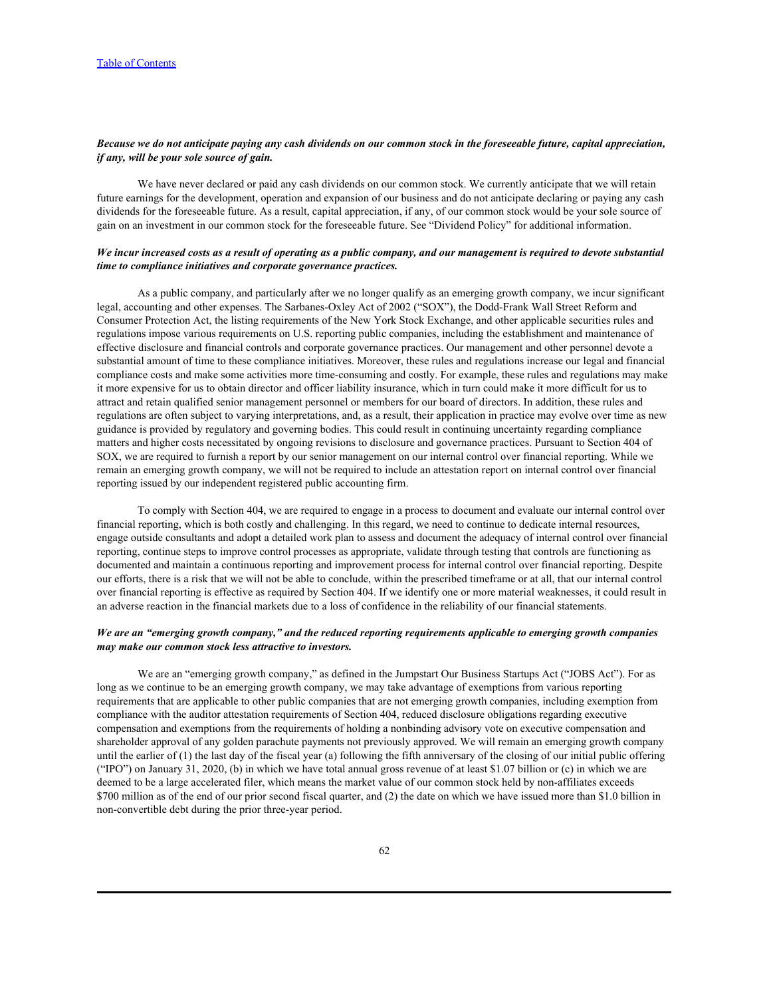## *Because we do not anticipate paying any cash dividends on our common stock in the foreseeable future, capital appreciation, if any, will be your sole source of gain.*

We have never declared or paid any cash dividends on our common stock. We currently anticipate that we will retain future earnings for the development, operation and expansion of our business and do not anticipate declaring or paying any cash dividends for the foreseeable future. As a result, capital appreciation, if any, of our common stock would be your sole source of gain on an investment in our common stock for the foreseeable future. See "Dividend Policy" for additional information.

## *We incur increased costs as a result of operating as a public company, and our management is required to devote substantial time to compliance initiatives and corporate governance practices.*

As a public company, and particularly after we no longer qualify as an emerging growth company, we incur significant legal, accounting and other expenses. The Sarbanes-Oxley Act of 2002 ("SOX"), the Dodd-Frank Wall Street Reform and Consumer Protection Act, the listing requirements of the New York Stock Exchange, and other applicable securities rules and regulations impose various requirements on U.S. reporting public companies, including the establishment and maintenance of effective disclosure and financial controls and corporate governance practices. Our management and other personnel devote a substantial amount of time to these compliance initiatives. Moreover, these rules and regulations increase our legal and financial compliance costs and make some activities more time-consuming and costly. For example, these rules and regulations may make it more expensive for us to obtain director and officer liability insurance, which in turn could make it more difficult for us to attract and retain qualified senior management personnel or members for our board of directors. In addition, these rules and regulations are often subject to varying interpretations, and, as a result, their application in practice may evolve over time as new guidance is provided by regulatory and governing bodies. This could result in continuing uncertainty regarding compliance matters and higher costs necessitated by ongoing revisions to disclosure and governance practices. Pursuant to Section 404 of SOX, we are required to furnish a report by our senior management on our internal control over financial reporting. While we remain an emerging growth company, we will not be required to include an attestation report on internal control over financial reporting issued by our independent registered public accounting firm.

To comply with Section 404, we are required to engage in a process to document and evaluate our internal control over financial reporting, which is both costly and challenging. In this regard, we need to continue to dedicate internal resources, engage outside consultants and adopt a detailed work plan to assess and document the adequacy of internal control over financial reporting, continue steps to improve control processes as appropriate, validate through testing that controls are functioning as documented and maintain a continuous reporting and improvement process for internal control over financial reporting. Despite our efforts, there is a risk that we will not be able to conclude, within the prescribed timeframe or at all, that our internal control over financial reporting is effective as required by Section 404. If we identify one or more material weaknesses, it could result in an adverse reaction in the financial markets due to a loss of confidence in the reliability of our financial statements.

# *We are an "emerging growth company," and the reduced reporting requirements applicable to emerging growth companies may make our common stock less attractive to investors.*

We are an "emerging growth company," as defined in the Jumpstart Our Business Startups Act ("JOBS Act"). For as long as we continue to be an emerging growth company, we may take advantage of exemptions from various reporting requirements that are applicable to other public companies that are not emerging growth companies, including exemption from compliance with the auditor attestation requirements of Section 404, reduced disclosure obligations regarding executive compensation and exemptions from the requirements of holding a nonbinding advisory vote on executive compensation and shareholder approval of any golden parachute payments not previously approved. We will remain an emerging growth company until the earlier of (1) the last day of the fiscal year (a) following the fifth anniversary of the closing of our initial public offering ("IPO") on January 31, 2020, (b) in which we have total annual gross revenue of at least \$1.07 billion or (c) in which we are deemed to be a large accelerated filer, which means the market value of our common stock held by non-affiliates exceeds \$700 million as of the end of our prior second fiscal quarter, and (2) the date on which we have issued more than \$1.0 billion in non-convertible debt during the prior three-year period.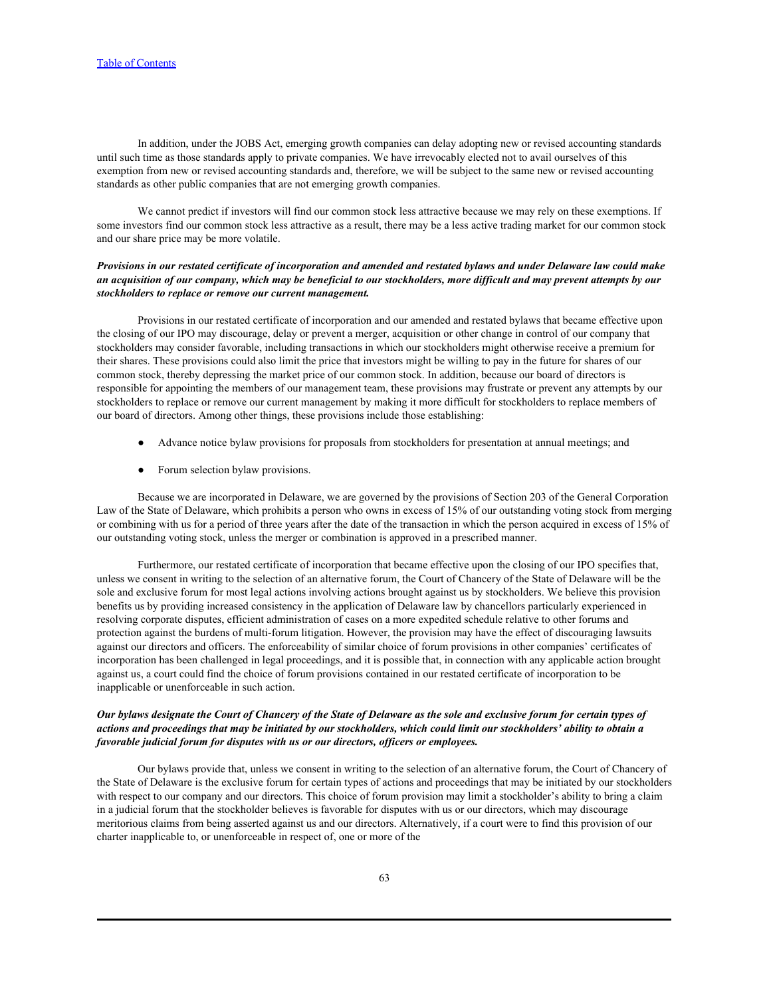In addition, under the JOBS Act, emerging growth companies can delay adopting new or revised accounting standards until such time as those standards apply to private companies. We have irrevocably elected not to avail ourselves of this exemption from new or revised accounting standards and, therefore, we will be subject to the same new or revised accounting standards as other public companies that are not emerging growth companies.

We cannot predict if investors will find our common stock less attractive because we may rely on these exemptions. If some investors find our common stock less attractive as a result, there may be a less active trading market for our common stock and our share price may be more volatile.

## *Provisions in our restated certificate of incorporation and amended and restated bylaws and under Delaware law could make an acquisition of our company, which may be beneficial to our stockholders, more difficult and may prevent attempts by our stockholders to replace or remove our current management.*

Provisions in our restated certificate of incorporation and our amended and restated bylaws that became effective upon the closing of our IPO may discourage, delay or prevent a merger, acquisition or other change in control of our company that stockholders may consider favorable, including transactions in which our stockholders might otherwise receive a premium for their shares. These provisions could also limit the price that investors might be willing to pay in the future for shares of our common stock, thereby depressing the market price of our common stock. In addition, because our board of directors is responsible for appointing the members of our management team, these provisions may frustrate or prevent any attempts by our stockholders to replace or remove our current management by making it more difficult for stockholders to replace members of our board of directors. Among other things, these provisions include those establishing:

- Advance notice bylaw provisions for proposals from stockholders for presentation at annual meetings; and
- Forum selection bylaw provisions.

Because we are incorporated in Delaware, we are governed by the provisions of Section 203 of the General Corporation Law of the State of Delaware, which prohibits a person who owns in excess of 15% of our outstanding voting stock from merging or combining with us for a period of three years after the date of the transaction in which the person acquired in excess of 15% of our outstanding voting stock, unless the merger or combination is approved in a prescribed manner.

Furthermore, our restated certificate of incorporation that became effective upon the closing of our IPO specifies that, unless we consent in writing to the selection of an alternative forum, the Court of Chancery of the State of Delaware will be the sole and exclusive forum for most legal actions involving actions brought against us by stockholders. We believe this provision benefits us by providing increased consistency in the application of Delaware law by chancellors particularly experienced in resolving corporate disputes, efficient administration of cases on a more expedited schedule relative to other forums and protection against the burdens of multi-forum litigation. However, the provision may have the effect of discouraging lawsuits against our directors and officers. The enforceability of similar choice of forum provisions in other companies' certificates of incorporation has been challenged in legal proceedings, and it is possible that, in connection with any applicable action brought against us, a court could find the choice of forum provisions contained in our restated certificate of incorporation to be inapplicable or unenforceable in such action.

# *Our bylaws designate the Court of Chancery of the State of Delaware as the sole and exclusive forum for certain types of actions and proceedings that may be initiated by our stockholders, which could limit our stockholders' ability to obtain a favorable judicial forum for disputes with us or our directors, officers or employees.*

Our bylaws provide that, unless we consent in writing to the selection of an alternative forum, the Court of Chancery of the State of Delaware is the exclusive forum for certain types of actions and proceedings that may be initiated by our stockholders with respect to our company and our directors. This choice of forum provision may limit a stockholder's ability to bring a claim in a judicial forum that the stockholder believes is favorable for disputes with us or our directors, which may discourage meritorious claims from being asserted against us and our directors. Alternatively, if a court were to find this provision of our charter inapplicable to, or unenforceable in respect of, one or more of the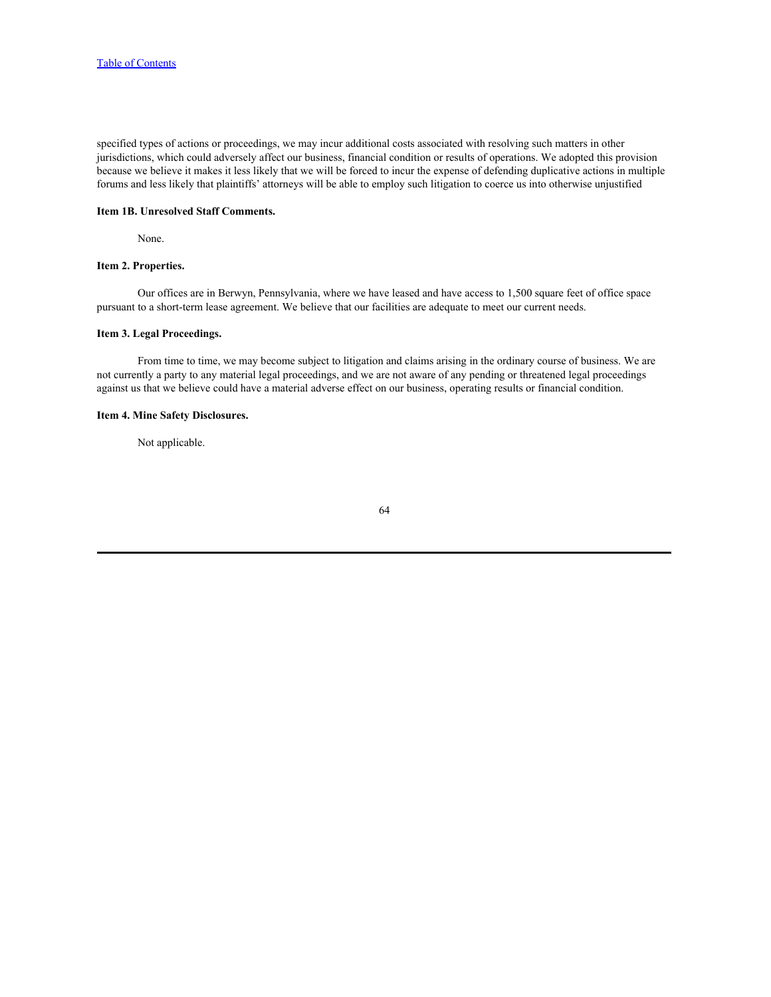specified types of actions or proceedings, we may incur additional costs associated with resolving such matters in other jurisdictions, which could adversely affect our business, financial condition or results of operations. We adopted this provision because we believe it makes it less likely that we will be forced to incur the expense of defending duplicative actions in multiple forums and less likely that plaintiffs' attorneys will be able to employ such litigation to coerce us into otherwise unjustified

## **Item 1B. Unresolved Staff Comments.**

None.

## **Item 2. Properties.**

Our offices are in Berwyn, Pennsylvania, where we have leased and have access to 1,500 square feet of office space pursuant to a short-term lease agreement. We believe that our facilities are adequate to meet our current needs.

# **Item 3. Legal Proceedings.**

From time to time, we may become subject to litigation and claims arising in the ordinary course of business. We are not currently a party to any material legal proceedings, and we are not aware of any pending or threatened legal proceedings against us that we believe could have a material adverse effect on our business, operating results or financial condition.

# **Item 4. Mine Safety Disclosures.**

Not applicable.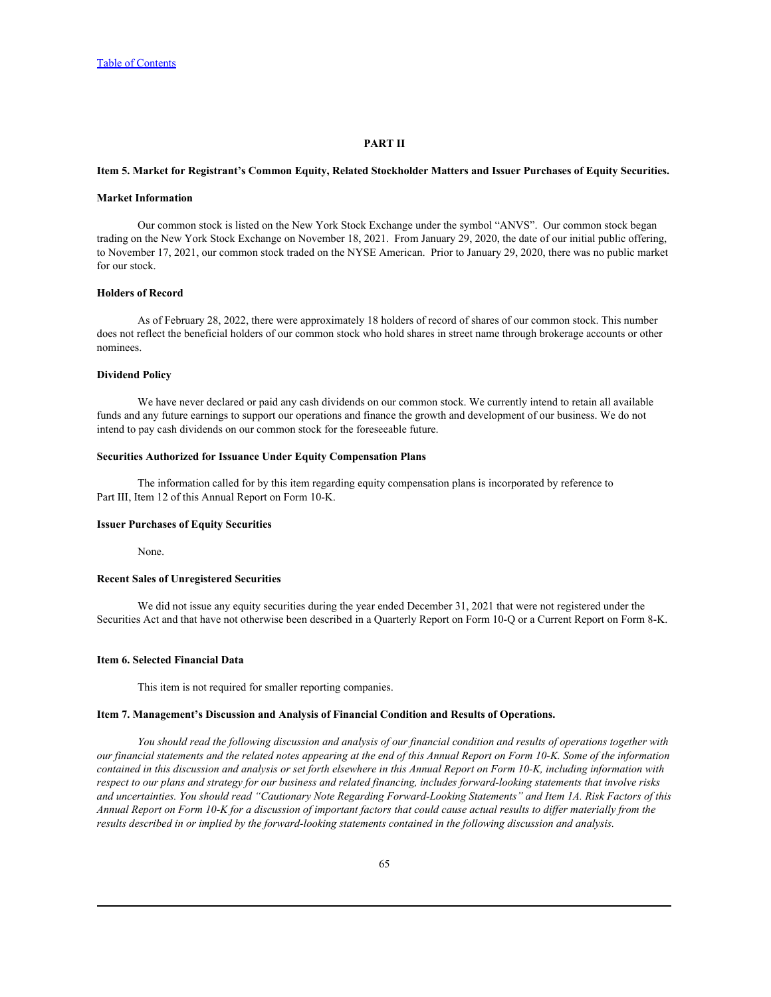### **PART II**

#### **Item 5. Market for Registrant's Common Equity, Related Stockholder Matters and Issuer Purchases of Equity Securities.**

#### **Market Information**

Our common stock is listed on the New York Stock Exchange under the symbol "ANVS". Our common stock began trading on the New York Stock Exchange on November 18, 2021. From January 29, 2020, the date of our initial public offering, to November 17, 2021, our common stock traded on the NYSE American. Prior to January 29, 2020, there was no public market for our stock.

## **Holders of Record**

As of February 28, 2022, there were approximately 18 holders of record of shares of our common stock. This number does not reflect the beneficial holders of our common stock who hold shares in street name through brokerage accounts or other nominees.

#### **Dividend Policy**

We have never declared or paid any cash dividends on our common stock. We currently intend to retain all available funds and any future earnings to support our operations and finance the growth and development of our business. We do not intend to pay cash dividends on our common stock for the foreseeable future.

## **Securities Authorized for Issuance Under Equity Compensation Plans**

The information called for by this item regarding equity compensation plans is incorporated by reference to Part III, Item 12 of this Annual Report on Form 10-K.

#### **Issuer Purchases of Equity Securities**

None.

## **Recent Sales of Unregistered Securities**

We did not issue any equity securities during the year ended December 31, 2021 that were not registered under the Securities Act and that have not otherwise been described in a Quarterly Report on Form 10-Q or a Current Report on Form 8-K.

#### **Item 6. Selected Financial Data**

This item is not required for smaller reporting companies.

#### **Item 7. Management's Discussion and Analysis of Financial Condition and Results of Operations.**

*You should read the following discussion and analysis of our financial condition and results of operations together with our financial statements and the related notes appearing at the end of this Annual Report on Form 10-K. Some of the information contained in this discussion and analysis or set forth elsewhere in this Annual Report on Form 10-K, including information with respect to our plans and strategy for our business and related financing, includes forward-looking statements that involve risks and uncertainties. You should read "Cautionary Note Regarding Forward-Looking Statements" and Item 1A. Risk Factors of this Annual Report on Form 10-K for a discussion of important factors that could cause actual results to differ materially from the results described in or implied by the forward-looking statements contained in the following discussion and analysis.*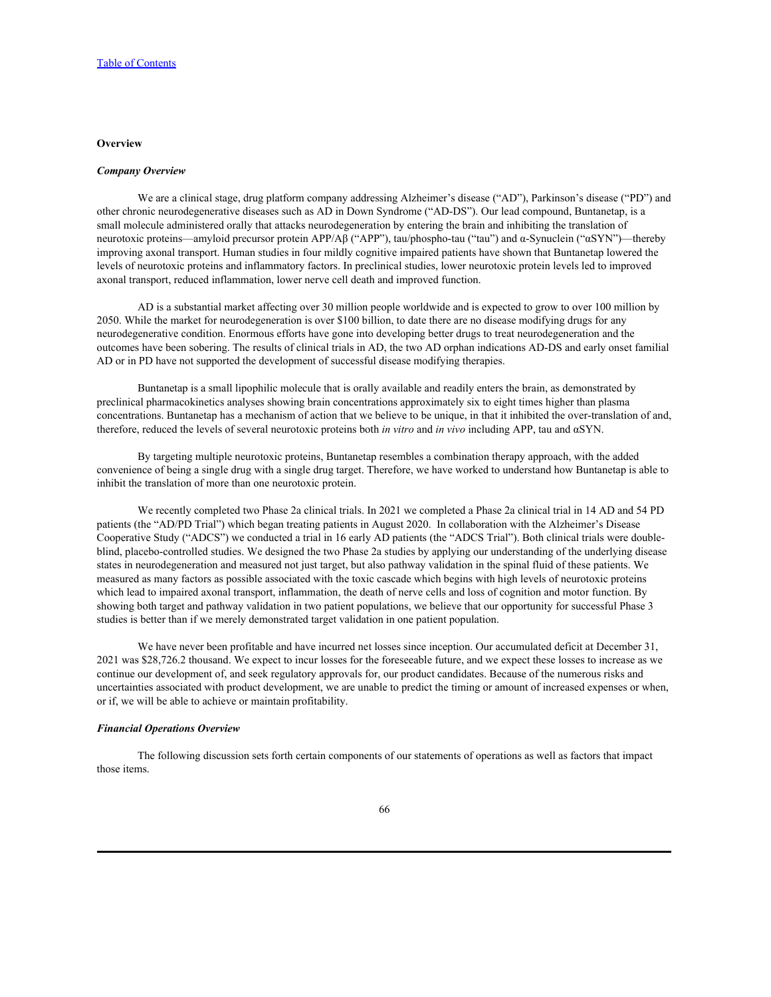#### **Overview Overview** *COVERS <b>COVERS*

#### *Company Overview*

We are a clinical stage, drug platform company addressing Alzheimer's disease ("AD"), Parkinson's disease ("PD") and other chronic neurodegenerative diseases such as AD in Down Syndrome ("AD-DS"). Our lead compound, Buntanetap, is a small molecule administered orally that attacks neurodegeneration by entering the brain and inhibiting the translation of neurotoxic proteins—amyloid precursor protein APP/Aβ ("APP"), tau/phospho-tau ("tau") and α-Synuclein ("αSYN")—thereby improving axonal transport. Human studies in four mildly cognitive impaired patients have shown that Buntanetap lowered the levels of neurotoxic proteins and inflammatory factors. In preclinical studies, lower neurotoxic protein levels led to improved axonal transport, reduced inflammation, lower nerve cell death and improved function.

AD is a substantial market affecting over 30 million people worldwide and is expected to grow to over 100 million by 2050. While the market for neurodegeneration is over \$100 billion, to date there are no disease modifying drugs for any neurodegenerative condition. Enormous efforts have gone into developing better drugs to treat neurodegeneration and the outcomes have been sobering. The results of clinical trials in AD, the two AD orphan indications AD-DS and early onset familial AD or in PD have not supported the development of successful disease modifying therapies.

Buntanetap is a small lipophilic molecule that is orally available and readily enters the brain, as demonstrated by preclinical pharmacokinetics analyses showing brain concentrations approximately six to eight times higher than plasma concentrations. Buntanetap has a mechanism of action that we believe to be unique, in that it inhibited the over-translation of and, therefore, reduced the levels of several neurotoxic proteins both *in vitro* and *in vivo* including APP, tau and αSYN.

By targeting multiple neurotoxic proteins, Buntanetap resembles a combination therapy approach, with the added convenience of being a single drug with a single drug target. Therefore, we have worked to understand how Buntanetap is able to inhibit the translation of more than one neurotoxic protein.

We recently completed two Phase 2a clinical trials. In 2021 we completed a Phase 2a clinical trial in 14 AD and 54 PD patients (the "AD/PD Trial") which began treating patients in August 2020. In collaboration with the Alzheimer's Disease Cooperative Study ("ADCS") we conducted a trial in 16 early AD patients (the "ADCS Trial"). Both clinical trials were doubleblind, placebo-controlled studies. We designed the two Phase 2a studies by applying our understanding of the underlying disease states in neurodegeneration and measured not just target, but also pathway validation in the spinal fluid of these patients. We measured as many factors as possible associated with the toxic cascade which begins with high levels of neurotoxic proteins which lead to impaired axonal transport, inflammation, the death of nerve cells and loss of cognition and motor function. By showing both target and pathway validation in two patient populations, we believe that our opportunity for successful Phase 3 studies is better than if we merely demonstrated target validation in one patient population.

We have never been profitable and have incurred net losses since inception. Our accumulated deficit at December 31, 2021 was \$28,726.2 thousand. We expect to incur losses for the foreseeable future, and we expect these losses to increase as we continue our development of, and seek regulatory approvals for, our product candidates. Because of the numerous risks and uncertainties associated with product development, we are unable to predict the timing or amount of increased expenses or when, or if, we will be able to achieve or maintain profitability.

## *Financial Operations Overview*

The following discussion sets forth certain components of our statements of operations as well as factors that impact those items.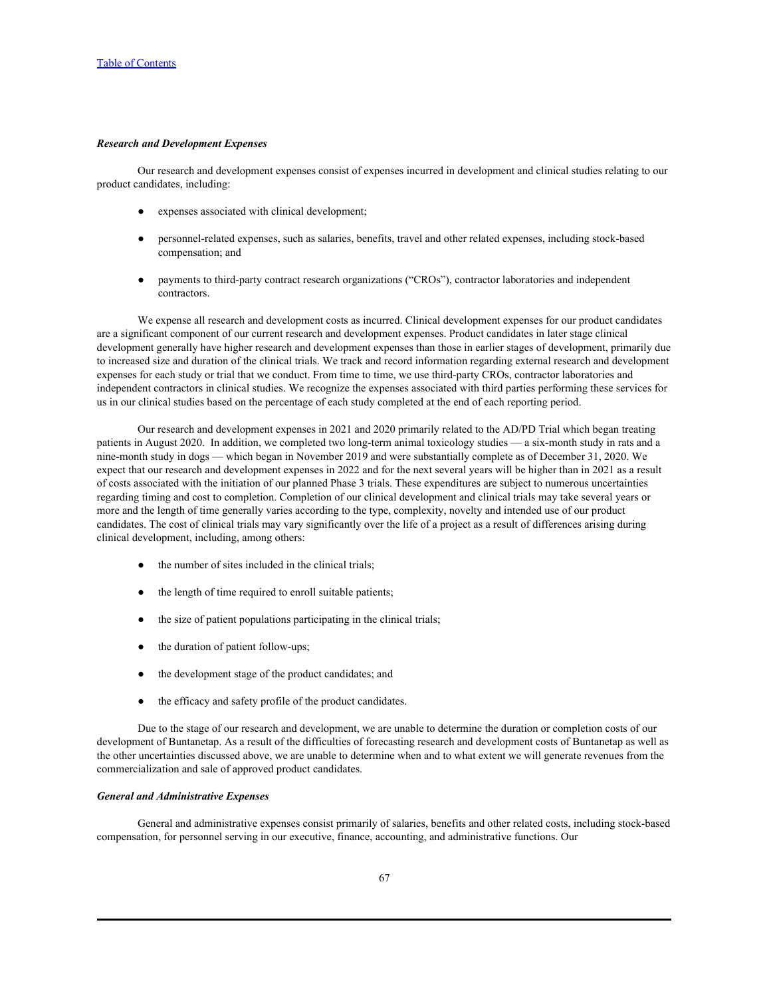# *Research and Development Expenses*

Our research and development expenses consist of expenses incurred in development and clinical studies relating to our product candidates, including:

- expenses associated with clinical development;
- personnel-related expenses, such as salaries, benefits, travel and other related expenses, including stock-based compensation; and
- payments to third-party contract research organizations ("CROs"), contractor laboratories and independent contractors.

We expense all research and development costs as incurred. Clinical development expenses for our product candidates are a significant component of our current research and development expenses. Product candidates in later stage clinical development generally have higher research and development expenses than those in earlier stages of development, primarily due to increased size and duration of the clinical trials. We track and record information regarding external research and development expenses for each study or trial that we conduct. From time to time, we use third-party CROs, contractor laboratories and independent contractors in clinical studies. We recognize the expenses associated with third parties performing these services for us in our clinical studies based on the percentage of each study completed at the end of each reporting period.

Our research and development expenses in 2021 and 2020 primarily related to the AD/PD Trial which began treating patients in August 2020. In addition, we completed two long-term animal toxicology studies — a six-month study in rats and a nine-month study in dogs — which began in November 2019 and were substantially complete as of December 31, 2020. We expect that our research and development expenses in 2022 and for the next several years will be higher than in 2021 as a result of costs associated with the initiation of our planned Phase 3 trials. These expenditures are subject to numerous uncertainties regarding timing and cost to completion. Completion of our clinical development and clinical trials may take several years or more and the length of time generally varies according to the type, complexity, novelty and intended use of our product candidates. The cost of clinical trials may vary significantly over the life of a project as a result of differences arising during clinical development, including, among others:

- the number of sites included in the clinical trials;
- the length of time required to enroll suitable patients;
- $\bullet$  the size of patient populations participating in the clinical trials;
- the duration of patient follow-ups;
- the development stage of the product candidates; and
- the efficacy and safety profile of the product candidates.

Due to the stage of our research and development, we are unable to determine the duration or completion costs of our development of Buntanetap. As a result of the difficulties of forecasting research and development costs of Buntanetap as well as the other uncertainties discussed above, we are unable to determine when and to what extent we will generate revenues from the commercialization and sale of approved product candidates.

#### *General and Administrative Expenses*

General and administrative expenses consist primarily of salaries, benefits and other related costs, including stock-based compensation, for personnel serving in our executive, finance, accounting, and administrative functions. Our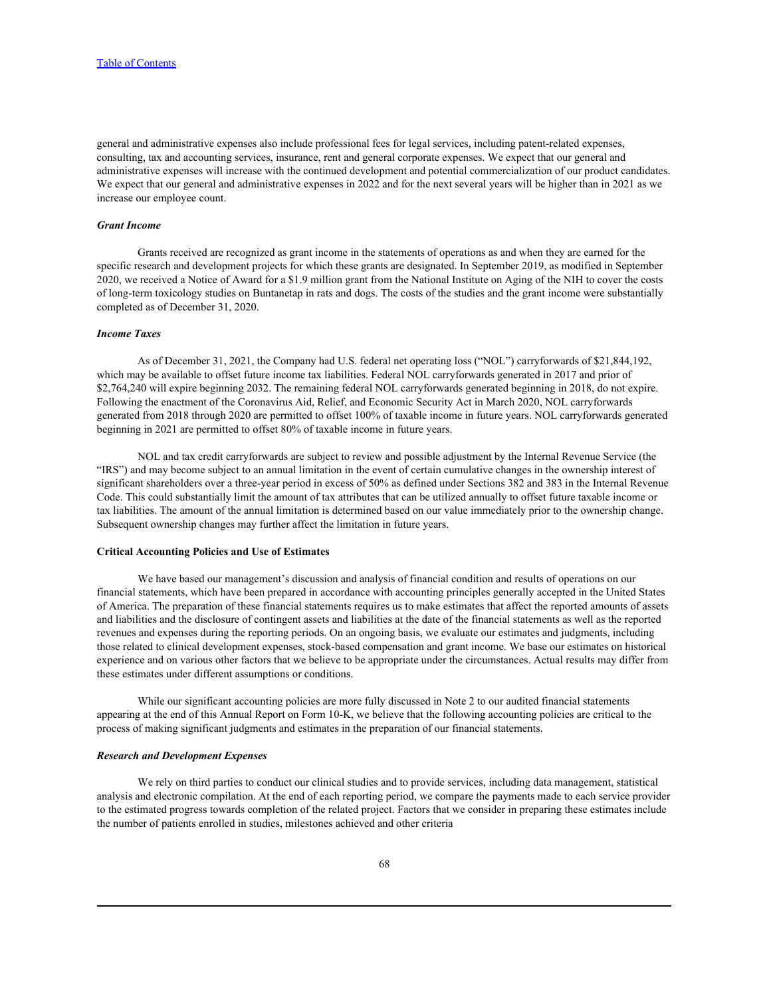general and administrative expenses also include professional fees for legal services, including patent-related expenses, consulting, tax and accounting services, insurance, rent and general corporate expenses. We expect that our general and administrative expenses will increase with the continued development and potential commercialization of our product candidates. We expect that our general and administrative expenses in 2022 and for the next several years will be higher than in 2021 as we increase our employee count.

#### *Grant Income*

Grants received are recognized as grant income in the statements of operations as and when they are earned for the specific research and development projects for which these grants are designated. In September 2019, as modified in September 2020, we received a Notice of Award for a \$1.9 million grant from the National Institute on Aging of the NIH to cover the costs of long-term toxicology studies on Buntanetap in rats and dogs. The costs of the studies and the grant income were substantially completed as of December 31, 2020.

## *Income Taxes*

As of December 31, 2021, the Company had U.S. federal net operating loss ("NOL") carryforwards of \$21,844,192, which may be available to offset future income tax liabilities. Federal NOL carryforwards generated in 2017 and prior of \$2,764,240 will expire beginning 2032. The remaining federal NOL carryforwards generated beginning in 2018, do not expire. Following the enactment of the Coronavirus Aid, Relief, and Economic Security Act in March 2020, NOL carryforwards generated from 2018 through 2020 are permitted to offset 100% of taxable income in future years. NOL carryforwards generated beginning in 2021 are permitted to offset 80% of taxable income in future years.

NOL and tax credit carryforwards are subject to review and possible adjustment by the Internal Revenue Service (the "IRS") and may become subject to an annual limitation in the event of certain cumulative changes in the ownership interest of significant shareholders over a three-year period in excess of 50% as defined under Sections 382 and 383 in the Internal Revenue Code. This could substantially limit the amount of tax attributes that can be utilized annually to offset future taxable income or tax liabilities. The amount of the annual limitation is determined based on our value immediately prior to the ownership change. Subsequent ownership changes may further affect the limitation in future years.

#### **Critical Accounting Policies and Use of Estimates**

We have based our management's discussion and analysis of financial condition and results of operations on our financial statements, which have been prepared in accordance with accounting principles generally accepted in the United States of America. The preparation of these financial statements requires us to make estimates that affect the reported amounts of assets and liabilities and the disclosure of contingent assets and liabilities at the date of the financial statements as well as the reported revenues and expenses during the reporting periods. On an ongoing basis, we evaluate our estimates and judgments, including those related to clinical development expenses, stock-based compensation and grant income. We base our estimates on historical experience and on various other factors that we believe to be appropriate under the circumstances. Actual results may differ from these estimates under different assumptions or conditions.

While our significant accounting policies are more fully discussed in Note 2 to our audited financial statements appearing at the end of this Annual Report on Form 10-K, we believe that the following accounting policies are critical to the process of making significant judgments and estimates in the preparation of our financial statements.

## *Research and Development Expenses*

We rely on third parties to conduct our clinical studies and to provide services, including data management, statistical analysis and electronic compilation. At the end of each reporting period, we compare the payments made to each service provider to the estimated progress towards completion of the related project. Factors that we consider in preparing these estimates include the number of patients enrolled in studies, milestones achieved and other criteria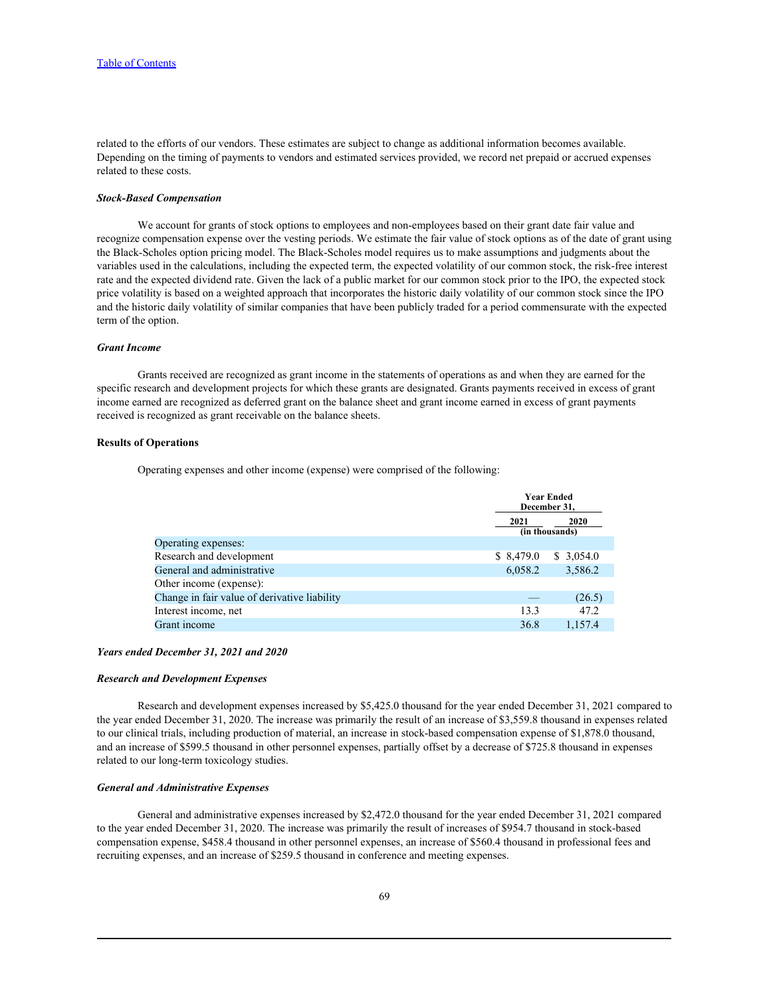related to the efforts of our vendors. These estimates are subject to change as additional information becomes available. Depending on the timing of payments to vendors and estimated services provided, we record net prepaid or accrued expenses related to these costs.

#### *Stock-Based Compensation*

We account for grants of stock options to employees and non-employees based on their grant date fair value and recognize compensation expense over the vesting periods. We estimate the fair value of stock options as of the date of grant using the Black-Scholes option pricing model. The Black-Scholes model requires us to make assumptions and judgments about the variables used in the calculations, including the expected term, the expected volatility of our common stock, the risk-free interest rate and the expected dividend rate. Given the lack of a public market for our common stock prior to the IPO, the expected stock price volatility is based on a weighted approach that incorporates the historic daily volatility of our common stock since the IPO and the historic daily volatility of similar companies that have been publicly traded for a period commensurate with the expected term of the option.

## *Grant Income*

Grants received are recognized as grant income in the statements of operations as and when they are earned for the specific research and development projects for which these grants are designated. Grants payments received in excess of grant income earned are recognized as deferred grant on the balance sheet and grant income earned in excess of grant payments received is recognized as grant receivable on the balance sheets.

## **Results of Operations**

Operating expenses and other income (expense) were comprised of the following:

| <b>Year Ended</b><br>December 31, |                               |  |  |
|-----------------------------------|-------------------------------|--|--|
| 2021                              | <b>2020</b><br>(in thousands) |  |  |
|                                   |                               |  |  |
| \$8,479.0                         | \$3,054.0                     |  |  |
| 6,058.2                           | 3,586.2                       |  |  |
|                                   |                               |  |  |
|                                   | (26.5)                        |  |  |
| 13.3                              | 47.2                          |  |  |
| 36.8                              | 1,157.4                       |  |  |
|                                   |                               |  |  |

# *Years ended December 31, 2021 and 2020*

#### *Research and Development Expenses*

Research and development expenses increased by \$5,425.0 thousand for the year ended December 31, 2021 compared to the year ended December 31, 2020. The increase was primarily the result of an increase of \$3,559.8 thousand in expenses related to our clinical trials, including production of material, an increase in stock-based compensation expense of \$1,878.0 thousand, and an increase of \$599.5 thousand in other personnel expenses, partially offset by a decrease of \$725.8 thousand in expenses related to our long-term toxicology studies.

# *General and Administrative Expenses*

General and administrative expenses increased by \$2,472.0 thousand for the year ended December 31, 2021 compared to the year ended December 31, 2020. The increase was primarily the result of increases of \$954.7 thousand in stock-based compensation expense, \$458.4 thousand in other personnel expenses, an increase of \$560.4 thousand in professional fees and recruiting expenses, and an increase of \$259.5 thousand in conference and meeting expenses.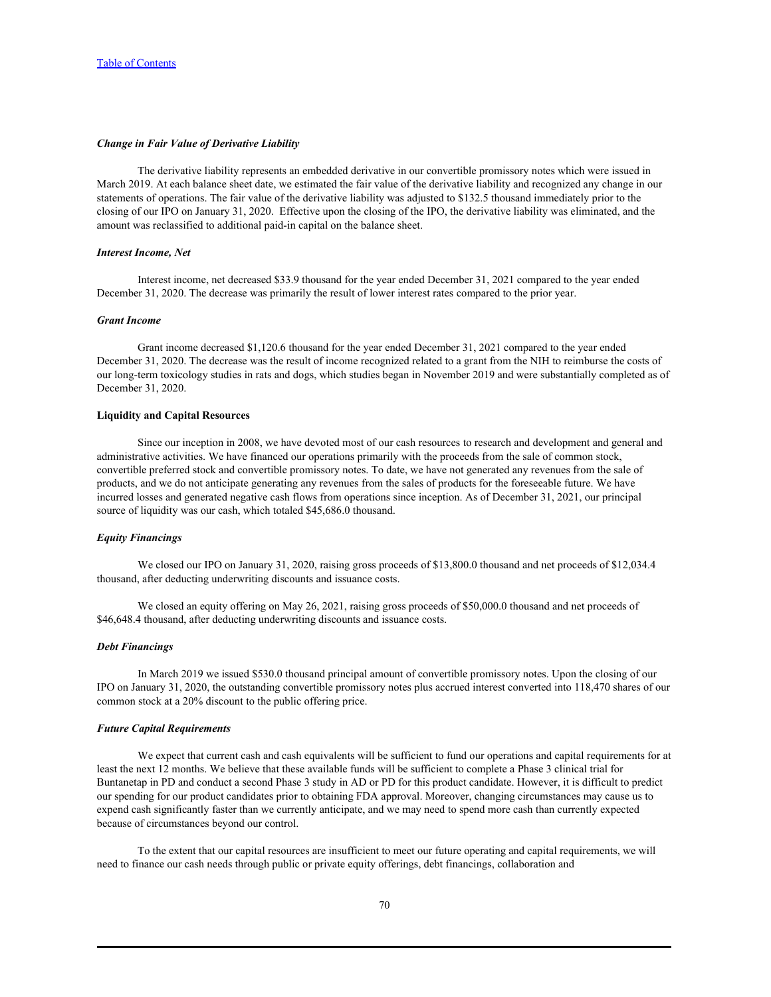### *Change in Fair Value of Derivative Liability*

The derivative liability represents an embedded derivative in our convertible promissory notes which were issued in March 2019. At each balance sheet date, we estimated the fair value of the derivative liability and recognized any change in our statements of operations. The fair value of the derivative liability was adjusted to \$132.5 thousand immediately prior to the closing of our IPO on January 31, 2020. Effective upon the closing of the IPO, the derivative liability was eliminated, and the amount was reclassified to additional paid-in capital on the balance sheet.

### *Interest Income, Net*

Interest income, net decreased \$33.9 thousand for the year ended December 31, 2021 compared to the year ended December 31, 2020. The decrease was primarily the result of lower interest rates compared to the prior year.

# *Grant Income*

Grant income decreased \$1,120.6 thousand for the year ended December 31, 2021 compared to the year ended December 31, 2020. The decrease was the result of income recognized related to a grant from the NIH to reimburse the costs of our long-term toxicology studies in rats and dogs, which studies began in November 2019 and were substantially completed as of December 31, 2020.

# **Liquidity and Capital Resources**

Since our inception in 2008, we have devoted most of our cash resources to research and development and general and administrative activities. We have financed our operations primarily with the proceeds from the sale of common stock, convertible preferred stock and convertible promissory notes. To date, we have not generated any revenues from the sale of products, and we do not anticipate generating any revenues from the sales of products for the foreseeable future. We have incurred losses and generated negative cash flows from operations since inception. As of December 31, 2021, our principal source of liquidity was our cash, which totaled \$45,686.0 thousand.

# *Equity Financings*

We closed our IPO on January 31, 2020, raising gross proceeds of \$13,800.0 thousand and net proceeds of \$12,034.4 thousand, after deducting underwriting discounts and issuance costs.

We closed an equity offering on May 26, 2021, raising gross proceeds of \$50,000.0 thousand and net proceeds of \$46,648.4 thousand, after deducting underwriting discounts and issuance costs.

### *Debt Financings*

In March 2019 we issued \$530.0 thousand principal amount of convertible promissory notes. Upon the closing of our IPO on January 31, 2020, the outstanding convertible promissory notes plus accrued interest converted into 118,470 shares of our common stock at a 20% discount to the public offering price.

## *Future Capital Requirements*

We expect that current cash and cash equivalents will be sufficient to fund our operations and capital requirements for at least the next 12 months. We believe that these available funds will be sufficient to complete a Phase 3 clinical trial for Buntanetap in PD and conduct a second Phase 3 study in AD or PD for this product candidate. However, it is difficult to predict our spending for our product candidates prior to obtaining FDA approval. Moreover, changing circumstances may cause us to expend cash significantly faster than we currently anticipate, and we may need to spend more cash than currently expected because of circumstances beyond our control.

To the extent that our capital resources are insufficient to meet our future operating and capital requirements, we will need to finance our cash needs through public or private equity offerings, debt financings, collaboration and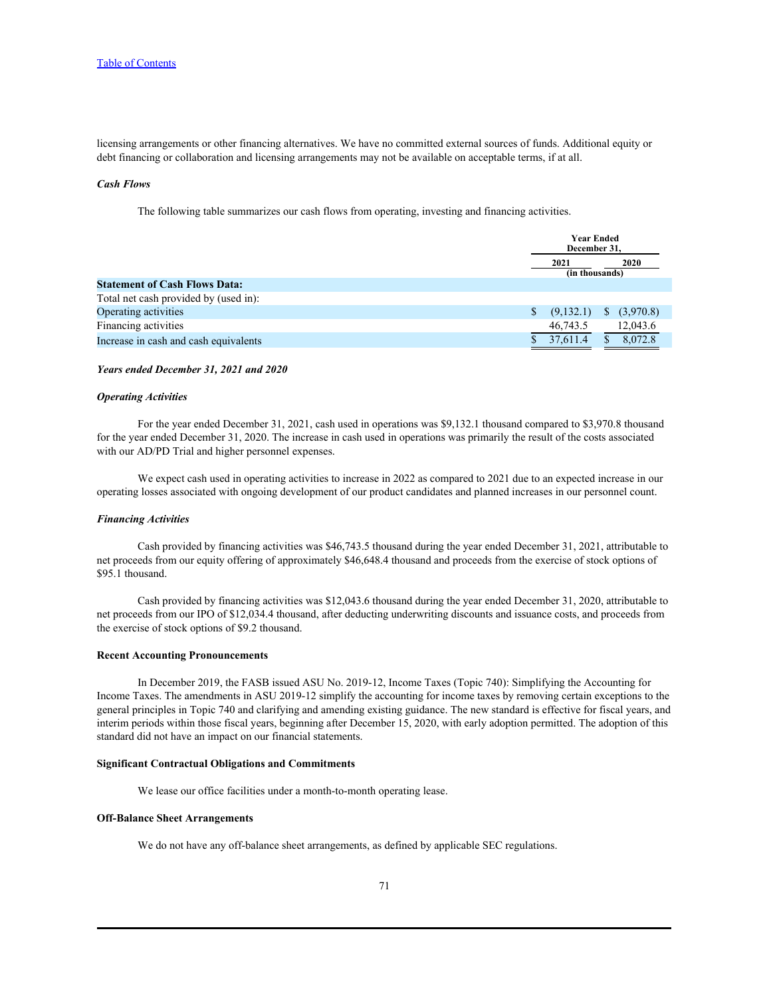licensing arrangements or other financing alternatives. We have no committed external sources of funds. Additional equity or debt financing or collaboration and licensing arrangements may not be available on acceptable terms, if at all.

#### *Cash Flows*

The following table summarizes our cash flows from operating, investing and financing activities.

|                                       | <b>Year Ended</b><br>December 31, |                        |
|---------------------------------------|-----------------------------------|------------------------|
|                                       | 2021                              | 2020<br>(in thousands) |
| <b>Statement of Cash Flows Data:</b>  |                                   |                        |
| Total net cash provided by (used in): |                                   |                        |
| Operating activities                  | (9,132.1)                         | \$ (3,970.8)           |
| Financing activities                  | 46,743.5                          | 12,043.6               |
| Increase in cash and cash equivalents | 37,611.4                          | 8,072.8                |

#### *Years ended December 31, 2021 and 2020*

### *Operating Activities*

For the year ended December 31, 2021, cash used in operations was \$9,132.1 thousand compared to \$3,970.8 thousand for the year ended December 31, 2020. The increase in cash used in operations was primarily the result of the costs associated with our AD/PD Trial and higher personnel expenses.

We expect cash used in operating activities to increase in 2022 as compared to 2021 due to an expected increase in our operating losses associated with ongoing development of our product candidates and planned increases in our personnel count.

### *Financing Activities*

Cash provided by financing activities was \$46,743.5 thousand during the year ended December 31, 2021, attributable to net proceeds from our equity offering of approximately \$46,648.4 thousand and proceeds from the exercise of stock options of \$95.1 thousand.

Cash provided by financing activities was \$12,043.6 thousand during the year ended December 31, 2020, attributable to net proceeds from our IPO of \$12,034.4 thousand, after deducting underwriting discounts and issuance costs, and proceeds from the exercise of stock options of \$9.2 thousand.

#### **Recent Accounting Pronouncements**

In December 2019, the FASB issued ASU No. 2019-12, Income Taxes (Topic 740): Simplifying the Accounting for Income Taxes. The amendments in ASU 2019-12 simplify the accounting for income taxes by removing certain exceptions to the general principles in Topic 740 and clarifying and amending existing guidance. The new standard is effective for fiscal years, and interim periods within those fiscal years, beginning after December 15, 2020, with early adoption permitted. The adoption of this standard did not have an impact on our financial statements.

#### **Significant Contractual Obligations and Commitments**

We lease our office facilities under a month-to-month operating lease.

## **Off-Balance Sheet Arrangements**

We do not have any off-balance sheet arrangements, as defined by applicable SEC regulations.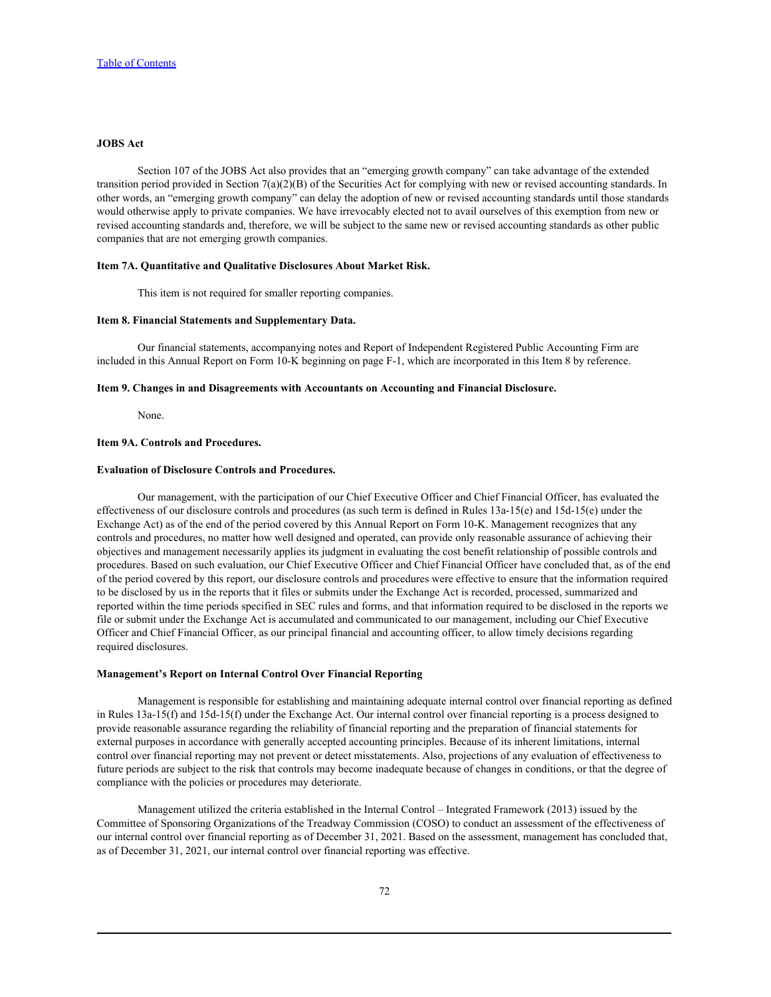## **JOBS Act**

Section 107 of the JOBS Act also provides that an "emerging growth company" can take advantage of the extended transition period provided in Section 7(a)(2)(B) of the Securities Act for complying with new or revised accounting standards. In other words, an "emerging growth company" can delay the adoption of new or revised accounting standards until those standards would otherwise apply to private companies. We have irrevocably elected not to avail ourselves of this exemption from new or revised accounting standards and, therefore, we will be subject to the same new or revised accounting standards as other public companies that are not emerging growth companies.

#### **Item 7A. Quantitative and Qualitative Disclosures About Market Risk.**

This item is not required for smaller reporting companies.

### **Item 8. Financial Statements and Supplementary Data.**

Our financial statements, accompanying notes and Report of Independent Registered Public Accounting Firm are included in this Annual Report on Form 10-K beginning on page F-1, which are incorporated in this Item 8 by reference.

#### **Item 9. Changes in and Disagreements with Accountants on Accounting and Financial Disclosure.**

None.

## **Item 9A. Controls and Procedures.**

### **Evaluation of Disclosure Controls and Procedures.**

Our management, with the participation of our Chief Executive Officer and Chief Financial Officer, has evaluated the effectiveness of our disclosure controls and procedures (as such term is defined in Rules 13a-15(e) and 15d-15(e) under the Exchange Act) as of the end of the period covered by this Annual Report on Form 10-K. Management recognizes that any controls and procedures, no matter how well designed and operated, can provide only reasonable assurance of achieving their objectives and management necessarily applies its judgment in evaluating the cost benefit relationship of possible controls and procedures. Based on such evaluation, our Chief Executive Officer and Chief Financial Officer have concluded that, as of the end of the period covered by this report, our disclosure controls and procedures were effective to ensure that the information required to be disclosed by us in the reports that it files or submits under the Exchange Act is recorded, processed, summarized and reported within the time periods specified in SEC rules and forms, and that information required to be disclosed in the reports we file or submit under the Exchange Act is accumulated and communicated to our management, including our Chief Executive Officer and Chief Financial Officer, as our principal financial and accounting officer, to allow timely decisions regarding required disclosures.

#### **Management's Report on Internal Control Over Financial Reporting**

Management is responsible for establishing and maintaining adequate internal control over financial reporting as defined in Rules 13a-15(f) and 15d-15(f) under the Exchange Act. Our internal control over financial reporting is a process designed to provide reasonable assurance regarding the reliability of financial reporting and the preparation of financial statements for external purposes in accordance with generally accepted accounting principles. Because of its inherent limitations, internal control over financial reporting may not prevent or detect misstatements. Also, projections of any evaluation of effectiveness to future periods are subject to the risk that controls may become inadequate because of changes in conditions, or that the degree of compliance with the policies or procedures may deteriorate.

Management utilized the criteria established in the Internal Control – Integrated Framework (2013) issued by the Committee of Sponsoring Organizations of the Treadway Commission (COSO) to conduct an assessment of the effectiveness of our internal control over financial reporting as of December 31, 2021. Based on the assessment, management has concluded that, as of December 31, 2021, our internal control over financial reporting was effective.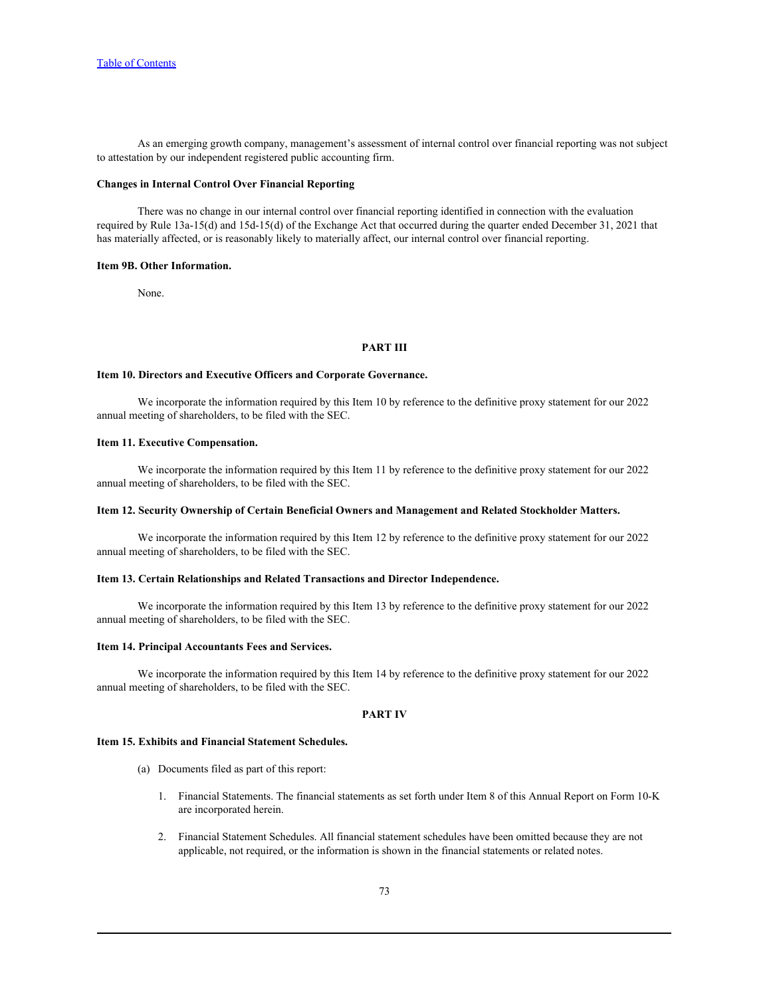As an emerging growth company, management's assessment of internal control over financial reporting was not subject to attestation by our independent registered public accounting firm.

## **Changes in Internal Control Over Financial Reporting**

There was no change in our internal control over financial reporting identified in connection with the evaluation required by Rule 13a-15(d) and 15d-15(d) of the Exchange Act that occurred during the quarter ended December 31, 2021 that has materially affected, or is reasonably likely to materially affect, our internal control over financial reporting.

#### **Item 9B. Other Information.**

None.

## **PART III**

#### **Item 10. Directors and Executive Officers and Corporate Governance.**

We incorporate the information required by this Item 10 by reference to the definitive proxy statement for our 2022 annual meeting of shareholders, to be filed with the SEC.

## **Item 11. Executive Compensation.**

We incorporate the information required by this Item 11 by reference to the definitive proxy statement for our 2022 annual meeting of shareholders, to be filed with the SEC.

## **Item 12. Security Ownership of Certain Beneficial Owners and Management and Related Stockholder Matters.**

We incorporate the information required by this Item 12 by reference to the definitive proxy statement for our 2022 annual meeting of shareholders, to be filed with the SEC.

#### **Item 13. Certain Relationships and Related Transactions and Director Independence.**

We incorporate the information required by this Item 13 by reference to the definitive proxy statement for our 2022 annual meeting of shareholders, to be filed with the SEC.

### **Item 14. Principal Accountants Fees and Services.**

We incorporate the information required by this Item 14 by reference to the definitive proxy statement for our 2022 annual meeting of shareholders, to be filed with the SEC.

#### **PART IV**

#### **Item 15. Exhibits and Financial Statement Schedules.**

- (a) Documents filed as part of this report:
	- 1. Financial Statements. The financial statements as set forth under Item 8 of this Annual Report on Form 10-K are incorporated herein.
	- 2. Financial Statement Schedules. All financial statement schedules have been omitted because they are not applicable, not required, or the information is shown in the financial statements or related notes.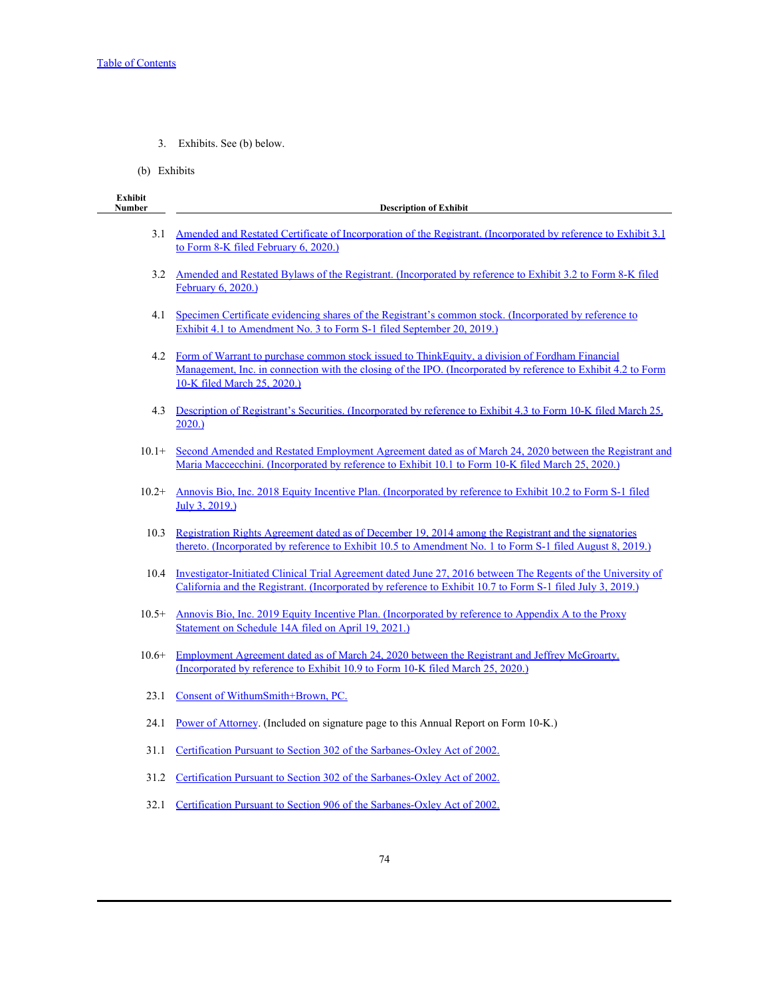- 3. Exhibits. See (b) below.
- (b) Exhibits

| <b>Exhibit</b><br><b>Number</b> | <b>Description of Exhibit</b>                                                                                                                                                                                                                   |
|---------------------------------|-------------------------------------------------------------------------------------------------------------------------------------------------------------------------------------------------------------------------------------------------|
| 3.1                             | Amended and Restated Certificate of Incorporation of the Registrant. (Incorporated by reference to Exhibit 3.1<br>to Form 8-K filed February 6, 2020.)                                                                                          |
| 3.2                             | Amended and Restated Bylaws of the Registrant. (Incorporated by reference to Exhibit 3.2 to Form 8-K filed<br>February 6, 2020.)                                                                                                                |
| 4.1                             | Specimen Certificate evidencing shares of the Registrant's common stock. (Incorporated by reference to<br>Exhibit 4.1 to Amendment No. 3 to Form S-1 filed September 20, 2019.)                                                                 |
| 4.2                             | Form of Warrant to purchase common stock issued to ThinkEquity, a division of Fordham Financial<br>Management, Inc. in connection with the closing of the IPO. (Incorporated by reference to Exhibit 4.2 to Form<br>10-K filed March 25, 2020.) |
| 4.3                             | Description of Registrant's Securities. (Incorporated by reference to Exhibit 4.3 to Form 10-K filed March 25,<br>2020.                                                                                                                         |
| $10.1+$                         | Second Amended and Restated Employment Agreement dated as of March 24, 2020 between the Registrant and<br>Maria Maccecchini. (Incorporated by reference to Exhibit 10.1 to Form 10-K filed March 25, 2020.)                                     |
| $10.2+$                         | Annovis Bio, Inc. 2018 Equity Incentive Plan. (Incorporated by reference to Exhibit 10.2 to Form S-1 filed<br>July 3, 2019.)                                                                                                                    |
| 10.3                            | Registration Rights Agreement dated as of December 19, 2014 among the Registrant and the signatories<br>thereto. (Incorporated by reference to Exhibit 10.5 to Amendment No. 1 to Form S-1 filed August 8, 2019.)                               |
| 10.4                            | Investigator-Initiated Clinical Trial Agreement dated June 27, 2016 between The Regents of the University of<br>California and the Registrant. (Incorporated by reference to Exhibit 10.7 to Form S-1 filed July 3, 2019.)                      |
| $10.5+$                         | Annovis Bio, Inc. 2019 Equity Incentive Plan. (Incorporated by reference to Appendix A to the Proxy<br>Statement on Schedule 14A filed on April 19, 2021.)                                                                                      |
| $10.6+$                         | <u>Employment Agreement dated as of March 24, 2020 between the Registrant and Jeffrey McGroarty.</u><br>(Incorporated by reference to Exhibit 10.9 to Form 10-K filed March 25, 2020.)                                                          |
| 23.1                            | Consent of WithumSmith+Brown, PC.                                                                                                                                                                                                               |
| 24.1                            | Power of Attorney. (Included on signature page to this Annual Report on Form 10-K.)                                                                                                                                                             |
| 31.1                            | Certification Pursuant to Section 302 of the Sarbanes-Oxley Act of 2002.                                                                                                                                                                        |
| 31.2                            | Certification Pursuant to Section 302 of the Sarbanes-Oxley Act of 2002.                                                                                                                                                                        |
| 32.1                            | Certification Pursuant to Section 906 of the Sarbanes-Oxley Act of 2002.                                                                                                                                                                        |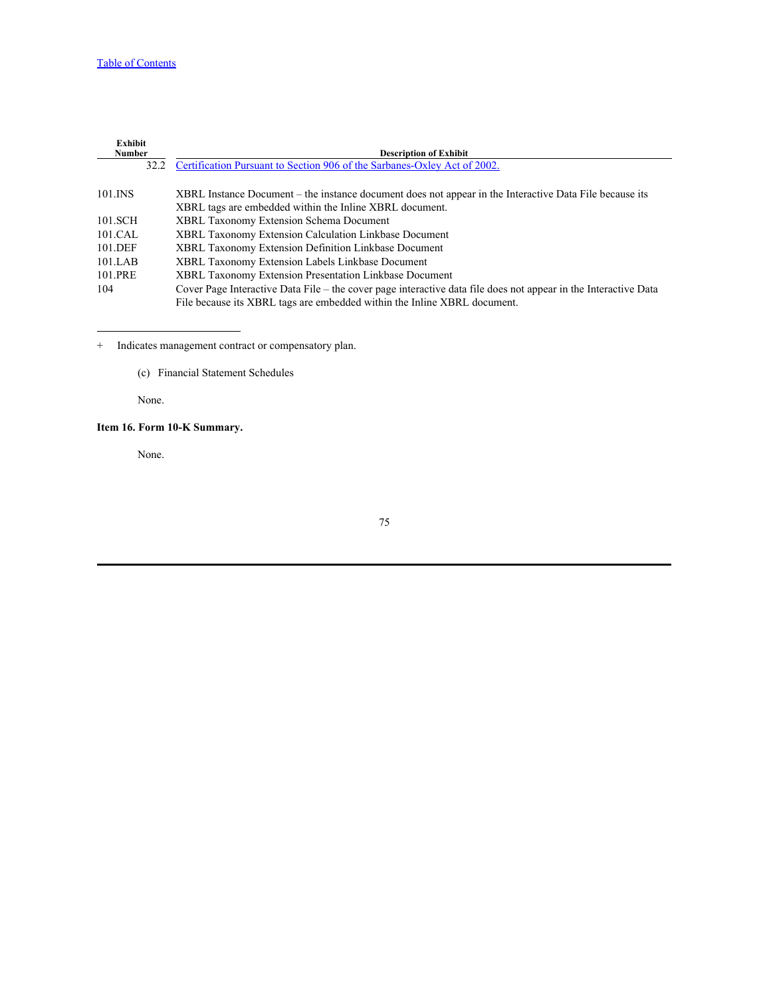## [Table of Contents](#page-1-0)

| <b>Exhibit</b> |                                                                                                                 |
|----------------|-----------------------------------------------------------------------------------------------------------------|
| <b>Number</b>  | <b>Description of Exhibit</b>                                                                                   |
|                | 32.2 Certification Pursuant to Section 906 of the Sarbanes-Oxley Act of 2002.                                   |
|                |                                                                                                                 |
| 101.INS        | XBRL Instance Document – the instance document does not appear in the Interactive Data File because its         |
|                | XBRL tags are embedded within the Inline XBRL document.                                                         |
| 101.SCH        | <b>XBRL Taxonomy Extension Schema Document</b>                                                                  |
| 101.CAL        | <b>XBRL Taxonomy Extension Calculation Linkbase Document</b>                                                    |
| 101.DEF        | XBRL Taxonomy Extension Definition Linkbase Document                                                            |
| 101.LAB        | <b>XBRL Taxonomy Extension Labels Linkbase Document</b>                                                         |
| 101.PRE        | XBRL Taxonomy Extension Presentation Linkbase Document                                                          |
| 104            | Cover Page Interactive Data File - the cover page interactive data file does not appear in the Interactive Data |
|                | File because its XBRL tags are embedded within the Inline XBRL document.                                        |

+ Indicates management contract or compensatory plan.

(c) Financial Statement Schedules

None.

# **Item 16. Form 10-K Summary.**

None.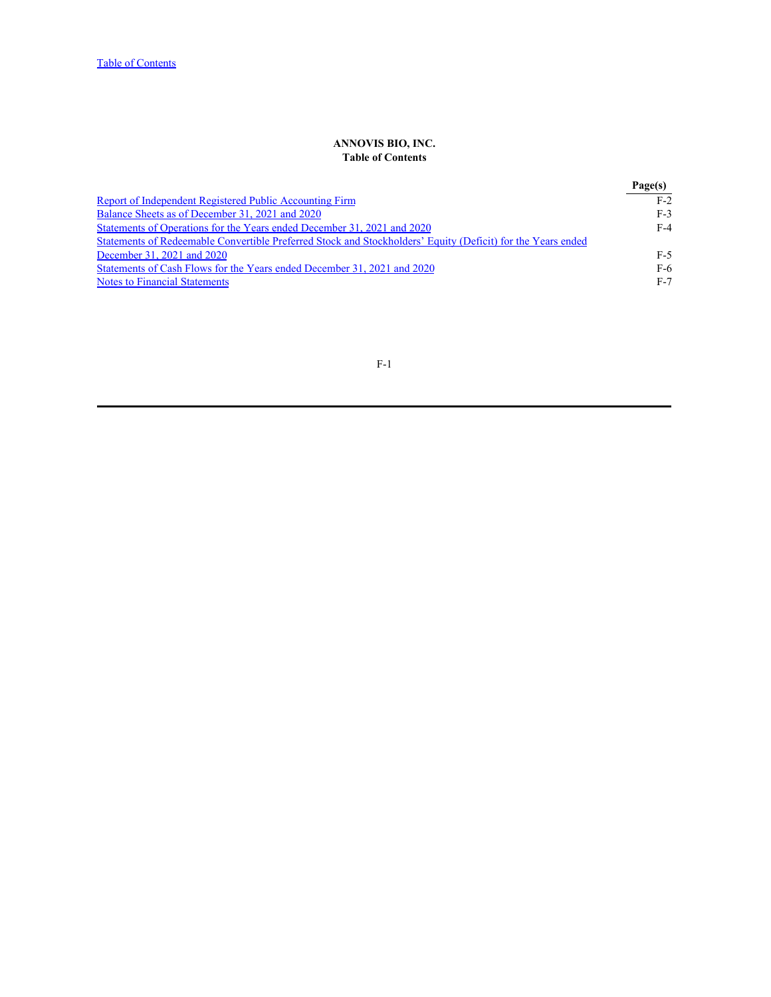## **ANNOVIS BIO, INC. Table of Contents**

|                                                                                                             | Page(s) |
|-------------------------------------------------------------------------------------------------------------|---------|
| Report of Independent Registered Public Accounting Firm                                                     | $F-2$   |
| Balance Sheets as of December 31, 2021 and 2020                                                             | F-3     |
| Statements of Operations for the Years ended December 31, 2021 and 2020                                     | $F-4$   |
| Statements of Redeemable Convertible Preferred Stock and Stockholders' Equity (Deficit) for the Years ended |         |
| December 31, 2021 and 2020                                                                                  | F-5     |
| Statements of Cash Flows for the Years ended December 31, 2021 and 2020                                     | F-6     |
| <b>Notes to Financial Statements</b>                                                                        | $F-7$   |
|                                                                                                             |         |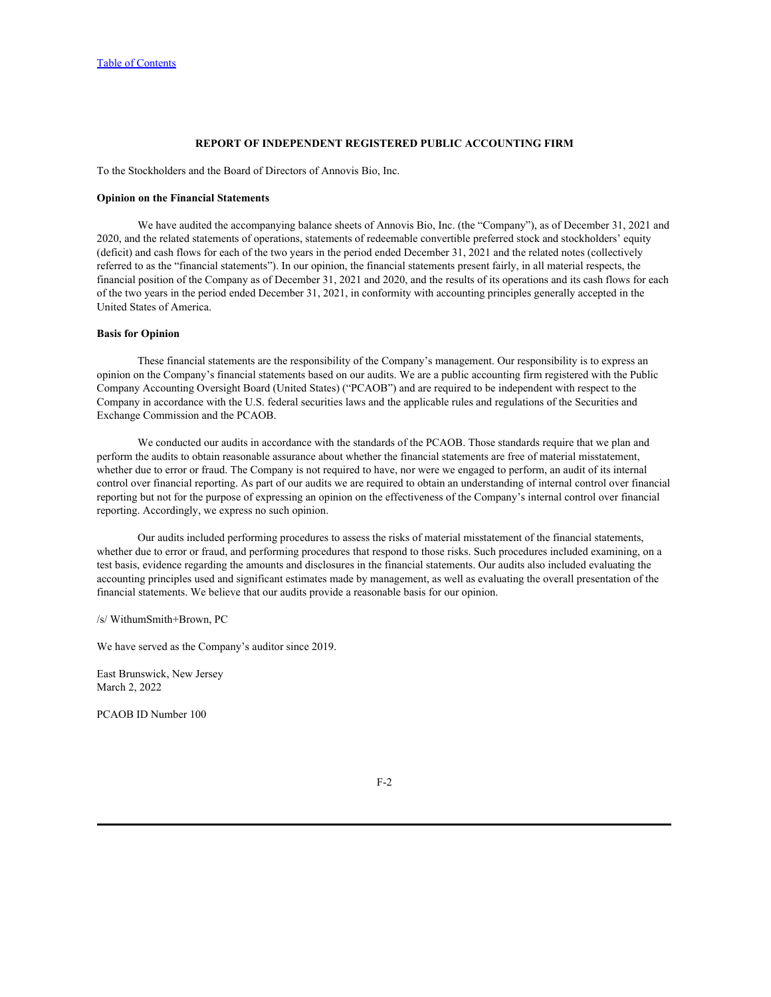## **REPORT OF INDEPENDENT REGISTERED PUBLIC ACCOUNTING FIRM**

<span id="page-77-0"></span>To the Stockholders and the Board of Directors of Annovis Bio, Inc.

#### **Opinion on the Financial Statements**

We have audited the accompanying balance sheets of Annovis Bio, Inc. (the "Company"), as of December 31, 2021 and 2020, and the related statements of operations, statements of redeemable convertible preferred stock and stockholders' equity (deficit) and cash flows for each of the two years in the period ended December 31, 2021 and the related notes (collectively referred to as the "financial statements"). In our opinion, the financial statements present fairly, in all material respects, the financial position of the Company as of December 31, 2021 and 2020, and the results of its operations and its cash flows for each of the two years in the period ended December 31, 2021, in conformity with accounting principles generally accepted in the United States of America.

## **Basis for Opinion**

These financial statements are the responsibility of the Company's management. Our responsibility is to express an opinion on the Company's financial statements based on our audits. We are a public accounting firm registered with the Public Company Accounting Oversight Board (United States) ("PCAOB") and are required to be independent with respect to the Company in accordance with the U.S. federal securities laws and the applicable rules and regulations of the Securities and Exchange Commission and the PCAOB.

We conducted our audits in accordance with the standards of the PCAOB. Those standards require that we plan and perform the audits to obtain reasonable assurance about whether the financial statements are free of material misstatement, whether due to error or fraud. The Company is not required to have, nor were we engaged to perform, an audit of its internal control over financial reporting. As part of our audits we are required to obtain an understanding of internal control over financial reporting but not for the purpose of expressing an opinion on the effectiveness of the Company's internal control over financial reporting. Accordingly, we express no such opinion.

Our audits included performing procedures to assess the risks of material misstatement of the financial statements, whether due to error or fraud, and performing procedures that respond to those risks. Such procedures included examining, on a test basis, evidence regarding the amounts and disclosures in the financial statements. Our audits also included evaluating the accounting principles used and significant estimates made by management, as well as evaluating the overall presentation of the financial statements. We believe that our audits provide a reasonable basis for our opinion.

/s/ WithumSmith+Brown, PC

We have served as the Company's auditor since 2019.

East Brunswick, New Jersey March 2, 2022

PCAOB ID Number 100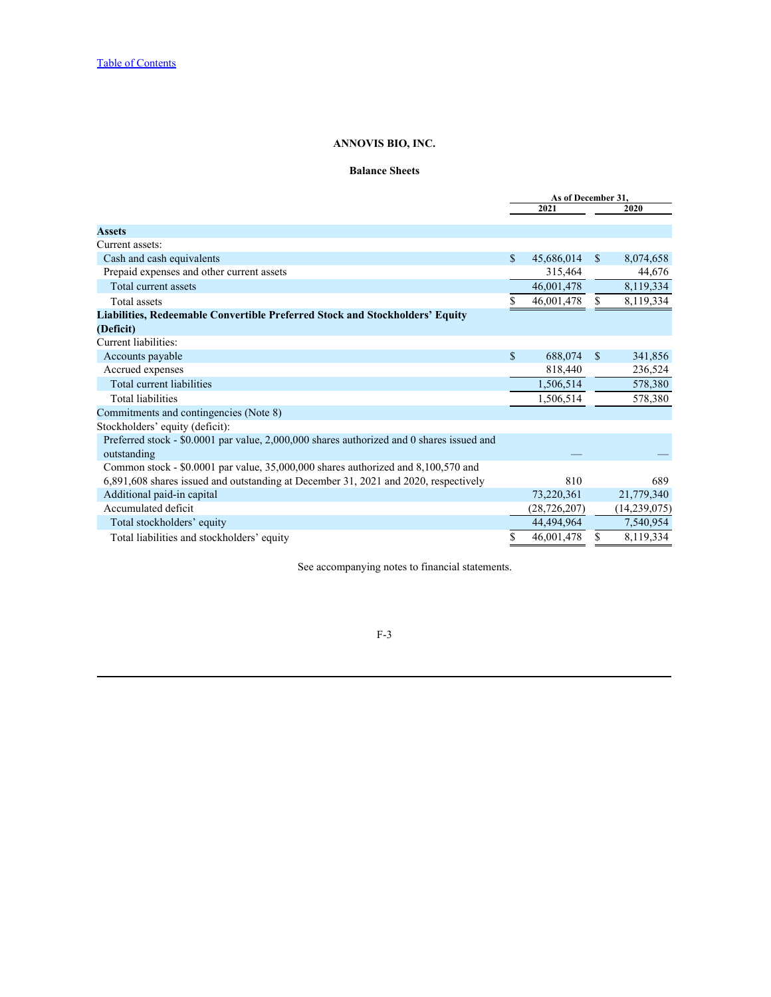## **Balance Sheets**

<span id="page-78-0"></span>

|    | 2021           |            | 2020                                              |
|----|----------------|------------|---------------------------------------------------|
|    |                |            |                                                   |
|    |                |            |                                                   |
|    |                |            | 8,074,658                                         |
|    | 315,464        |            | 44,676                                            |
|    | 46,001,478     |            | 8,119,334                                         |
|    | 46,001,478     |            | 8,119,334                                         |
|    |                |            |                                                   |
|    |                |            |                                                   |
| -8 |                |            | 341,856                                           |
|    | 818,440        |            | 236,524                                           |
|    | 1,506,514      |            | 578,380                                           |
|    | ,506,514       |            | 578,380                                           |
|    |                |            |                                                   |
|    |                |            |                                                   |
|    |                |            |                                                   |
|    |                |            |                                                   |
|    |                |            |                                                   |
|    | 810            |            | 689                                               |
|    |                |            | 21,779,340                                        |
|    | (28, 726, 207) |            | (14,239,075)                                      |
|    | 44,494,964     |            | 7,540,954                                         |
|    | 46,001,478     |            | 8,119,334                                         |
|    |                | 73,220,361 | As of December 31,<br>45,686,014 \$<br>688,074 \$ |

See accompanying notes to financial statements.

F-3 and the set of the set of the set of the set of the set of the set of the set of the set of the set of the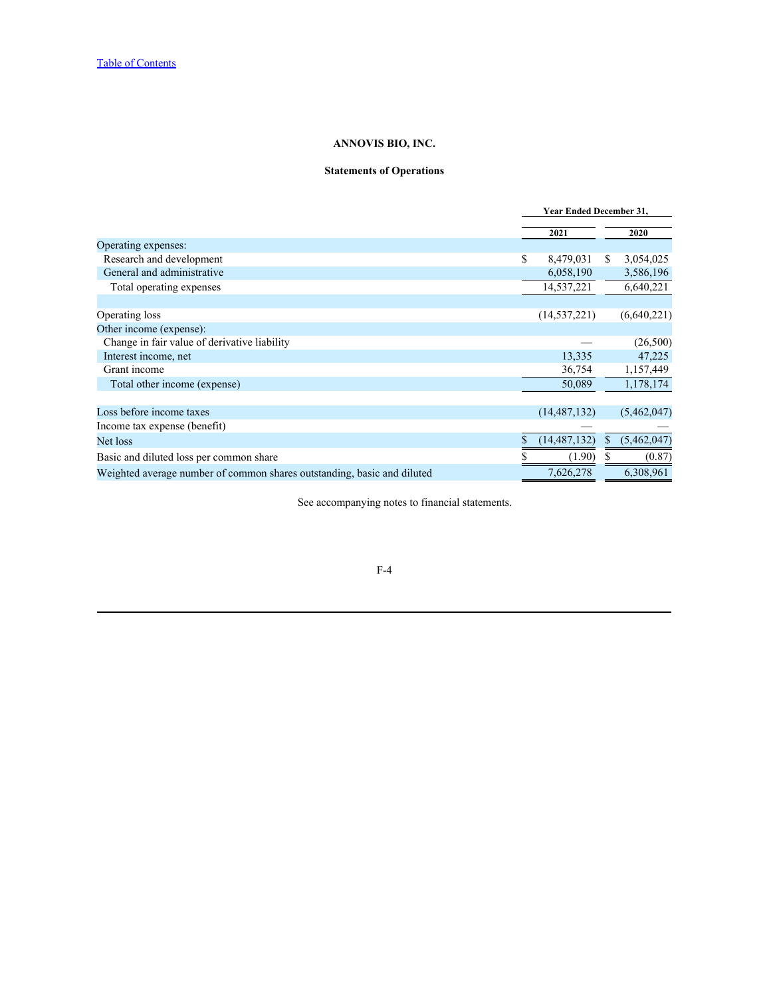## **Statements of Operations**

<span id="page-79-0"></span>

|                                                                         | <b>Year Ended December 31,</b>  |                 |
|-------------------------------------------------------------------------|---------------------------------|-----------------|
|                                                                         | 2021                            | 2020            |
| Operating expenses:                                                     |                                 |                 |
| Research and development                                                | 8,479,031                       | 3,054,025<br>У. |
| General and administrative                                              | 6,058,190                       | 3,586,196       |
| Total operating expenses                                                | 14,537,221                      | 6,640,221       |
|                                                                         |                                 |                 |
| Operating loss                                                          | (14, 537, 221)                  | (6,640,221)     |
| Other income (expense):                                                 |                                 |                 |
| Change in fair value of derivative liability                            | $\hspace{0.1mm}-\hspace{0.1mm}$ | (26, 500)       |
| Interest income, net                                                    | 13,335                          | 47,225          |
| Grant income                                                            | 36,754                          | 1,157,449       |
| Total other income (expense)                                            | 50,089                          | 1,178,174       |
|                                                                         |                                 |                 |
| Loss before income taxes                                                | (14, 487, 132)                  | (5,462,047)     |
| Income tax expense (benefit)                                            |                                 |                 |
| Net loss                                                                | (14, 487, 132)                  | (5,462,047)     |
| Basic and diluted loss per common share                                 | (1.90)                          | (0.87)          |
| Weighted average number of common shares outstanding, basic and diluted | 7,626,278                       | 6,308,961       |

See accompanying notes to financial statements.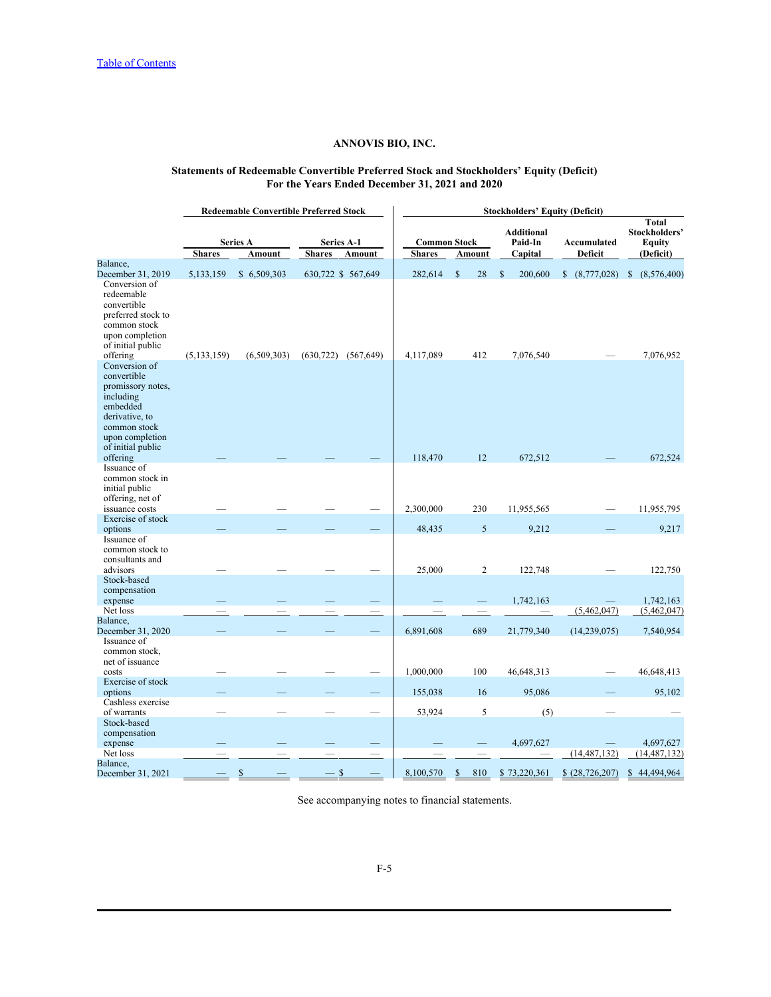## **Statements of Redeemable Convertible Preferred Stock and Stockholders' Equity (Deficit) For the Years Ended December 31, 2021 and 2020**

<span id="page-80-0"></span>

|                                                                                                                |               | <b>Redeemable Convertible Preferred Stock</b> |               |                                 | <b>Stockholders' Equity (Deficit)</b> |                                 |                                  |                                       |                                                      |  |
|----------------------------------------------------------------------------------------------------------------|---------------|-----------------------------------------------|---------------|---------------------------------|---------------------------------------|---------------------------------|----------------------------------|---------------------------------------|------------------------------------------------------|--|
|                                                                                                                | <b>Shares</b> | <b>Series A</b><br>Amount                     | <b>Shares</b> | <b>Series A-1</b><br>Amount     | <b>Shares</b>                         | <b>Common Stock</b><br>Amount   | Additional<br>Paid-In<br>Capital | Accumulated<br>Deficit                | Total<br>Stockholders'<br><b>Equity</b><br>(Deficit) |  |
| Balance,                                                                                                       |               |                                               |               |                                 |                                       |                                 |                                  |                                       |                                                      |  |
| December 31, 2019<br>Conversion of<br>redeemable                                                               | 5,133,159     | \$6,509,303                                   |               | 630,722 \$ 567,649              | 282,614                               | 28<br>$\mathbb{S}$              | S.                               | 200,600 \$ (8,777,028) \$ (8,576,400) |                                                      |  |
| convertible<br>preferred stock to<br>common stock<br>upon completion<br>of initial public                      |               |                                               |               |                                 |                                       |                                 |                                  |                                       |                                                      |  |
| offering<br>Conversion of                                                                                      | (5, 133, 159) | (6,509,303)                                   |               | $(630,722)$ $(567,649)$         | 4,117,089                             | 412                             | 7,076,540                        |                                       | 7,076,952                                            |  |
| convertible<br>promissory notes,<br>including<br>embedded<br>derivative, to<br>common stock<br>upon completion |               |                                               |               |                                 |                                       |                                 |                                  |                                       |                                                      |  |
| of initial public<br>offering                                                                                  |               |                                               |               |                                 | 118,470                               | 12                              | 672,512                          |                                       | 672,524                                              |  |
| Issuance of<br>common stock in<br>initial public<br>offering, net of                                           |               |                                               |               |                                 |                                       |                                 |                                  |                                       |                                                      |  |
| issuance costs<br>Exercise of stock                                                                            |               |                                               |               | $\overline{\phantom{0}}$        | 2,300,000                             | 230                             | 11,955,565                       |                                       | 11,955,795                                           |  |
| options<br>Issuance of<br>common stock to<br>consultants and                                                   |               |                                               |               |                                 | 48,435                                | $5\overline{)}$                 | 9,212                            |                                       | 9,217                                                |  |
| advisors<br>Stock-based<br>compensation                                                                        |               |                                               |               | $\overline{\phantom{0}}$        | 25,000                                | $\overline{2}$                  | 122,748                          |                                       | 122,750                                              |  |
| expense                                                                                                        |               |                                               |               |                                 |                                       |                                 | 1,742,163                        |                                       | 1,742,163                                            |  |
| Net loss<br>Balance,                                                                                           |               |                                               |               | $\hspace{0.1mm}-\hspace{0.1mm}$ |                                       | $\hspace{0.1mm}-\hspace{0.1mm}$ | $\overline{\phantom{m}}$         | (5,462,047)                           | (5,462,047)                                          |  |
| December 31, 2020<br>Issuance of<br>common stock.<br>net of issuance                                           |               |                                               |               |                                 | 6,891,608                             | 689                             | 21,779,340                       | (14, 239, 075)                        | 7,540,954                                            |  |
| costs<br>Exercise of stock                                                                                     | --            |                                               |               |                                 | 1,000,000                             | 100                             | 46,648,313                       |                                       | 46,648,413                                           |  |
| options                                                                                                        |               |                                               |               |                                 | 155,038                               | 16                              | 95,086                           |                                       | 95,102                                               |  |
| Cashless exercise<br>of warrants                                                                               | -             |                                               |               | $\overline{\phantom{0}}$        | 53,924                                | $5\overline{)}$                 | (5)                              |                                       |                                                      |  |
| Stock-based<br>compensation<br>expense                                                                         |               |                                               |               |                                 |                                       |                                 | 4,697,627                        |                                       | 4,697,627                                            |  |
| Net loss                                                                                                       |               |                                               |               | $\qquad \qquad -$               |                                       |                                 | $\overbrace{\phantom{123321}}$   | (14, 487, 132)                        | (14, 487, 132)                                       |  |
| Balance,                                                                                                       |               |                                               |               |                                 |                                       |                                 |                                  |                                       |                                                      |  |
| December 31, 2021                                                                                              |               | $\mathcal{S}$                                 | $-$ \$        |                                 | 8,100,570                             | $\mathbf{s}$                    | 810 \$73,220,361                 | \$(28,726,207)                        | \$44,494,964                                         |  |

See accompanying notes to financial statements.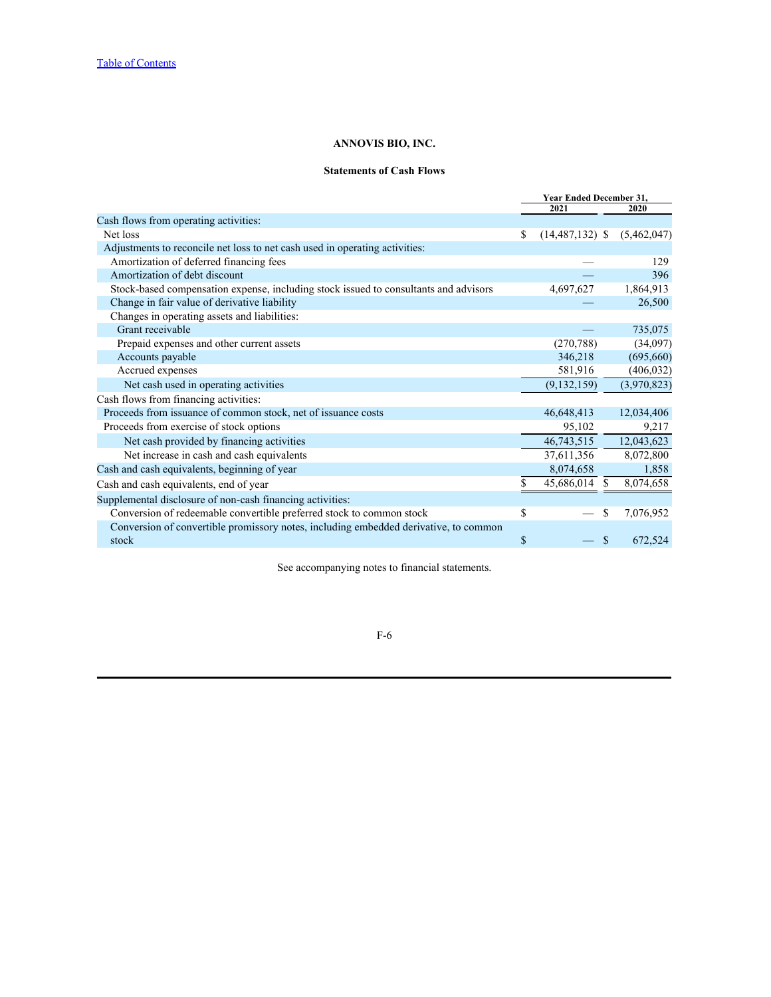## **Statements of Cash Flows**

<span id="page-81-0"></span>

| <b>Year Ended December 31,</b> |                     |                             |
|--------------------------------|---------------------|-----------------------------|
|                                | 2021                | 2020                        |
|                                |                     |                             |
|                                | $(14, 487, 132)$ \$ | (5,462,047)                 |
|                                |                     |                             |
|                                |                     | 129                         |
|                                |                     | 396                         |
|                                | 4,697,627           | 1,864,913                   |
|                                |                     | 26,500                      |
|                                |                     |                             |
|                                |                     | 735,075                     |
|                                | (270, 788)          | (34,097)                    |
|                                | 346,218             | (695,660)                   |
|                                | 581,916             | (406, 032)                  |
|                                | (9, 132, 159)       | (3,970,823)                 |
|                                |                     |                             |
|                                | 46,648,413          | 12,034,406                  |
|                                | 95,102              | 9,217                       |
|                                | 46,743,515          | 12,043,623                  |
|                                |                     | 8,072,800                   |
|                                | 8,074,658           | 1,858                       |
|                                |                     | 8,074,658                   |
|                                |                     |                             |
|                                |                     | 7,076,952                   |
|                                |                     |                             |
|                                |                     | 672,524                     |
|                                | -S                  | 37,611,356<br>45,686,014 \$ |

See accompanying notes to financial statements.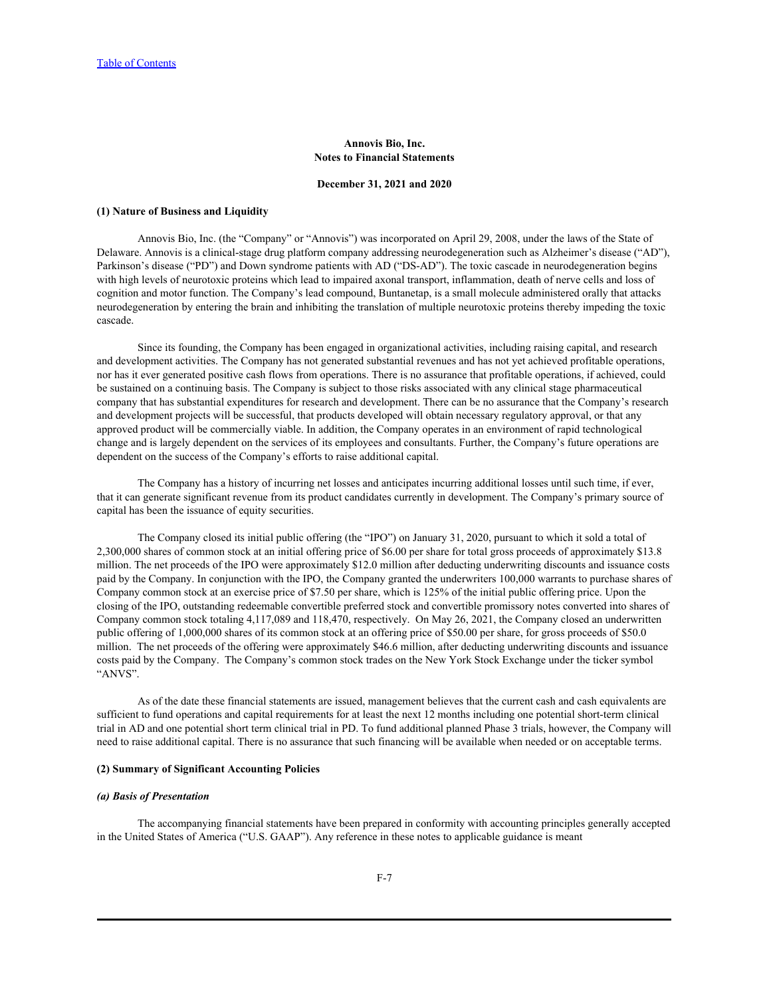## **Annovis Bio, Inc. Notes to Financial Statements**

### **December 31, 2021 and 2020**

#### <span id="page-82-0"></span>**(1) Nature of Business and Liquidity**

Annovis Bio, Inc. (the "Company" or "Annovis") was incorporated on April 29, 2008, under the laws of the State of Delaware. Annovis is a clinical-stage drug platform company addressing neurodegeneration such as Alzheimer's disease ("AD"), Parkinson's disease ("PD") and Down syndrome patients with AD ("DS-AD"). The toxic cascade in neurodegeneration begins with high levels of neurotoxic proteins which lead to impaired axonal transport, inflammation, death of nerve cells and loss of cognition and motor function. The Company's lead compound, Buntanetap, is a small molecule administered orally that attacks neurodegeneration by entering the brain and inhibiting the translation of multiple neurotoxic proteins thereby impeding the toxic cascade.

Since its founding, the Company has been engaged in organizational activities, including raising capital, and research and development activities. The Company has not generated substantial revenues and has not yet achieved profitable operations, nor has it ever generated positive cash flows from operations. There is no assurance that profitable operations, if achieved, could be sustained on a continuing basis. The Company is subject to those risks associated with any clinical stage pharmaceutical company that has substantial expenditures for research and development. There can be no assurance that the Company's research and development projects will be successful, that products developed will obtain necessary regulatory approval, or that any approved product will be commercially viable. In addition, the Company operates in an environment of rapid technological change and is largely dependent on the services of its employees and consultants. Further, the Company's future operations are dependent on the success of the Company's efforts to raise additional capital.

The Company has a history of incurring net losses and anticipates incurring additional losses until such time, if ever, that it can generate significant revenue from its product candidates currently in development. The Company's primary source of capital has been the issuance of equity securities.

The Company closed its initial public offering (the "IPO") on January 31, 2020, pursuant to which it sold a total of 2,300,000 shares of common stock at an initial offering price of \$6.00 per share for total gross proceeds of approximately \$13.8 million. The net proceeds of the IPO were approximately \$12.0 million after deducting underwriting discounts and issuance costs paid by the Company. In conjunction with the IPO, the Company granted the underwriters 100,000 warrants to purchase shares of Company common stock at an exercise price of \$7.50 per share, which is 125% of the initial public offering price. Upon the closing of the IPO, outstanding redeemable convertible preferred stock and convertible promissory notes converted into shares of Company common stock totaling 4,117,089 and 118,470, respectively. On May 26, 2021, the Company closed an underwritten public offering of 1,000,000 shares of its common stock at an offering price of \$50.00 per share, for gross proceeds of \$50.0 million. The net proceeds of the offering were approximately \$46.6 million, after deducting underwriting discounts and issuance costs paid by the Company. The Company's common stock trades on the New York Stock Exchange under the ticker symbol "ANVS". As of the date these financial statements are issued, management believes that the current cash and cash equivalents are

sufficient to fund operations and capital requirements for at least the next 12 months including one potential short-term clinical trial in AD and one potential short term clinical trial in PD. To fund additional planned Phase 3 trials, however, the Company will need to raise additional capital. There is no assurance that such financing will be available when needed or on acceptable terms.

## **(2) Summary of Significant Accounting Policies**

#### *(a) Basis of Presentation*

The accompanying financial statements have been prepared in conformity with accounting principles generally accepted in the United States of America ("U.S. GAAP"). Any reference in these notes to applicable guidance is meant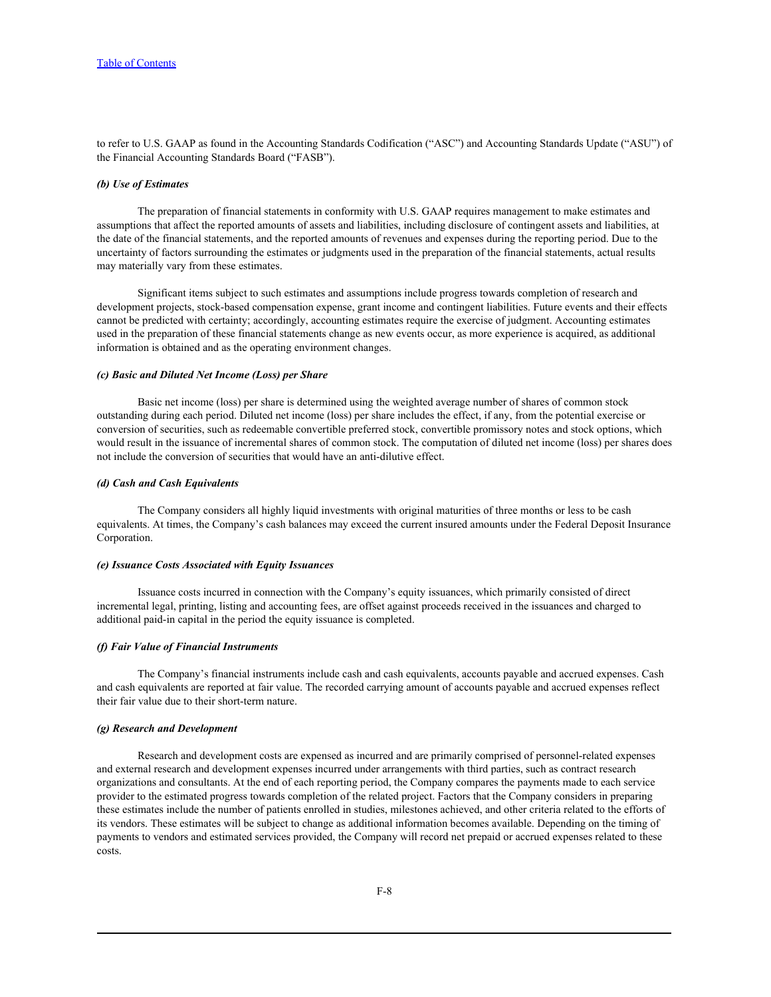to refer to U.S. GAAP as found in the Accounting Standards Codification ("ASC") and Accounting Standards Update ("ASU") of the Financial Accounting Standards Board ("FASB").

#### *(b) Use of Estimates*

The preparation of financial statements in conformity with U.S. GAAP requires management to make estimates and assumptions that affect the reported amounts of assets and liabilities, including disclosure of contingent assets and liabilities, at the date of the financial statements, and the reported amounts of revenues and expenses during the reporting period. Due to the uncertainty of factors surrounding the estimates or judgments used in the preparation of the financial statements, actual results may materially vary from these estimates.

Significant items subject to such estimates and assumptions include progress towards completion of research and development projects, stock-based compensation expense, grant income and contingent liabilities. Future events and their effects cannot be predicted with certainty; accordingly, accounting estimates require the exercise of judgment. Accounting estimates used in the preparation of these financial statements change as new events occur, as more experience is acquired, as additional information is obtained and as the operating environment changes.

#### *(c) Basic and Diluted Net Income (Loss) per Share*

Basic net income (loss) per share is determined using the weighted average number of shares of common stock outstanding during each period. Diluted net income (loss) per share includes the effect, if any, from the potential exercise or conversion of securities, such as redeemable convertible preferred stock, convertible promissory notes and stock options, which would result in the issuance of incremental shares of common stock. The computation of diluted net income (loss) per shares does not include the conversion of securities that would have an anti-dilutive effect.

#### *(d) Cash and Cash Equivalents*

The Company considers all highly liquid investments with original maturities of three months or less to be cash equivalents. At times, the Company's cash balances may exceed the current insured amounts under the Federal Deposit Insurance Corporation.

### *(e) Issuance Costs Associated with Equity Issuances*

Issuance costs incurred in connection with the Company's equity issuances, which primarily consisted of direct incremental legal, printing, listing and accounting fees, are offset against proceeds received in the issuances and charged to additional paid-in capital in the period the equity issuance is completed.

#### *(f) Fair Value of Financial Instruments*

The Company's financial instruments include cash and cash equivalents, accounts payable and accrued expenses. Cash and cash equivalents are reported at fair value. The recorded carrying amount of accounts payable and accrued expenses reflect their fair value due to their short-term nature.

### *(g) Research and Development*

Research and development costs are expensed as incurred and are primarily comprised of personnel-related expenses and external research and development expenses incurred under arrangements with third parties, such as contract research organizations and consultants. At the end of each reporting period, the Company compares the payments made to each service provider to the estimated progress towards completion of the related project. Factors that the Company considers in preparing these estimates include the number of patients enrolled in studies, milestones achieved, and other criteria related to the efforts of its vendors. These estimates will be subject to change as additional information becomes available. Depending on the timing of payments to vendors and estimated services provided, the Company will record net prepaid or accrued expenses related to these costs.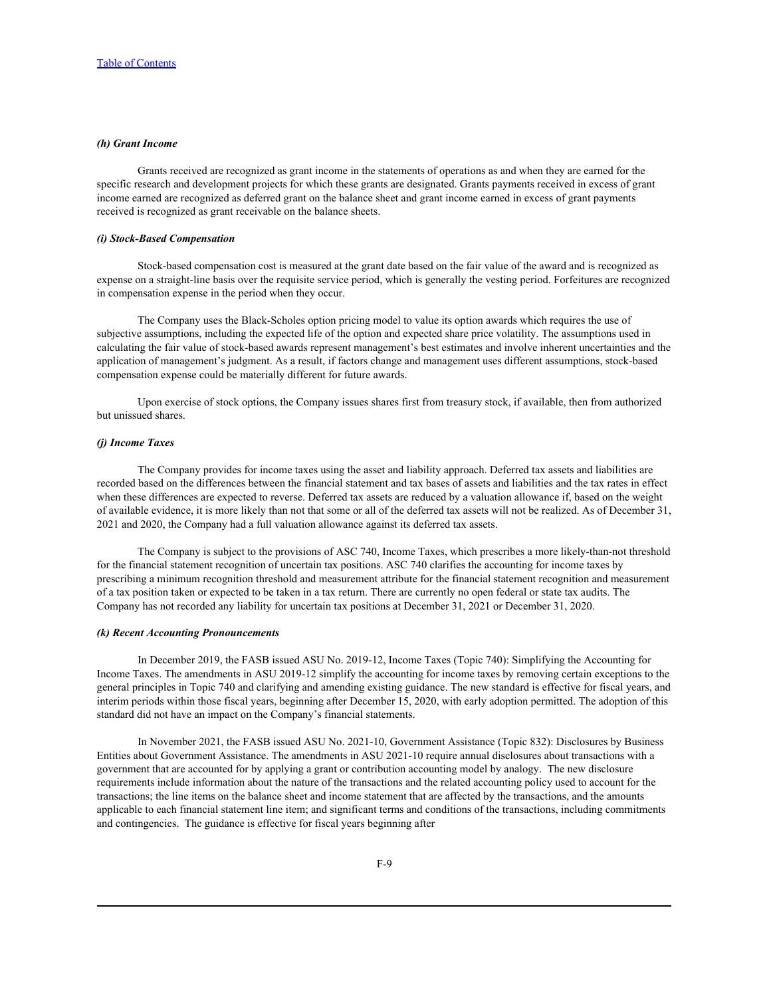## *(h) Grant Income*

Grants received are recognized as grant income in the statements of operations as and when they are earned for the specific research and development projects for which these grants are designated. Grants payments received in excess of grant income earned are recognized as deferred grant on the balance sheet and grant income earned in excess of grant payments received is recognized as grant receivable on the balance sheets.

#### *(i) Stock-Based Compensation*

Stock-based compensation cost is measured at the grant date based on the fair value of the award and is recognized as expense on a straight-line basis over the requisite service period, which is generally the vesting period. Forfeitures are recognized in compensation expense in the period when they occur.

The Company uses the Black-Scholes option pricing model to value its option awards which requires the use of subjective assumptions, including the expected life of the option and expected share price volatility. The assumptions used in calculating the fair value of stock-based awards represent management's best estimates and involve inherent uncertainties and the application of management's judgment. As a result, if factors change and management uses different assumptions, stock-based compensation expense could be materially different for future awards.

Upon exercise of stock options, the Company issues shares first from treasury stock, if available, then from authorized but unissued shares.

## *(j) Income Taxes*

The Company provides for income taxes using the asset and liability approach. Deferred tax assets and liabilities are recorded based on the differences between the financial statement and tax bases of assets and liabilities and the tax rates in effect when these differences are expected to reverse. Deferred tax assets are reduced by a valuation allowance if, based on the weight of available evidence, it is more likely than not that some or all of the deferred tax assets will not be realized. As of December 31, 2021 and 2020, the Company had a full valuation allowance against its deferred tax assets.

The Company is subject to the provisions of ASC 740, Income Taxes, which prescribes a more likely-than-not threshold for the financial statement recognition of uncertain tax positions. ASC 740 clarifies the accounting for income taxes by prescribing a minimum recognition threshold and measurement attribute for the financial statement recognition and measurement of a tax position taken or expected to be taken in a tax return. There are currently no open federal or state tax audits. The Company has not recorded any liability for uncertain tax positions at December 31, 2021 or December 31, 2020.

#### *(k) Recent Accounting Pronouncements*

In December 2019, the FASB issued ASU No. 2019-12, Income Taxes (Topic 740): Simplifying the Accounting for Income Taxes. The amendments in ASU 2019-12 simplify the accounting for income taxes by removing certain exceptions to the general principles in Topic 740 and clarifying and amending existing guidance. The new standard is effective for fiscal years, and interim periods within those fiscal years, beginning after December 15, 2020, with early adoption permitted. The adoption of this standard did not have an impact on the Company's financial statements.

In November 2021, the FASB issued ASU No. 2021-10, Government Assistance (Topic 832): Disclosures by Business Entities about Government Assistance. The amendments in ASU 2021-10 require annual disclosures about transactions with a government that are accounted for by applying a grant or contribution accounting model by analogy. The new disclosure requirements include information about the nature of the transactions and the related accounting policy used to account for the transactions; the line items on the balance sheet and income statement that are affected by the transactions, and the amounts applicable to each financial statement line item; and significant terms and conditions of the transactions, including commitments and contingencies. The guidance is effective for fiscal years beginning after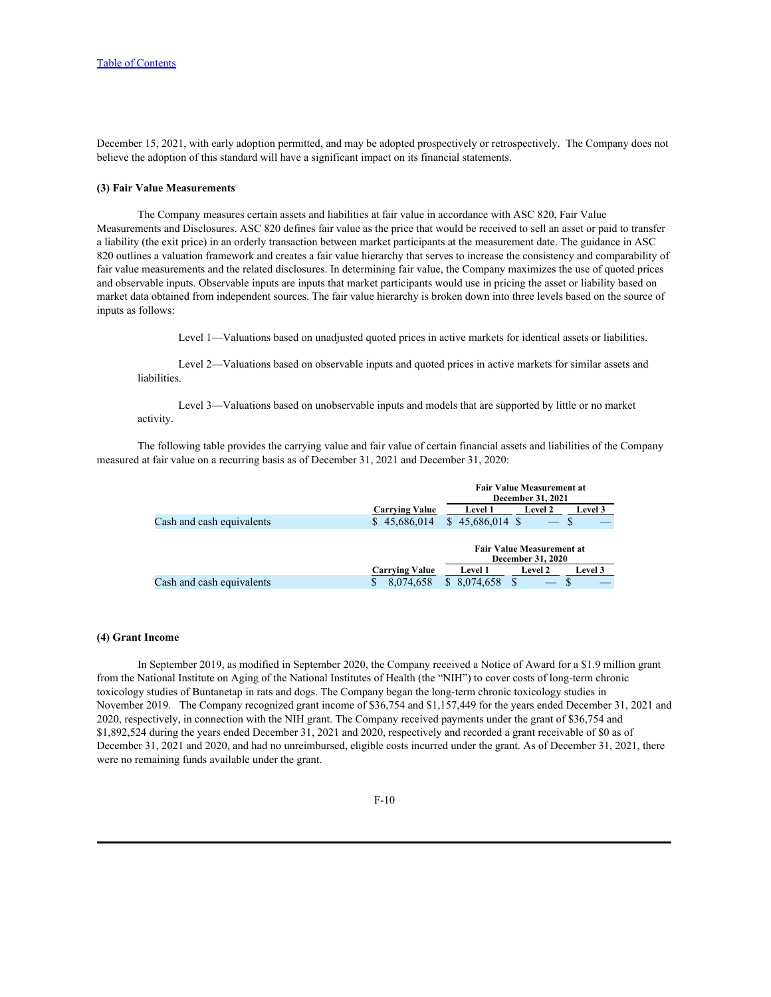December 15, 2021, with early adoption permitted, and may be adopted prospectively or retrospectively. The Company does not believe the adoption of this standard will have a significant impact on its financial statements.

#### **(3) Fair Value Measurements**

The Company measures certain assets and liabilities at fair value in accordance with ASC 820, Fair Value Measurements and Disclosures. ASC 820 defines fair value as the price that would be received to sell an asset or paid to transfer a liability (the exit price) in an orderly transaction between market participants at the measurement date. The guidance in ASC 820 outlines a valuation framework and creates a fair value hierarchy that serves to increase the consistency and comparability of fair value measurements and the related disclosures. In determining fair value, the Company maximizes the use of quoted prices and observable inputs. Observable inputs are inputs that market participants would use in pricing the asset or liability based on market data obtained from independent sources. The fair value hierarchy is broken down into three levels based on the source of inputs as follows:

Level 1—Valuations based on unadjusted quoted prices in active markets for identical assets or liabilities.

Level 2—Valuations based on observable inputs and quoted prices in active markets for similar assets and liabilities.

Level 3—Valuations based on unobservable inputs and models that are supported by little or no market activity.

The following table provides the carrying value and fair value of certain financial assets and liabilities of the Company measured at fair value on a recurring basis as of December 31, 2021 and December 31, 2020:

|                           |                       |                 | <b>Fair Value Measurement at</b><br><b>December 31, 2021</b> |                |
|---------------------------|-----------------------|-----------------|--------------------------------------------------------------|----------------|
|                           | <b>Carrying Value</b> | <b>Level</b> 1  | <b>Level 2</b>                                               | Level 3        |
| Cash and cash equivalents | \$45,686,014          | $45,686,014$ \$ |                                                              |                |
|                           |                       |                 | <b>Fair Value Measurement at</b><br><b>December 31, 2020</b> |                |
|                           | <b>Carrying Value</b> | <b>Level 1</b>  | <b>Level 2</b>                                               | <b>Level 3</b> |
| Cash and cash equivalents | 8,074,658             | 8,074,658       | $\overline{\phantom{a}}$                                     |                |

#### **(4) Grant Income**

In September 2019, as modified in September 2020, the Company received a Notice of Award for a \$1.9 million grant from the National Institute on Aging of the National Institutes of Health (the "NIH") to cover costs of long-term chronic toxicology studies of Buntanetap in rats and dogs. The Company began the long-term chronic toxicology studies in November 2019. The Company recognized grant income of \$36,754 and \$1,157,449 for the years ended December 31, 2021 and 2020, respectively, in connection with the NIH grant. The Company received payments under the grant of \$36,754 and \$1,892,524 during the years ended December 31, 2021 and 2020, respectively and recorded a grant receivable of \$0 as of December 31, 2021 and 2020, and had no unreimbursed, eligible costs incurred under the grant. As of December 31, 2021, there were no remaining funds available under the grant.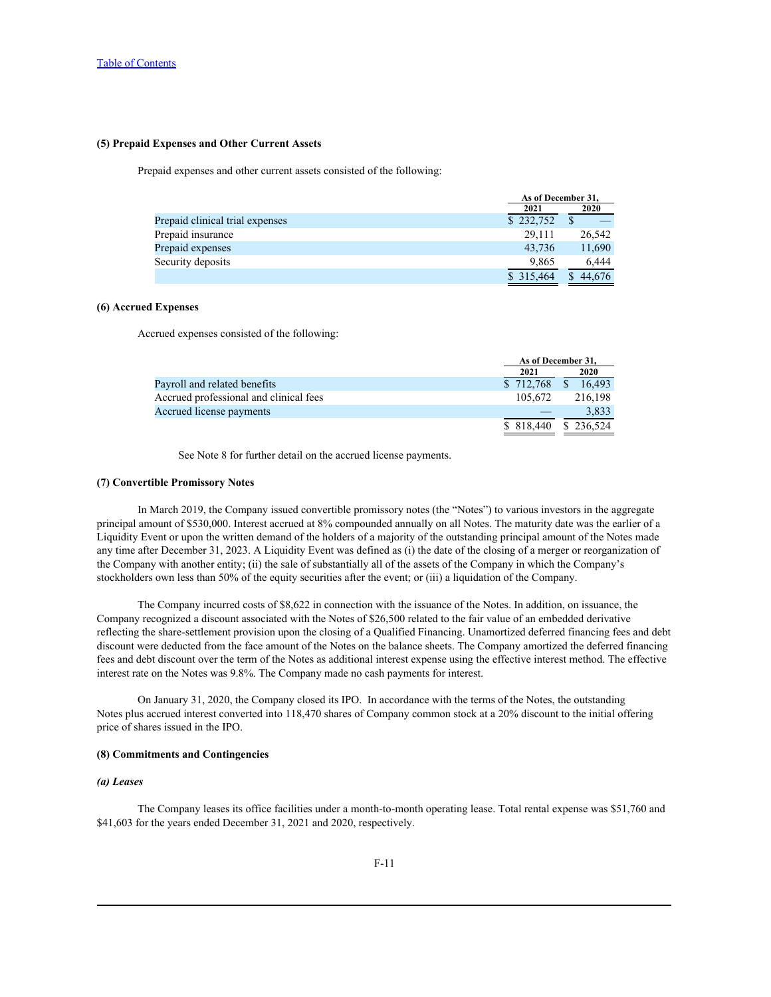## **(5) Prepaid Expenses and Other Current Assets**

Prepaid expenses and other current assets consisted of the following:

|                                 | As of December 31, |        |
|---------------------------------|--------------------|--------|
|                                 | 2021               | 2020   |
| Prepaid clinical trial expenses | \$232,752          |        |
| Prepaid insurance               | 29,111             | 26,542 |
| Prepaid expenses                | 43,736             | 11,690 |
| Security deposits               | 9,865              | 6,444  |
|                                 | \$315,464          | 44,676 |

## **(6) Accrued Expenses**

Accrued expenses consisted of the following:

|                                        | As of December 31,       |                      |
|----------------------------------------|--------------------------|----------------------|
|                                        | 2021                     | 2020                 |
| Payroll and related benefits           |                          | $$712,768$ $$16,493$ |
| Accrued professional and clinical fees | 105,672                  | 216,198              |
| Accrued license payments               | $\overline{\phantom{m}}$ | 3,833                |
|                                        |                          | 818,440 \$236,524    |

See Note 8 for further detail on the accrued license payments.

## **(7) Convertible Promissory Notes**

In March 2019, the Company issued convertible promissory notes (the "Notes") to various investors in the aggregate principal amount of \$530,000. Interest accrued at 8% compounded annually on all Notes. The maturity date was the earlier of a Liquidity Event or upon the written demand of the holders of a majority of the outstanding principal amount of the Notes made any time after December 31, 2023. A Liquidity Event was defined as (i) the date of the closing of a merger or reorganization of the Company with another entity; (ii) the sale of substantially all of the assets of the Company in which the Company's stockholders own less than 50% of the equity securities after the event; or (iii) a liquidation of the Company.

The Company incurred costs of \$8,622 in connection with the issuance of the Notes. In addition, on issuance, the Company recognized a discount associated with the Notes of \$26,500 related to the fair value of an embedded derivative reflecting the share-settlement provision upon the closing of a Qualified Financing. Unamortized deferred financing fees and debt discount were deducted from the face amount of the Notes on the balance sheets. The Company amortized the deferred financing fees and debt discount over the term of the Notes as additional interest expense using the effective interest method. The effective interest rate on the Notes was 9.8%. The Company made no cash payments for interest.

On January 31, 2020, the Company closed its IPO. In accordance with the terms of the Notes, the outstanding Notes plus accrued interest converted into 118,470 shares of Company common stock at a 20% discount to the initial offering price of shares issued in the IPO.

## **(8) Commitments and Contingencies**

### *(a) Leases*

The Company leases its office facilities under a month-to-month operating lease. Total rental expense was \$51,760 and \$41,603 for the years ended December 31, 2021 and 2020, respectively.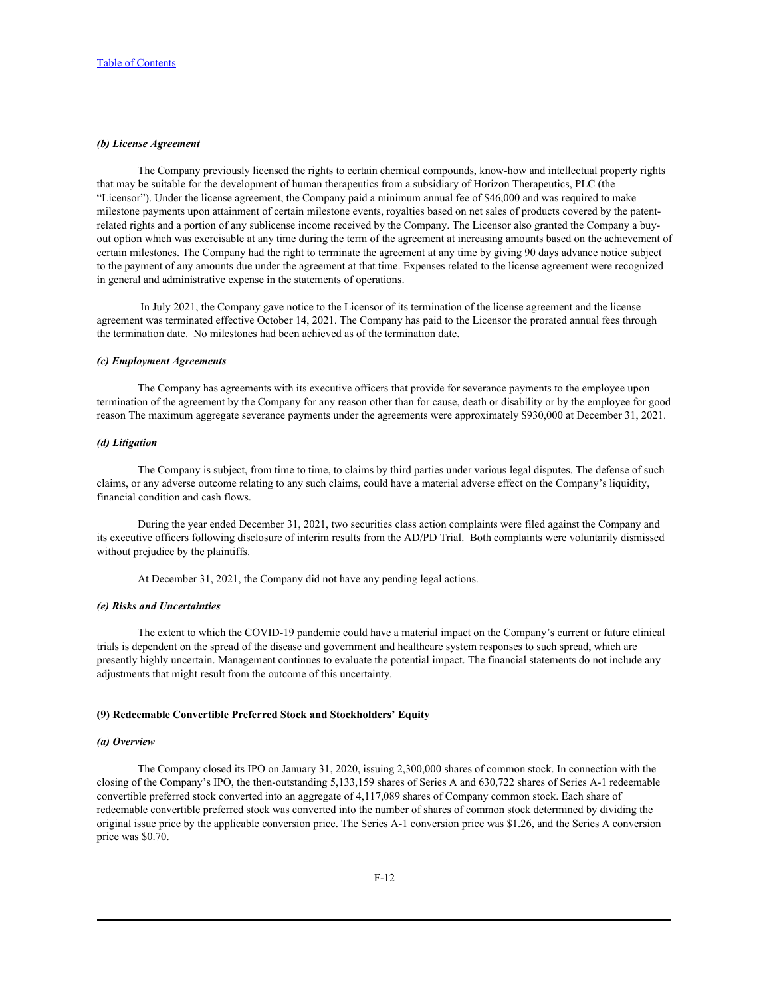### *(b) License Agreement*

The Company previously licensed the rights to certain chemical compounds, know-how and intellectual property rights that may be suitable for the development of human therapeutics from a subsidiary of Horizon Therapeutics, PLC (the "Licensor"). Under the license agreement, the Company paid a minimum annual fee of \$46,000 and was required to make milestone payments upon attainment of certain milestone events, royalties based on net sales of products covered by the patentrelated rights and a portion of any sublicense income received by the Company. The Licensor also granted the Company a buyout option which was exercisable at any time during the term of the agreement at increasing amounts based on the achievement of certain milestones. The Company had the right to terminate the agreement at any time by giving 90 days advance notice subject to the payment of any amounts due under the agreement at that time. Expenses related to the license agreement were recognized in general and administrative expense in the statements of operations.

 In July 2021, the Company gave notice to the Licensor of its termination of the license agreement and the license agreement was terminated effective October 14, 2021. The Company has paid to the Licensor the prorated annual fees through the termination date. No milestones had been achieved as of the termination date.

#### *(c) Employment Agreements*

The Company has agreements with its executive officers that provide for severance payments to the employee upon termination of the agreement by the Company for any reason other than for cause, death or disability or by the employee for good reason The maximum aggregate severance payments under the agreements were approximately \$930,000 at December 31, 2021.

## *(d) Litigation*

The Company is subject, from time to time, to claims by third parties under various legal disputes. The defense of such claims, or any adverse outcome relating to any such claims, could have a material adverse effect on the Company's liquidity, financial condition and cash flows.

During the year ended December 31, 2021, two securities class action complaints were filed against the Company and its executive officers following disclosure of interim results from the AD/PD Trial. Both complaints were voluntarily dismissed without prejudice by the plaintiffs.

At December 31, 2021, the Company did not have any pending legal actions.

### *(e) Risks and Uncertainties*

The extent to which the COVID-19 pandemic could have a material impact on the Company's current or future clinical trials is dependent on the spread of the disease and government and healthcare system responses to such spread, which are presently highly uncertain. Management continues to evaluate the potential impact. The financial statements do not include any adjustments that might result from the outcome of this uncertainty.

### **(9) Redeemable Convertible Preferred Stock and Stockholders' Equity**

#### *(a) Overview*

The Company closed its IPO on January 31, 2020, issuing 2,300,000 shares of common stock. In connection with the closing of the Company's IPO, the then-outstanding 5,133,159 shares of Series A and 630,722 shares of Series A-1 redeemable convertible preferred stock converted into an aggregate of 4,117,089 shares of Company common stock. Each share of redeemable convertible preferred stock was converted into the number of shares of common stock determined by dividing the original issue price by the applicable conversion price. The Series A-1 conversion price was \$1.26, and the Series A conversion price was \$0.70.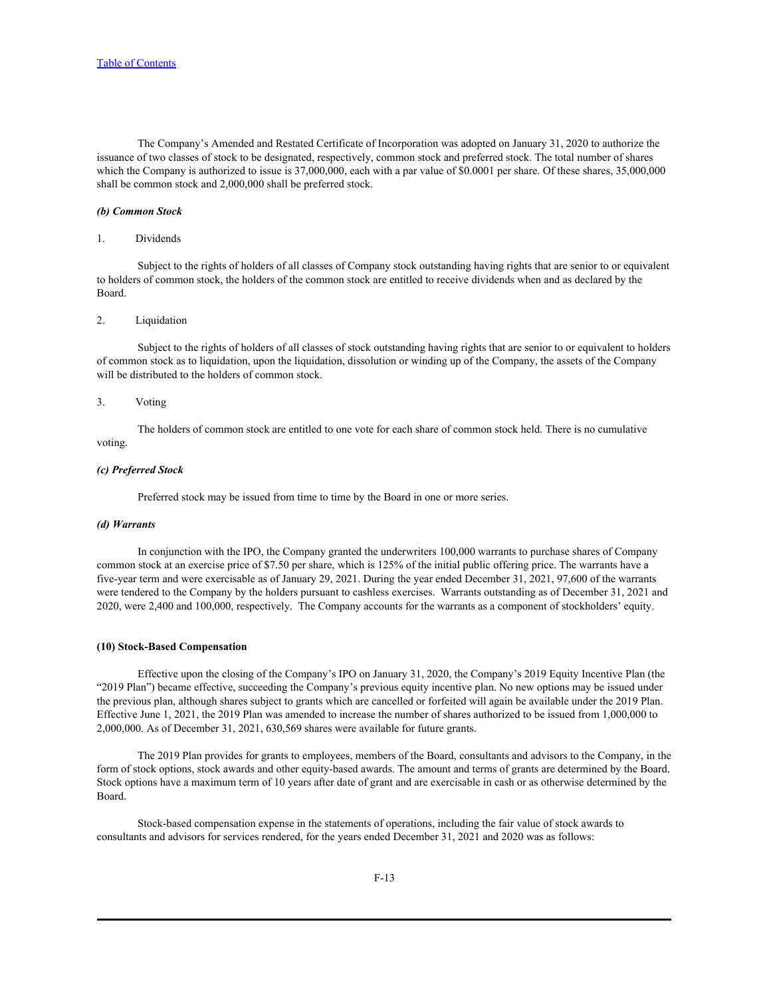The Company's Amended and Restated Certificate of Incorporation was adopted on January 31, 2020 to authorize the issuance of two classes of stock to be designated, respectively, common stock and preferred stock. The total number of shares which the Company is authorized to issue is 37,000,000, each with a par value of \$0.0001 per share. Of these shares, 35,000,000 shall be common stock and 2,000,000 shall be preferred stock.

#### *(b) Common Stock*

#### 1. Dividends

Subject to the rights of holders of all classes of Company stock outstanding having rights that are senior to or equivalent to holders of common stock, the holders of the common stock are entitled to receive dividends when and as declared by the Board.

### 2. Liquidation

Subject to the rights of holders of all classes of stock outstanding having rights that are senior to or equivalent to holders of common stock as to liquidation, upon the liquidation, dissolution or winding up of the Company, the assets of the Company will be distributed to the holders of common stock.

#### 3. Voting

The holders of common stock are entitled to one vote for each share of common stock held. There is no cumulative voting.

#### *(c) Preferred Stock*

Preferred stock may be issued from time to time by the Board in one or more series.

## *(d) Warrants*

In conjunction with the IPO, the Company granted the underwriters 100,000 warrants to purchase shares of Company common stock at an exercise price of \$7.50 per share, which is 125% of the initial public offering price. The warrants have a five-year term and were exercisable as of January 29, 2021. During the year ended December 31, 2021, 97,600 of the warrants were tendered to the Company by the holders pursuant to cashless exercises. Warrants outstanding as of December 31, 2021 and 2020, were 2,400 and 100,000, respectively. The Company accounts for the warrants as a component of stockholders' equity.

#### **(10) Stock-Based Compensation**

Effective upon the closing of the Company's IPO on January 31, 2020, the Company's 2019 Equity Incentive Plan (the "2019 Plan") became effective, succeeding the Company's previous equity incentive plan. No new options may be issued under the previous plan, although shares subject to grants which are cancelled or forfeited will again be available under the 2019 Plan. Effective June 1, 2021, the 2019 Plan was amended to increase the number of shares authorized to be issued from 1,000,000 to 2,000,000. As of December 31, 2021, 630,569 shares were available for future grants.

The 2019 Plan provides for grants to employees, members of the Board, consultants and advisors to the Company, in the form of stock options, stock awards and other equity-based awards. The amount and terms of grants are determined by the Board. Stock options have a maximum term of 10 years after date of grant and are exercisable in cash or as otherwise determined by the Board.

Stock-based compensation expense in the statements of operations, including the fair value of stock awards to consultants and advisors for services rendered, for the years ended December 31, 2021 and 2020 was as follows: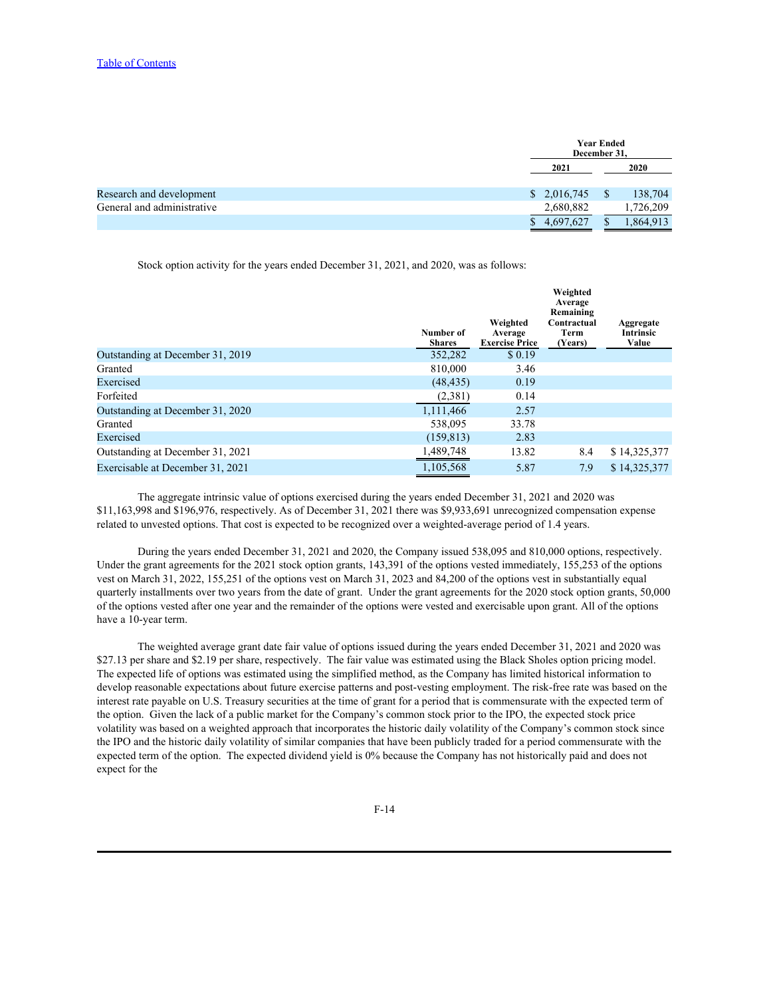| <b>Year Ended</b><br>December 31, |  |          |
|-----------------------------------|--|----------|
| 2021                              |  | 2020     |
| \$2,016,745                       |  | 138,704  |
| 2,680,882                         |  | ,726,209 |
| 4,697,627                         |  | ,864,913 |
|                                   |  |          |

Stock option activity for the years ended December 31, 2021, and 2020, was as follows:

|                                  | Number of<br><b>Shares</b> | Weighted<br>Average<br><b>Exercise Price</b> | Weighted<br>Average<br>Remaining<br>Contractual<br>Term<br>(Years) | Aggregate<br>Intrinsic<br>Value |
|----------------------------------|----------------------------|----------------------------------------------|--------------------------------------------------------------------|---------------------------------|
| Outstanding at December 31, 2019 | 352,282                    | \$0.19                                       |                                                                    |                                 |
| Granted                          | 810,000                    | 3.46                                         |                                                                    |                                 |
| Exercised                        | (48, 435)                  | 0.19                                         |                                                                    |                                 |
| Forfeited                        | (2,381)                    | 0.14                                         |                                                                    |                                 |
| Outstanding at December 31, 2020 | 1,111,466                  | 2.57                                         |                                                                    |                                 |
| Granted                          | 538,095                    | 33.78                                        |                                                                    |                                 |
| Exercised                        | (159, 813)                 | 2.83                                         |                                                                    |                                 |
| Outstanding at December 31, 2021 | 1,489,748                  | 13.82                                        | 8.4                                                                | \$14,325,377                    |
| Exercisable at December 31, 2021 | 1,105,568                  | 5.87                                         | 7.9                                                                | \$14,325,377                    |

The aggregate intrinsic value of options exercised during the years ended December 31, 2021 and 2020 was \$11,163,998 and \$196,976, respectively. As of December 31, 2021 there was \$9,933,691 unrecognized compensation expense related to unvested options. That cost is expected to be recognized over a weighted-average period of 1.4 years.

During the years ended December 31, 2021 and 2020, the Company issued 538,095 and 810,000 options, respectively. Under the grant agreements for the 2021 stock option grants, 143,391 of the options vested immediately, 155,253 of the options vest on March 31, 2022, 155,251 of the options vest on March 31, 2023 and 84,200 of the options vest in substantially equal quarterly installments over two years from the date of grant. Under the grant agreements for the 2020 stock option grants, 50,000 of the options vested after one year and the remainder of the options were vested and exercisable upon grant. All of the options have a 10-year term.<br>The weighted average grant date fair value of options issued during the years ended December 31, 2021 and 2020 was

\$27.13 per share and \$2.19 per share, respectively. The fair value was estimated using the Black Sholes option pricing model.<br>The expected life of options was estimated using the simplified method, as the Company has limit develop reasonable expectations about future exercise patterns and post-vesting employment. The risk-free rate was based on the interest rate payable on U.S. Treasury securities at the time of grant for a period that is commensurate with the expected term of the option. Given the lack of a public market for the Company's common stock prior to the IPO, the expected stock price volatility was based on a weighted approach that incorporates the historic daily volatility of the Company's common stock since the IPO and the historic daily volatility of similar companies that have been publicly traded for a period commensurate with the expected term of the option. The expected dividend yield is 0% because the Company has not historically paid and does not expect for the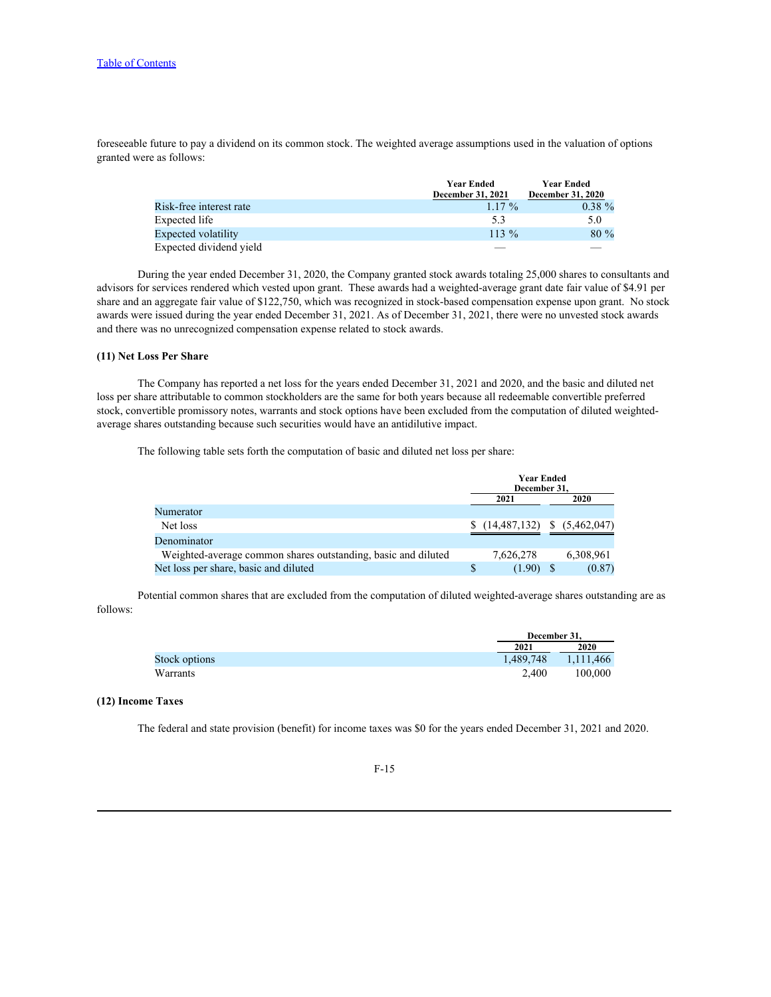foreseeable future to pay a dividend on its common stock. The weighted average assumptions used in the valuation of options granted were as follows:

|                         | <b>Year Ended</b> | <b>Year Ended</b>               |
|-------------------------|-------------------|---------------------------------|
|                         | December 31, 2021 | <b>December 31, 2020</b>        |
| Risk-free interest rate | $1.17\%$          | $0.38 \%$                       |
| Expected life           | ◡.◡               | 5.0                             |
| Expected volatility     | 113 %             | 80 %                            |
| Expected dividend yield |                   | $\hspace{0.1mm}-\hspace{0.1mm}$ |

During the year ended December 31, 2020, the Company granted stock awards totaling 25,000 shares to consultants and advisors for services rendered which vested upon grant. These awards had a weighted-average grant date fair value of \$4.91 per share and an aggregate fair value of \$122,750, which was recognized in stock-based compensation expense upon grant. No stock awards were issued during the year ended December 31, 2021. As of December 31, 2021, there were no unvested stock awards and there was no unrecognized compensation expense related to stock awards.

## **(11) Net Loss Per Share**

The Company has reported a net loss for the years ended December 31, 2021 and 2020, and the basic and diluted net loss per share attributable to common stockholders are the same for both years because all redeemable convertible preferred stock, convertible promissory notes, warrants and stock options have been excluded from the computation of diluted weightedaverage shares outstanding because such securities would have an antidilutive impact.

The following table sets forth the computation of basic and diluted net loss per share:

|                                                               | <b>Year Ended</b> |             |  |                              |
|---------------------------------------------------------------|-------------------|-------------|--|------------------------------|
|                                                               | December 31,      |             |  |                              |
|                                                               | 2021              |             |  | 2020                         |
| Numerator                                                     |                   |             |  |                              |
| Net loss                                                      |                   |             |  | $(14,487,132)$ $(5,462,047)$ |
| Denominator                                                   |                   |             |  |                              |
| Weighted-average common shares outstanding, basic and diluted | 7.626.278         |             |  | 6,308,961                    |
| Net loss per share, basic and diluted                         |                   | $(1.90)$ \$ |  | (0.87)                       |

Potential common shares that are excluded from the computation of diluted weighted-average shares outstanding are as follows:

|               | $-1$<br>December 31. |           |
|---------------|----------------------|-----------|
|               | 2021                 | 2020      |
| Stock options | 489,748              | 1,111,466 |
| Warrants      | 2,400                | 100,000   |

#### **(12) Income Taxes**

The federal and state provision (benefit) for income taxes was \$0 for the years ended December 31, 2021 and 2020.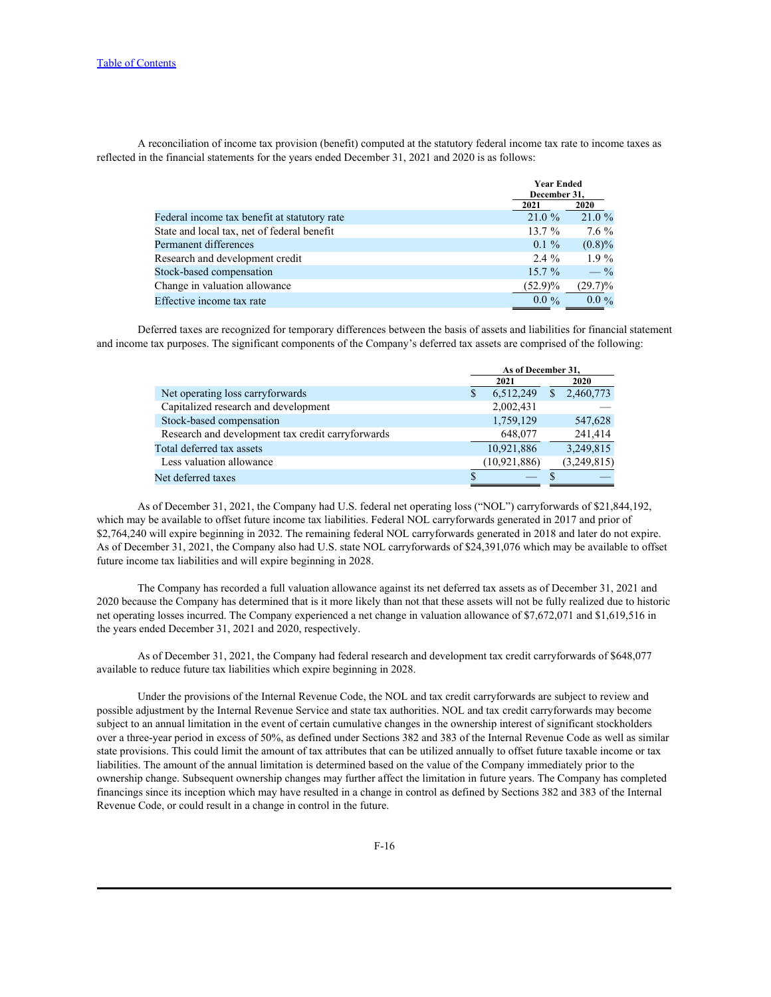A reconciliation of income tax provision (benefit) computed at the statutory federal income tax rate to income taxes as reflected in the financial statements for the years ended December 31, 2021 and 2020 is as follows:

|                                              | <b>Year Ended</b><br>December 31, |                 |
|----------------------------------------------|-----------------------------------|-----------------|
|                                              | 2021                              | 2020            |
| Federal income tax benefit at statutory rate | $21.0 \%$                         | 21.0%           |
| State and local tax, net of federal benefit  | 13.7%                             | $7.6\%$         |
| Permanent differences                        | $0.1 \%$                          | $(0.8)\%$       |
| Research and development credit              | $2.4\%$                           | $1.9\%$         |
| Stock-based compensation                     | $15.7\%$                          | $- \frac{9}{6}$ |
| Change in valuation allowance                | $(52.9)\%$                        | $(29.7)\%$      |
| Effective income tax rate                    | $0.0\%$                           | $0.0\%$         |

Deferred taxes are recognized for temporary differences between the basis of assets and liabilities for financial statement and income tax purposes. The significant components of the Company's deferred tax assets are comprised of the following:

|                                                   | As of December 31, |             |
|---------------------------------------------------|--------------------|-------------|
|                                                   | 2021               | 2020        |
| Net operating loss carryforwards                  | 6,512,249          | 2,460,773   |
| Capitalized research and development              | 2,002,431          |             |
| Stock-based compensation                          | 1,759,129          | 547,628     |
| Research and development tax credit carryforwards | 648,077            | 241,414     |
| Total deferred tax assets                         | 10,921,886         | 3,249,815   |
| Less valuation allowance                          | (10, 921, 886)     | (3,249,815) |
| Net deferred taxes                                |                    |             |
|                                                   |                    |             |

As of December 31, 2021, the Company had U.S. federal net operating loss ("NOL") carryforwards of \$21,844,192, which may be available to offset future income tax liabilities. Federal NOL carryforwards generated in 2017 and prior of \$2,764,240 will expire beginning in 2032. The remaining federal NOL carryforwards generated in 2018 and later do not expire. As of December 31, 2021, the Company also had U.S. state NOL carryforwards of \$24,391,076 which may be available to offset future income tax liabilities and will expire beginning in 2028.

The Company has recorded a full valuation allowance against its net deferred tax assets as of December 31, 2021 and 2020 because the Company has determined that is it more likely than not that these assets will not be fully realized due to historic net operating losses incurred. The Company experienced a net change in valuation allowance of \$7,672,071 and \$1,619,516 in the years ended December 31, 2021 and 2020, respectively.

As of December 31, 2021, the Company had federal research and development tax credit carryforwards of \$648,077 available to reduce future tax liabilities which expire beginning in 2028.

Under the provisions of the Internal Revenue Code, the NOL and tax credit carryforwards are subject to review and possible adjustment by the Internal Revenue Service and state tax authorities. NOL and tax credit carryforwards may become subject to an annual limitation in the event of certain cumulative changes in the ownership interest of significant stockholders over a three-year period in excess of 50%, as defined under Sections 382 and 383 of the Internal Revenue Code as well as similar state provisions. This could limit the amount of tax attributes that can be utilized annually to offset future taxable income or tax liabilities. The amount of the annual limitation is determined based on the value of the Company immediately prior to the ownership change. Subsequent ownership changes may further affect the limitation in future years. The Company has completed financings since its inception which may have resulted in a change in control as defined by Sections 382 and 383 of the Internal Revenue Code, or could result in a change in control in the future.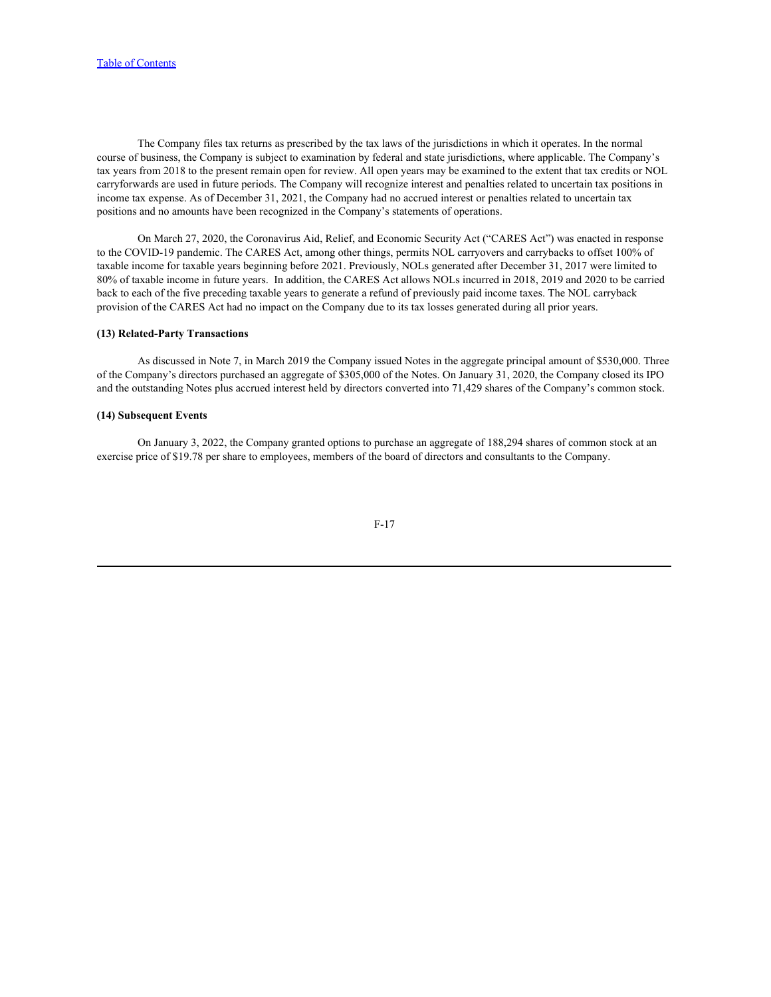The Company files tax returns as prescribed by the tax laws of the jurisdictions in which it operates. In the normal course of business, the Company is subject to examination by federal and state jurisdictions, where applicable. The Company's tax years from 2018 to the present remain open for review. All open years may be examined to the extent that tax credits or NOL carryforwards are used in future periods. The Company will recognize interest and penalties related to uncertain tax positions in income tax expense. As of December 31, 2021, the Company had no accrued interest or penalties related to uncertain tax positions and no amounts have been recognized in the Company's statements of operations.

On March 27, 2020, the Coronavirus Aid, Relief, and Economic Security Act ("CARES Act") was enacted in response to the COVID-19 pandemic. The CARES Act, among other things, permits NOL carryovers and carrybacks to offset 100% of taxable income for taxable years beginning before 2021. Previously, NOLs generated after December 31, 2017 were limited to 80% of taxable income in future years. In addition, the CARES Act allows NOLs incurred in 2018, 2019 and 2020 to be carried back to each of the five preceding taxable years to generate a refund of previously paid income taxes. The NOL carryback provision of the CARES Act had no impact on the Company due to its tax losses generated during all prior years.

### **(13) Related-Party Transactions**

As discussed in Note 7, in March 2019 the Company issued Notes in the aggregate principal amount of \$530,000. Three of the Company's directors purchased an aggregate of \$305,000 of the Notes. On January 31, 2020, the Company closed its IPO and the outstanding Notes plus accrued interest held by directors converted into 71,429 shares of the Company's common stock.

## **(14) Subsequent Events**

On January 3, 2022, the Company granted options to purchase an aggregate of 188,294 shares of common stock at an exercise price of \$19.78 per share to employees, members of the board of directors and consultants to the Company.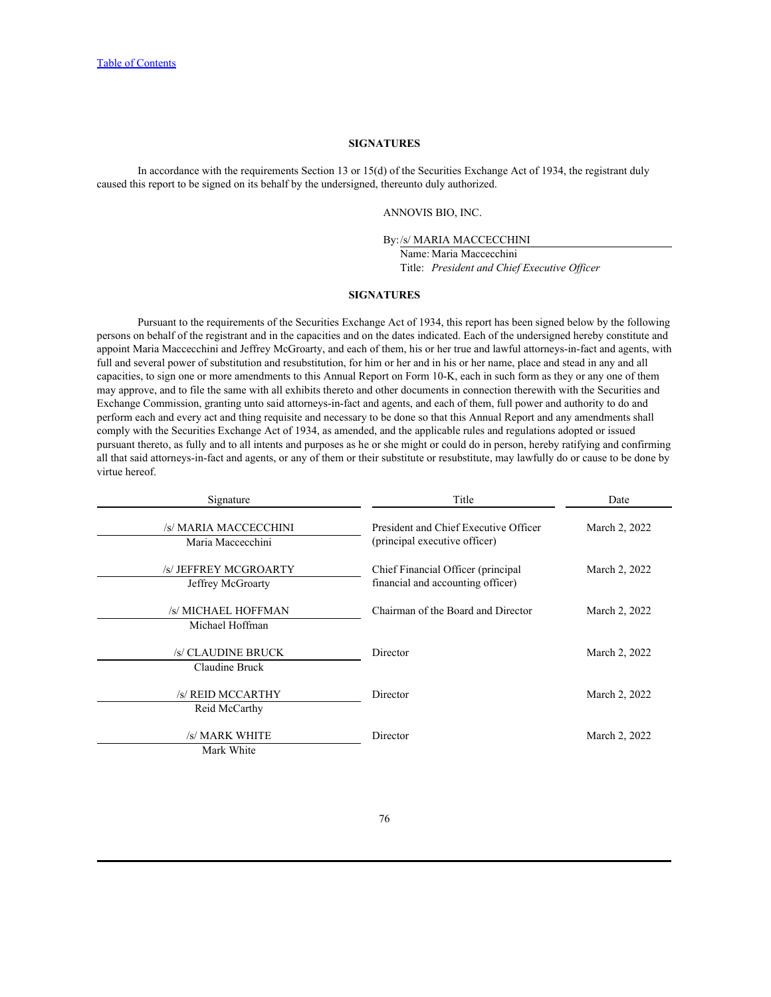## **SIGNATURES**

In accordance with the requirements Section 13 or 15(d) of the Securities Exchange Act of 1934, the registrant duly caused this report to be signed on its behalf by the undersigned, thereunto duly authorized.

ANNOVIS BIO, INC.

By:/s/ MARIA MACCECCHINI

Name: Maria Maccecchini Title: *President and Chief Executive Officer*

#### **SIGNATURES**

<span id="page-93-0"></span>Pursuant to the requirements of the Securities Exchange Act of 1934, this report has been signed below by the following persons on behalf of the registrant and in the capacities and on the dates indicated. Each of the undersigned hereby constitute and appoint Maria Maccecchini and Jeffrey McGroarty, and each of them, his or her true and lawful attorneys-in-fact and agents, with full and several power of substitution and resubstitution, for him or her and in his or her name, place and stead in any and all capacities, to sign one or more amendments to this Annual Report on Form 10-K, each in such form as they or any one of them may approve, and to file the same with all exhibits thereto and other documents in connection therewith with the Securities and Exchange Commission, granting unto said attorneys-in-fact and agents, and each of them, full power and authority to do and perform each and every act and thing requisite and necessary to be done so that this Annual Report and any amendments shall comply with the Securities Exchange Act of 1934, as amended, and the applicable rules and regulations adopted or issued pursuant thereto, as fully and to all intents and purposes as he or she might or could do in person, hereby ratifying and confirming all that said attorneys-in-fact and agents, or any of them or their substitute or resubstitute, may lawfully do or cause to be done by virtue hereof.

| Signature             | Title                                 | Date          |
|-----------------------|---------------------------------------|---------------|
| /s/ MARIA MACCECCHINI | President and Chief Executive Officer | March 2, 2022 |
| Maria Maccecchini     | (principal executive officer)         |               |
| /s/ JEFFREY MCGROARTY | Chief Financial Officer (principal    | March 2, 2022 |
| Jeffrey McGroarty     | financial and accounting officer)     |               |
| /s/ MICHAEL HOFFMAN   | Chairman of the Board and Director    | March 2, 2022 |
| Michael Hoffman       |                                       |               |
| /s/ CLAUDINE BRUCK    | Director                              | March 2, 2022 |
| Claudine Bruck        |                                       |               |
| /s/ REID MCCARTHY     | Director                              | March 2, 2022 |
| Reid McCarthy         |                                       |               |
| /s/ MARK WHITE        | Director                              | March 2, 2022 |
| Mark White            |                                       |               |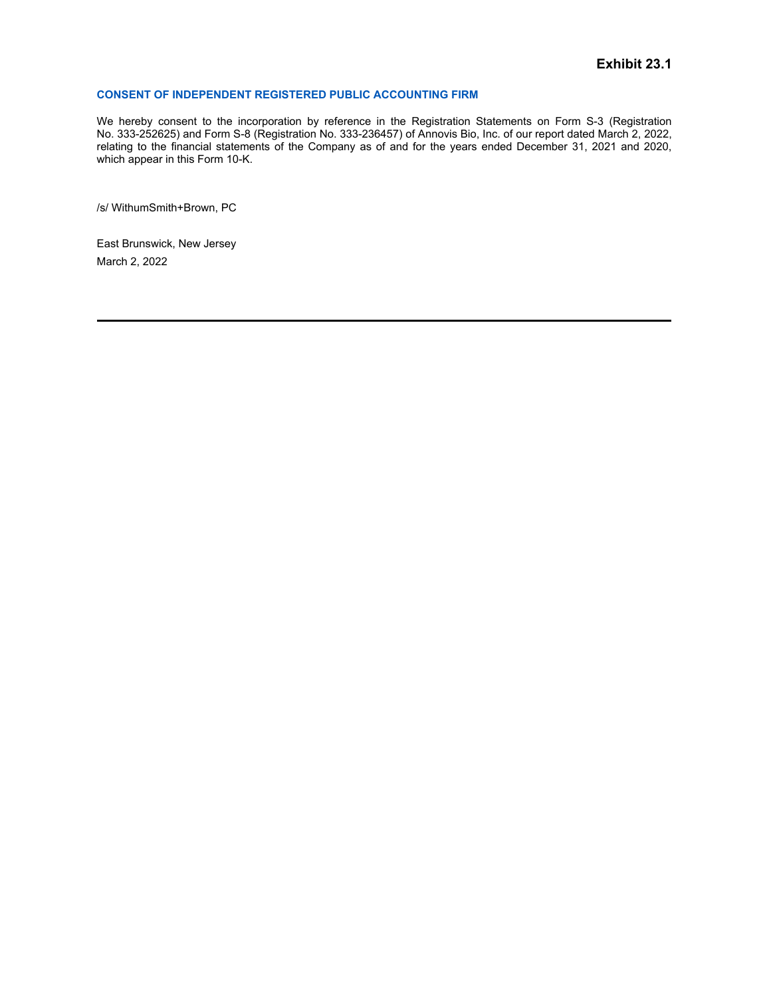## <span id="page-94-0"></span>**CONSENT OF INDEPENDENT REGISTERED PUBLIC ACCOUNTING FIRM**

Exhibit 23.1<br>
We hereby consent to the incorporation by reference in the Registration Statements on Form S-3 (Registration<br>
No. 333-252625) and Form S-8 (Registration No. 333-236457) of Annovis Bio, Inc. of our report date We hereby consent to the incorporation by reference in the Registration Statements on Form S-3 (Registration No. 333-236457) of Annovis Bio, Inc. of our report dated March 2, 2022, Exhibit 23.1<br>CONSENT OF INDEPENDENT REGISTERED PUBLIC ACCOUNTING FIRM<br>We hereby consent to the incorporation by reference in the Registration Statements on Form S-3 (Registration<br>No. 333-252625) and Form S-8 (Registration relating to the financial statements of the Company as of and for the years ended December 31, 2021 and 2020, which appear in this Form 10-K.

/s/ WithumSmith+Brown, PC

East Brunswick, New Jersey March 2, 2022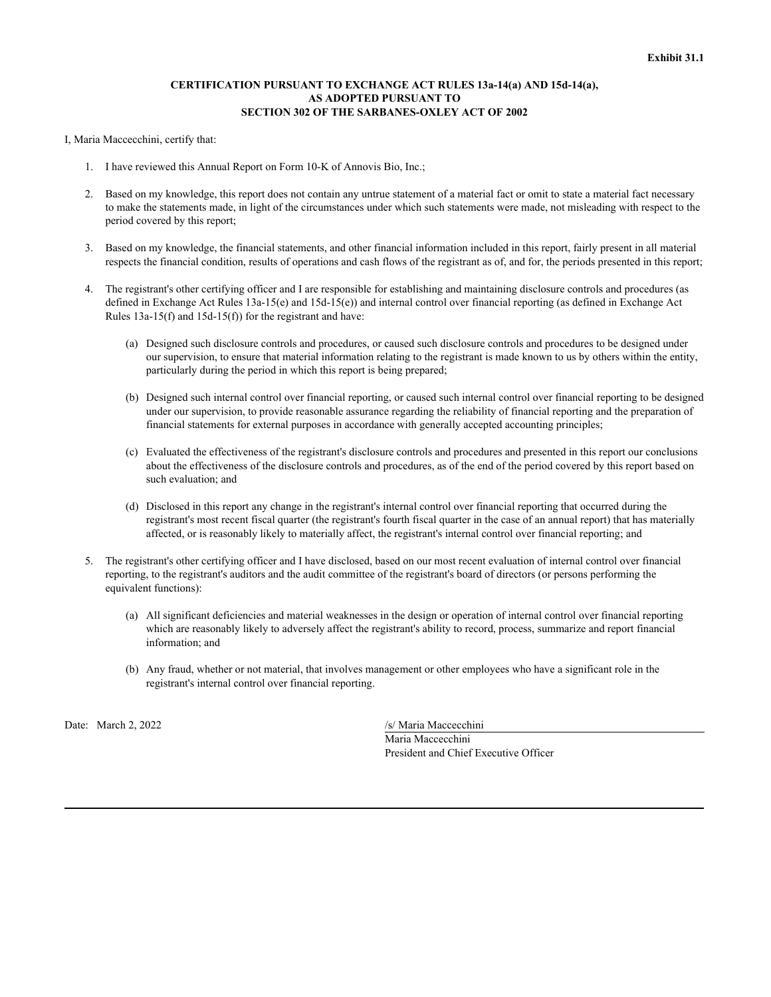## **CERTIFICATION PURSUANT TO EXCHANGE ACT RULES 13a-14(a) AND 15d-14(a), AS ADOPTED PURSUANT TO SECTION 302 OF THE SARBANES-OXLEY ACT OF 2002**

<span id="page-95-0"></span>I, Maria Maccecchini, certify that:

- 1. I have reviewed this Annual Report on Form 10-K of Annovis Bio, Inc.;
- 2. Based on my knowledge, this report does not contain any untrue statement of a material fact or omit to state a material fact necessary to make the statements made, in light of the circumstances under which such statements were made, not misleading with respect to the period covered by this report;
- 3. Based on my knowledge, the financial statements, and other financial information included in this report, fairly present in all material respects the financial condition, results of operations and cash flows of the registrant as of, and for, the periods presented in this report;
- 4. The registrant's other certifying officer and I are responsible for establishing and maintaining disclosure controls and procedures (as defined in Exchange Act Rules 13a-15(e) and 15d-15(e)) and internal control over financial reporting (as defined in Exchange Act Rules 13a-15(f) and 15d-15(f)) for the registrant and have:
	- (a) Designed such disclosure controls and procedures, or caused such disclosure controls and procedures to be designed under our supervision, to ensure that material information relating to the registrant is made known to us by others within the entity, particularly during the period in which this report is being prepared;
	- (b) Designed such internal control over financial reporting, or caused such internal control over financial reporting to be designed under our supervision, to provide reasonable assurance regarding the reliability of financial reporting and the preparation of financial statements for external purposes in accordance with generally accepted accounting principles;
	- (c) Evaluated the effectiveness of the registrant's disclosure controls and procedures and presented in this report our conclusions about the effectiveness of the disclosure controls and procedures, as of the end of the period covered by this report based on such evaluation; and
	- (d) Disclosed in this report any change in the registrant's internal control over financial reporting that occurred during the registrant's most recent fiscal quarter (the registrant's fourth fiscal quarter in the case of an annual report) that has materially affected, or is reasonably likely to materially affect, the registrant's internal control over financial reporting; and
- 5. The registrant's other certifying officer and I have disclosed, based on our most recent evaluation of internal control over financial reporting, to the registrant's auditors and the audit committee of the registrant's board of directors (or persons performing the equivalent functions):
	- (a) All significant deficiencies and material weaknesses in the design or operation of internal control over financial reporting which are reasonably likely to adversely affect the registrant's ability to record, process, summarize and report financial information; and
	- (b) Any fraud, whether or not material, that involves management or other employees who have a significant role in the registrant's internal control over financial reporting.

Date: March 2, 2022

/s/ Maria Maccecchini Maria Maccecchini President and Chief Executive Officer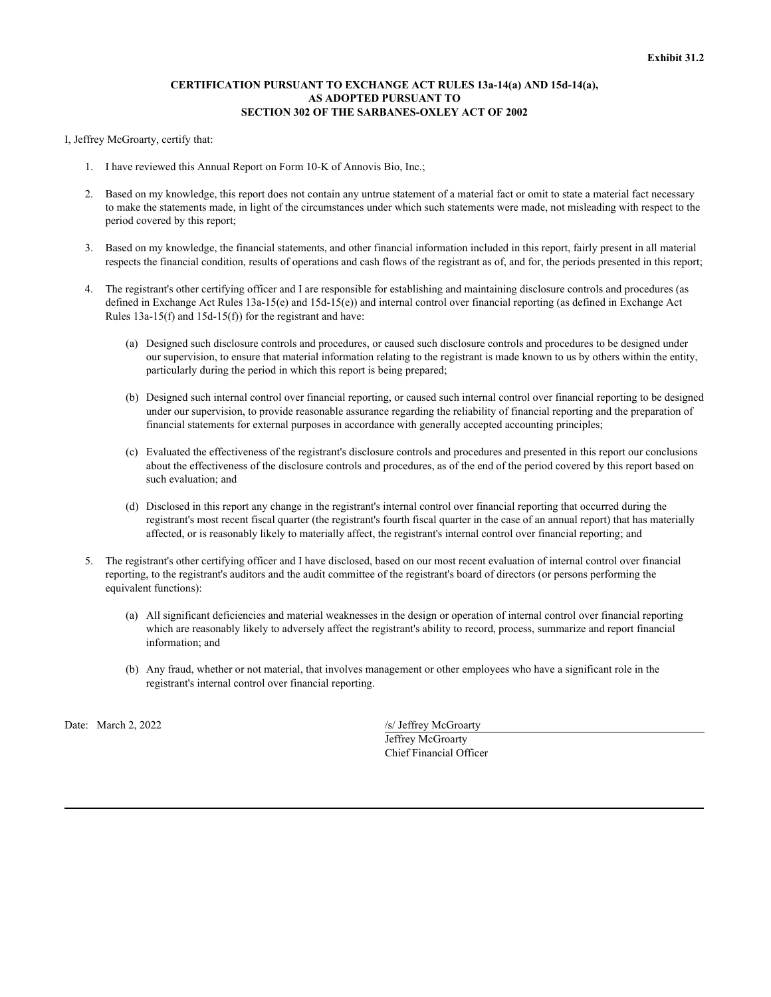## **CERTIFICATION PURSUANT TO EXCHANGE ACT RULES 13a-14(a) AND 15d-14(a), AS ADOPTED PURSUANT TO SECTION 302 OF THE SARBANES-OXLEY ACT OF 2002**

<span id="page-96-0"></span>I, Jeffrey McGroarty, certify that:

- 1. I have reviewed this Annual Report on Form 10-K of Annovis Bio, Inc.;
- 2. Based on my knowledge, this report does not contain any untrue statement of a material fact or omit to state a material fact necessary to make the statements made, in light of the circumstances under which such statements were made, not misleading with respect to the period covered by this report;
- 3. Based on my knowledge, the financial statements, and other financial information included in this report, fairly present in all material respects the financial condition, results of operations and cash flows of the registrant as of, and for, the periods presented in this report;
- 4. The registrant's other certifying officer and I are responsible for establishing and maintaining disclosure controls and procedures (as defined in Exchange Act Rules 13a-15(e) and 15d-15(e)) and internal control over financial reporting (as defined in Exchange Act Rules 13a-15(f) and 15d-15(f)) for the registrant and have:
	- (a) Designed such disclosure controls and procedures, or caused such disclosure controls and procedures to be designed under our supervision, to ensure that material information relating to the registrant is made known to us by others within the entity, particularly during the period in which this report is being prepared;
	- (b) Designed such internal control over financial reporting, or caused such internal control over financial reporting to be designed under our supervision, to provide reasonable assurance regarding the reliability of financial reporting and the preparation of financial statements for external purposes in accordance with generally accepted accounting principles;
	- (c) Evaluated the effectiveness of the registrant's disclosure controls and procedures and presented in this report our conclusions about the effectiveness of the disclosure controls and procedures, as of the end of the period covered by this report based on such evaluation; and
	- (d) Disclosed in this report any change in the registrant's internal control over financial reporting that occurred during the registrant's most recent fiscal quarter (the registrant's fourth fiscal quarter in the case of an annual report) that has materially affected, or is reasonably likely to materially affect, the registrant's internal control over financial reporting; and
- 5. The registrant's other certifying officer and I have disclosed, based on our most recent evaluation of internal control over financial reporting, to the registrant's auditors and the audit committee of the registrant's board of directors (or persons performing the equivalent functions):
	- (a) All significant deficiencies and material weaknesses in the design or operation of internal control over financial reporting which are reasonably likely to adversely affect the registrant's ability to record, process, summarize and report financial information; and
	- (b) Any fraud, whether or not material, that involves management or other employees who have a significant role in the registrant's internal control over financial reporting.

Date: March 2, 2022 /s/ Jeffrey McGroarty Jeffrey McGroarty Chief Financial Officer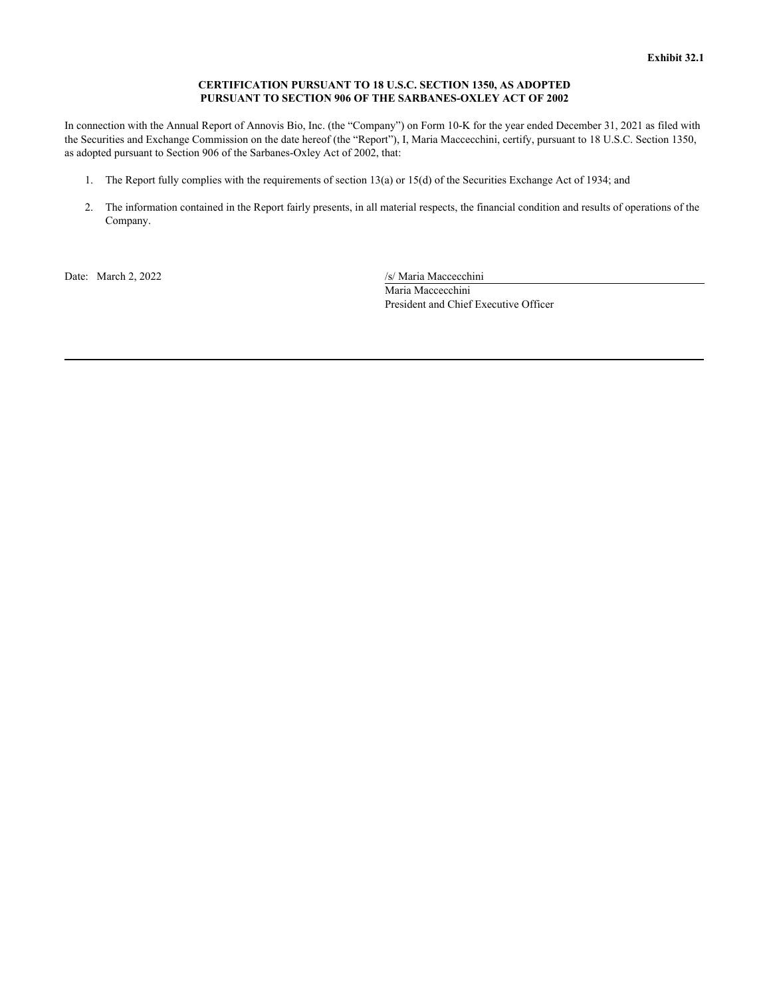## **CERTIFICATION PURSUANT TO 18 U.S.C. SECTION 1350, AS ADOPTED PURSUANT TO SECTION 906 OF THE SARBANES-OXLEY ACT OF 2002**

<span id="page-97-0"></span>In connection with the Annual Report of Annovis Bio, Inc. (the "Company") on Form 10-K for the year ended December 31, 2021 as filed with the Securities and Exchange Commission on the date hereof (the "Report"), I, Maria Maccecchini, certify, pursuant to 18 U.S.C. Section 1350, as adopted pursuant to Section 906 of the Sarbanes-Oxley Act of 2002, that:

- 1. The Report fully complies with the requirements of section 13(a) or 15(d) of the Securities Exchange Act of 1934; and
- 2. The information contained in the Report fairly presents, in all material respects, the financial condition and results of operations of the Company.

Date: March 2, 2022 /s/ Maria Maccecchini

Maria Maccecchini President and Chief Executive Officer